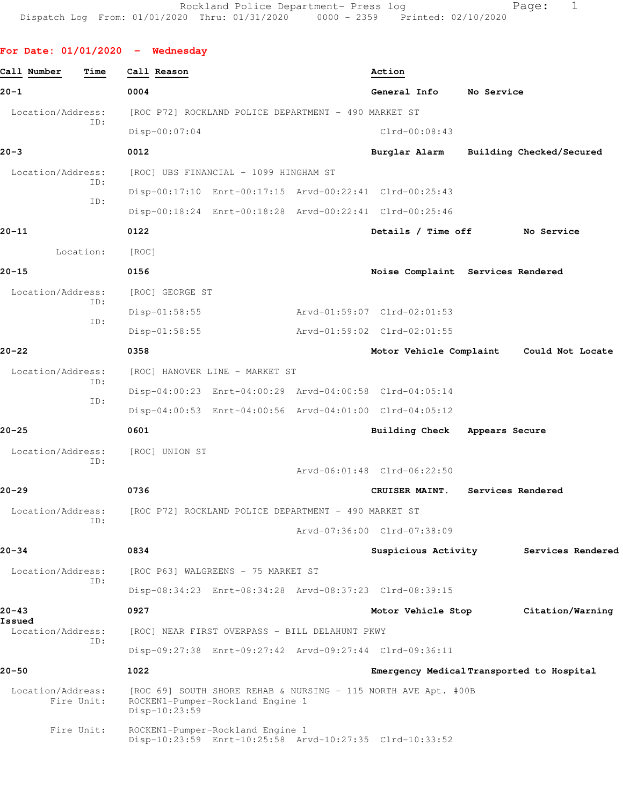```
For Date: 01/01/2020 - Wednesday 
Call Number Time Call Reason Action 
20-1 0004 General Info No Service
 Location/Address: [ROC P72] ROCKLAND POLICE DEPARTMENT - 490 MARKET ST
            ID: 
                 Disp-00:07:04 Clrd-00:08:43
20-3 0012 Burglar Alarm Building Checked/Secured
Location/Address: [ROC] UBS FINANCIAL - 1099 HINGHAM ST
            ID: 
                 Disp-00:17:10 Enrt-00:17:15 Arvd-00:22:41 Clrd-00:25:43
            ID: 
                 Disp-00:18:24 Enrt-00:18:28 Arvd-00:22:41 Clrd-00:25:46
20-11 0122 Details / Time off No Service
        Location: [ROC] 
20-15 0156 Noise Complaint Services Rendered
  Location/Address: [ROC] GEORGE ST
            ID: 
                 Disp-01:58:55 Arvd-01:59:07 Clrd-02:01:53
            ID: 
                 Disp-01:58:55 Arvd-01:59:02 Clrd-02:01:55
20-22 0358 Motor Vehicle Complaint Could Not Locate
 Location/Address: [ROC] HANOVER LINE - MARKET ST
            ID: 
                 Disp-04:00:23 Enrt-04:00:29 Arvd-04:00:58 Clrd-04:05:14
            ID: 
                 Disp-04:00:53 Enrt-04:00:56 Arvd-04:01:00 Clrd-04:05:12
20-25 0601 Building Check Appears Secure
  Location/Address: [ROC] UNION ST
            ID: 
                                       Arvd-06:01:48 Clrd-06:22:50
20-29 0736 CRUISER MAINT. Services Rendered
  Location/Address: [ROC P72] ROCKLAND POLICE DEPARTMENT - 490 MARKET ST
            ID: 
                                       Arvd-07:36:00 Clrd-07:38:09
20-34 0834 Suspicious Activity Services Rendered
 Location/Address: [ROC P63] WALGREENS - 75 MARKET ST
            ID: 
                 Disp-08:34:23 Enrt-08:34:28 Arvd-08:37:23 Clrd-08:39:15
20-43 0927 Motor Vehicle Stop Citation/Warning
Issued 
  Location/Address: [ROC] NEAR FIRST OVERPASS - BILL DELAHUNT PKWY
            ID: 
                 Disp-09:27:38 Enrt-09:27:42 Arvd-09:27:44 Clrd-09:36:11
20-50 1022 Emergency Medical Transported to Hospital
 Location/Address: [ROC 69] SOUTH SHORE REHAB & NURSING - 115 NORTH AVE Apt. #00B
       Fire Unit: ROCKEN1-Pumper-Rockland Engine 1
                 Disp-10:23:59 
       Fire Unit: ROCKEN1-Pumper-Rockland Engine 1
                 Disp-10:23:59 Enrt-10:25:58 Arvd-10:27:35 Clrd-10:33:52
```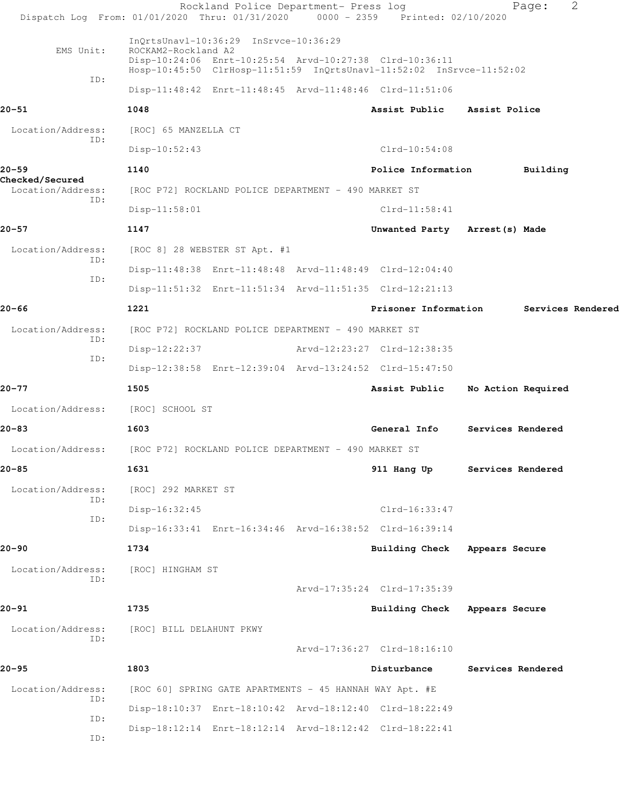Rockland Police Department- Press log North Page: 2 Dispatch Log From: 01/01/2020 Thru: 01/31/2020 0000 - 2359 Printed: 02/10/2020 InQrtsUnavl-10:36:29 InSrvce-10:36:29 EMS Unit: ROCKAM2-Rockland A2 Disp-10:24:06 Enrt-10:25:54 Arvd-10:27:38 Clrd-10:36:11 Hosp-10:45:50 ClrHosp-11:51:59 InQrtsUnavl-11:52:02 InSrvce-11:52:02 ID: Disp-11:48:42 Enrt-11:48:45 Arvd-11:48:46 Clrd-11:51:06 **20-51 1048 Assist Public Assist Police** Location/Address: [ROC] 65 MANZELLA CT ID: Disp-10:52:43 Clrd-10:54:08 **20-59 1140 Police Information Building Checked/Secured**  Location/Address: [ROC P72] ROCKLAND POLICE DEPARTMENT - 490 MARKET ST ID: Disp-11:58:01 Clrd-11:58:41 **20-57 1147 Unwanted Party Arrest(s) Made** Location/Address: [ROC 8] 28 WEBSTER ST Apt. #1 ID: Disp-11:48:38 Enrt-11:48:48 Arvd-11:48:49 Clrd-12:04:40 ID: Disp-11:51:32 Enrt-11:51:34 Arvd-11:51:35 Clrd-12:21:13 **20-66 1221 Prisoner Information Services Rendered** Location/Address: [ROC P72] ROCKLAND POLICE DEPARTMENT - 490 MARKET ST ID: Disp-12:22:37 Arvd-12:23:27 Clrd-12:38:35 ID: Disp-12:38:58 Enrt-12:39:04 Arvd-13:24:52 Clrd-15:47:50 **20-77 1505 Assist Public No Action Required** Location/Address: [ROC] SCHOOL ST **20-83 1603 General Info Services Rendered** Location/Address: [ROC P72] ROCKLAND POLICE DEPARTMENT - 490 MARKET ST **20-85 1631 911 Hang Up Services Rendered** Location/Address: [ROC] 292 MARKET ST ID: Disp-16:32:45 Clrd-16:33:47 ID: Disp-16:33:41 Enrt-16:34:46 Arvd-16:38:52 Clrd-16:39:14 **20-90 1734 Building Check Appears Secure** Location/Address: [ROC] HINGHAM ST ID: Arvd-17:35:24 Clrd-17:35:39 **20-91 1735 Building Check Appears Secure** Location/Address: [ROC] BILL DELAHUNT PKWY ID: Arvd-17:36:27 Clrd-18:16:10 **20-95 1803 Disturbance Services Rendered** Location/Address: [ROC 60] SPRING GATE APARTMENTS - 45 HANNAH WAY Apt. #E ID: Disp-18:10:37 Enrt-18:10:42 Arvd-18:12:40 Clrd-18:22:49 ID: Disp-18:12:14 Enrt-18:12:14 Arvd-18:12:42 Clrd-18:22:41 ID: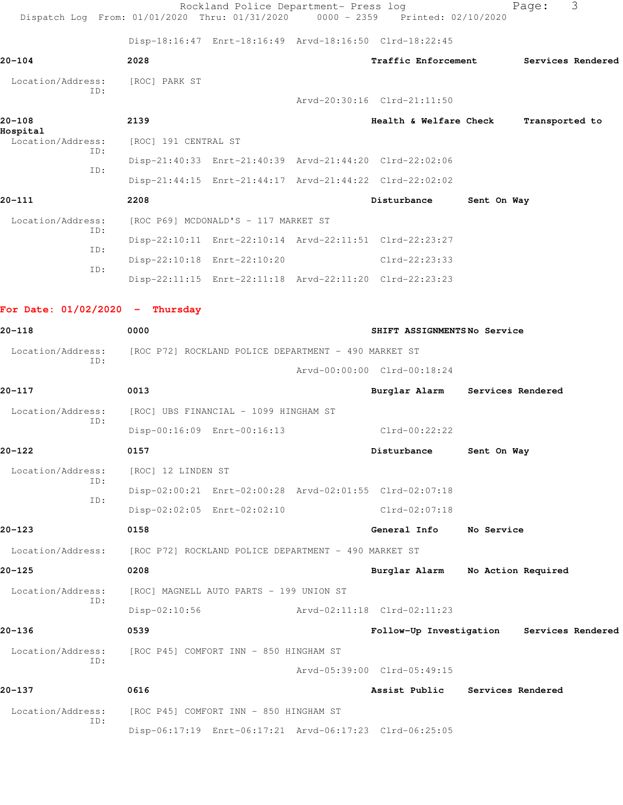|                                      | Dispatch Log From: 01/01/2020 Thru: 01/31/2020 0000 - 2359 Printed: 02/10/2020 | Rockland Police Department- Press log |                                           |             | Page:              | 3 |
|--------------------------------------|--------------------------------------------------------------------------------|---------------------------------------|-------------------------------------------|-------------|--------------------|---|
|                                      | Disp-18:16:47 Enrt-18:16:49 Arvd-18:16:50 Clrd-18:22:45                        |                                       |                                           |             |                    |   |
| 20-104                               | 2028                                                                           |                                       | <b>Traffic Enforcement</b>                |             | Services Rendered  |   |
| Location/Address:                    | [ROC] PARK ST                                                                  |                                       |                                           |             |                    |   |
| TD:                                  |                                                                                |                                       | Arvd-20:30:16 Clrd-21:11:50               |             |                    |   |
| $20 - 108$                           | 2139                                                                           |                                       | Health & Welfare Check                    |             | Transported to     |   |
| Hospital<br>Location/Address:<br>TD: | [ROC] 191 CENTRAL ST                                                           |                                       |                                           |             |                    |   |
| ID:                                  | Disp-21:40:33 Enrt-21:40:39 Arvd-21:44:20 Clrd-22:02:06                        |                                       |                                           |             |                    |   |
|                                      | Disp-21:44:15 Enrt-21:44:17 Arvd-21:44:22 Clrd-22:02:02                        |                                       |                                           |             |                    |   |
| 20-111                               | 2208                                                                           |                                       | Disturbance                               | Sent On Way |                    |   |
| Location/Address:                    | [ROC P69] MCDONALD'S - 117 MARKET ST                                           |                                       |                                           |             |                    |   |
| ID:                                  | Disp-22:10:11 Enrt-22:10:14 Arvd-22:11:51 Clrd-22:23:27                        |                                       |                                           |             |                    |   |
| ID:                                  | Disp-22:10:18 Enrt-22:10:20                                                    |                                       | $Clrd-22:23:33$                           |             |                    |   |
| ID:                                  | Disp-22:11:15 Enrt-22:11:18 Arvd-22:11:20 Clrd-22:23:23                        |                                       |                                           |             |                    |   |
| For Date: $01/02/2020 -$ Thursday    |                                                                                |                                       |                                           |             |                    |   |
| 20-118                               | 0000                                                                           | SHIFT ASSIGNMENTSNo Service           |                                           |             |                    |   |
| Location/Address:                    | [ROC P72] ROCKLAND POLICE DEPARTMENT - 490 MARKET ST                           |                                       |                                           |             |                    |   |
| ID:                                  |                                                                                |                                       | Arvd-00:00:00 Clrd-00:18:24               |             |                    |   |
| 20-117                               | 0013                                                                           |                                       | Burglar Alarm Services Rendered           |             |                    |   |
| Location/Address:                    | [ROC] UBS FINANCIAL - 1099 HINGHAM ST                                          |                                       |                                           |             |                    |   |
| ID:                                  | Disp-00:16:09 Enrt-00:16:13                                                    |                                       | $Clrd-00:22:22$                           |             |                    |   |
| 20-122                               | 0157                                                                           |                                       | Disturbance                               | Sent On Way |                    |   |
| Location/Address:                    | [ROC] 12 LINDEN ST                                                             |                                       |                                           |             |                    |   |
| ID:                                  | Disp-02:00:21 Enrt-02:00:28 Arvd-02:01:55 Clrd-02:07:18                        |                                       |                                           |             |                    |   |
| ID:                                  | Disp-02:02:05 Enrt-02:02:10                                                    |                                       | $Clrd-02:07:18$                           |             |                    |   |
| 20-123                               | 0158                                                                           |                                       | General Info                              | No Service  |                    |   |
| Location/Address:                    | [ROC P72] ROCKLAND POLICE DEPARTMENT - 490 MARKET ST                           |                                       |                                           |             |                    |   |
| 20-125                               | 0208                                                                           |                                       | Burglar Alarm                             |             | No Action Required |   |
| Location/Address:                    | [ROC] MAGNELL AUTO PARTS - 199 UNION ST                                        |                                       |                                           |             |                    |   |
| ID:                                  | $Disp-02:10:56$                                                                |                                       | Arvd-02:11:18 Clrd-02:11:23               |             |                    |   |
| 20-136                               | 0539                                                                           |                                       | Follow-Up Investigation Services Rendered |             |                    |   |
| Location/Address:                    | [ROC P45] COMFORT INN - 850 HINGHAM ST                                         |                                       |                                           |             |                    |   |
| ID:                                  |                                                                                |                                       | Arvd-05:39:00 Clrd-05:49:15               |             |                    |   |
| 20-137                               | 0616                                                                           |                                       | Assist Public                             |             | Services Rendered  |   |
| Location/Address:                    | [ROC P45] COMFORT INN - 850 HINGHAM ST                                         |                                       |                                           |             |                    |   |
| ID:                                  | Disp-06:17:19 Enrt-06:17:21 Arvd-06:17:23 Clrd-06:25:05                        |                                       |                                           |             |                    |   |
|                                      |                                                                                |                                       |                                           |             |                    |   |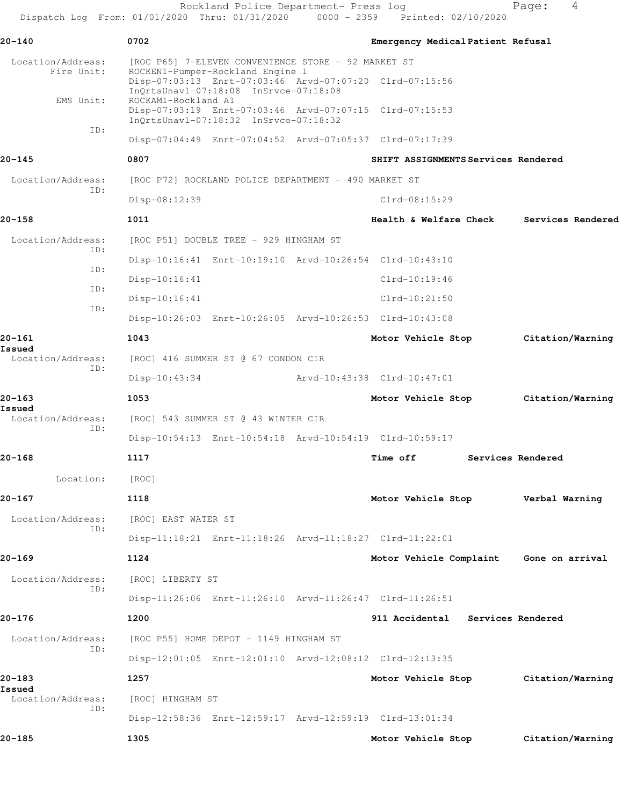Rockland Police Department- Press log North Page: 4 Dispatch Log From: 01/01/2020 Thru: 01/31/2020 0000 - 2359 Printed: 02/10/2020 **20-140 0702 Emergency Medical Patient Refusal** Location/Address: [ROC P65] 7-ELEVEN CONVENIENCE STORE - 92 MARKET ST<br>Fire Unit: ROCKEN1-Pumper-Rockland Engine 1 ROCKEN1-Pumper-Rockland Engine 1 Disp-07:03:13 Enrt-07:03:46 Arvd-07:07:20 Clrd-07:15:56 InQrtsUnavl-07:18:08 InSrvce-07:18:08 EMS Unit: ROCKAM1-Rockland A1 Disp-07:03:19 Enrt-07:03:46 Arvd-07:07:15 Clrd-07:15:53 InQrtsUnavl-07:18:32 InSrvce-07:18:32 ID: Disp-07:04:49 Enrt-07:04:52 Arvd-07:05:37 Clrd-07:17:39 **20-145 0807 SHIFT ASSIGNMENTS Services Rendered** Location/Address: [ROC P72] ROCKLAND POLICE DEPARTMENT - 490 MARKET ST ID: Disp-08:12:39 Clrd-08:15:29 **20-158 1011 Health & Welfare Check Services Rendered** Location/Address: [ROC P51] DOUBLE TREE - 929 HINGHAM ST ID: Disp-10:16:41 Enrt-10:19:10 Arvd-10:26:54 Clrd-10:43:10 ID: Disp-10:16:41 Clrd-10:19:46 ID: Disp-10:16:41 Clrd-10:21:50 ID: Disp-10:26:03 Enrt-10:26:05 Arvd-10:26:53 Clrd-10:43:08 **20-161 1043 Motor Vehicle Stop Citation/Warning Issued**  Location/Address: [ROC] 416 SUMMER ST @ 67 CONDON CIR ID: Disp-10:43:34 Arvd-10:43:38 Clrd-10:47:01 **20-163 1053 Motor Vehicle Stop Citation/Warning Issued**  Location/Address: [ROC] 543 SUMMER ST @ 43 WINTER CIR ID: Disp-10:54:13 Enrt-10:54:18 Arvd-10:54:19 Clrd-10:59:17 **20-168 1117 Time off Services Rendered** Location: [ROC] **20-167 1118 Motor Vehicle Stop Verbal Warning** Location/Address: [ROC] EAST WATER ST ID: Disp-11:18:21 Enrt-11:18:26 Arvd-11:18:27 Clrd-11:22:01 **20-169 1124 Motor Vehicle Complaint Gone on arrival** Location/Address: [ROC] LIBERTY ST ID: Disp-11:26:06 Enrt-11:26:10 Arvd-11:26:47 Clrd-11:26:51 **20-176 1200 911 Accidental Services Rendered** Location/Address: [ROC P55] HOME DEPOT - 1149 HINGHAM ST ID: Disp-12:01:05 Enrt-12:01:10 Arvd-12:08:12 Clrd-12:13:35 **20-183 1257 Motor Vehicle Stop Citation/Warning Issued**  Location/Address: [ROC] HINGHAM ST ID: Disp-12:58:36 Enrt-12:59:17 Arvd-12:59:19 Clrd-13:01:34 **20-185 1305 Motor Vehicle Stop Citation/Warning**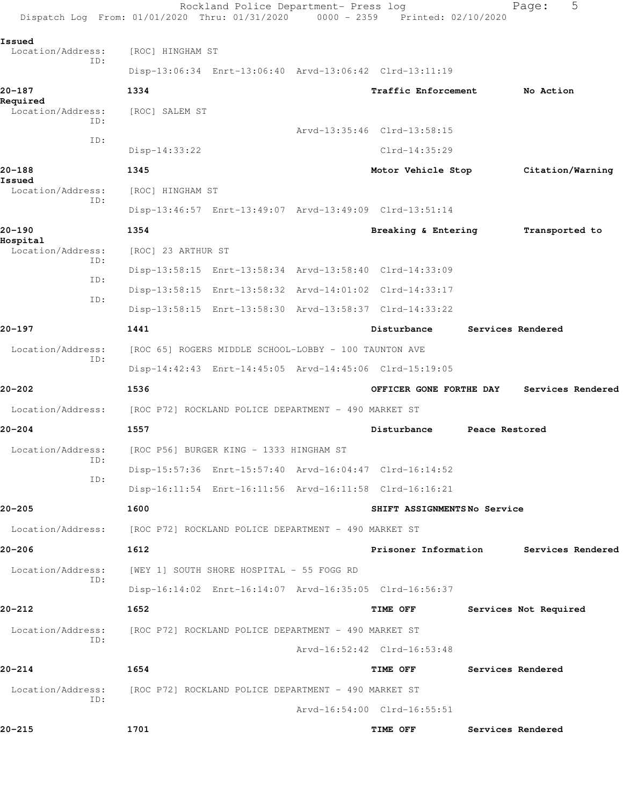| Dispatch Log From: 01/01/2020 Thru: 01/31/2020 0000 - 2359 Printed: 02/10/2020 |                                         | Rockland Police Department- Press log                   |                             |                | 5<br>Page:            |  |
|--------------------------------------------------------------------------------|-----------------------------------------|---------------------------------------------------------|-----------------------------|----------------|-----------------------|--|
| Issued                                                                         |                                         |                                                         |                             |                |                       |  |
| Location/Address:<br>ID:                                                       | [ROC] HINGHAM ST                        |                                                         |                             |                |                       |  |
|                                                                                |                                         | Disp-13:06:34 Enrt-13:06:40 Arvd-13:06:42 Clrd-13:11:19 |                             |                |                       |  |
| 20-187<br>Required                                                             | 1334                                    |                                                         | Traffic Enforcement         |                | No Action             |  |
| Location/Address:<br>ID:                                                       | [ROC] SALEM ST                          |                                                         |                             |                |                       |  |
| ID:                                                                            |                                         |                                                         | Arvd-13:35:46 Clrd-13:58:15 |                |                       |  |
|                                                                                | $Disp-14:33:22$                         |                                                         | $Clrd-14:35:29$             |                |                       |  |
| 20-188<br>Issued                                                               | 1345                                    |                                                         | Motor Vehicle Stop          |                | Citation/Warning      |  |
| Location/Address:<br>ID:                                                       | [ROC] HINGHAM ST                        |                                                         |                             |                |                       |  |
|                                                                                |                                         | Disp-13:46:57 Enrt-13:49:07 Arvd-13:49:09 Clrd-13:51:14 |                             |                |                       |  |
| 20-190<br>Hospital                                                             | 1354                                    |                                                         | Breaking & Entering         |                | Transported to        |  |
| Location/Address:<br>ID:                                                       | [ROC] 23 ARTHUR ST                      |                                                         |                             |                |                       |  |
| ID:                                                                            |                                         | Disp-13:58:15 Enrt-13:58:34 Arvd-13:58:40 Clrd-14:33:09 |                             |                |                       |  |
| ID:                                                                            |                                         | Disp-13:58:15 Enrt-13:58:32 Arvd-14:01:02 Clrd-14:33:17 |                             |                |                       |  |
|                                                                                |                                         | Disp-13:58:15 Enrt-13:58:30 Arvd-13:58:37 Clrd-14:33:22 |                             |                |                       |  |
| 20-197                                                                         | 1441                                    |                                                         | Disturbance                 |                | Services Rendered     |  |
| Location/Address:<br>ID:                                                       |                                         | [ROC 65] ROGERS MIDDLE SCHOOL-LOBBY - 100 TAUNTON AVE   |                             |                |                       |  |
|                                                                                |                                         | Disp-14:42:43 Enrt-14:45:05 Arvd-14:45:06 Clrd-15:19:05 |                             |                |                       |  |
| 20-202                                                                         | 1536                                    |                                                         | OFFICER GONE FORTHE DAY     |                | Services Rendered     |  |
| Location/Address:                                                              |                                         | [ROC P72] ROCKLAND POLICE DEPARTMENT - 490 MARKET ST    |                             |                |                       |  |
| 20-204                                                                         | 1557                                    |                                                         | Disturbance                 | Peace Restored |                       |  |
| Location/Address:                                                              | [ROC P56] BURGER KING - 1333 HINGHAM ST |                                                         |                             |                |                       |  |
| ID:                                                                            |                                         | Disp-15:57:36 Enrt-15:57:40 Arvd-16:04:47 Clrd-16:14:52 |                             |                |                       |  |
| ID:                                                                            |                                         | Disp-16:11:54 Enrt-16:11:56 Arvd-16:11:58 Clrd-16:16:21 |                             |                |                       |  |
| $20 - 205$                                                                     | 1600                                    |                                                         | SHIFT ASSIGNMENTSNo Service |                |                       |  |
| Location/Address:                                                              |                                         | [ROC P72] ROCKLAND POLICE DEPARTMENT - 490 MARKET ST    |                             |                |                       |  |
| 20-206                                                                         | 1612                                    |                                                         | Prisoner Information        |                | Services Rendered     |  |
| Location/Address:                                                              |                                         | [WEY 1] SOUTH SHORE HOSPITAL - 55 FOGG RD               |                             |                |                       |  |
| ID:                                                                            |                                         | Disp-16:14:02 Enrt-16:14:07 Arvd-16:35:05 Clrd-16:56:37 |                             |                |                       |  |
| 20-212                                                                         | 1652                                    |                                                         | TIME OFF                    |                | Services Not Required |  |
| Location/Address:                                                              |                                         | [ROC P72] ROCKLAND POLICE DEPARTMENT - 490 MARKET ST    |                             |                |                       |  |
| ID:                                                                            |                                         |                                                         | Arvd-16:52:42 Clrd-16:53:48 |                |                       |  |
| $20 - 214$                                                                     | 1654                                    |                                                         | TIME OFF                    |                | Services Rendered     |  |
| Location/Address:                                                              |                                         | [ROC P72] ROCKLAND POLICE DEPARTMENT - 490 MARKET ST    |                             |                |                       |  |
| ID:                                                                            |                                         |                                                         | Arvd-16:54:00 Clrd-16:55:51 |                |                       |  |
| $20 - 215$                                                                     | 1701                                    |                                                         | <b>TIME OFF</b>             |                | Services Rendered     |  |
|                                                                                |                                         |                                                         |                             |                |                       |  |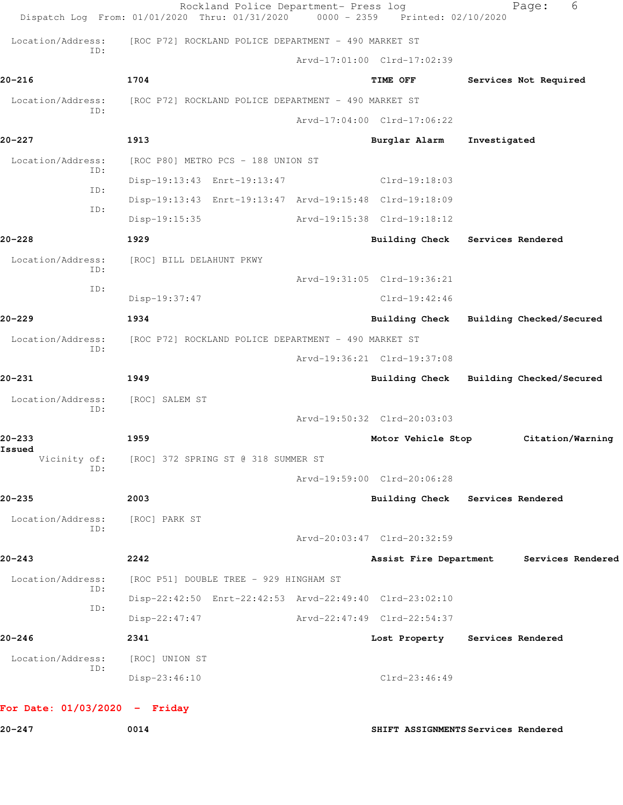|                                 | Rockland Police Department- Press log<br>Dispatch Log From: 01/01/2020 Thru: 01/31/2020 | $0000 - 2359$ | Printed: 02/10/2020                 |                   | 6<br>Page:               |
|---------------------------------|-----------------------------------------------------------------------------------------|---------------|-------------------------------------|-------------------|--------------------------|
| Location/Address:               | [ROC P72] ROCKLAND POLICE DEPARTMENT - 490 MARKET ST                                    |               |                                     |                   |                          |
| TD:                             |                                                                                         |               | Arvd-17:01:00 Clrd-17:02:39         |                   |                          |
| $20 - 216$                      | 1704                                                                                    |               | TIME OFF                            |                   | Services Not Required    |
| Location/Address:               | [ROC P72] ROCKLAND POLICE DEPARTMENT - 490 MARKET ST                                    |               |                                     |                   |                          |
| ID:                             |                                                                                         |               | Arvd-17:04:00 Clrd-17:06:22         |                   |                          |
| $20 - 227$                      | 1913                                                                                    |               | Burglar Alarm                       | Investigated      |                          |
| Location/Address:               | [ROC P80] METRO PCS - 188 UNION ST                                                      |               |                                     |                   |                          |
| ID:                             | Disp-19:13:43 Enrt-19:13:47                                                             |               | $Clrd-19:18:03$                     |                   |                          |
| ID:                             | Disp-19:13:43 Enrt-19:13:47 Arvd-19:15:48 Clrd-19:18:09                                 |               |                                     |                   |                          |
| ID:                             | Disp-19:15:35                                                                           |               | Arvd-19:15:38 Clrd-19:18:12         |                   |                          |
| 20-228                          | 1929                                                                                    |               | <b>Building Check</b>               | Services Rendered |                          |
| Location/Address:               | [ROC] BILL DELAHUNT PKWY                                                                |               |                                     |                   |                          |
| ID:                             |                                                                                         |               | Arvd-19:31:05 Clrd-19:36:21         |                   |                          |
| ID:                             | Disp-19:37:47                                                                           |               | $Clrd-19:42:46$                     |                   |                          |
| 20-229                          | 1934                                                                                    |               | <b>Building Check</b>               |                   | Building Checked/Secured |
| Location/Address:               | [ROC P72] ROCKLAND POLICE DEPARTMENT - 490 MARKET ST                                    |               |                                     |                   |                          |
| ID:                             |                                                                                         |               | Arvd-19:36:21 Clrd-19:37:08         |                   |                          |
| 20-231                          | 1949                                                                                    |               | <b>Building Check</b>               |                   | Building Checked/Secured |
| Location/Address:               | [ROC] SALEM ST                                                                          |               |                                     |                   |                          |
| ID:                             |                                                                                         |               | Arvd-19:50:32 Clrd-20:03:03         |                   |                          |
| 20-233                          | 1959                                                                                    |               | Motor Vehicle Stop                  |                   | Citation/Warning         |
| Issued<br>Vicinity of:          | [ROC] 372 SPRING ST @ 318 SUMMER ST                                                     |               |                                     |                   |                          |
| ID:                             |                                                                                         |               | Arvd-19:59:00 Clrd-20:06:28         |                   |                          |
| 20–235                          | 2003                                                                                    |               | Building Check Services Rendered    |                   |                          |
| Location/Address:               | [ROC] PARK ST                                                                           |               |                                     |                   |                          |
| ID:                             |                                                                                         |               | Arvd-20:03:47 Clrd-20:32:59         |                   |                          |
| $20 - 243$                      | 2242                                                                                    |               | Assist Fire Department              |                   | Services Rendered        |
| Location/Address:               | [ROC P51] DOUBLE TREE - 929 HINGHAM ST                                                  |               |                                     |                   |                          |
| ID:                             | Disp-22:42:50 Enrt-22:42:53 Arvd-22:49:40 Clrd-23:02:10                                 |               |                                     |                   |                          |
| ID:                             | $Disp-22:47:47$                                                                         |               | Arvd-22:47:49 Clrd-22:54:37         |                   |                          |
| 20-246                          | 2341                                                                                    |               | Lost Property                       | Services Rendered |                          |
| Location/Address:               | [ROC] UNION ST                                                                          |               |                                     |                   |                          |
| ID:                             | $Disp-23:46:10$                                                                         |               | $Clrd-23:46:49$                     |                   |                          |
| For Date: $01/03/2020 -$ Friday |                                                                                         |               |                                     |                   |                          |
| $20 - 247$                      | 0014                                                                                    |               | SHIFT ASSIGNMENTS Services Rendered |                   |                          |
|                                 |                                                                                         |               |                                     |                   |                          |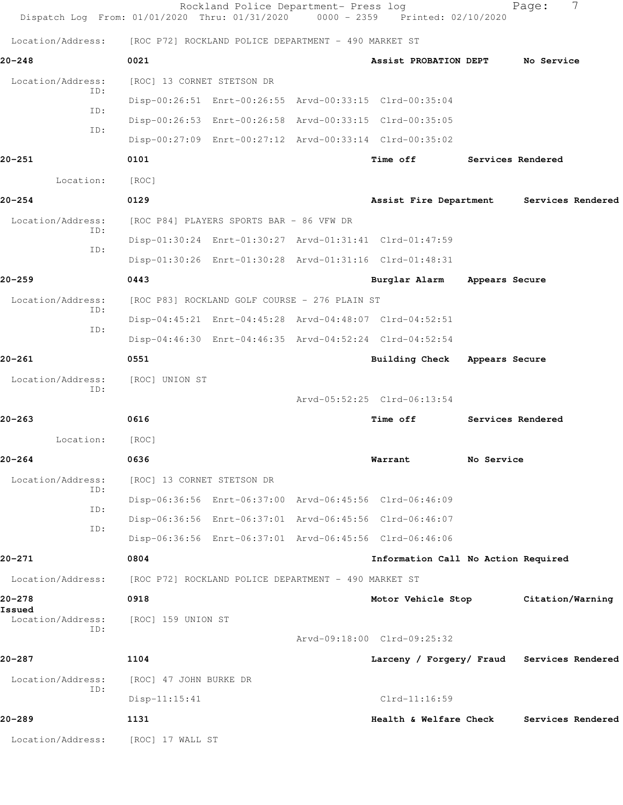| Dispatch Log From: 01/01/2020 Thru: 01/31/2020 0000 - 2359 Printed: 02/10/2020 |                                                      | Rockland Police Department- Press log         |                                                         |                | Page:             | 7 |
|--------------------------------------------------------------------------------|------------------------------------------------------|-----------------------------------------------|---------------------------------------------------------|----------------|-------------------|---|
| Location/Address:                                                              | [ROC P72] ROCKLAND POLICE DEPARTMENT - 490 MARKET ST |                                               |                                                         |                |                   |   |
| $20 - 248$                                                                     | 0021                                                 |                                               | Assist PROBATION DEPT                                   |                | No Service        |   |
| Location/Address:                                                              | [ROC] 13 CORNET STETSON DR                           |                                               |                                                         |                |                   |   |
| ID:                                                                            |                                                      |                                               | Disp-00:26:51 Enrt-00:26:55 Arvd-00:33:15 Clrd-00:35:04 |                |                   |   |
| ID:<br>ID:                                                                     |                                                      |                                               | Disp-00:26:53 Enrt-00:26:58 Arvd-00:33:15 Clrd-00:35:05 |                |                   |   |
|                                                                                |                                                      |                                               | Disp-00:27:09 Enrt-00:27:12 Arvd-00:33:14 Clrd-00:35:02 |                |                   |   |
| 20-251                                                                         | 0101                                                 |                                               | Time off                                                |                | Services Rendered |   |
| Location:                                                                      | [ROC]                                                |                                               |                                                         |                |                   |   |
| $20 - 254$                                                                     | 0129                                                 |                                               | Assist Fire Department                                  |                | Services Rendered |   |
| Location/Address:<br>ID:                                                       | [ROC P84] PLAYERS SPORTS BAR - 86 VFW DR             |                                               |                                                         |                |                   |   |
| ID:                                                                            |                                                      |                                               | Disp-01:30:24 Enrt-01:30:27 Arvd-01:31:41 Clrd-01:47:59 |                |                   |   |
|                                                                                |                                                      |                                               | Disp-01:30:26 Enrt-01:30:28 Arvd-01:31:16 Clrd-01:48:31 |                |                   |   |
| 20–259                                                                         | 0443                                                 |                                               | Burglar Alarm                                           | Appears Secure |                   |   |
| Location/Address:<br>ID:                                                       |                                                      | [ROC P83] ROCKLAND GOLF COURSE - 276 PLAIN ST |                                                         |                |                   |   |
| ID:                                                                            |                                                      |                                               | Disp-04:45:21 Enrt-04:45:28 Arvd-04:48:07 Clrd-04:52:51 |                |                   |   |
|                                                                                |                                                      |                                               | Disp-04:46:30 Enrt-04:46:35 Arvd-04:52:24 Clrd-04:52:54 |                |                   |   |
| 20-261                                                                         | 0551                                                 |                                               | <b>Building Check</b>                                   | Appears Secure |                   |   |
| Location/Address:<br>ID:                                                       | [ROC] UNION ST                                       |                                               |                                                         |                |                   |   |
|                                                                                |                                                      |                                               | Arvd-05:52:25 Clrd-06:13:54                             |                |                   |   |
| 20-263                                                                         | 0616                                                 |                                               | Time off                                                |                | Services Rendered |   |
| Location:                                                                      | [ROC]                                                |                                               |                                                         |                |                   |   |
| 20–264                                                                         | 0636                                                 |                                               | Warrant                                                 | No Service     |                   |   |
| Location/Address:<br>ID:                                                       | [ROC] 13 CORNET STETSON DR                           |                                               |                                                         |                |                   |   |
| ID:                                                                            |                                                      |                                               | Disp-06:36:56 Enrt-06:37:00 Arvd-06:45:56 Clrd-06:46:09 |                |                   |   |
| ID:                                                                            |                                                      |                                               | Disp-06:36:56 Enrt-06:37:01 Arvd-06:45:56 Clrd-06:46:07 |                |                   |   |
|                                                                                |                                                      |                                               | Disp-06:36:56 Enrt-06:37:01 Arvd-06:45:56 Clrd-06:46:06 |                |                   |   |
| 20-271                                                                         | 0804                                                 |                                               | Information Call No Action Required                     |                |                   |   |
| Location/Address:                                                              | [ROC P72] ROCKLAND POLICE DEPARTMENT - 490 MARKET ST |                                               |                                                         |                |                   |   |
| 20-278<br>Issued                                                               | 0918                                                 |                                               | Motor Vehicle Stop                                      |                | Citation/Warning  |   |
| Location/Address:<br>ID:                                                       | [ROC] 159 UNION ST                                   |                                               |                                                         |                |                   |   |
|                                                                                |                                                      |                                               | Arvd-09:18:00 Clrd-09:25:32                             |                |                   |   |
| 20-287                                                                         | 1104                                                 |                                               | Larceny / Forgery/ Fraud Services Rendered              |                |                   |   |
| Location/Address:<br>ID:                                                       | [ROC] 47 JOHN BURKE DR                               |                                               |                                                         |                |                   |   |
|                                                                                | $Disp-11:15:41$                                      |                                               | $Clrd-11:16:59$                                         |                |                   |   |
| 20-289                                                                         | 1131                                                 |                                               | Health & Welfare Check                                  |                | Services Rendered |   |
| Location/Address:                                                              | [ROC] 17 WALL ST                                     |                                               |                                                         |                |                   |   |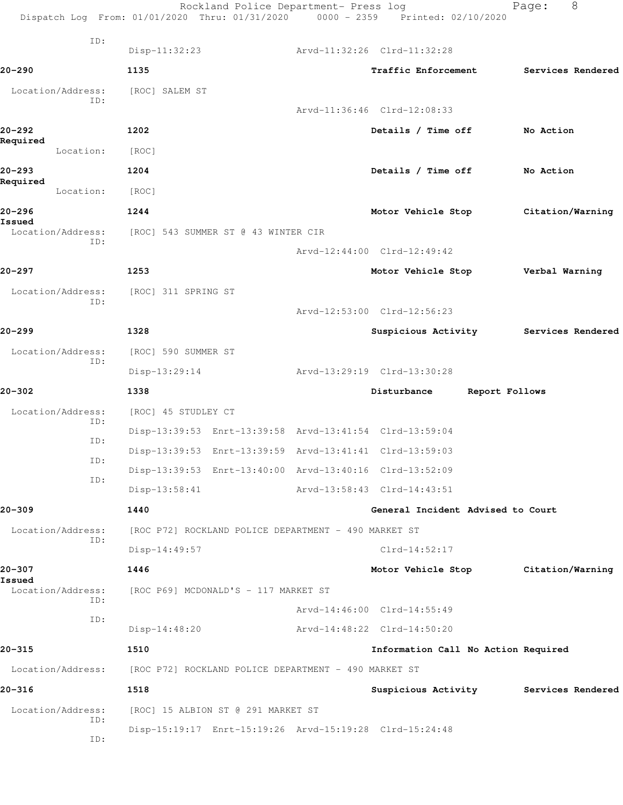Rockland Police Department- Press log Fage: 8 Dispatch Log From: 01/01/2020 Thru: 01/31/2020 0000 - 2359 Printed: 02/10/2020 ID: Disp-11:32:23 Arvd-11:32:26 Clrd-11:32:28 **20-290 1135 Traffic Enforcement Services Rendered** Location/Address: [ROC] SALEM ST ID: Arvd-11:36:46 Clrd-12:08:33 **20-292 1202 Details / Time off No Action Required**  Location: [ROC] **20-293 1204 Details / Time off No Action Required**  Location: [ROC] **20-296 1244 Motor Vehicle Stop Citation/Warning Issued**  Location/Address: [ROC] 543 SUMMER ST @ 43 WINTER CIR ID: Arvd-12:44:00 Clrd-12:49:42 **20-297 1253 Motor Vehicle Stop Verbal Warning** Location/Address: [ROC] 311 SPRING ST ID: Arvd-12:53:00 Clrd-12:56:23 **20-299 1328 Suspicious Activity Services Rendered** Location/Address: [ROC] 590 SUMMER ST ID: Disp-13:29:14 Arvd-13:29:19 Clrd-13:30:28 **20-302 1338 Disturbance Report Follows** Location/Address: [ROC] 45 STUDLEY CT ID: Disp-13:39:53 Enrt-13:39:58 Arvd-13:41:54 Clrd-13:59:04 ID: Disp-13:39:53 Enrt-13:39:59 Arvd-13:41:41 Clrd-13:59:03 ID: Disp-13:39:53 Enrt-13:40:00 Arvd-13:40:16 Clrd-13:52:09 ID: Disp-13:58:41 Arvd-13:58:43 Clrd-14:43:51 **20-309 1440 General Incident Advised to Court** Location/Address: [ROC P72] ROCKLAND POLICE DEPARTMENT - 490 MARKET ST ID: Disp-14:49:57 Clrd-14:52:17 **20-307 1446 Motor Vehicle Stop Citation/Warning Issued**  Location/Address: [ROC P69] MCDONALD'S - 117 MARKET ST ID: Arvd-14:46:00 Clrd-14:55:49 ID: Disp-14:48:20 Arvd-14:48:22 Clrd-14:50:20 **20-315 1510 Information Call No Action Required** Location/Address: [ROC P72] ROCKLAND POLICE DEPARTMENT - 490 MARKET ST **20-316 1518 Suspicious Activity Services Rendered** Location/Address: [ROC] 15 ALBION ST @ 291 MARKET ST ID: Disp-15:19:17 Enrt-15:19:26 Arvd-15:19:28 Clrd-15:24:48 ID: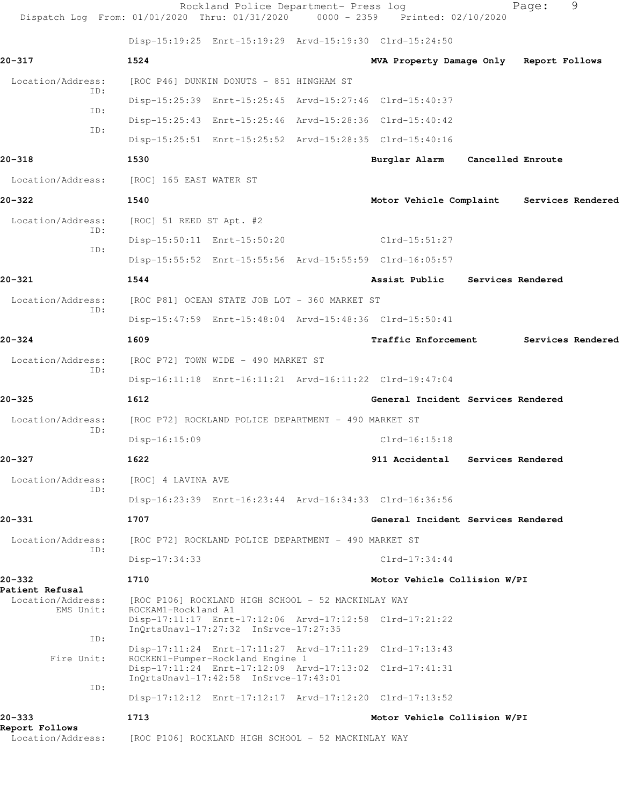| Dispatch Log From: 01/01/2020 Thru: 01/31/2020 |                          | Rockland Police Department- Press log                                     | 0000 - 2359 Printed: 02/10/2020                         |                   | Page: | 9                 |
|------------------------------------------------|--------------------------|---------------------------------------------------------------------------|---------------------------------------------------------|-------------------|-------|-------------------|
|                                                |                          |                                                                           | Disp-15:19:25 Enrt-15:19:29 Arvd-15:19:30 Clrd-15:24:50 |                   |       |                   |
| 20-317                                         | 1524                     |                                                                           | MVA Property Damage Only Report Follows                 |                   |       |                   |
| Location/Address:                              |                          | [ROC P46] DUNKIN DONUTS - 851 HINGHAM ST                                  |                                                         |                   |       |                   |
| ID:                                            |                          |                                                                           | Disp-15:25:39 Enrt-15:25:45 Arvd-15:27:46 Clrd-15:40:37 |                   |       |                   |
| ID:<br>ID:                                     |                          |                                                                           | Disp-15:25:43 Enrt-15:25:46 Arvd-15:28:36 Clrd-15:40:42 |                   |       |                   |
|                                                |                          |                                                                           | Disp-15:25:51 Enrt-15:25:52 Arvd-15:28:35 Clrd-15:40:16 |                   |       |                   |
| 20-318                                         | 1530                     |                                                                           | Burglar Alarm                                           | Cancelled Enroute |       |                   |
| Location/Address:                              | [ROC] 165 EAST WATER ST  |                                                                           |                                                         |                   |       |                   |
| $20 - 322$                                     | 1540                     |                                                                           | Motor Vehicle Complaint Services Rendered               |                   |       |                   |
| Location/Address:                              | [ROC] 51 REED ST Apt. #2 |                                                                           |                                                         |                   |       |                   |
| ID:<br>ID:                                     |                          | Disp-15:50:11 Enrt-15:50:20                                               | $Clrd-15:51:27$                                         |                   |       |                   |
|                                                |                          |                                                                           | Disp-15:55:52 Enrt-15:55:56 Arvd-15:55:59 Clrd-16:05:57 |                   |       |                   |
| 20-321                                         | 1544                     |                                                                           | Assist Public                                           | Services Rendered |       |                   |
| Location/Address:<br>ID:                       |                          | [ROC P81] OCEAN STATE JOB LOT - 360 MARKET ST                             |                                                         |                   |       |                   |
|                                                |                          | Disp-15:47:59 Enrt-15:48:04 Arvd-15:48:36 Clrd-15:50:41                   |                                                         |                   |       |                   |
| 20-324                                         | 1609                     |                                                                           | <b>Traffic Enforcement</b>                              |                   |       | Services Rendered |
| Location/Address:<br>ID:                       |                          | [ROC P72] TOWN WIDE - 490 MARKET ST                                       |                                                         |                   |       |                   |
|                                                |                          |                                                                           | Disp-16:11:18 Enrt-16:11:21 Arvd-16:11:22 Clrd-19:47:04 |                   |       |                   |
| 20-325                                         | 1612                     |                                                                           | General Incident Services Rendered                      |                   |       |                   |
| Location/Address:<br>ID:                       |                          | [ROC P72] ROCKLAND POLICE DEPARTMENT - 490 MARKET ST                      |                                                         |                   |       |                   |
|                                                | Disp-16:15:09            |                                                                           | $Clrd-16:15:18$                                         |                   |       |                   |
| 20–327                                         | 1622                     |                                                                           | 911 Accidental                                          | Services Rendered |       |                   |
| Location/Address:<br>ID:                       | [ROC] 4 LAVINA AVE       |                                                                           |                                                         |                   |       |                   |
|                                                |                          |                                                                           | Disp-16:23:39 Enrt-16:23:44 Arvd-16:34:33 Clrd-16:36:56 |                   |       |                   |
| 20-331                                         | 1707                     |                                                                           | General Incident Services Rendered                      |                   |       |                   |
| Location/Address:<br>ID:                       |                          | [ROC P72] ROCKLAND POLICE DEPARTMENT - 490 MARKET ST                      |                                                         |                   |       |                   |
|                                                | Disp-17:34:33            |                                                                           | $Clrd-17:34:44$                                         |                   |       |                   |
| 20–332<br>Patient Refusal                      | 1710                     |                                                                           | Motor Vehicle Collision W/PI                            |                   |       |                   |
| Location/Address:<br>EMS Unit:                 | ROCKAM1-Rockland A1      | [ROC P106] ROCKLAND HIGH SCHOOL - 52 MACKINLAY WAY                        |                                                         |                   |       |                   |
|                                                |                          | InQrtsUnavl-17:27:32 InSrvce-17:27:35                                     | Disp-17:11:17 Enrt-17:12:06 Arvd-17:12:58 Clrd-17:21:22 |                   |       |                   |
| ID:                                            |                          |                                                                           | Disp-17:11:24 Enrt-17:11:27 Arvd-17:11:29 Clrd-17:13:43 |                   |       |                   |
| Fire Unit:                                     |                          | ROCKEN1-Pumper-Rockland Engine 1<br>InQrtsUnavl-17:42:58 InSrvce-17:43:01 | Disp-17:11:24 Enrt-17:12:09 Arvd-17:13:02 Clrd-17:41:31 |                   |       |                   |
| ID:                                            |                          |                                                                           | Disp-17:12:12 Enrt-17:12:17 Arvd-17:12:20 Clrd-17:13:52 |                   |       |                   |
| 20-333                                         | 1713                     |                                                                           | Motor Vehicle Collision W/PI                            |                   |       |                   |
| Report Follows<br>Location/Address:            |                          | [ROC P106] ROCKLAND HIGH SCHOOL - 52 MACKINLAY WAY                        |                                                         |                   |       |                   |
|                                                |                          |                                                                           |                                                         |                   |       |                   |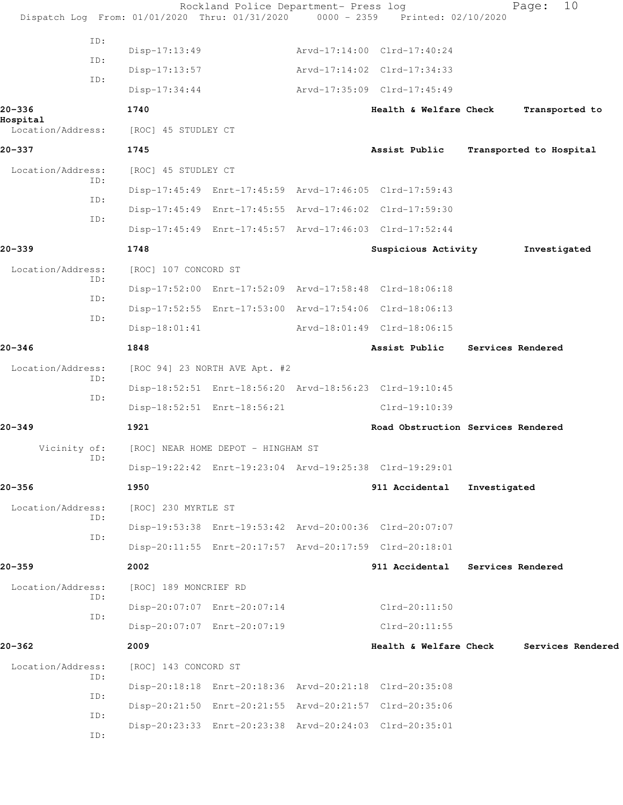|                    |     |                       | Rockland Police Department- Press log | Dispatch Log From: 01/01/2020 Thru: 01/31/2020 0000 - 2359 Printed: 02/10/2020 |              | 10<br>Page:             |  |
|--------------------|-----|-----------------------|---------------------------------------|--------------------------------------------------------------------------------|--------------|-------------------------|--|
|                    | ID: |                       |                                       |                                                                                |              |                         |  |
|                    | ID: | Disp-17:13:49         |                                       | Arvd-17:14:00 Clrd-17:40:24                                                    |              |                         |  |
|                    | ID: | Disp-17:13:57         |                                       | Arvd-17:14:02 Clrd-17:34:33                                                    |              |                         |  |
|                    |     | $Disp-17:34:44$       |                                       | Arvd-17:35:09 Clrd-17:45:49                                                    |              |                         |  |
| 20-336<br>Hospital |     | 1740                  |                                       | Health & Welfare Check                                                         |              | Transported to          |  |
| Location/Address:  |     | [ROC] 45 STUDLEY CT   |                                       |                                                                                |              |                         |  |
| 20-337             |     | 1745                  |                                       | Assist Public                                                                  |              | Transported to Hospital |  |
| Location/Address:  | ID: | [ROC] 45 STUDLEY CT   |                                       |                                                                                |              |                         |  |
|                    | ID: |                       |                                       | Disp-17:45:49 Enrt-17:45:59 Arvd-17:46:05 Clrd-17:59:43                        |              |                         |  |
|                    | ID: |                       |                                       | Disp-17:45:49 Enrt-17:45:55 Arvd-17:46:02 Clrd-17:59:30                        |              |                         |  |
|                    |     |                       |                                       | Disp-17:45:49 Enrt-17:45:57 Arvd-17:46:03 Clrd-17:52:44                        |              |                         |  |
| 20-339             |     | 1748                  |                                       | Suspicious Activity                                                            |              | Investigated            |  |
| Location/Address:  | ID: | [ROC] 107 CONCORD ST  |                                       |                                                                                |              |                         |  |
|                    | ID: |                       |                                       | Disp-17:52:00 Enrt-17:52:09 Arvd-17:58:48 Clrd-18:06:18                        |              |                         |  |
|                    |     |                       |                                       | Disp-17:52:55 Enrt-17:53:00 Arvd-17:54:06 Clrd-18:06:13                        |              |                         |  |
|                    | ID: | $Disp-18:01:41$       |                                       | Arvd-18:01:49 Clrd-18:06:15                                                    |              |                         |  |
| 20-346             |     | 1848                  |                                       | Assist Public                                                                  |              | Services Rendered       |  |
| Location/Address:  |     |                       | [ROC 94] 23 NORTH AVE Apt. #2         |                                                                                |              |                         |  |
|                    | ID: |                       |                                       | Disp-18:52:51 Enrt-18:56:20 Arvd-18:56:23 Clrd-19:10:45                        |              |                         |  |
|                    | ID: |                       | Disp-18:52:51 Enrt-18:56:21           | Clrd-19:10:39                                                                  |              |                         |  |
| $20 - 349$         |     | 1921                  |                                       | Road Obstruction Services Rendered                                             |              |                         |  |
| Vicinity of:       |     |                       | [ROC] NEAR HOME DEPOT - HINGHAM ST    |                                                                                |              |                         |  |
|                    | ID: |                       |                                       | Disp-19:22:42 Enrt-19:23:04 Arvd-19:25:38 Clrd-19:29:01                        |              |                         |  |
| 20-356             |     | 1950                  |                                       | 911 Accidental                                                                 | Investigated |                         |  |
| Location/Address:  |     | [ROC] 230 MYRTLE ST   |                                       |                                                                                |              |                         |  |
|                    | ID: |                       |                                       | Disp-19:53:38 Enrt-19:53:42 Arvd-20:00:36 Clrd-20:07:07                        |              |                         |  |
|                    | ID: |                       |                                       | Disp-20:11:55 Enrt-20:17:57 Arvd-20:17:59 Clrd-20:18:01                        |              |                         |  |
| 20–359             |     | 2002                  |                                       | 911 Accidental                                                                 |              | Services Rendered       |  |
| Location/Address:  |     | [ROC] 189 MONCRIEF RD |                                       |                                                                                |              |                         |  |
|                    | ID: |                       | Disp-20:07:07 Enrt-20:07:14           | Clrd-20:11:50                                                                  |              |                         |  |
|                    | ID: |                       | Disp-20:07:07 Enrt-20:07:19           | $Clrd-20:11:55$                                                                |              |                         |  |
| 20-362             |     | 2009                  |                                       | Health & Welfare Check                                                         |              | Services Rendered       |  |
| Location/Address:  |     | [ROC] 143 CONCORD ST  |                                       |                                                                                |              |                         |  |
|                    | ID: |                       |                                       | Disp-20:18:18 Enrt-20:18:36 Arvd-20:21:18 Clrd-20:35:08                        |              |                         |  |
|                    | ID: |                       |                                       | Disp-20:21:50 Enrt-20:21:55 Arvd-20:21:57 Clrd-20:35:06                        |              |                         |  |
|                    | ID: |                       |                                       | Disp-20:23:33 Enrt-20:23:38 Arvd-20:24:03 Clrd-20:35:01                        |              |                         |  |
|                    | ID: |                       |                                       |                                                                                |              |                         |  |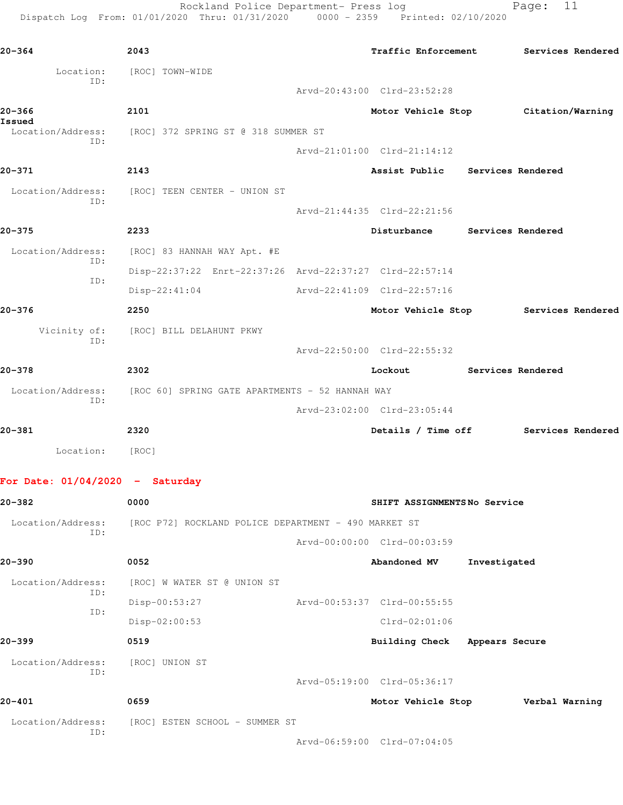Rockland Police Department- Press log Page: 11 Dispatch Log From: 01/01/2020 Thru: 01/31/2020 0000 - 2359 Printed: 02/10/2020

**20-364 2043 Traffic Enforcement Services Rendered** Location: [ROC] TOWN-WIDE ID: Arvd-20:43:00 Clrd-23:52:28 **20-366 2101 Motor Vehicle Stop Citation/Warning Issued**  Location/Address: [ROC] 372 SPRING ST @ 318 SUMMER ST ID: Arvd-21:01:00 Clrd-21:14:12 **20-371 2143 Assist Public Services Rendered** Location/Address: [ROC] TEEN CENTER - UNION ST ID: Arvd-21:44:35 Clrd-22:21:56 **20-375 2233 Disturbance Services Rendered** Location/Address: [ROC] 83 HANNAH WAY Apt. #E ID: Disp-22:37:22 Enrt-22:37:26 Arvd-22:37:27 Clrd-22:57:14 ID: Disp-22:41:04 Arvd-22:41:09 Clrd-22:57:16 **20-376 2250 Motor Vehicle Stop Services Rendered** Vicinity of: [ROC] BILL DELAHUNT PKWY ID: Arvd-22:50:00 Clrd-22:55:32 **20-378 2302 Lockout Services Rendered** Location/Address: [ROC 60] SPRING GATE APARTMENTS - 52 HANNAH WAY ID: Arvd-23:02:00 Clrd-23:05:44 **20-381 2320 Details / Time off Services Rendered** Location: [ROC] **For Date: 01/04/2020 - Saturday 20-382 0000 SHIFT ASSIGNMENTS No Service** Location/Address: [ROC P72] ROCKLAND POLICE DEPARTMENT - 490 MARKET ST ID: Arvd-00:00:00 Clrd-00:03:59 **20-390 0052 Abandoned MV Investigated** Location/Address: [ROC] W WATER ST @ UNION ST ID: Disp-00:53:27 Arvd-00:53:37 Clrd-00:55:55 ID: Disp-02:00:53 Clrd-02:01:06

**20-399 0519 Building Check Appears Secure** Location/Address: [ROC] UNION ST ID: Arvd-05:19:00 Clrd-05:36:17 **20-401 0659 Motor Vehicle Stop Verbal Warning**

Location/Address: [ROC] ESTEN SCHOOL - SUMMER ST ID:

Arvd-06:59:00 Clrd-07:04:05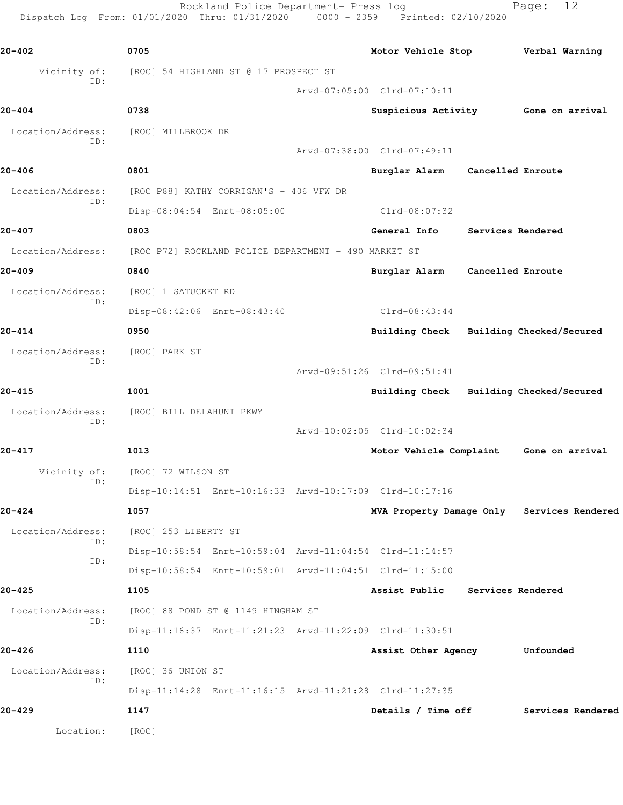Rockland Police Department- Press log Fage: 12 Dispatch Log From: 01/01/2020 Thru: 01/31/2020 0000 - 2359 Printed: 02/10/2020

**20-402 0705 Motor Vehicle Stop Verbal Warning** Vicinity of: [ROC] 54 HIGHLAND ST @ 17 PROSPECT ST ID: Arvd-07:05:00 Clrd-07:10:11 **20-404 0738 Suspicious Activity Gone on arrival** Location/Address: [ROC] MILLBROOK DR ID: Arvd-07:38:00 Clrd-07:49:11 **20-406 0801 Burglar Alarm Cancelled Enroute** Location/Address: [ROC P88] KATHY CORRIGAN'S - 406 VFW DR ID: Disp-08:04:54 Enrt-08:05:00 Clrd-08:07:32 **20-407 0803 General Info Services Rendered** Location/Address: [ROC P72] ROCKLAND POLICE DEPARTMENT - 490 MARKET ST **20-409 0840 Burglar Alarm Cancelled Enroute** Location/Address: [ROC] 1 SATUCKET RD ID: Disp-08:42:06 Enrt-08:43:40 Clrd-08:43:44 **20-414 0950 Building Check Building Checked/Secured** Location/Address: [ROC] PARK ST ID: Arvd-09:51:26 Clrd-09:51:41 **20-415 1001 Building Check Building Checked/Secured** Location/Address: [ROC] BILL DELAHUNT PKWY ID: Arvd-10:02:05 Clrd-10:02:34 **20-417 1013 Motor Vehicle Complaint Gone on arrival** Vicinity of: [ROC] 72 WILSON ST ID: Disp-10:14:51 Enrt-10:16:33 Arvd-10:17:09 Clrd-10:17:16 **20-424 1057 MVA Property Damage Only Services Rendered** Location/Address: [ROC] 253 LIBERTY ST ID: Disp-10:58:54 Enrt-10:59:04 Arvd-11:04:54 Clrd-11:14:57 ID: Disp-10:58:54 Enrt-10:59:01 Arvd-11:04:51 Clrd-11:15:00 **20-425 1105 Assist Public Services Rendered** Location/Address: [ROC] 88 POND ST @ 1149 HINGHAM ST ID: Disp-11:16:37 Enrt-11:21:23 Arvd-11:22:09 Clrd-11:30:51 **20-426 1110 Assist Other Agency Unfounded** Location/Address: [ROC] 36 UNION ST ID: Disp-11:14:28 Enrt-11:16:15 Arvd-11:21:28 Clrd-11:27:35 **20-429 1147 Details / Time off Services Rendered** Location: [ROC]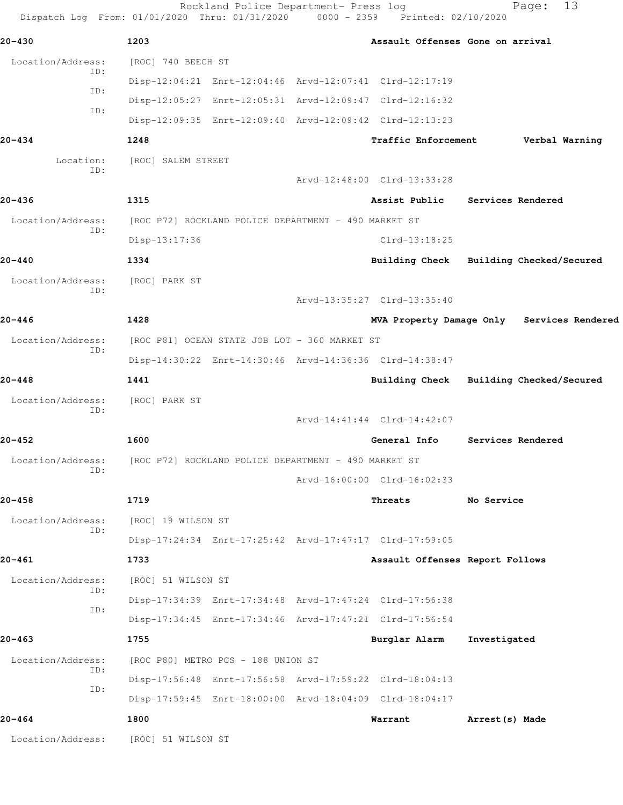|                          | Rockland Police Department- Press log<br>Dispatch Log From: 01/01/2020 Thru: 01/31/2020 0000 - 2359 Printed: 02/10/2020 |                                  | 13<br>Page:                                |
|--------------------------|-------------------------------------------------------------------------------------------------------------------------|----------------------------------|--------------------------------------------|
| $20 - 430$               | 1203                                                                                                                    | Assault Offenses Gone on arrival |                                            |
| Location/Address:        | [ROC] 740 BEECH ST                                                                                                      |                                  |                                            |
| ID:                      | Disp-12:04:21 Enrt-12:04:46 Arvd-12:07:41 Clrd-12:17:19                                                                 |                                  |                                            |
| ID:                      | Disp-12:05:27 Enrt-12:05:31 Arvd-12:09:47 Clrd-12:16:32                                                                 |                                  |                                            |
| ID:                      | Disp-12:09:35 Enrt-12:09:40 Arvd-12:09:42 Clrd-12:13:23                                                                 |                                  |                                            |
| $20 - 434$               | 1248                                                                                                                    | <b>Traffic Enforcement</b>       | Verbal Warning                             |
| Location:                | [ROC] SALEM STREET                                                                                                      |                                  |                                            |
| ID:                      |                                                                                                                         | Arvd-12:48:00 Clrd-13:33:28      |                                            |
| $20 - 436$               | 1315                                                                                                                    | Assist Public                    | <b>Services Rendered</b>                   |
| Location/Address:        | [ROC P72] ROCKLAND POLICE DEPARTMENT - 490 MARKET ST                                                                    |                                  |                                            |
| ID:                      | Disp-13:17:36                                                                                                           | $C1rd-13:18:25$                  |                                            |
| $20 - 440$               | 1334                                                                                                                    |                                  | Building Check Building Checked/Secured    |
| Location/Address:        | [ROC] PARK ST                                                                                                           |                                  |                                            |
| ID:                      |                                                                                                                         | Arvd-13:35:27 Clrd-13:35:40      |                                            |
| $20 - 446$               | 1428                                                                                                                    |                                  | MVA Property Damage Only Services Rendered |
| Location/Address:<br>ID: | [ROC P81] OCEAN STATE JOB LOT - 360 MARKET ST                                                                           |                                  |                                            |
|                          | Disp-14:30:22 Enrt-14:30:46 Arvd-14:36:36 Clrd-14:38:47                                                                 |                                  |                                            |
| $20 - 448$               | 1441                                                                                                                    |                                  | Building Check Building Checked/Secured    |
| Location/Address:        | [ROC] PARK ST                                                                                                           |                                  |                                            |
| ID:                      |                                                                                                                         | Arvd-14:41:44 Clrd-14:42:07      |                                            |
| 20-452                   | 1600                                                                                                                    | General Info                     | Services Rendered                          |
| Location/Address:<br>ID: | [ROC P72] ROCKLAND POLICE DEPARTMENT - 490 MARKET ST                                                                    |                                  |                                            |
|                          |                                                                                                                         | Arvd-16:00:00 Clrd-16:02:33      |                                            |
| 20-458                   | 1719                                                                                                                    | Threats                          | No Service                                 |
| Location/Address:<br>ID: | [ROC] 19 WILSON ST                                                                                                      |                                  |                                            |
|                          | Disp-17:24:34 Enrt-17:25:42 Arvd-17:47:17 Clrd-17:59:05                                                                 |                                  |                                            |
| 20-461                   | 1733                                                                                                                    | Assault Offenses Report Follows  |                                            |
| Location/Address:<br>ID: | [ROC] 51 WILSON ST                                                                                                      |                                  |                                            |
| ID:                      | Disp-17:34:39 Enrt-17:34:48 Arvd-17:47:24 Clrd-17:56:38                                                                 |                                  |                                            |
|                          | Disp-17:34:45 Enrt-17:34:46 Arvd-17:47:21 Clrd-17:56:54                                                                 |                                  |                                            |
| 20-463                   | 1755                                                                                                                    | Burglar Alarm                    | Investigated                               |
| Location/Address:<br>ID: | [ROC P80] METRO PCS - 188 UNION ST                                                                                      |                                  |                                            |
| ID:                      | Disp-17:56:48 Enrt-17:56:58 Arvd-17:59:22 Clrd-18:04:13                                                                 |                                  |                                            |
|                          | Disp-17:59:45 Enrt-18:00:00 Arvd-18:04:09 Clrd-18:04:17                                                                 |                                  |                                            |
| 20-464                   | 1800                                                                                                                    | Warrant                          | Arrest (s) Made                            |
| Location/Address:        | [ROC] 51 WILSON ST                                                                                                      |                                  |                                            |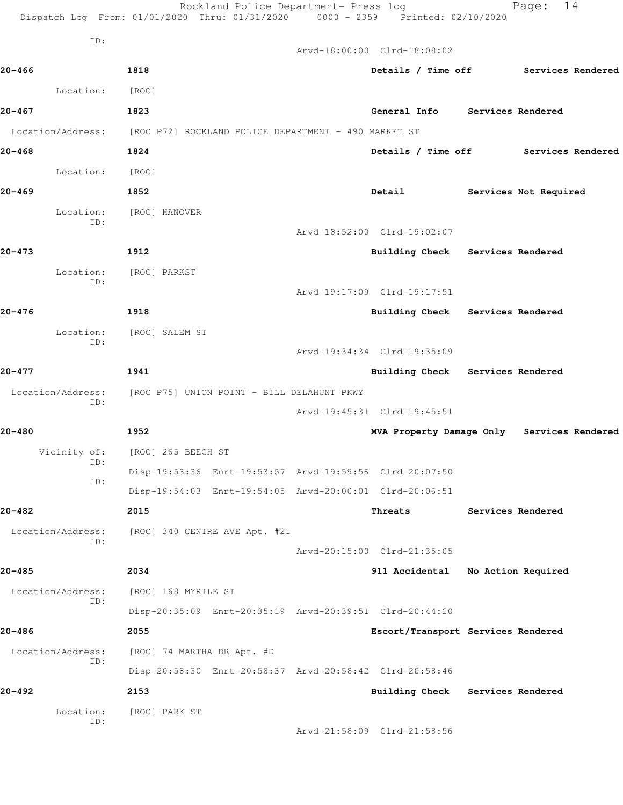|                          | Rockland Police Department- Press log<br>Dispatch Log From: 01/01/2020 Thru: 01/31/2020 0000 - 2359 Printed: 02/10/2020 |                                    |                   | 14<br>Page:                                |
|--------------------------|-------------------------------------------------------------------------------------------------------------------------|------------------------------------|-------------------|--------------------------------------------|
| ID:                      |                                                                                                                         | Arvd-18:00:00 Clrd-18:08:02        |                   |                                            |
| $20 - 466$               | 1818                                                                                                                    |                                    |                   | Details / Time off Services Rendered       |
| Location:                | [ROC]                                                                                                                   |                                    |                   |                                            |
| 20-467                   | 1823                                                                                                                    | General Info Services Rendered     |                   |                                            |
| Location/Address:        | [ROC P72] ROCKLAND POLICE DEPARTMENT - 490 MARKET ST                                                                    |                                    |                   |                                            |
| 20-468                   | 1824                                                                                                                    |                                    |                   | Details / Time off Services Rendered       |
| Location:                | [ROC]                                                                                                                   |                                    |                   |                                            |
| 20-469                   | 1852                                                                                                                    | Detail                             |                   | Services Not Required                      |
| Location:                | [ROC] HANOVER                                                                                                           |                                    |                   |                                            |
| ID:                      |                                                                                                                         | Arvd-18:52:00 Clrd-19:02:07        |                   |                                            |
| 20-473                   | 1912                                                                                                                    | Building Check Services Rendered   |                   |                                            |
| Location:                | [ROC] PARKST                                                                                                            |                                    |                   |                                            |
| ID:                      |                                                                                                                         | Arvd-19:17:09 Clrd-19:17:51        |                   |                                            |
| 20-476                   | 1918                                                                                                                    | Building Check Services Rendered   |                   |                                            |
| Location:                | [ROC] SALEM ST                                                                                                          |                                    |                   |                                            |
| ID:                      |                                                                                                                         | Arvd-19:34:34 Clrd-19:35:09        |                   |                                            |
| $20 - 477$               | 1941                                                                                                                    | Building Check Services Rendered   |                   |                                            |
| Location/Address:<br>ID: | [ROC P75] UNION POINT - BILL DELAHUNT PKWY                                                                              |                                    |                   |                                            |
|                          |                                                                                                                         | Arvd-19:45:31 Clrd-19:45:51        |                   |                                            |
| $20 - 480$               | 1952                                                                                                                    |                                    |                   | MVA Property Damage Only Services Rendered |
| Vicinity of:<br>ID:      | [ROC] 265 BEECH ST                                                                                                      |                                    |                   |                                            |
| ID:                      | Disp-19:53:36 Enrt-19:53:57 Arvd-19:59:56 Clrd-20:07:50                                                                 |                                    |                   |                                            |
|                          | Disp-19:54:03 Enrt-19:54:05 Arvd-20:00:01 Clrd-20:06:51                                                                 |                                    |                   |                                            |
| 20-482                   | 2015                                                                                                                    | Threats                            | Services Rendered |                                            |
| Location/Address:<br>ID: | [ROC] 340 CENTRE AVE Apt. #21                                                                                           |                                    |                   |                                            |
|                          |                                                                                                                         | Arvd-20:15:00 Clrd-21:35:05        |                   |                                            |
| 20-485                   | 2034                                                                                                                    | 911 Accidental                     |                   | No Action Required                         |
| Location/Address:<br>ID: | [ROC] 168 MYRTLE ST                                                                                                     |                                    |                   |                                            |
|                          | Disp-20:35:09 Enrt-20:35:19 Arvd-20:39:51 Clrd-20:44:20                                                                 |                                    |                   |                                            |
| 20-486                   | 2055                                                                                                                    | Escort/Transport Services Rendered |                   |                                            |
| Location/Address:<br>ID: | [ROC] 74 MARTHA DR Apt. #D                                                                                              |                                    |                   |                                            |
|                          | Disp-20:58:30 Enrt-20:58:37 Arvd-20:58:42 Clrd-20:58:46                                                                 |                                    |                   |                                            |
| 20-492                   | 2153                                                                                                                    | Building Check Services Rendered   |                   |                                            |
| Location:<br>ID:         | [ROC] PARK ST                                                                                                           | Arvd-21:58:09 Clrd-21:58:56        |                   |                                            |
|                          |                                                                                                                         |                                    |                   |                                            |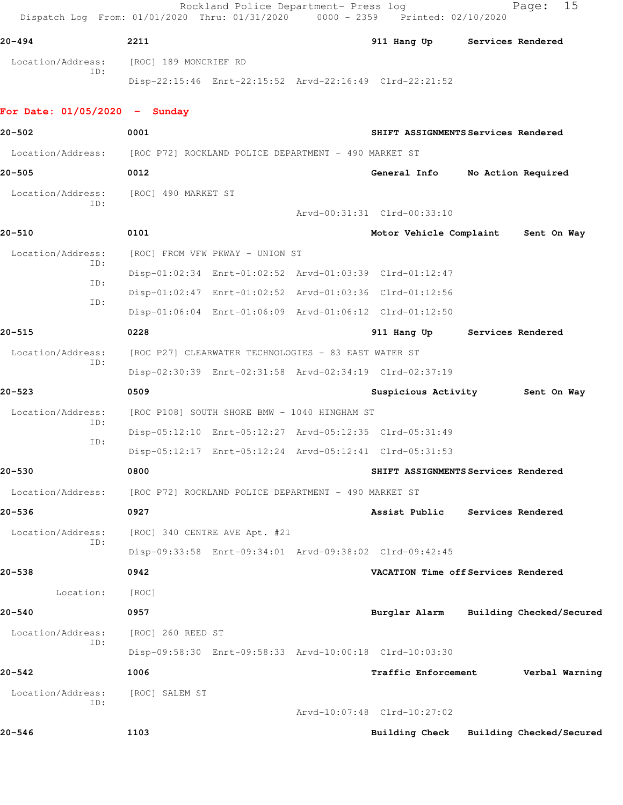Rockland Police Department- Press log entitled Page: 15 Dispatch Log From: 01/01/2020 Thru: 01/31/2020 0000 - 2359 Printed: 02/10/2020

| 20-494                   | 2211                  |                                                         | 911 Hang Up | <b>Services Rendered</b> |
|--------------------------|-----------------------|---------------------------------------------------------|-------------|--------------------------|
| Location/Address:<br>ID: | [ROC] 189 MONCRIEF RD |                                                         |             |                          |
|                          |                       | Disp-22:15:46 Enrt-22:15:52 Arvd-22:16:49 Clrd-22:21:52 |             |                          |

## **For Date: 01/05/2020 - Sunday**

| 20-502                                                                 | 0001              |                                                      |  | SHIFT ASSIGNMENTS Services Rendered                     |  |                                 |
|------------------------------------------------------------------------|-------------------|------------------------------------------------------|--|---------------------------------------------------------|--|---------------------------------|
| Location/Address: [ROC P72] ROCKLAND POLICE DEPARTMENT - 490 MARKET ST |                   |                                                      |  |                                                         |  |                                 |
| $20 - 505$                                                             | 0012              |                                                      |  | General Info                                            |  | No Action Required              |
| Location/Address: [ROC] 490 MARKET ST                                  |                   |                                                      |  |                                                         |  |                                 |
| ID:                                                                    |                   |                                                      |  | Arvd-00:31:31 Clrd-00:33:10                             |  |                                 |
| 20-510                                                                 | 0101              |                                                      |  | Motor Vehicle Complaint Sent On Way                     |  |                                 |
| Location/Address:                                                      |                   | [ROC] FROM VFW PKWAY - UNION ST                      |  |                                                         |  |                                 |
| ID:                                                                    |                   |                                                      |  | Disp-01:02:34 Enrt-01:02:52 Arvd-01:03:39 Clrd-01:12:47 |  |                                 |
| ID:                                                                    |                   |                                                      |  | Disp-01:02:47 Enrt-01:02:52 Arvd-01:03:36 Clrd-01:12:56 |  |                                 |
| ID:                                                                    |                   |                                                      |  | Disp-01:06:04 Enrt-01:06:09 Arvd-01:06:12 Clrd-01:12:50 |  |                                 |
| $20 - 515$                                                             | 0228              |                                                      |  | 911 Hang Up Services Rendered                           |  |                                 |
| Location/Address:                                                      |                   | [ROC P27] CLEARWATER TECHNOLOGIES - 83 EAST WATER ST |  |                                                         |  |                                 |
| ID:                                                                    |                   |                                                      |  | Disp-02:30:39 Enrt-02:31:58 Arvd-02:34:19 Clrd-02:37:19 |  |                                 |
| $20 - 523$                                                             | 0509              |                                                      |  |                                                         |  | Suspicious Activity 5ent On Way |
| Location/Address:                                                      |                   | [ROC P108] SOUTH SHORE BMW - 1040 HINGHAM ST         |  |                                                         |  |                                 |
| ID:                                                                    |                   |                                                      |  | Disp-05:12:10 Enrt-05:12:27 Arvd-05:12:35 Clrd-05:31:49 |  |                                 |
| ID:                                                                    |                   |                                                      |  | Disp-05:12:17 Enrt-05:12:24 Arvd-05:12:41 Clrd-05:31:53 |  |                                 |
| $20 - 530$                                                             | 0800              |                                                      |  | SHIFT ASSIGNMENTS Services Rendered                     |  |                                 |
| Location/Address:                                                      |                   | [ROC P72] ROCKLAND POLICE DEPARTMENT - 490 MARKET ST |  |                                                         |  |                                 |
| $20 - 536$                                                             | 0927              |                                                      |  | Assist Public Services Rendered                         |  |                                 |
| Location/Address:                                                      |                   | [ROC] 340 CENTRE AVE Apt. #21                        |  |                                                         |  |                                 |
| TD:                                                                    |                   |                                                      |  | Disp-09:33:58 Enrt-09:34:01 Arvd-09:38:02 Clrd-09:42:45 |  |                                 |
| $20 - 538$                                                             | 0942              |                                                      |  | VACATION Time off Services Rendered                     |  |                                 |
| Location:                                                              | [ROC]             |                                                      |  |                                                         |  |                                 |
| $20 - 540$                                                             | 0957              |                                                      |  | Burglar Alarm                                           |  | Building Checked/Secured        |
| Location/Address:                                                      | [ROC] 260 REED ST |                                                      |  |                                                         |  |                                 |
| ID:                                                                    |                   |                                                      |  | Disp-09:58:30 Enrt-09:58:33 Arvd-10:00:18 Clrd-10:03:30 |  |                                 |
| $20 - 542$                                                             | 1006              |                                                      |  | Traffic Enforcement                                     |  | Verbal Warning                  |
| Location/Address:                                                      | [ROC] SALEM ST    |                                                      |  |                                                         |  |                                 |
| ID:                                                                    |                   |                                                      |  | Arvd-10:07:48 Clrd-10:27:02                             |  |                                 |
| $20 - 546$                                                             | 1103              |                                                      |  | <b>Building Check</b>                                   |  | Building Checked/Secured        |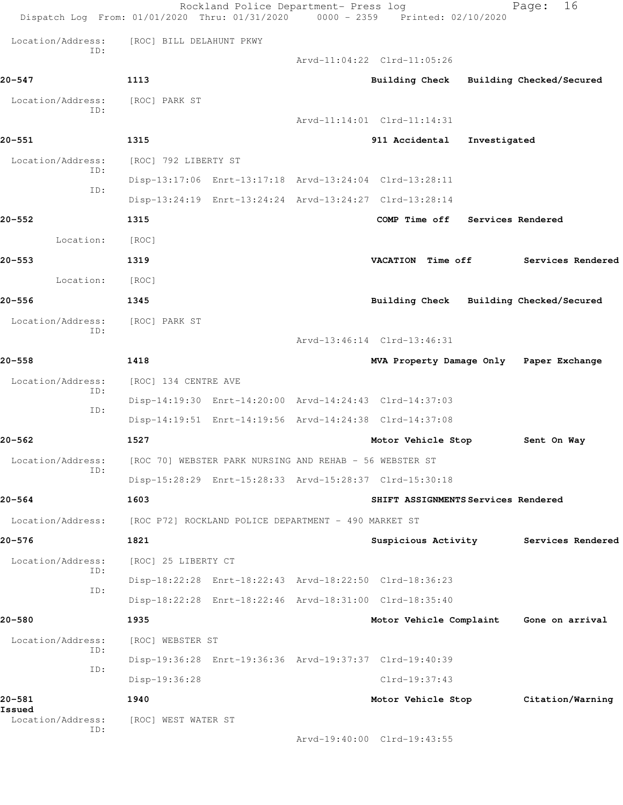|                          | Rockland Police Department- Press log<br>Dispatch Log From: 01/01/2020 Thru: 01/31/2020 0000 - 2359 Printed: 02/10/2020 |                             | 16<br>Page:                             |  |
|--------------------------|-------------------------------------------------------------------------------------------------------------------------|-----------------------------|-----------------------------------------|--|
| Location/Address:        | [ROC] BILL DELAHUNT PKWY                                                                                                |                             |                                         |  |
| ID:                      |                                                                                                                         | Arvd-11:04:22 Clrd-11:05:26 |                                         |  |
| 20–547                   | 1113                                                                                                                    |                             | Building Check Building Checked/Secured |  |
| Location/Address:<br>ID: | [ROC] PARK ST                                                                                                           |                             |                                         |  |
|                          |                                                                                                                         | Arvd-11:14:01 Clrd-11:14:31 |                                         |  |
| 20-551                   | 1315                                                                                                                    | 911 Accidental              | Investigated                            |  |
| Location/Address:<br>ID: | [ROC] 792 LIBERTY ST                                                                                                    |                             |                                         |  |
| ID:                      | Disp-13:17:06 Enrt-13:17:18 Arvd-13:24:04 Clrd-13:28:11                                                                 |                             |                                         |  |
|                          | Disp-13:24:19 Enrt-13:24:24 Arvd-13:24:27 Clrd-13:28:14                                                                 |                             |                                         |  |
| $20 - 552$               | 1315                                                                                                                    | COMP Time off               | Services Rendered                       |  |
| Location:                | [ROC]                                                                                                                   |                             |                                         |  |
| 20–553                   | 1319                                                                                                                    | VACATION Time off           | Services Rendered                       |  |
| Location:                | [ROC]                                                                                                                   |                             |                                         |  |
| 20-556                   | 1345                                                                                                                    | <b>Building Check</b>       | Building Checked/Secured                |  |
| Location/Address:<br>ID: | [ROC] PARK ST                                                                                                           |                             |                                         |  |
|                          |                                                                                                                         | Arvd-13:46:14 Clrd-13:46:31 |                                         |  |
| $20 - 558$               | 1418                                                                                                                    |                             | MVA Property Damage Only Paper Exchange |  |
| Location/Address:<br>ID: | [ROC] 134 CENTRE AVE                                                                                                    |                             |                                         |  |
| ID:                      | Disp-14:19:30 Enrt-14:20:00 Arvd-14:24:43 Clrd-14:37:03                                                                 |                             |                                         |  |
|                          | Disp-14:19:51 Enrt-14:19:56 Arvd-14:24:38 Clrd-14:37:08                                                                 |                             |                                         |  |
| 20–562                   | 1527                                                                                                                    | Motor Vehicle Stop          | Sent On Way                             |  |
| Location/Address:<br>ID: | [ROC 70] WEBSTER PARK NURSING AND REHAB - 56 WEBSTER ST                                                                 |                             |                                         |  |
|                          | Disp-15:28:29 Enrt-15:28:33 Arvd-15:28:37 Clrd-15:30:18                                                                 |                             |                                         |  |
| $20 - 564$               | 1603                                                                                                                    |                             | SHIFT ASSIGNMENTS Services Rendered     |  |
| Location/Address:        | [ROC P72] ROCKLAND POLICE DEPARTMENT - 490 MARKET ST                                                                    |                             |                                         |  |
| 20-576                   | 1821                                                                                                                    | Suspicious Activity         | Services Rendered                       |  |
| Location/Address:<br>ID: | [ROC] 25 LIBERTY CT                                                                                                     |                             |                                         |  |
| ID:                      | Disp-18:22:28 Enrt-18:22:43 Arvd-18:22:50 Clrd-18:36:23                                                                 |                             |                                         |  |
|                          | Disp-18:22:28 Enrt-18:22:46 Arvd-18:31:00 Clrd-18:35:40                                                                 |                             |                                         |  |
| 20-580                   | 1935                                                                                                                    |                             | Motor Vehicle Complaint Gone on arrival |  |
| Location/Address:<br>ID: | [ROC] WEBSTER ST                                                                                                        |                             |                                         |  |
| ID:                      | Disp-19:36:28 Enrt-19:36:36 Arvd-19:37:37 Clrd-19:40:39                                                                 |                             |                                         |  |
|                          | Disp-19:36:28                                                                                                           | Clrd-19:37:43               |                                         |  |
| 20-581<br>Issued         | 1940                                                                                                                    | Motor Vehicle Stop          | Citation/Warning                        |  |
| Location/Address:<br>ID: | [ROC] WEST WATER ST                                                                                                     |                             |                                         |  |
|                          |                                                                                                                         | Arvd-19:40:00 Clrd-19:43:55 |                                         |  |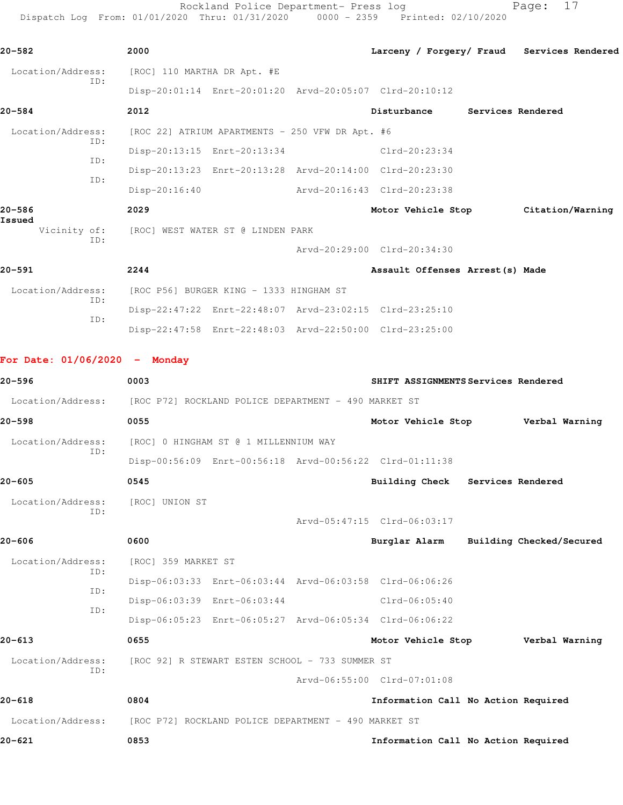Rockland Police Department- Press log Fage: 17 Dispatch Log From: 01/01/2020 Thru: 01/31/2020 0000 - 2359 Printed: 02/10/2020

| 20-582                          | 2000                                                 |                                                 |                                                         | Larceny / Forgery/ Fraud Services Rendered |
|---------------------------------|------------------------------------------------------|-------------------------------------------------|---------------------------------------------------------|--------------------------------------------|
| Location/Address:               | [ROC] 110 MARTHA DR Apt. #E                          |                                                 |                                                         |                                            |
| ID:                             |                                                      |                                                 | Disp-20:01:14 Enrt-20:01:20 Arvd-20:05:07 Clrd-20:10:12 |                                            |
| 20-584                          | 2012                                                 |                                                 | Disturbance Services Rendered                           |                                            |
| Location/Address:               |                                                      | [ROC 22] ATRIUM APARTMENTS - 250 VFW DR Apt. #6 |                                                         |                                            |
| ID:                             |                                                      | Disp-20:13:15 Enrt-20:13:34                     | Clrd-20:23:34                                           |                                            |
| ID:                             |                                                      |                                                 | Disp-20:13:23 Enrt-20:13:28 Arvd-20:14:00 Clrd-20:23:30 |                                            |
| ID:                             | $Disp-20:16:40$                                      |                                                 | Arvd-20:16:43 Clrd-20:23:38                             |                                            |
| 20-586                          | 2029                                                 |                                                 |                                                         | Motor Vehicle Stop Citation/Warning        |
| Issued<br>Vicinity of:          | [ROC] WEST WATER ST @ LINDEN PARK                    |                                                 |                                                         |                                            |
| ID:                             |                                                      |                                                 | Arvd-20:29:00 Clrd-20:34:30                             |                                            |
| 20-591                          | 2244                                                 |                                                 | Assault Offenses Arrest (s) Made                        |                                            |
| Location/Address:               | [ROC P56] BURGER KING - 1333 HINGHAM ST              |                                                 |                                                         |                                            |
| ID:<br>ID:                      |                                                      |                                                 | Disp-22:47:22 Enrt-22:48:07 Arvd-23:02:15 Clrd-23:25:10 |                                            |
|                                 |                                                      |                                                 | Disp-22:47:58 Enrt-22:48:03 Arvd-22:50:00 Clrd-23:25:00 |                                            |
|                                 |                                                      |                                                 |                                                         |                                            |
| For Date: $01/06/2020 -$ Monday |                                                      |                                                 |                                                         |                                            |
| 20-596                          | 0003                                                 |                                                 | SHIFT ASSIGNMENTS Services Rendered                     |                                            |
| Location/Address:               | [ROC P72] ROCKLAND POLICE DEPARTMENT - 490 MARKET ST |                                                 |                                                         |                                            |
| 20–598                          | 0055                                                 |                                                 | Motor Vehicle Stop Verbal Warning                       |                                            |
| Location/Address:<br>ID:        | [ROC] 0 HINGHAM ST @ 1 MILLENNIUM WAY                |                                                 |                                                         |                                            |
|                                 |                                                      |                                                 | Disp-00:56:09 Enrt-00:56:18 Arvd-00:56:22 Clrd-01:11:38 |                                            |
| $20 - 605$                      | 0545                                                 |                                                 | Building Check Services Rendered                        |                                            |
| Location/Address:<br>ID:        | [ROC] UNION ST                                       |                                                 |                                                         |                                            |
|                                 |                                                      |                                                 | Arvd-05:47:15 Clrd-06:03:17                             |                                            |
| 20-606                          | 0600                                                 |                                                 | Burglar Alarm                                           | Building Checked/Secured                   |
| Location/Address:<br>ID:        | [ROC] 359 MARKET ST                                  |                                                 |                                                         |                                            |
| ID:                             |                                                      |                                                 | Disp-06:03:33 Enrt-06:03:44 Arvd-06:03:58 Clrd-06:06:26 |                                            |
| ID:                             |                                                      | Disp-06:03:39 Enrt-06:03:44                     | $Clrd-06:05:40$                                         |                                            |
|                                 |                                                      |                                                 | Disp-06:05:23 Enrt-06:05:27 Arvd-06:05:34 Clrd-06:06:22 |                                            |
| 20-613                          | 0655                                                 |                                                 | Motor Vehicle Stop                                      | Verbal Warning                             |
| Location/Address:<br>ID:        |                                                      | [ROC 92] R STEWART ESTEN SCHOOL - 733 SUMMER ST |                                                         |                                            |
|                                 |                                                      |                                                 | Arvd-06:55:00 Clrd-07:01:08                             |                                            |
| 20-618                          | 0804                                                 |                                                 | Information Call No Action Required                     |                                            |
| Location/Address:               | [ROC P72] ROCKLAND POLICE DEPARTMENT - 490 MARKET ST |                                                 |                                                         |                                            |
| 20-621                          | 0853                                                 |                                                 | Information Call No Action Required                     |                                            |
|                                 |                                                      |                                                 |                                                         |                                            |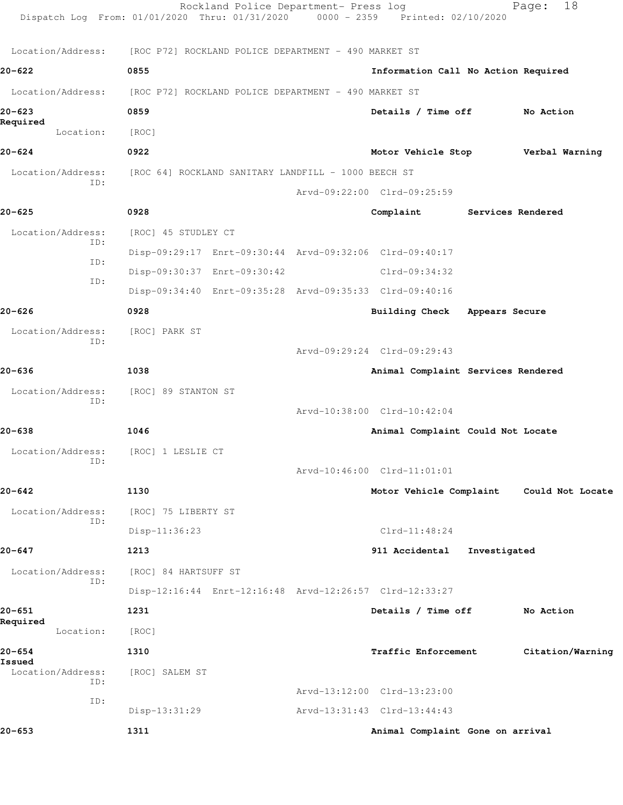|                          | Dispatch Log From: 01/01/2020 Thru: 01/31/2020 0000 - 2359 Printed: 02/10/2020 | Rockland Police Department- Press log |                                     |              | 18<br>Page:      |
|--------------------------|--------------------------------------------------------------------------------|---------------------------------------|-------------------------------------|--------------|------------------|
| Location/Address:        | [ROC P72] ROCKLAND POLICE DEPARTMENT - 490 MARKET ST                           |                                       |                                     |              |                  |
| 20-622                   | 0855                                                                           |                                       | Information Call No Action Required |              |                  |
| Location/Address:        | [ROC P72] ROCKLAND POLICE DEPARTMENT - 490 MARKET ST                           |                                       |                                     |              |                  |
| 20-623                   | 0859                                                                           |                                       | Details / Time off                  |              | No Action        |
| Required<br>Location:    | [ROC]                                                                          |                                       |                                     |              |                  |
| $20 - 624$               | 0922                                                                           |                                       | Motor Vehicle Stop                  |              | Verbal Warning   |
| Location/Address:        | [ROC 64] ROCKLAND SANITARY LANDFILL - 1000 BEECH ST                            |                                       |                                     |              |                  |
| ID:                      |                                                                                |                                       | Arvd-09:22:00 Clrd-09:25:59         |              |                  |
| $20 - 625$               | 0928                                                                           |                                       | Complaint Services Rendered         |              |                  |
| Location/Address:        | [ROC] 45 STUDLEY CT                                                            |                                       |                                     |              |                  |
| ID:<br>ID:               | Disp-09:29:17 Enrt-09:30:44 Arvd-09:32:06 Clrd-09:40:17                        |                                       |                                     |              |                  |
| ID:                      | Disp-09:30:37 Enrt-09:30:42                                                    |                                       | Clrd-09:34:32                       |              |                  |
|                          | Disp-09:34:40 Enrt-09:35:28 Arvd-09:35:33 Clrd-09:40:16                        |                                       |                                     |              |                  |
| 20-626                   | 0928                                                                           |                                       | Building Check Appears Secure       |              |                  |
| Location/Address:<br>ID: | [ROC] PARK ST                                                                  |                                       |                                     |              |                  |
|                          |                                                                                |                                       | Arvd-09:29:24 Clrd-09:29:43         |              |                  |
| 20-636                   | 1038                                                                           |                                       | Animal Complaint Services Rendered  |              |                  |
| Location/Address:<br>ID: | [ROC] 89 STANTON ST                                                            |                                       |                                     |              |                  |
|                          |                                                                                |                                       | Arvd-10:38:00 Clrd-10:42:04         |              |                  |
| 20-638                   | 1046                                                                           |                                       | Animal Complaint Could Not Locate   |              |                  |
| Location/Address:<br>ID: | [ROC] 1 LESLIE CT                                                              |                                       |                                     |              |                  |
|                          |                                                                                |                                       | Arvd-10:46:00 Clrd-11:01:01         |              |                  |
| $20 - 642$               | 1130                                                                           |                                       | Motor Vehicle Complaint             |              | Could Not Locate |
| Location/Address:<br>ID: | [ROC] 75 LIBERTY ST                                                            |                                       |                                     |              |                  |
|                          | Disp-11:36:23                                                                  |                                       | $Clrd-11:48:24$                     |              |                  |
| 20-647                   | 1213                                                                           |                                       | 911 Accidental                      | Investigated |                  |
| Location/Address:<br>ID: | [ROC] 84 HARTSUFF ST                                                           |                                       |                                     |              |                  |
|                          | Disp-12:16:44 Enrt-12:16:48 Arvd-12:26:57 Clrd-12:33:27                        |                                       |                                     |              |                  |
| 20-651<br>Required       | 1231                                                                           |                                       | Details / Time off                  |              | No Action        |
| Location:                | [ROC]                                                                          |                                       |                                     |              |                  |
| $20 - 654$<br>Issued     | 1310                                                                           |                                       | Traffic Enforcement                 |              | Citation/Warning |
| Location/Address:<br>ID: | [ROC] SALEM ST                                                                 |                                       |                                     |              |                  |
| ID:                      |                                                                                |                                       | Arvd-13:12:00 Clrd-13:23:00         |              |                  |
|                          | Disp-13:31:29                                                                  |                                       | Arvd-13:31:43 Clrd-13:44:43         |              |                  |
| 20-653                   | 1311                                                                           |                                       | Animal Complaint Gone on arrival    |              |                  |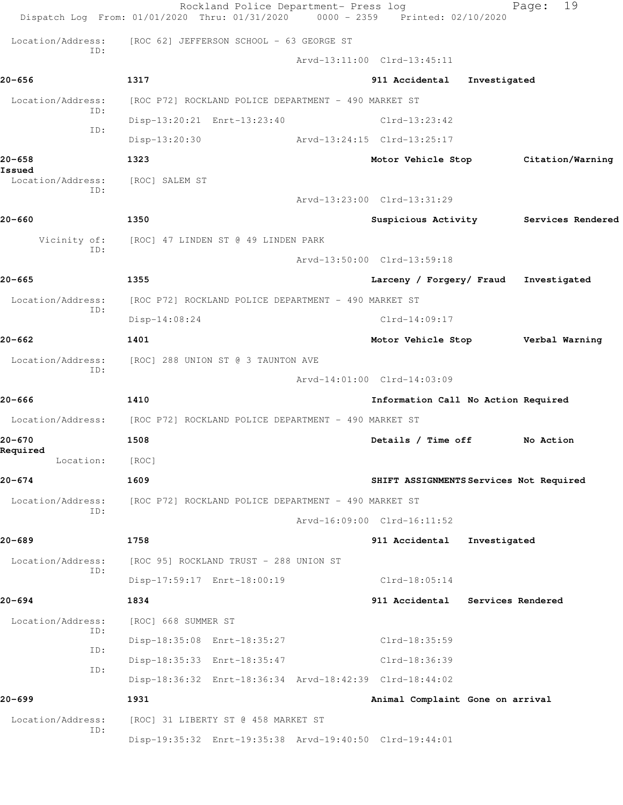|                             | Rockland Police Department- Press log<br>Dispatch Log From: 01/01/2020 Thru: 01/31/2020 0000 - 2359 Printed: 02/10/2020 |                                          |              | 19<br>Page:                           |
|-----------------------------|-------------------------------------------------------------------------------------------------------------------------|------------------------------------------|--------------|---------------------------------------|
| Location/Address:           | [ROC 62] JEFFERSON SCHOOL - 63 GEORGE ST                                                                                |                                          |              |                                       |
| ID:                         |                                                                                                                         | Arvd-13:11:00 Clrd-13:45:11              |              |                                       |
| 20-656                      | 1317                                                                                                                    | 911 Accidental                           | Investigated |                                       |
| Location/Address:           | [ROC P72] ROCKLAND POLICE DEPARTMENT - 490 MARKET ST                                                                    |                                          |              |                                       |
| ID:                         | Disp-13:20:21 Enrt-13:23:40                                                                                             | $Clrd-13:23:42$                          |              |                                       |
| ID:                         | Disp-13:20:30                                                                                                           | Arvd-13:24:15 Clrd-13:25:17              |              |                                       |
| 20-658                      | 1323                                                                                                                    |                                          |              | Motor Vehicle Stop Citation/Warning   |
| Issued<br>Location/Address: | [ROC] SALEM ST                                                                                                          |                                          |              |                                       |
| ID:                         |                                                                                                                         | Arvd-13:23:00 Clrd-13:31:29              |              |                                       |
| 20-660                      | 1350                                                                                                                    |                                          |              | Suspicious Activity Services Rendered |
| Vicinity of:                | [ROC] 47 LINDEN ST @ 49 LINDEN PARK                                                                                     |                                          |              |                                       |
| ID:                         |                                                                                                                         | Arvd-13:50:00 Clrd-13:59:18              |              |                                       |
| 20-665                      | 1355                                                                                                                    | Larceny / Forgery/ Fraud Investigated    |              |                                       |
| Location/Address:           | [ROC P72] ROCKLAND POLICE DEPARTMENT - 490 MARKET ST                                                                    |                                          |              |                                       |
| ID:                         | $Disp-14:08:24$                                                                                                         | $Clrd-14:09:17$                          |              |                                       |
| 20-662                      | 1401                                                                                                                    | Motor Vehicle Stop <b>Werbal Warning</b> |              |                                       |
| Location/Address:           | [ROC] 288 UNION ST @ 3 TAUNTON AVE                                                                                      |                                          |              |                                       |
| TD:                         |                                                                                                                         | Arvd-14:01:00 Clrd-14:03:09              |              |                                       |
| 20-666                      | 1410                                                                                                                    | Information Call No Action Required      |              |                                       |
| Location/Address:           | [ROC P72] ROCKLAND POLICE DEPARTMENT - 490 MARKET ST                                                                    |                                          |              |                                       |
| 20-670                      | 1508                                                                                                                    | Details / Time off                       |              | No Action                             |
| Required<br>Location:       | [ROC]                                                                                                                   |                                          |              |                                       |
| 20-674                      | 1609                                                                                                                    | SHIFT ASSIGNMENTS Services Not Required  |              |                                       |
| Location/Address:           | [ROC P72] ROCKLAND POLICE DEPARTMENT - 490 MARKET ST                                                                    |                                          |              |                                       |
| TD:                         |                                                                                                                         | Arvd-16:09:00 Clrd-16:11:52              |              |                                       |
| 20-689                      | 1758                                                                                                                    | 911 Accidental                           | Investigated |                                       |
| Location/Address:           | [ROC 95] ROCKLAND TRUST - 288 UNION ST                                                                                  |                                          |              |                                       |
| ID:                         | Disp-17:59:17 Enrt-18:00:19                                                                                             | $Clrd-18:05:14$                          |              |                                       |
| 20-694                      | 1834                                                                                                                    | 911 Accidental Services Rendered         |              |                                       |
| Location/Address:           | [ROC] 668 SUMMER ST                                                                                                     |                                          |              |                                       |
| ID:                         | Disp-18:35:08 Enrt-18:35:27                                                                                             | Clrd-18:35:59                            |              |                                       |
| ID:<br>ID:                  | Disp-18:35:33 Enrt-18:35:47                                                                                             | Clrd-18:36:39                            |              |                                       |
|                             | Disp-18:36:32 Enrt-18:36:34 Arvd-18:42:39 Clrd-18:44:02                                                                 |                                          |              |                                       |
| 20–699                      | 1931                                                                                                                    | Animal Complaint Gone on arrival         |              |                                       |
| Location/Address:           | [ROC] 31 LIBERTY ST @ 458 MARKET ST                                                                                     |                                          |              |                                       |
| ID:                         | Disp-19:35:32 Enrt-19:35:38 Arvd-19:40:50 Clrd-19:44:01                                                                 |                                          |              |                                       |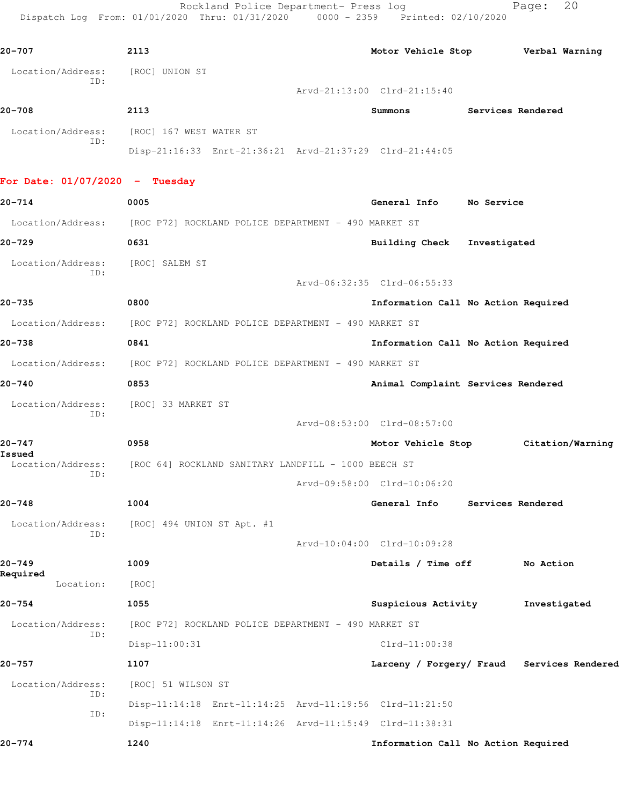Rockland Police Department- Press log Fage: 20 Dispatch Log From: 01/01/2020 Thru: 01/31/2020 0000 - 2359 Printed: 02/10/2020

**20-707 2113 Motor Vehicle Stop Verbal Warning** Location/Address: [ROC] UNION ST ID: Arvd-21:13:00 Clrd-21:15:40 **20-708 2113 Summons Services Rendered** Location/Address: [ROC] 167 WEST WATER ST ID: Disp-21:16:33 Enrt-21:36:21 Arvd-21:37:29 Clrd-21:44:05 **For Date: 01/07/2020 - Tuesday 20-714 0005 General Info No Service** Location/Address: [ROC P72] ROCKLAND POLICE DEPARTMENT - 490 MARKET ST **20-729 0631 Building Check Investigated** Location/Address: [ROC] SALEM ST ID: Arvd-06:32:35 Clrd-06:55:33 **20-735 0800 Information Call No Action Required** Location/Address: [ROC P72] ROCKLAND POLICE DEPARTMENT - 490 MARKET ST **20-738 0841 Information Call No Action Required** Location/Address: [ROC P72] ROCKLAND POLICE DEPARTMENT - 490 MARKET ST **20-740 0853 Animal Complaint Services Rendered** Location/Address: [ROC] 33 MARKET ST ID: Arvd-08:53:00 Clrd-08:57:00 **20-747 0958 Motor Vehicle Stop Citation/Warning Issued**  [ROC 64] ROCKLAND SANITARY LANDFILL - 1000 BEECH ST ID: Arvd-09:58:00 Clrd-10:06:20 **20-748 1004 General Info Services Rendered** Location/Address: [ROC] 494 UNION ST Apt. #1 ID: Arvd-10:04:00 Clrd-10:09:28 **20-749 1009 Details / Time off No Action Required**  Location: [ROC] **20-754 1055 Suspicious Activity Investigated** Location/Address: [ROC P72] ROCKLAND POLICE DEPARTMENT - 490 MARKET ST ID: Disp-11:00:31 Clrd-11:00:38 **20-757 1107 Larceny / Forgery/ Fraud Services Rendered** Location/Address: [ROC] 51 WILSON ST ID: Disp-11:14:18 Enrt-11:14:25 Arvd-11:19:56 Clrd-11:21:50 ID: Disp-11:14:18 Enrt-11:14:26 Arvd-11:15:49 Clrd-11:38:31 **20-774 1240 Information Call No Action Required**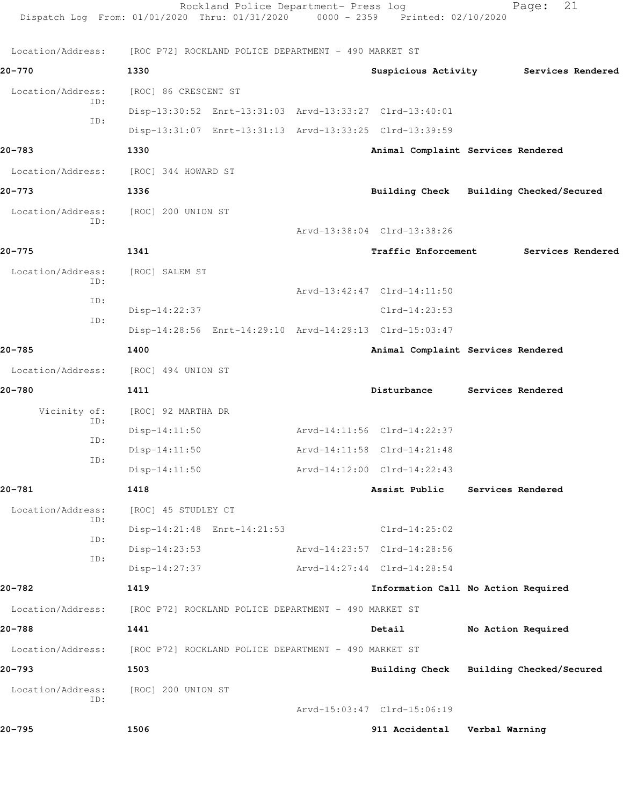|                          | Rockland Police Department- Press log<br>Dispatch Log From: 01/01/2020 Thru: 01/31/2020 0000 - 2359 Printed: 02/10/2020 |                                         | 21<br>Page:        |  |
|--------------------------|-------------------------------------------------------------------------------------------------------------------------|-----------------------------------------|--------------------|--|
|                          | Location/Address: [ROC P72] ROCKLAND POLICE DEPARTMENT - 490 MARKET ST                                                  |                                         |                    |  |
| 20-770                   | 1330                                                                                                                    | Suspicious Activity Services Rendered   |                    |  |
| Location/Address:        | [ROC] 86 CRESCENT ST                                                                                                    |                                         |                    |  |
| ID:                      | Disp-13:30:52 Enrt-13:31:03 Arvd-13:33:27 Clrd-13:40:01                                                                 |                                         |                    |  |
| ID:                      | Disp-13:31:07 Enrt-13:31:13 Arvd-13:33:25 Clrd-13:39:59                                                                 |                                         |                    |  |
| 20-783                   | 1330                                                                                                                    | Animal Complaint Services Rendered      |                    |  |
| Location/Address:        | [ROC] 344 HOWARD ST                                                                                                     |                                         |                    |  |
| 20-773                   | 1336                                                                                                                    | Building Check Building Checked/Secured |                    |  |
| Location/Address:        | [ROC] 200 UNION ST                                                                                                      |                                         |                    |  |
| ID:                      |                                                                                                                         | Arvd-13:38:04 Clrd-13:38:26             |                    |  |
| $20 - 775$               | 1341                                                                                                                    | <b>Traffic Enforcement</b>              | Services Rendered  |  |
| Location/Address:        | [ROC] SALEM ST                                                                                                          |                                         |                    |  |
| ID:                      |                                                                                                                         | Arvd-13:42:47 Clrd-14:11:50             |                    |  |
| ID:                      | Disp-14:22:37                                                                                                           | $Clrd-14:23:53$                         |                    |  |
| ID:                      | Disp-14:28:56 Enrt-14:29:10 Arvd-14:29:13 Clrd-15:03:47                                                                 |                                         |                    |  |
| 20-785                   | 1400                                                                                                                    | Animal Complaint Services Rendered      |                    |  |
| Location/Address:        | [ROC] 494 UNION ST                                                                                                      |                                         |                    |  |
| 20-780                   | 1411                                                                                                                    | Disturbance                             | Services Rendered  |  |
| Vicinity of:             | [ROC] 92 MARTHA DR                                                                                                      |                                         |                    |  |
| ID:<br>ID:               | $Disp-14:11:50$                                                                                                         | Arvd-14:11:56 Clrd-14:22:37             |                    |  |
| ID:                      | Disp-14:11:50                                                                                                           | Arvd-14:11:58 Clrd-14:21:48             |                    |  |
|                          | $Disp-14:11:50$                                                                                                         | Arvd-14:12:00 Clrd-14:22:43             |                    |  |
| 20-781                   | 1418                                                                                                                    | Assist Public                           | Services Rendered  |  |
| Location/Address:<br>ID: | [ROC] 45 STUDLEY CT                                                                                                     |                                         |                    |  |
| ID:                      | Disp-14:21:48 Enrt-14:21:53                                                                                             | $Clrd-14:25:02$                         |                    |  |
| ID:                      | $Disp-14:23:53$                                                                                                         | Arvd-14:23:57 Clrd-14:28:56             |                    |  |
|                          | Disp-14:27:37                                                                                                           | Arvd-14:27:44 Clrd-14:28:54             |                    |  |
| 20-782                   | 1419                                                                                                                    | Information Call No Action Required     |                    |  |
| Location/Address:        | [ROC P72] ROCKLAND POLICE DEPARTMENT - 490 MARKET ST                                                                    |                                         |                    |  |
| 20-788                   | 1441                                                                                                                    | Detail                                  | No Action Required |  |
|                          | Location/Address: [ROC P72] ROCKLAND POLICE DEPARTMENT - 490 MARKET ST                                                  |                                         |                    |  |
| 20-793                   | 1503                                                                                                                    | Building Check Building Checked/Secured |                    |  |
| Location/Address:<br>ID: | [ROC] 200 UNION ST                                                                                                      |                                         |                    |  |
|                          |                                                                                                                         | Arvd-15:03:47 Clrd-15:06:19             |                    |  |
| 20-795                   | 1506                                                                                                                    | 911 Accidental Verbal Warning           |                    |  |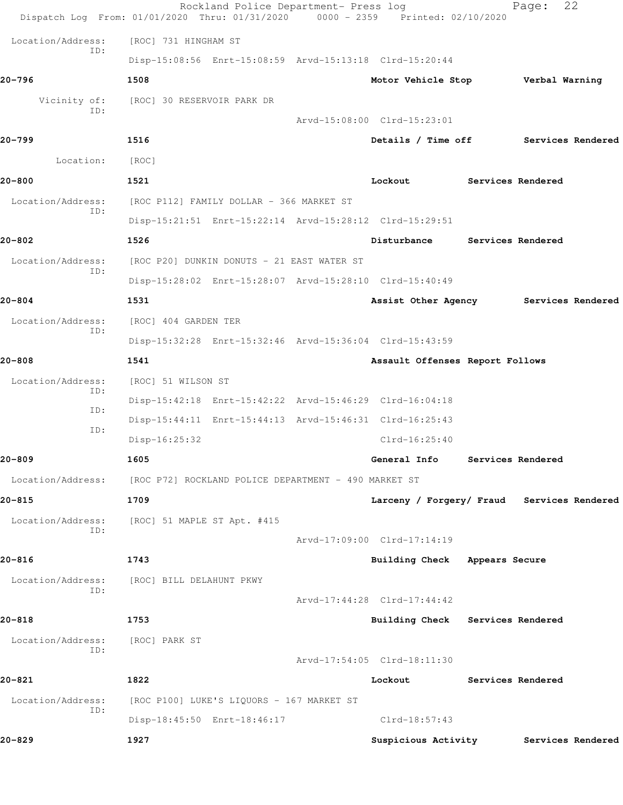| 20-829                      | 1927                                                                                                                    | Suspicious Activity                        |                   | Services Rendered |
|-----------------------------|-------------------------------------------------------------------------------------------------------------------------|--------------------------------------------|-------------------|-------------------|
|                             | Disp-18:45:50 Enrt-18:46:17                                                                                             | Clrd-18:57:43                              |                   |                   |
| Location/Address:<br>ID:    | [ROC P100] LUKE'S LIQUORS - 167 MARKET ST                                                                               |                                            |                   |                   |
| 20-821                      | 1822                                                                                                                    | Lockout                                    | Services Rendered |                   |
| Location/Address:<br>ID:    | [ROC] PARK ST                                                                                                           | Arvd-17:54:05 Clrd-18:11:30                |                   |                   |
| 20-818                      | 1753                                                                                                                    | Building Check Services Rendered           |                   |                   |
| ID:                         |                                                                                                                         | Arvd-17:44:28 Clrd-17:44:42                |                   |                   |
| Location/Address:           | [ROC] BILL DELAHUNT PKWY                                                                                                |                                            |                   |                   |
| 20-816                      | 1743                                                                                                                    | Building Check Appears Secure              |                   |                   |
| ID:                         |                                                                                                                         | Arvd-17:09:00 Clrd-17:14:19                |                   |                   |
| Location/Address:           | [ROC] 51 MAPLE ST Apt. #415                                                                                             |                                            |                   |                   |
| 20-815                      | 1709                                                                                                                    | Larceny / Forgery/ Fraud Services Rendered |                   |                   |
| Location/Address:           | [ROC P72] ROCKLAND POLICE DEPARTMENT - 490 MARKET ST                                                                    |                                            |                   |                   |
| 20-809                      | 1605                                                                                                                    | General Info                               | Services Rendered |                   |
| ID:                         | Disp-16:25:32                                                                                                           | $Clrd-16:25:40$                            |                   |                   |
| ID:                         | Disp-15:44:11 Enrt-15:44:13 Arvd-15:46:31 Clrd-16:25:43                                                                 |                                            |                   |                   |
| ID:                         | Disp-15:42:18 Enrt-15:42:22 Arvd-15:46:29 Clrd-16:04:18                                                                 |                                            |                   |                   |
| Location/Address:           | [ROC] 51 WILSON ST                                                                                                      |                                            |                   |                   |
| 20-808                      | 1541                                                                                                                    | Assault Offenses Report Follows            |                   |                   |
| ID:                         | Disp-15:32:28 Enrt-15:32:46 Arvd-15:36:04 Clrd-15:43:59                                                                 |                                            |                   |                   |
| Location/Address:           | [ROC] 404 GARDEN TER                                                                                                    |                                            |                   |                   |
| 20-804                      | 1531                                                                                                                    | Assist Other Agency                        |                   | Services Rendered |
| ID:                         | [ROC P20] DUNKIN DONUTS - 21 EAST WATER ST<br>Disp-15:28:02 Enrt-15:28:07 Arvd-15:28:10 Clrd-15:40:49                   |                                            |                   |                   |
| 20-802<br>Location/Address: | 1526                                                                                                                    | Disturbance                                | Services Rendered |                   |
|                             | Disp-15:21:51 Enrt-15:22:14 Arvd-15:28:12 Clrd-15:29:51                                                                 |                                            |                   |                   |
| Location/Address:<br>ID:    | [ROC P112] FAMILY DOLLAR - 366 MARKET ST                                                                                |                                            |                   |                   |
| 20-800                      | 1521                                                                                                                    | Lockout                                    | Services Rendered |                   |
| Location:                   | [ROC]                                                                                                                   |                                            |                   |                   |
| $20 - 799$                  | 1516                                                                                                                    | Details / Time off                         |                   | Services Rendered |
|                             |                                                                                                                         | Arvd-15:08:00 Clrd-15:23:01                |                   |                   |
| Vicinity of:<br>ID:         | [ROC] 30 RESERVOIR PARK DR                                                                                              |                                            |                   |                   |
| 20-796                      | 1508                                                                                                                    | Motor Vehicle Stop                         | Verbal Warning    |                   |
| ID:                         | Disp-15:08:56 Enrt-15:08:59 Arvd-15:13:18 Clrd-15:20:44                                                                 |                                            |                   |                   |
| Location/Address:           | [ROC] 731 HINGHAM ST                                                                                                    |                                            |                   |                   |
|                             | Rockland Police Department- Press log<br>Dispatch Log From: 01/01/2020 Thru: 01/31/2020 0000 - 2359 Printed: 02/10/2020 |                                            | Page:             | 22                |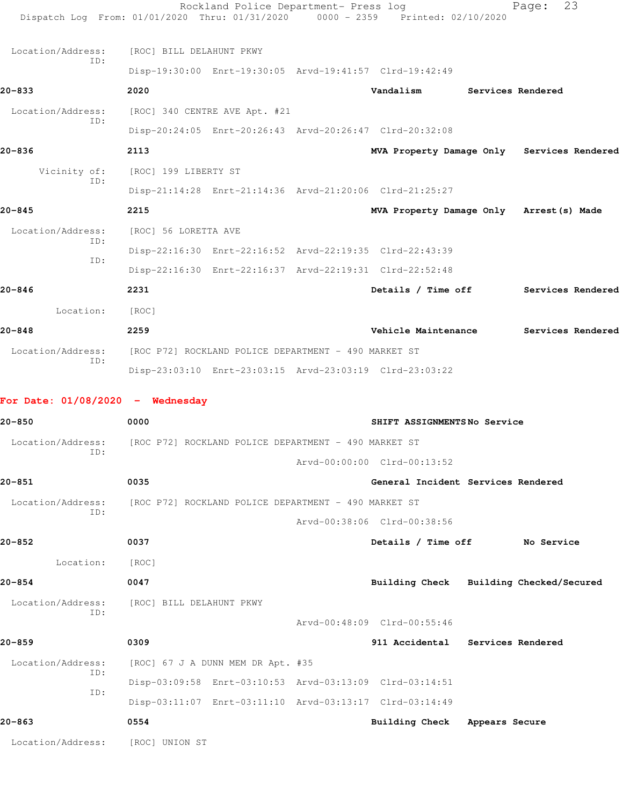|                                              | Rockland Police Department- Press log<br>Dispatch Log From: 01/01/2020 Thru: 01/31/2020 0000 - 2359 Printed: 02/10/2020 |                                          |                   | 23<br>Page:                                |
|----------------------------------------------|-------------------------------------------------------------------------------------------------------------------------|------------------------------------------|-------------------|--------------------------------------------|
| Location/Address:                            | [ROC] BILL DELAHUNT PKWY                                                                                                |                                          |                   |                                            |
| TD:                                          | Disp-19:30:00 Enrt-19:30:05 Arvd-19:41:57 Clrd-19:42:49                                                                 |                                          |                   |                                            |
| 20-833                                       | 2020                                                                                                                    | Vandalism                                | Services Rendered |                                            |
| Location/Address:                            | [ROC] 340 CENTRE AVE Apt. #21                                                                                           |                                          |                   |                                            |
| ID:                                          | Disp-20:24:05 Enrt-20:26:43 Arvd-20:26:47 Clrd-20:32:08                                                                 |                                          |                   |                                            |
| 20-836                                       | 2113                                                                                                                    |                                          |                   | MVA Property Damage Only Services Rendered |
| Vicinity of:                                 | [ROC] 199 LIBERTY ST                                                                                                    |                                          |                   |                                            |
| ID:                                          | Disp-21:14:28 Enrt-21:14:36 Arvd-21:20:06 Clrd-21:25:27                                                                 |                                          |                   |                                            |
| $20 - 845$                                   | 2215                                                                                                                    | MVA Property Damage Only Arrest (s) Made |                   |                                            |
| Location/Address:<br>TD:                     | [ROC] 56 LORETTA AVE                                                                                                    |                                          |                   |                                            |
| ID:                                          | Disp-22:16:30 Enrt-22:16:52 Arvd-22:19:35 Clrd-22:43:39                                                                 |                                          |                   |                                            |
|                                              | Disp-22:16:30 Enrt-22:16:37 Arvd-22:19:31 Clrd-22:52:48                                                                 |                                          |                   |                                            |
| 20-846                                       | 2231                                                                                                                    |                                          |                   | Details / Time off Services Rendered       |
| Location:                                    | [ROC]                                                                                                                   |                                          |                   |                                            |
| 20-848                                       | 2259                                                                                                                    | Vehicle Maintenance                      |                   | Services Rendered                          |
| Location/Address:<br>ID:                     | [ROC P72] ROCKLAND POLICE DEPARTMENT - 490 MARKET ST                                                                    |                                          |                   |                                            |
| For Date: $01/08/2020 -$ Wednesday<br>20-850 | Disp-23:03:10 Enrt-23:03:15 Arvd-23:03:19 Clrd-23:03:22<br>0000                                                         | SHIFT ASSIGNMENTSNo Service              |                   |                                            |
|                                              | Location/Address: [ROC P72] ROCKLAND POLICE DEPARTMENT - 490 MARKET ST                                                  |                                          |                   |                                            |
| ID:                                          |                                                                                                                         | Arvd-00:00:00 Clrd-00:13:52              |                   |                                            |
| $20 - 851$                                   | 0035                                                                                                                    | General Incident Services Rendered       |                   |                                            |
| Location/Address:                            | [ROC P72] ROCKLAND POLICE DEPARTMENT - 490 MARKET ST                                                                    |                                          |                   |                                            |
| ID:                                          |                                                                                                                         | Arvd-00:38:06 Clrd-00:38:56              |                   |                                            |
| $20 - 852$                                   | 0037                                                                                                                    | Details / Time off                       |                   | No Service                                 |
| Location:                                    | [ROC]                                                                                                                   |                                          |                   |                                            |
| $20 - 854$                                   | 0047                                                                                                                    | Building Check Building Checked/Secured  |                   |                                            |
| Location/Address:<br>ID:                     | [ROC] BILL DELAHUNT PKWY                                                                                                |                                          |                   |                                            |
|                                              |                                                                                                                         | Arvd-00:48:09 Clrd-00:55:46              |                   |                                            |
| $20 - 859$                                   | 0309                                                                                                                    | 911 Accidental Services Rendered         |                   |                                            |
| Location/Address:<br>ID:                     | [ROC] 67 J A DUNN MEM DR Apt. #35                                                                                       |                                          |                   |                                            |
| ID:                                          | Disp-03:09:58 Enrt-03:10:53 Arvd-03:13:09 Clrd-03:14:51                                                                 |                                          |                   |                                            |
|                                              | Disp-03:11:07 Enrt-03:11:10 Arvd-03:13:17 Clrd-03:14:49                                                                 |                                          |                   |                                            |
| 20-863                                       | 0554                                                                                                                    | Building Check                           | Appears Secure    |                                            |
| Location/Address:                            | [ROC] UNION ST                                                                                                          |                                          |                   |                                            |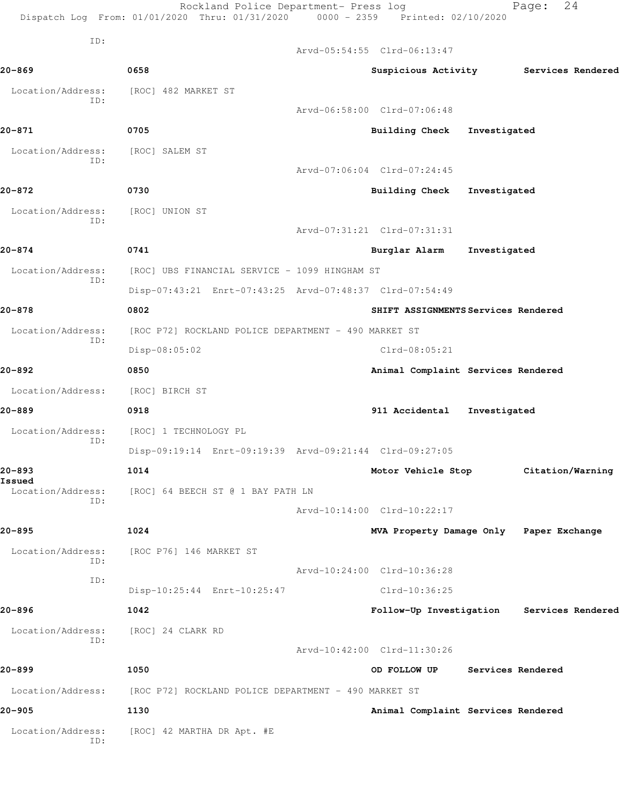|                             | Rockland Police Department- Press log<br>Dispatch Log From: 01/01/2020 Thru: 01/31/2020 0000 - 2359 Printed: 02/10/2020 |                                         |                   | 24<br>Page:       |  |
|-----------------------------|-------------------------------------------------------------------------------------------------------------------------|-----------------------------------------|-------------------|-------------------|--|
| ID:                         |                                                                                                                         | Arvd-05:54:55 Clrd-06:13:47             |                   |                   |  |
| 20-869                      | 0658                                                                                                                    |                                         |                   |                   |  |
|                             |                                                                                                                         | Suspicious Activity                     |                   | Services Rendered |  |
| Location/Address:<br>ID:    | [ROC] 482 MARKET ST                                                                                                     |                                         |                   |                   |  |
|                             |                                                                                                                         | Arvd-06:58:00 Clrd-07:06:48             |                   |                   |  |
| 20-871                      | 0705                                                                                                                    | <b>Building Check</b>                   | Investigated      |                   |  |
| Location/Address:<br>ID:    | [ROC] SALEM ST                                                                                                          |                                         |                   |                   |  |
|                             |                                                                                                                         | Arvd-07:06:04 Clrd-07:24:45             |                   |                   |  |
| 20-872                      | 0730                                                                                                                    | <b>Building Check</b>                   | Investigated      |                   |  |
| Location/Address:<br>ID:    | [ROC] UNION ST                                                                                                          |                                         |                   |                   |  |
|                             |                                                                                                                         | Arvd-07:31:21 Clrd-07:31:31             |                   |                   |  |
| 20-874                      | 0741                                                                                                                    | Burglar Alarm                           | Investigated      |                   |  |
| Location/Address:<br>ID:    | [ROC] UBS FINANCIAL SERVICE - 1099 HINGHAM ST                                                                           |                                         |                   |                   |  |
|                             | Disp-07:43:21 Enrt-07:43:25 Arvd-07:48:37 Clrd-07:54:49                                                                 |                                         |                   |                   |  |
| 20-878                      | 0802                                                                                                                    | SHIFT ASSIGNMENTS Services Rendered     |                   |                   |  |
| Location/Address:           | [ROC P72] ROCKLAND POLICE DEPARTMENT - 490 MARKET ST                                                                    |                                         |                   |                   |  |
| ID:                         | Disp-08:05:02                                                                                                           | $Clrd-08:05:21$                         |                   |                   |  |
| 20-892                      | 0850                                                                                                                    | Animal Complaint Services Rendered      |                   |                   |  |
| Location/Address:           | [ROC] BIRCH ST                                                                                                          |                                         |                   |                   |  |
| 20-889                      | 0918                                                                                                                    | 911 Accidental                          | Investigated      |                   |  |
| Location/Address:           | [ROC] 1 TECHNOLOGY PL                                                                                                   |                                         |                   |                   |  |
| ID:                         | Disp-09:19:14 Enrt-09:19:39 Arvd-09:21:44 Clrd-09:27:05                                                                 |                                         |                   |                   |  |
| 20-893                      | 1014                                                                                                                    | Motor Vehicle Stop                      |                   | Citation/Warning  |  |
| Issued<br>Location/Address: | [ROC] 64 BEECH ST @ 1 BAY PATH LN                                                                                       |                                         |                   |                   |  |
| ID:                         |                                                                                                                         | Arvd-10:14:00 Clrd-10:22:17             |                   |                   |  |
| 20-895                      | 1024                                                                                                                    | MVA Property Damage Only Paper Exchange |                   |                   |  |
| Location/Address:           | [ROC P76] 146 MARKET ST                                                                                                 |                                         |                   |                   |  |
| ID:                         |                                                                                                                         | Arvd-10:24:00 Clrd-10:36:28             |                   |                   |  |
| ID:                         | Disp-10:25:44 Enrt-10:25:47                                                                                             | Clrd-10:36:25                           |                   |                   |  |
| 20-896                      | 1042                                                                                                                    | Follow-Up Investigation                 |                   | Services Rendered |  |
| Location/Address:           | [ROC] 24 CLARK RD                                                                                                       |                                         |                   |                   |  |
| ID:                         |                                                                                                                         | Arvd-10:42:00 Clrd-11:30:26             |                   |                   |  |
| 20-899                      | 1050                                                                                                                    | OD FOLLOW UP                            | Services Rendered |                   |  |
| Location/Address:           | [ROC P72] ROCKLAND POLICE DEPARTMENT - 490 MARKET ST                                                                    |                                         |                   |                   |  |
| 20–905                      | 1130                                                                                                                    | Animal Complaint Services Rendered      |                   |                   |  |
| Location/Address:           | [ROC] 42 MARTHA DR Apt. #E                                                                                              |                                         |                   |                   |  |
| ID:                         |                                                                                                                         |                                         |                   |                   |  |
|                             |                                                                                                                         |                                         |                   |                   |  |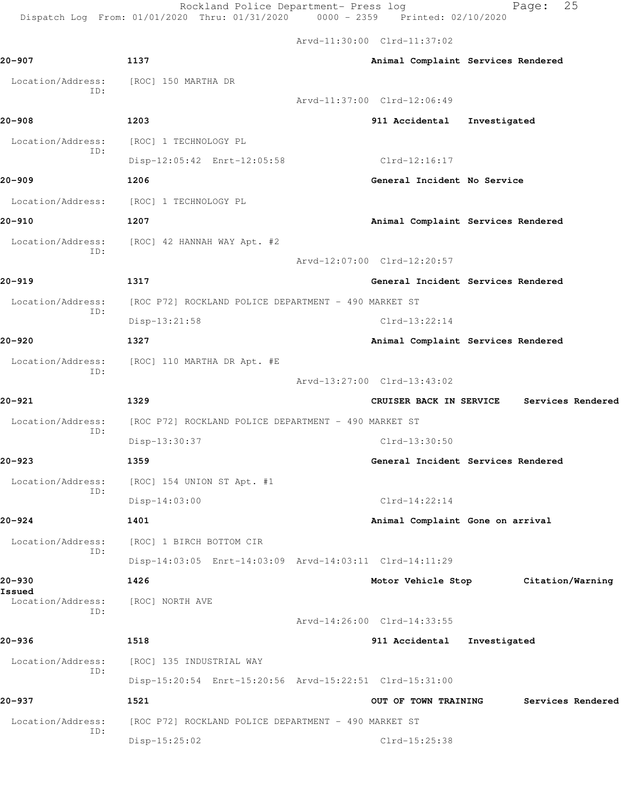Arvd-11:30:00 Clrd-11:37:02 **20-907 1137 Animal Complaint Services Rendered** Location/Address: [ROC] 150 MARTHA DR Arvd-11:37:00 Clrd-12:06:49 **20-908 1203 911 Accidental Investigated**

 Location/Address: [ROC] 1 TECHNOLOGY PL ID: Disp-12:05:42 Enrt-12:05:58 Clrd-12:16:17 **20-909 1206 General Incident No Service** Location/Address: [ROC] 1 TECHNOLOGY PL **20-910 1207 Animal Complaint Services Rendered** Location/Address: [ROC] 42 HANNAH WAY Apt. #2 ID: **20-919 1317 General Incident Services Rendered**

Location/Address: [ROC P72] ROCKLAND POLICE DEPARTMENT - 490 MARKET ST ID: Disp-13:21:58 Clrd-13:22:14 **20-920 1327 Animal Complaint Services Rendered**

 Location/Address: [ROC] 110 MARTHA DR Apt. #E ID:

ID:

**20-921 1329 CRUISER BACK IN SERVICE Services Rendered** Location/Address: [ROC P72] ROCKLAND POLICE DEPARTMENT - 490 MARKET ST ID: Disp-13:30:37 Clrd-13:30:50

**20-923 1359 General Incident Services Rendered** Location/Address: [ROC] 154 UNION ST Apt. #1 ID: Disp-14:03:00 Clrd-14:22:14

**20-924 1401 Animal Complaint Gone on arrival** Location/Address: [ROC] 1 BIRCH BOTTOM CIR Disp-14:03:05 Enrt-14:03:09 Arvd-14:03:11 Clrd-14:11:29

**20-930 1426 Motor Vehicle Stop Citation/Warning** Location/Address: [ROC] NORTH AVE ID: Arvd-14:26:00 Clrd-14:33:55 **20-936 1518 911 Accidental Investigated** Location/Address: [ROC] 135 INDUSTRIAL WAY ID: Disp-15:20:54 Enrt-15:20:56 Arvd-15:22:51 Clrd-15:31:00 **20-937 1521 OUT OF TOWN TRAINING Services Rendered**

 Location/Address: [ROC P72] ROCKLAND POLICE DEPARTMENT - 490 MARKET ST Disp-15:25:02 Clrd-15:25:38

Arvd-12:07:00 Clrd-12:20:57

Arvd-13:27:00 Clrd-13:43:02

ID:

**Issued** 

ID: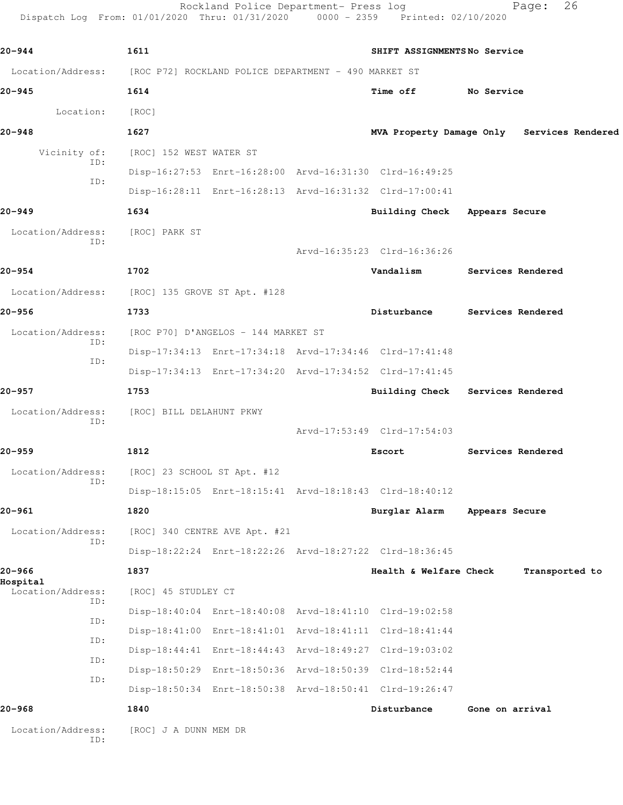Rockland Police Department- Press log Page: 26 Dispatch Log From: 01/01/2020 Thru: 01/31/2020 0000 - 2359 Printed: 02/10/2020 **20-944 1611 SHIFT ASSIGNMENTS No Service** Location/Address: [ROC P72] ROCKLAND POLICE DEPARTMENT - 490 MARKET ST **20-945 1614 Time off No Service** Location: [ROC] **20-948 1627 MVA Property Damage Only Services Rendered** Vicinity of: [ROC] 152 WEST WATER ST ID: Disp-16:27:53 Enrt-16:28:00 Arvd-16:31:30 Clrd-16:49:25 ID: Disp-16:28:11 Enrt-16:28:13 Arvd-16:31:32 Clrd-17:00:41 **20-949 1634 Building Check Appears Secure** Location/Address: [ROC] PARK ST ID: Arvd-16:35:23 Clrd-16:36:26 **20-954 1702 Vandalism Services Rendered** Location/Address: [ROC] 135 GROVE ST Apt. #128 **20-956 1733 Disturbance Services Rendered** Location/Address: [ROC P70] D'ANGELOS - 144 MARKET ST ID: Disp-17:34:13 Enrt-17:34:18 Arvd-17:34:46 Clrd-17:41:48 ID: Disp-17:34:13 Enrt-17:34:20 Arvd-17:34:52 Clrd-17:41:45 **20-957 1753 Building Check Services Rendered** Location/Address: [ROC] BILL DELAHUNT PKWY ID: Arvd-17:53:49 Clrd-17:54:03 **20-959 1812 Escort Services Rendered** Location/Address: [ROC] 23 SCHOOL ST Apt. #12 ID: Disp-18:15:05 Enrt-18:15:41 Arvd-18:18:43 Clrd-18:40:12 **20-961 1820 Burglar Alarm Appears Secure** Location/Address: [ROC] 340 CENTRE AVE Apt. #21 ID: Disp-18:22:24 Enrt-18:22:26 Arvd-18:27:22 Clrd-18:36:45 **20-966 1837 Health & Welfare Check Transported to Hospital**  Location/Address: [ROC] 45 STUDLEY CT ID: Disp-18:40:04 Enrt-18:40:08 Arvd-18:41:10 Clrd-19:02:58 ID: Disp-18:41:00 Enrt-18:41:01 Arvd-18:41:11 Clrd-18:41:44 ID: Disp-18:44:41 Enrt-18:44:43 Arvd-18:49:27 Clrd-19:03:02 ID: Disp-18:50:29 Enrt-18:50:36 Arvd-18:50:39 Clrd-18:52:44

Disp-18:50:34 Enrt-18:50:38 Arvd-18:50:41 Clrd-19:26:47

**20-968 1840 Disturbance Gone on arrival**

 Location/Address: [ROC] J A DUNN MEM DR ID:

ID: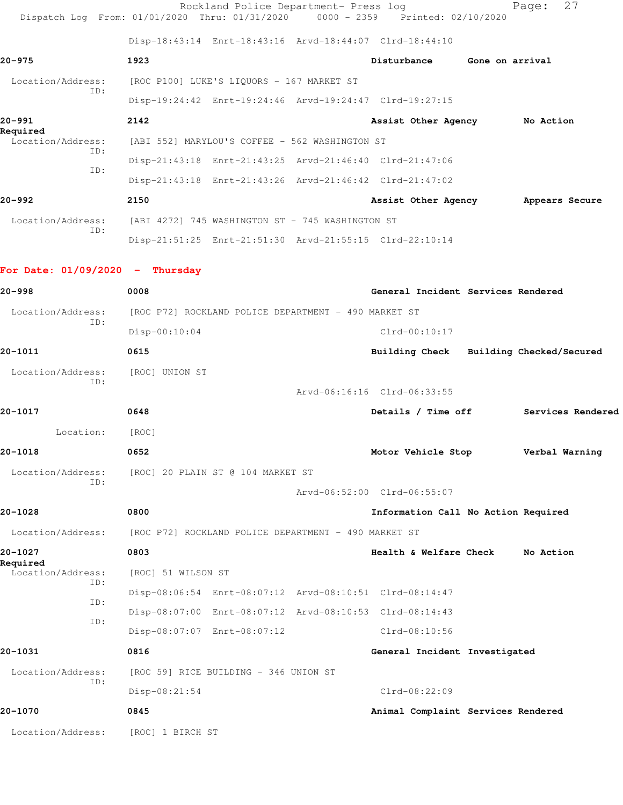|                                   | Rockland Police Department- Press log<br>Dispatch Log From: 01/01/2020 Thru: 01/31/2020 0000 - 2359 Printed: 02/10/2020 |                                         |                 | 27<br>Page:       |
|-----------------------------------|-------------------------------------------------------------------------------------------------------------------------|-----------------------------------------|-----------------|-------------------|
|                                   | Disp-18:43:14 Enrt-18:43:16 Arvd-18:44:07 Clrd-18:44:10                                                                 |                                         |                 |                   |
| 20-975                            | 1923                                                                                                                    | Disturbance                             | Gone on arrival |                   |
| Location/Address:<br>ID:          | [ROC P100] LUKE'S LIQUORS - 167 MARKET ST                                                                               |                                         |                 |                   |
|                                   | Disp-19:24:42 Enrt-19:24:46 Arvd-19:24:47 Clrd-19:27:15                                                                 |                                         |                 |                   |
| 20-991<br>Required                | 2142                                                                                                                    | Assist Other Agency No Action           |                 |                   |
| Location/Address:<br>ID:          | [ABI 552] MARYLOU'S COFFEE - 562 WASHINGTON ST                                                                          |                                         |                 |                   |
| ID:                               | Disp-21:43:18 Enrt-21:43:25 Arvd-21:46:40 Clrd-21:47:06                                                                 |                                         |                 |                   |
|                                   | Disp-21:43:18 Enrt-21:43:26 Arvd-21:46:42 Clrd-21:47:02                                                                 |                                         |                 |                   |
| 20-992                            | 2150                                                                                                                    | Assist Other Agency                     |                 | Appears Secure    |
| Location/Address:<br>ID:          | [ABI 4272] 745 WASHINGTON ST - 745 WASHINGTON ST                                                                        |                                         |                 |                   |
|                                   | Disp-21:51:25 Enrt-21:51:30 Arvd-21:55:15 Clrd-22:10:14                                                                 |                                         |                 |                   |
| For Date: $01/09/2020 -$ Thursday |                                                                                                                         |                                         |                 |                   |
| 20-998                            | 0008                                                                                                                    | General Incident Services Rendered      |                 |                   |
| Location/Address:                 | [ROC P72] ROCKLAND POLICE DEPARTMENT - 490 MARKET ST                                                                    |                                         |                 |                   |
| ID:                               | $Disp-00:10:04$                                                                                                         | $Clrd-00:10:17$                         |                 |                   |
| 20-1011                           | 0615                                                                                                                    | Building Check Building Checked/Secured |                 |                   |
| Location/Address:<br>ID:          | [ROC] UNION ST                                                                                                          |                                         |                 |                   |
|                                   |                                                                                                                         | Arvd-06:16:16 Clrd-06:33:55             |                 |                   |
| 20-1017                           | 0648                                                                                                                    | Details / Time off                      |                 | Services Rendered |
| Location:                         | [ROC]                                                                                                                   |                                         |                 |                   |
| 20-1018                           | 0652                                                                                                                    | Motor Vehicle Stop                      |                 | Verbal Warning    |
| Location/Address:                 | [ROC] 20 PLAIN ST @ 104 MARKET ST                                                                                       |                                         |                 |                   |
| ID:                               |                                                                                                                         | Arvd-06:52:00 Clrd-06:55:07             |                 |                   |
| 20-1028                           | 0800                                                                                                                    | Information Call No Action Required     |                 |                   |
| Location/Address:                 | [ROC P72] ROCKLAND POLICE DEPARTMENT - 490 MARKET ST                                                                    |                                         |                 |                   |
| 20-1027                           | 0803                                                                                                                    | Health & Welfare Check                  |                 | No Action         |
| Required<br>Location/Address:     | [ROC] 51 WILSON ST                                                                                                      |                                         |                 |                   |
| ID:<br>ID:                        | Disp-08:06:54 Enrt-08:07:12 Arvd-08:10:51 Clrd-08:14:47                                                                 |                                         |                 |                   |
| ID:                               | Disp-08:07:00 Enrt-08:07:12 Arvd-08:10:53 Clrd-08:14:43                                                                 |                                         |                 |                   |
|                                   | Disp-08:07:07 Enrt-08:07:12                                                                                             | $Clrd-08:10:56$                         |                 |                   |
| 20-1031                           | 0816                                                                                                                    | General Incident Investigated           |                 |                   |
| Location/Address:<br>ID:          | [ROC 59] RICE BUILDING - 346 UNION ST                                                                                   |                                         |                 |                   |
|                                   | Disp-08:21:54                                                                                                           | $Clrd-08:22:09$                         |                 |                   |
| 20-1070                           | 0845                                                                                                                    | Animal Complaint Services Rendered      |                 |                   |
| Location/Address:                 | [ROC] 1 BIRCH ST                                                                                                        |                                         |                 |                   |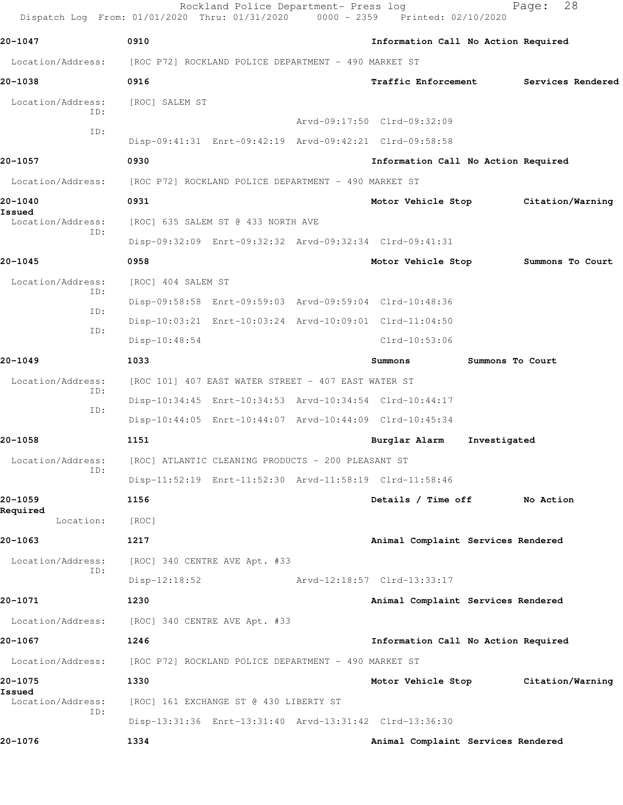| 20-1047                     | 0910                                                    | Information Call No Action Required |                  |                   |
|-----------------------------|---------------------------------------------------------|-------------------------------------|------------------|-------------------|
| Location/Address:           | [ROC P72] ROCKLAND POLICE DEPARTMENT - 490 MARKET ST    |                                     |                  |                   |
| 20-1038                     | 0916                                                    | <b>Traffic Enforcement</b>          |                  | Services Rendered |
| Location/Address:           | [ROC] SALEM ST                                          |                                     |                  |                   |
| TD:                         |                                                         | Arvd-09:17:50 Clrd-09:32:09         |                  |                   |
| ID:                         | Disp-09:41:31 Enrt-09:42:19 Arvd-09:42:21 Clrd-09:58:58 |                                     |                  |                   |
| 20-1057                     | 0930                                                    | Information Call No Action Required |                  |                   |
| Location/Address:           | [ROC P72] ROCKLAND POLICE DEPARTMENT - 490 MARKET ST    |                                     |                  |                   |
| 20-1040                     | 0931                                                    | Motor Vehicle Stop                  |                  | Citation/Warning  |
| Issued<br>Location/Address: | [ROC] 635 SALEM ST @ 433 NORTH AVE                      |                                     |                  |                   |
| ID:                         | Disp-09:32:09 Enrt-09:32:32 Arvd-09:32:34 Clrd-09:41:31 |                                     |                  |                   |
| 20-1045                     | 0958                                                    | Motor Vehicle Stop                  |                  | Summons To Court  |
| Location/Address:           | [ROC] 404 SALEM ST                                      |                                     |                  |                   |
| ID:                         | Disp-09:58:58 Enrt-09:59:03 Arvd-09:59:04 Clrd-10:48:36 |                                     |                  |                   |
| ID:                         | Disp-10:03:21 Enrt-10:03:24 Arvd-10:09:01 Clrd-11:04:50 |                                     |                  |                   |
| ID:                         | Disp-10:48:54                                           | $Clrd-10:53:06$                     |                  |                   |
| 20-1049                     | 1033                                                    | Summons                             | Summons To Court |                   |
| Location/Address:           | [ROC 101] 407 EAST WATER STREET - 407 EAST WATER ST     |                                     |                  |                   |
| ID:<br>ID:                  | Disp-10:34:45 Enrt-10:34:53 Arvd-10:34:54 Clrd-10:44:17 |                                     |                  |                   |
|                             | Disp-10:44:05 Enrt-10:44:07 Arvd-10:44:09 Clrd-10:45:34 |                                     |                  |                   |
| 20-1058                     | 1151                                                    | Burglar Alarm                       | Investigated     |                   |
| Location/Address:<br>ID:    | [ROC] ATLANTIC CLEANING PRODUCTS - 200 PLEASANT ST      |                                     |                  |                   |
|                             | Disp-11:52:19 Enrt-11:52:30 Arvd-11:58:19 Clrd-11:58:46 |                                     |                  |                   |
| 20-1059<br>Required         | 1156                                                    | Details / Time off                  |                  | No Action         |
| Location:                   | [ROC]                                                   |                                     |                  |                   |
| 20-1063                     | 1217                                                    | Animal Complaint Services Rendered  |                  |                   |
| Location/Address:<br>ID:    | [ROC] 340 CENTRE AVE Apt. #33                           |                                     |                  |                   |
|                             | $Disp-12:18:52$                                         | Arvd-12:18:57 Clrd-13:33:17         |                  |                   |
| 20-1071                     | 1230                                                    | Animal Complaint Services Rendered  |                  |                   |
| Location/Address:           | [ROC] 340 CENTRE AVE Apt. #33                           |                                     |                  |                   |
| 20-1067                     | 1246                                                    | Information Call No Action Required |                  |                   |
| Location/Address:           | [ROC P72] ROCKLAND POLICE DEPARTMENT - 490 MARKET ST    |                                     |                  |                   |
| 20-1075<br>Issued           | 1330                                                    | Motor Vehicle Stop                  |                  | Citation/Warning  |
| Location/Address:<br>ID:    | [ROC] 161 EXCHANGE ST @ 430 LIBERTY ST                  |                                     |                  |                   |
|                             | Disp-13:31:36 Enrt-13:31:40 Arvd-13:31:42 Clrd-13:36:30 |                                     |                  |                   |
| 20-1076                     | 1334                                                    | Animal Complaint Services Rendered  |                  |                   |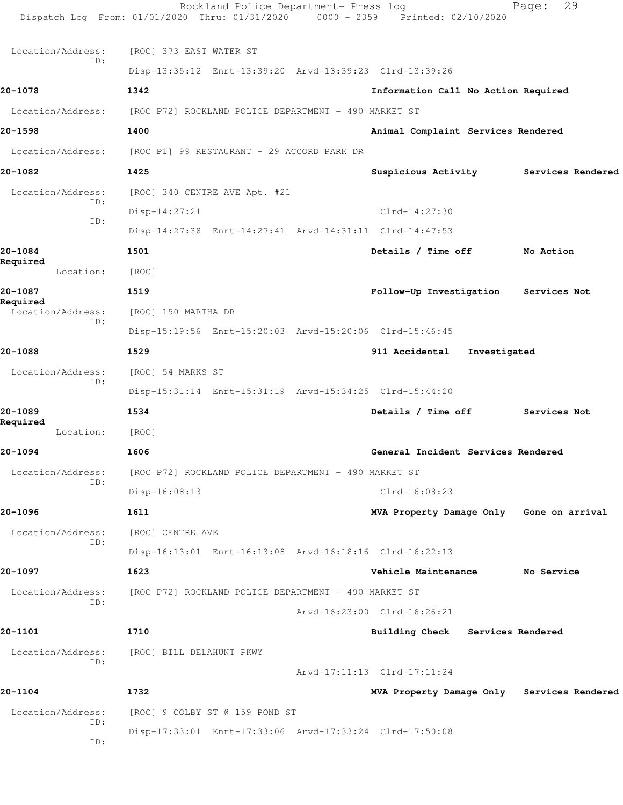|                               | Rockland Police Department- Press log<br>Dispatch Log From: 01/01/2020 Thru: 01/31/2020 0000 - 2359 Printed: 02/10/2020 |                                            | 29<br>Page:       |
|-------------------------------|-------------------------------------------------------------------------------------------------------------------------|--------------------------------------------|-------------------|
| Location/Address:             | [ROC] 373 EAST WATER ST                                                                                                 |                                            |                   |
| ID:                           | Disp-13:35:12 Enrt-13:39:20 Arvd-13:39:23 Clrd-13:39:26                                                                 |                                            |                   |
| 20-1078                       | 1342                                                                                                                    | Information Call No Action Required        |                   |
| Location/Address:             | [ROC P72] ROCKLAND POLICE DEPARTMENT - 490 MARKET ST                                                                    |                                            |                   |
| 20-1598                       | 1400                                                                                                                    | Animal Complaint Services Rendered         |                   |
|                               | Location/Address: [ROC P1] 99 RESTAURANT - 29 ACCORD PARK DR                                                            |                                            |                   |
| 20-1082                       | 1425                                                                                                                    | Suspicious Activity                        | Services Rendered |
| Location/Address:             | [ROC] 340 CENTRE AVE Apt. #21                                                                                           |                                            |                   |
| ID:                           | Disp-14:27:21                                                                                                           | $Clrd-14:27:30$                            |                   |
| TD:                           | Disp-14:27:38 Enrt-14:27:41 Arvd-14:31:11 Clrd-14:47:53                                                                 |                                            |                   |
| 20-1084                       | 1501                                                                                                                    | Details / Time off                         | No Action         |
| Required<br>Location:         | [ROC]                                                                                                                   |                                            |                   |
| 20-1087                       | 1519                                                                                                                    | Follow-Up Investigation                    | Services Not      |
| Required<br>Location/Address: | [ROC] 150 MARTHA DR                                                                                                     |                                            |                   |
| ID:                           | Disp-15:19:56 Enrt-15:20:03 Arvd-15:20:06 Clrd-15:46:45                                                                 |                                            |                   |
| 20-1088                       | 1529                                                                                                                    | 911 Accidental<br>Investigated             |                   |
| Location/Address:<br>ID:      | [ROC] 54 MARKS ST                                                                                                       |                                            |                   |
|                               | Disp-15:31:14 Enrt-15:31:19 Arvd-15:34:25 Clrd-15:44:20                                                                 |                                            |                   |
| 20-1089                       | 1534                                                                                                                    | Details / Time off                         | Services Not      |
| Required<br>Location:         | [ROC]                                                                                                                   |                                            |                   |
| 20-1094                       | 1606                                                                                                                    | General Incident Services Rendered         |                   |
| Location/Address:<br>ID:      | [ROC P72] ROCKLAND POLICE DEPARTMENT - 490 MARKET ST                                                                    |                                            |                   |
|                               | Disp-16:08:13                                                                                                           | $Clrd-16:08:23$                            |                   |
| 20-1096                       | 1611                                                                                                                    | MVA Property Damage Only Gone on arrival   |                   |
| Location/Address:<br>ID:      | [ROC] CENTRE AVE                                                                                                        |                                            |                   |
|                               | Disp-16:13:01 Enrt-16:13:08 Arvd-16:18:16 Clrd-16:22:13                                                                 |                                            |                   |
| 20-1097                       | 1623                                                                                                                    | Vehicle Maintenance                        | No Service        |
| Location/Address:<br>ID:      | [ROC P72] ROCKLAND POLICE DEPARTMENT - 490 MARKET ST                                                                    |                                            |                   |
|                               |                                                                                                                         | Arvd-16:23:00 Clrd-16:26:21                |                   |
| 20-1101                       | 1710                                                                                                                    | Building Check Services Rendered           |                   |
| Location/Address:<br>ID:      | [ROC] BILL DELAHUNT PKWY                                                                                                |                                            |                   |
|                               |                                                                                                                         | Arvd-17:11:13 Clrd-17:11:24                |                   |
| 20-1104                       | 1732                                                                                                                    | MVA Property Damage Only Services Rendered |                   |
| Location/Address:<br>ID:      | [ROC] 9 COLBY ST @ 159 POND ST                                                                                          |                                            |                   |
| ID:                           | Disp-17:33:01 Enrt-17:33:06 Arvd-17:33:24 Clrd-17:50:08                                                                 |                                            |                   |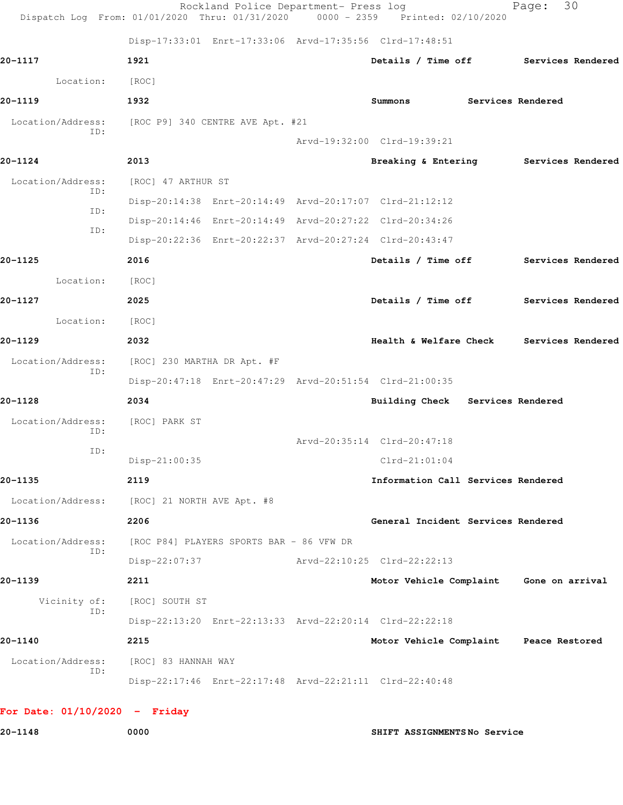|                          | Disp-17:33:01 Enrt-17:33:06 Arvd-17:35:56 Clrd-17:48:51 |                                          |                   |                   |  |
|--------------------------|---------------------------------------------------------|------------------------------------------|-------------------|-------------------|--|
| 20-1117                  | 1921                                                    | Details / Time off Services Rendered     |                   |                   |  |
| Location:                | [ROC]                                                   |                                          |                   |                   |  |
| 20-1119                  | 1932                                                    | Summons                                  | Services Rendered |                   |  |
| Location/Address:<br>ID: | [ROC P9] 340 CENTRE AVE Apt. #21                        |                                          |                   |                   |  |
|                          |                                                         | Arvd-19:32:00 Clrd-19:39:21              |                   |                   |  |
| 20-1124                  | 2013                                                    | Breaking & Entering Services Rendered    |                   |                   |  |
| Location/Address:<br>ID: | [ROC] 47 ARTHUR ST                                      |                                          |                   |                   |  |
|                          | Disp-20:14:38 Enrt-20:14:49 Arvd-20:17:07 Clrd-21:12:12 |                                          |                   |                   |  |
| ID:<br>ID:               | Disp-20:14:46 Enrt-20:14:49 Arvd-20:27:22 Clrd-20:34:26 |                                          |                   |                   |  |
|                          | Disp-20:22:36 Enrt-20:22:37 Arvd-20:27:24 Clrd-20:43:47 |                                          |                   |                   |  |
| 20-1125                  | 2016                                                    | Details / Time off                       |                   | Services Rendered |  |
| Location:                | [ROC]                                                   |                                          |                   |                   |  |
| 20-1127                  | 2025                                                    | Details / Time off Services Rendered     |                   |                   |  |
| Location:                | [ROC]                                                   |                                          |                   |                   |  |
| 20-1129                  | 2032                                                    | Health & Welfare Check Services Rendered |                   |                   |  |
| Location/Address:        | [ROC] 230 MARTHA DR Apt. #F                             |                                          |                   |                   |  |
| ID:                      | Disp-20:47:18 Enrt-20:47:29 Arvd-20:51:54 Clrd-21:00:35 |                                          |                   |                   |  |
| 20-1128                  | 2034                                                    | Building Check Services Rendered         |                   |                   |  |
| Location/Address:        | [ROC] PARK ST                                           |                                          |                   |                   |  |
| ID:                      |                                                         | Arvd-20:35:14 Clrd-20:47:18              |                   |                   |  |
| ID:                      | Disp-21:00:35                                           | $Clrd-21:01:04$                          |                   |                   |  |
| 20-1135                  | 2119                                                    | Information Call Services Rendered       |                   |                   |  |
| Location/Address:        | [ROC] 21 NORTH AVE Apt. #8                              |                                          |                   |                   |  |
| 20-1136                  | 2206                                                    | General Incident Services Rendered       |                   |                   |  |
| Location/Address:        | [ROC P84] PLAYERS SPORTS BAR - 86 VFW DR                |                                          |                   |                   |  |
| ID:                      | Disp-22:07:37                                           | Arvd-22:10:25 Clrd-22:22:13              |                   |                   |  |
| 20-1139                  | 2211                                                    | Motor Vehicle Complaint Gone on arrival  |                   |                   |  |
| Vicinity of:             | [ROC] SOUTH ST                                          |                                          |                   |                   |  |
| ID:                      | Disp-22:13:20 Enrt-22:13:33 Arvd-22:20:14 Clrd-22:22:18 |                                          |                   |                   |  |
| 20-1140                  | 2215                                                    | Motor Vehicle Complaint Peace Restored   |                   |                   |  |
| Location/Address:        | [ROC] 83 HANNAH WAY                                     |                                          |                   |                   |  |
| ID:                      | Disp-22:17:46 Enrt-22:17:48 Arvd-22:21:11 Clrd-22:40:48 |                                          |                   |                   |  |

**20-1148 0000 SHIFT ASSIGNMENTS No Service**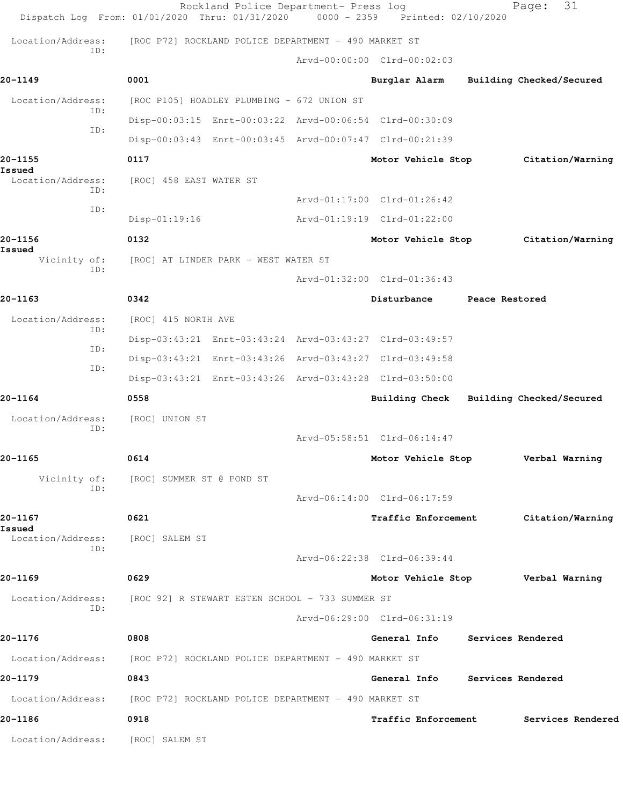|                             | Rockland Police Department- Press log<br>Dispatch Log From: 01/01/2020 Thru: 01/31/2020 | $0000 - 2359$ | Printed: 02/10/2020               |                | 31<br>Page:              |
|-----------------------------|-----------------------------------------------------------------------------------------|---------------|-----------------------------------|----------------|--------------------------|
| Location/Address:           | [ROC P72] ROCKLAND POLICE DEPARTMENT - 490 MARKET ST                                    |               |                                   |                |                          |
| ID:                         |                                                                                         |               | Arvd-00:00:00 Clrd-00:02:03       |                |                          |
| 20-1149                     | 0001                                                                                    |               | Burglar Alarm                     |                | Building Checked/Secured |
| Location/Address:           | [ROC P105] HOADLEY PLUMBING - 672 UNION ST                                              |               |                                   |                |                          |
| ID:                         | Disp-00:03:15 Enrt-00:03:22 Arvd-00:06:54 Clrd-00:30:09                                 |               |                                   |                |                          |
| ID:                         | Disp-00:03:43 Enrt-00:03:45 Arvd-00:07:47 Clrd-00:21:39                                 |               |                                   |                |                          |
| 20-1155                     | 0117                                                                                    |               | Motor Vehicle Stop                |                | Citation/Warning         |
| Issued<br>Location/Address: | [ROC] 458 EAST WATER ST                                                                 |               |                                   |                |                          |
| TD:                         |                                                                                         |               | Arvd-01:17:00 Clrd-01:26:42       |                |                          |
| ID:                         | $Disp-01:19:16$                                                                         |               | Arvd-01:19:19 Clrd-01:22:00       |                |                          |
| 20-1156<br>Issued           | 0132                                                                                    |               | Motor Vehicle Stop                |                | Citation/Warning         |
| Vicinity of:<br>TD:         | [ROC] AT LINDER PARK - WEST WATER ST                                                    |               |                                   |                |                          |
|                             |                                                                                         |               | Arvd-01:32:00 Clrd-01:36:43       |                |                          |
| 20-1163                     | 0342                                                                                    |               | Disturbance                       | Peace Restored |                          |
| Location/Address:<br>ID:    | [ROC] 415 NORTH AVE                                                                     |               |                                   |                |                          |
| ID:                         | Disp-03:43:21 Enrt-03:43:24 Arvd-03:43:27 Clrd-03:49:57                                 |               |                                   |                |                          |
| ID:                         | Disp-03:43:21 Enrt-03:43:26 Arvd-03:43:27 Clrd-03:49:58                                 |               |                                   |                |                          |
|                             | Disp-03:43:21 Enrt-03:43:26 Arvd-03:43:28 Clrd-03:50:00                                 |               |                                   |                |                          |
| 20-1164                     | 0558                                                                                    |               | Building Check                    |                | Building Checked/Secured |
| Location/Address:<br>ID:    | [ROC] UNION ST                                                                          |               |                                   |                |                          |
|                             |                                                                                         |               | Arvd-05:58:51 Clrd-06:14:47       |                |                          |
| 20-1165                     | 0614                                                                                    |               | Motor Vehicle Stop                |                | Verbal Warning           |
| Vicinity of:<br>ID:         | [ROC] SUMMER ST @ POND ST                                                               |               |                                   |                |                          |
|                             |                                                                                         |               | Arvd-06:14:00 Clrd-06:17:59       |                |                          |
| 20-1167<br>Issued           | 0621                                                                                    |               | Traffic Enforcement               |                | Citation/Warning         |
| Location/Address:<br>ID:    | [ROC] SALEM ST                                                                          |               |                                   |                |                          |
|                             |                                                                                         |               | Arvd-06:22:38 Clrd-06:39:44       |                |                          |
| 20-1169                     | 0629                                                                                    |               | Motor Vehicle Stop Verbal Warning |                |                          |
| Location/Address:<br>ID:    | [ROC 92] R STEWART ESTEN SCHOOL - 733 SUMMER ST                                         |               |                                   |                |                          |
|                             |                                                                                         |               | Arvd-06:29:00 Clrd-06:31:19       |                |                          |
| 20-1176                     | 0808                                                                                    |               | General Info                      |                | Services Rendered        |
| Location/Address:           | [ROC P72] ROCKLAND POLICE DEPARTMENT – 490 MARKET ST                                    |               |                                   |                |                          |
| 20-1179                     | 0843                                                                                    |               | General Info Services Rendered    |                |                          |
| Location/Address:           | [ROC P72] ROCKLAND POLICE DEPARTMENT - 490 MARKET ST                                    |               |                                   |                |                          |
| 20-1186                     | 0918                                                                                    |               | <b>Traffic Enforcement</b>        |                | Services Rendered        |
| Location/Address:           | [ROC] SALEM ST                                                                          |               |                                   |                |                          |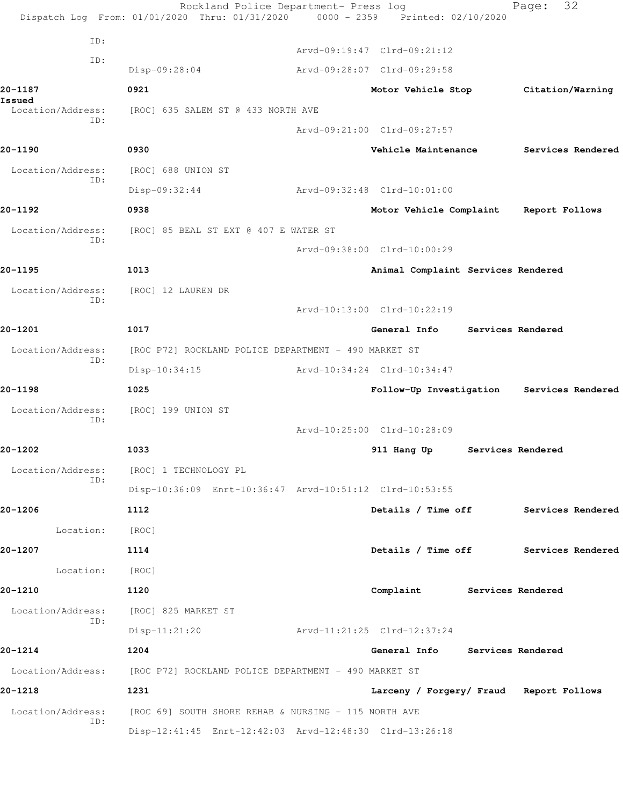|                          | Rockland Police Department- Press log<br>Dispatch Log From: 01/01/2020 Thru: 01/31/2020 0000 - 2359 Printed: 02/10/2020 |                                           |                   | 32<br>Page:       |  |
|--------------------------|-------------------------------------------------------------------------------------------------------------------------|-------------------------------------------|-------------------|-------------------|--|
| ID:                      |                                                                                                                         |                                           |                   |                   |  |
| ID:                      |                                                                                                                         | Arvd-09:19:47 Clrd-09:21:12               |                   |                   |  |
|                          | Disp-09:28:04                                                                                                           | Arvd-09:28:07 Clrd-09:29:58               |                   |                   |  |
| 20-1187<br>Issued        | 0921                                                                                                                    | Motor Vehicle Stop                        |                   | Citation/Warning  |  |
| Location/Address:<br>ID: | [ROC] 635 SALEM ST @ 433 NORTH AVE                                                                                      |                                           |                   |                   |  |
|                          |                                                                                                                         | Arvd-09:21:00 Clrd-09:27:57               |                   |                   |  |
| 20-1190                  | 0930                                                                                                                    | Vehicle Maintenance                       |                   | Services Rendered |  |
| Location/Address:<br>ID: | [ROC] 688 UNION ST                                                                                                      |                                           |                   |                   |  |
|                          | Disp-09:32:44                                                                                                           | Arvd-09:32:48 Clrd-10:01:00               |                   |                   |  |
| 20-1192                  | 0938                                                                                                                    | Motor Vehicle Complaint Report Follows    |                   |                   |  |
| Location/Address:<br>ID: | [ROC] 85 BEAL ST EXT @ 407 E WATER ST                                                                                   |                                           |                   |                   |  |
|                          |                                                                                                                         | Arvd-09:38:00 Clrd-10:00:29               |                   |                   |  |
| 20-1195                  | 1013                                                                                                                    | Animal Complaint Services Rendered        |                   |                   |  |
| Location/Address:        | [ROC] 12 LAUREN DR                                                                                                      |                                           |                   |                   |  |
| ID:                      |                                                                                                                         | Arvd-10:13:00 Clrd-10:22:19               |                   |                   |  |
| 20-1201                  | 1017                                                                                                                    | General Info                              |                   | Services Rendered |  |
| Location/Address:        | [ROC P72] ROCKLAND POLICE DEPARTMENT - 490 MARKET ST                                                                    |                                           |                   |                   |  |
| ID:                      | $Disp-10:34:15$                                                                                                         | Arvd-10:34:24 Clrd-10:34:47               |                   |                   |  |
| 20-1198                  | 1025                                                                                                                    | Follow-Up Investigation Services Rendered |                   |                   |  |
| Location/Address:        | [ROC] 199 UNION ST                                                                                                      |                                           |                   |                   |  |
| ID:                      |                                                                                                                         | Arvd-10:25:00 Clrd-10:28:09               |                   |                   |  |
| 20-1202                  | 1033                                                                                                                    | 911 Hang Up                               | Services Rendered |                   |  |
| Location/Address:        | [ROC] 1 TECHNOLOGY PL                                                                                                   |                                           |                   |                   |  |
| ID:                      | Disp-10:36:09 Enrt-10:36:47 Arvd-10:51:12 Clrd-10:53:55                                                                 |                                           |                   |                   |  |
| 20-1206                  | 1112                                                                                                                    | Details / Time off Services Rendered      |                   |                   |  |
| Location:                | [ROC]                                                                                                                   |                                           |                   |                   |  |
| 20-1207                  | 1114                                                                                                                    | Details / Time off                        |                   | Services Rendered |  |
| Location:                | [ROC]                                                                                                                   |                                           |                   |                   |  |
| 20-1210                  | 1120                                                                                                                    | Complaint                                 | Services Rendered |                   |  |
| Location/Address:        | [ROC] 825 MARKET ST                                                                                                     |                                           |                   |                   |  |
| ID:                      | $Disp-11:21:20$                                                                                                         | Arvd-11:21:25 Clrd-12:37:24               |                   |                   |  |
| 20-1214                  | 1204                                                                                                                    | General Info Services Rendered            |                   |                   |  |
| Location/Address:        | [ROC P72] ROCKLAND POLICE DEPARTMENT - 490 MARKET ST                                                                    |                                           |                   |                   |  |
| 20-1218                  | 1231                                                                                                                    | Larceny / Forgery/ Fraud Report Follows   |                   |                   |  |
| Location/Address:        | [ROC 69] SOUTH SHORE REHAB & NURSING - 115 NORTH AVE                                                                    |                                           |                   |                   |  |
| ID:                      | Disp-12:41:45 Enrt-12:42:03 Arvd-12:48:30 Clrd-13:26:18                                                                 |                                           |                   |                   |  |
|                          |                                                                                                                         |                                           |                   |                   |  |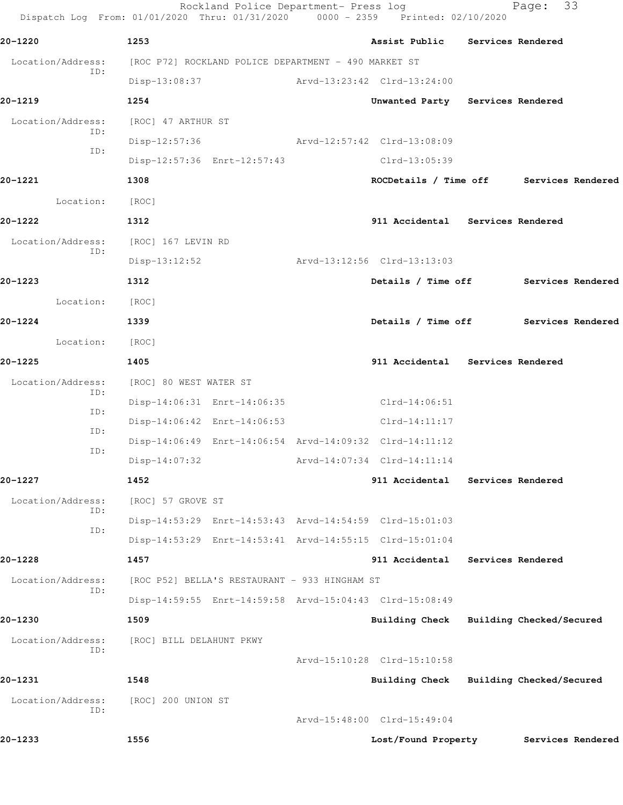Rockland Police Department- Press log Fage: 33 Dispatch Log From: 01/01/2020 Thru: 01/31/2020 0000 - 2359 Printed: 02/10/2020 **20-1220 1253 Assist Public Services Rendered** Location/Address: [ROC P72] ROCKLAND POLICE DEPARTMENT - 490 MARKET ST ID: Disp-13:08:37 Arvd-13:23:42 Clrd-13:24:00 **20-1219 1254 Unwanted Party Services Rendered** Location/Address: [ROC] 47 ARTHUR ST ID: Disp-12:57:36 Arvd-12:57:42 Clrd-13:08:09 ID: Disp-12:57:36 Enrt-12:57:43 Clrd-13:05:39 **20-1221 1308 ROCDetails / Time off Services Rendered** Location: [ROC] **20-1222 1312 911 Accidental Services Rendered** Location/Address: [ROC] 167 LEVIN RD ID: Disp-13:12:52 Arvd-13:12:56 Clrd-13:13:03 **20-1223 1312 Details / Time off Services Rendered** Location: [ROC] **20-1224 1339 Details / Time off Services Rendered** Location: [ROC] **20-1225 1405 911 Accidental Services Rendered** Location/Address: [ROC] 80 WEST WATER ST ID: Disp-14:06:31 Enrt-14:06:35 Clrd-14:06:51 ID: Disp-14:06:42 Enrt-14:06:53 Clrd-14:11:17 ID: Disp-14:06:49 Enrt-14:06:54 Arvd-14:09:32 Clrd-14:11:12 ID: Disp-14:07:32 Arvd-14:07:34 Clrd-14:11:14 **20-1227 1452 911 Accidental Services Rendered** Location/Address: [ROC] 57 GROVE ST ID: Disp-14:53:29 Enrt-14:53:43 Arvd-14:54:59 Clrd-15:01:03 ID: Disp-14:53:29 Enrt-14:53:41 Arvd-14:55:15 Clrd-15:01:04 **20-1228 1457 911 Accidental Services Rendered** Location/Address: [ROC P52] BELLA'S RESTAURANT - 933 HINGHAM ST ID: Disp-14:59:55 Enrt-14:59:58 Arvd-15:04:43 Clrd-15:08:49 **20-1230 1509 Building Check Building Checked/Secured** Location/Address: [ROC] BILL DELAHUNT PKWY ID: Arvd-15:10:28 Clrd-15:10:58 **20-1231 1548 Building Check Building Checked/Secured** Location/Address: [ROC] 200 UNION ST ID: Arvd-15:48:00 Clrd-15:49:04 **20-1233 1556 Lost/Found Property Services Rendered**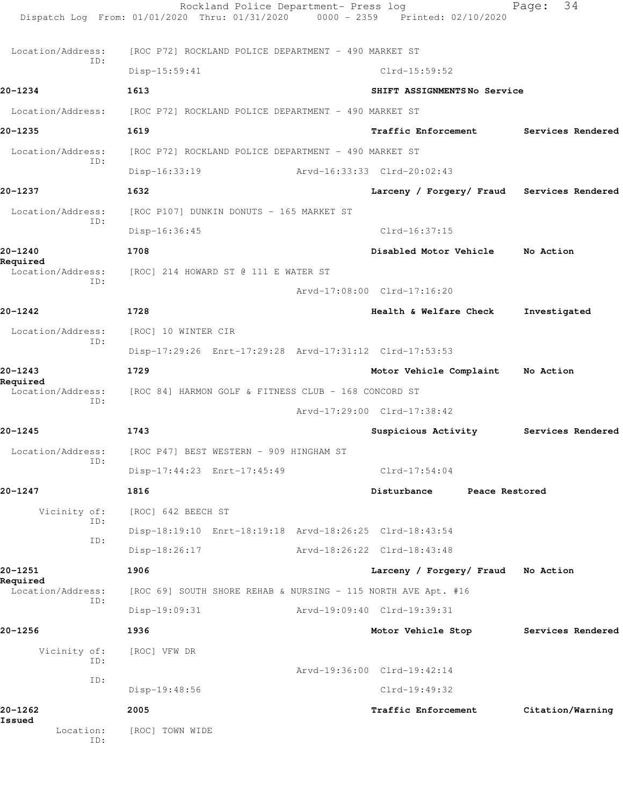Rockland Police Department- Press log Fage: 34 Dispatch Log From: 01/01/2020 Thru: 01/31/2020 0000 - 2359 Printed: 02/10/2020 Location/Address: [ROC P72] ROCKLAND POLICE DEPARTMENT - 490 MARKET ST ID: Disp-15:59:41 Clrd-15:59:52 **20-1234 1613 SHIFT ASSIGNMENTS No Service** Location/Address: [ROC P72] ROCKLAND POLICE DEPARTMENT - 490 MARKET ST **20-1235 1619 Traffic Enforcement Services Rendered** Location/Address: [ROC P72] ROCKLAND POLICE DEPARTMENT - 490 MARKET ST ID: Disp-16:33:19 Arvd-16:33:33 Clrd-20:02:43 **20-1237 1632 Larceny / Forgery/ Fraud Services Rendered** Location/Address: [ROC P107] DUNKIN DONUTS - 165 MARKET ST ID: Disp-16:36:45 Clrd-16:37:15 **20-1240 1708 Disabled Motor Vehicle No Action Required**  Location/Address: [ROC] 214 HOWARD ST @ 111 E WATER ST ID: Arvd-17:08:00 Clrd-17:16:20 **20-1242 1728 Health & Welfare Check Investigated** Location/Address: [ROC] 10 WINTER CIR ID: Disp-17:29:26 Enrt-17:29:28 Arvd-17:31:12 Clrd-17:53:53 **20-1243 1729 Motor Vehicle Complaint No Action Required**  Location/Address: [ROC 84] HARMON GOLF & FITNESS CLUB - 168 CONCORD ST ID: Arvd-17:29:00 Clrd-17:38:42 **20-1245 1743 Suspicious Activity Services Rendered** Location/Address: [ROC P47] BEST WESTERN - 909 HINGHAM ST ID: Disp-17:44:23 Enrt-17:45:49 Clrd-17:54:04 **20-1247 1816 Disturbance Peace Restored** Vicinity of: [ROC] 642 BEECH ST ID: Disp-18:19:10 Enrt-18:19:18 Arvd-18:26:25 Clrd-18:43:54 ID: Disp-18:26:17 Arvd-18:26:22 Clrd-18:43:48 **20-1251 1906 Larceny / Forgery/ Fraud No Action Required**  Location/Address: [ROC 69] SOUTH SHORE REHAB & NURSING - 115 NORTH AVE Apt. #16 ID: Disp-19:09:31 Arvd-19:09:40 Clrd-19:39:31 **20-1256 1936 Motor Vehicle Stop Services Rendered** Vicinity of: [ROC] VFW DR ID: Arvd-19:36:00 Clrd-19:42:14 ID: Disp-19:48:56 Clrd-19:49:32 **20-1262 2005 Traffic Enforcement Citation/Warning Issued**  Location: [ROC] TOWN WIDE ID: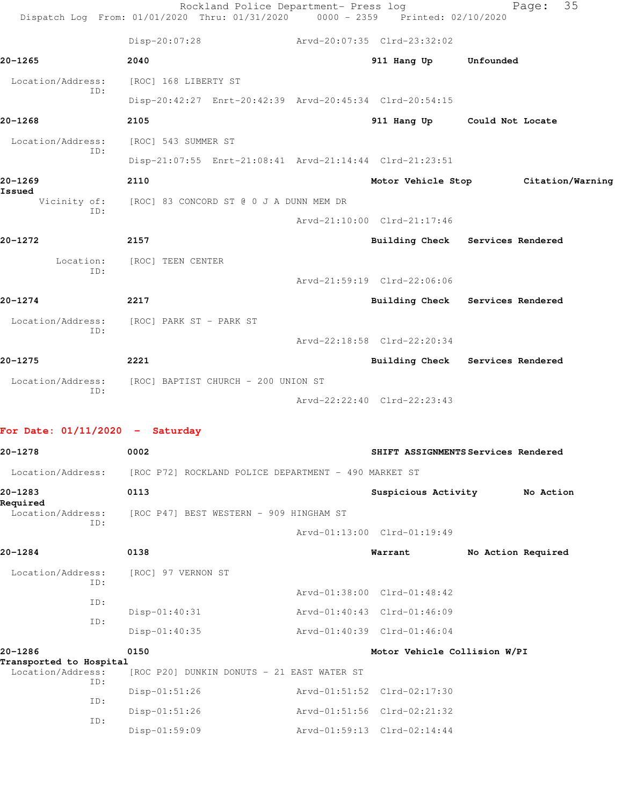|                                    | Rockland Police Department- Press log<br>Dispatch Log From: 01/01/2020 Thru: 01/31/2020 | $0000 - 2359$ | Printed: 02/10/2020          | 35<br>Page:                      |
|------------------------------------|-----------------------------------------------------------------------------------------|---------------|------------------------------|----------------------------------|
|                                    | Disp-20:07:28                                                                           |               | Arvd-20:07:35 Clrd-23:32:02  |                                  |
| 20-1265                            | 2040                                                                                    |               | 911 Hang Up                  | Unfounded                        |
| Location/Address:<br>ID:           | [ROC] 168 LIBERTY ST                                                                    |               |                              |                                  |
|                                    | Disp-20:42:27 Enrt-20:42:39 Arvd-20:45:34 Clrd-20:54:15                                 |               |                              |                                  |
| 20-1268                            | 2105                                                                                    |               |                              | 911 Hang Up Could Not Locate     |
| Location/Address:<br>ID:           | [ROC] 543 SUMMER ST                                                                     |               |                              |                                  |
|                                    | Disp-21:07:55 Enrt-21:08:41 Arvd-21:14:44 Clrd-21:23:51                                 |               |                              |                                  |
| 20-1269                            | 2110                                                                                    |               | Motor Vehicle Stop           | Citation/Warning                 |
| Issued<br>Vicinity of:<br>ID:      | [ROC] 83 CONCORD ST @ 0 J A DUNN MEM DR                                                 |               |                              |                                  |
|                                    |                                                                                         |               | Arvd-21:10:00 Clrd-21:17:46  |                                  |
| 20-1272                            | 2157                                                                                    |               |                              | Building Check Services Rendered |
| Location:<br>ID:                   | [ROC] TEEN CENTER                                                                       |               |                              |                                  |
|                                    |                                                                                         |               | Arvd-21:59:19 Clrd-22:06:06  |                                  |
| 20-1274                            | 2217                                                                                    |               |                              | Building Check Services Rendered |
| Location/Address:<br>ID:           | [ROC] PARK ST – PARK ST                                                                 |               |                              |                                  |
|                                    |                                                                                         |               | Arvd-22:18:58 Clrd-22:20:34  |                                  |
| 20-1275                            | 2221                                                                                    |               |                              | Building Check Services Rendered |
| Location/Address:<br>ID:           | [ROC] BAPTIST CHURCH - 200 UNION ST                                                     |               |                              |                                  |
|                                    |                                                                                         |               | Arvd-22:22:40 Clrd-22:23:43  |                                  |
|                                    |                                                                                         |               |                              |                                  |
| For Date: $01/11/2020 -$ Saturday  |                                                                                         |               |                              |                                  |
| 20-1278                            | 0002<br>SHIFT ASSIGNMENTS Services Rendered                                             |               |                              |                                  |
| Location/Address:                  | [ROC P72] ROCKLAND POLICE DEPARTMENT - 490 MARKET ST                                    |               |                              |                                  |
| 20-1283<br>Required                | 0113                                                                                    |               | Suspicious Activity          | No Action                        |
| Location/Address:<br>ID:           | [ROC P47] BEST WESTERN - 909 HINGHAM ST                                                 |               |                              |                                  |
|                                    |                                                                                         |               | Arvd-01:13:00 Clrd-01:19:49  |                                  |
| 20-1284                            | 0138                                                                                    |               | Warrant                      | No Action Required               |
| Location/Address:<br>ID:           | [ROC] 97 VERNON ST                                                                      |               |                              |                                  |
| ID:                                |                                                                                         |               | Arvd-01:38:00 Clrd-01:48:42  |                                  |
| ID:                                | $Disp-01:40:31$                                                                         |               | Arvd-01:40:43 Clrd-01:46:09  |                                  |
|                                    | $Disp-01:40:35$                                                                         |               | Arvd-01:40:39 Clrd-01:46:04  |                                  |
| 20-1286<br>Transported to Hospital | 0150                                                                                    |               | Motor Vehicle Collision W/PI |                                  |
| Location/Address:<br>ID:           | [ROC P20] DUNKIN DONUTS - 21 EAST WATER ST                                              |               |                              |                                  |
| ID:                                | Disp-01:51:26                                                                           |               | Arvd-01:51:52 Clrd-02:17:30  |                                  |
| ID:                                | $Disp-01:51:26$                                                                         |               | Arvd-01:51:56 Clrd-02:21:32  |                                  |
|                                    | Disp-01:59:09                                                                           |               | Arvd-01:59:13 Clrd-02:14:44  |                                  |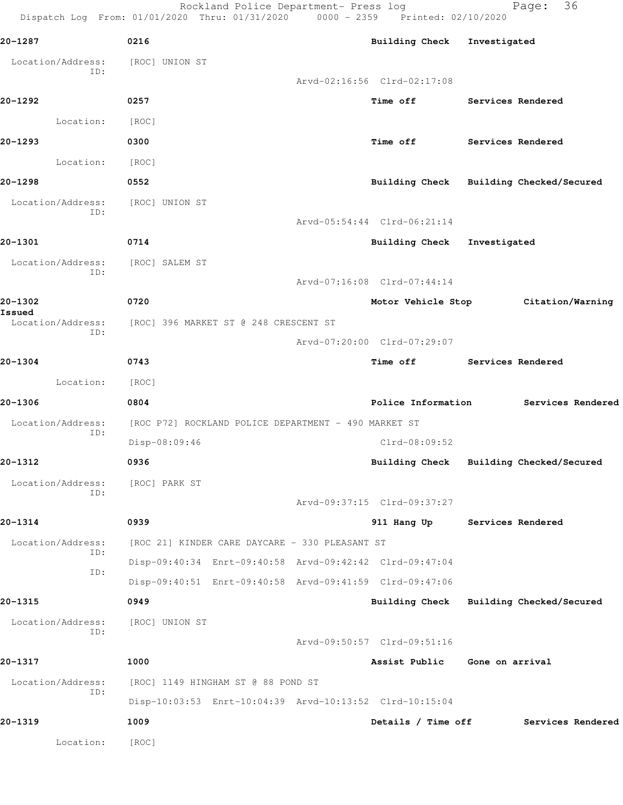Rockland Police Department- Press log Fage: 36 Dispatch Log From: 01/01/2020 Thru: 01/31/2020 0000 - 2359 Printed: 02/10/2020

**20-1287 0216 Building Check Investigated** Location/Address: [ROC] UNION ST ID: Arvd-02:16:56 Clrd-02:17:08 **20-1292 0257 Time off Services Rendered** Location: [ROC] **20-1293 0300 Time off Services Rendered** Location: [ROC] **20-1298 0552 Building Check Building Checked/Secured** Location/Address: [ROC] UNION ST ID: Arvd-05:54:44 Clrd-06:21:14 **20-1301 0714 Building Check Investigated** Location/Address: [ROC] SALEM ST ID: Arvd-07:16:08 Clrd-07:44:14 **20-1302 0720 Motor Vehicle Stop Citation/Warning Issued**  Location/Address: [ROC] 396 MARKET ST @ 248 CRESCENT ST ID: Arvd-07:20:00 Clrd-07:29:07 **20-1304 0743 Time off Services Rendered** Location: [ROC] **20-1306 0804 Police Information Services Rendered** Location/Address: [ROC P72] ROCKLAND POLICE DEPARTMENT - 490 MARKET ST ID: Disp-08:09:46 Clrd-08:09:52 **20-1312 0936 Building Check Building Checked/Secured** Location/Address: [ROC] PARK ST ID: Arvd-09:37:15 Clrd-09:37:27 **20-1314 0939 911 Hang Up Services Rendered** Location/Address: [ROC 21] KINDER CARE DAYCARE - 330 PLEASANT ST ID: Disp-09:40:34 Enrt-09:40:58 Arvd-09:42:42 Clrd-09:47:04 ID: Disp-09:40:51 Enrt-09:40:58 Arvd-09:41:59 Clrd-09:47:06 **20-1315 0949 Building Check Building Checked/Secured** Location/Address: [ROC] UNION ST ID: Arvd-09:50:57 Clrd-09:51:16 **20-1317 1000 Assist Public Gone on arrival** Location/Address: [ROC] 1149 HINGHAM ST @ 88 POND ST ID: Disp-10:03:53 Enrt-10:04:39 Arvd-10:13:52 Clrd-10:15:04 **20-1319 1009 Details / Time off Services Rendered** Location: [ROC]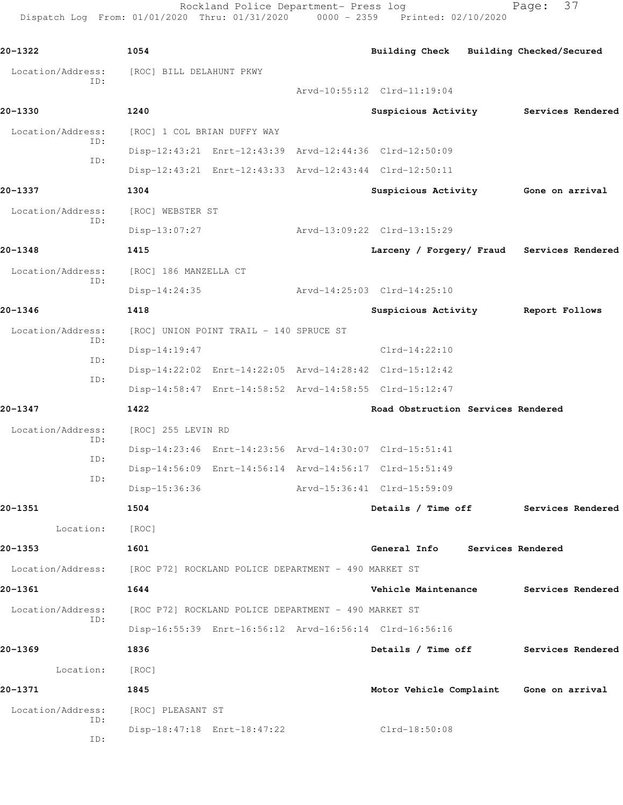Rockland Police Department- Press log Fage: 37 Dispatch Log From: 01/01/2020 Thru: 01/31/2020 0000 - 2359 Printed: 02/10/2020

```
20-1322 1054 Building Check Building Checked/Secured
  Location/Address: [ROC] BILL DELAHUNT PKWY
           ID: 
                                      Arvd-10:55:12 Clrd-11:19:04
20-1330 1240 Suspicious Activity Services Rendered
Location/Address: [ROC] 1 COL BRIAN DUFFY WAY
           ID: 
                Disp-12:43:21 Enrt-12:43:39 Arvd-12:44:36 Clrd-12:50:09
           ID: 
                Disp-12:43:21 Enrt-12:43:33 Arvd-12:43:44 Clrd-12:50:11
20-1337 1304 Suspicious Activity Gone on arrival
  Location/Address: [ROC] WEBSTER ST
           ID: 
                Disp-13:07:27 Arvd-13:09:22 Clrd-13:15:29
20-1348 1415 Larceny / Forgery/ Fraud Services Rendered
  Location/Address: [ROC] 186 MANZELLA CT
           ID: 
                Disp-14:24:35 Arvd-14:25:03 Clrd-14:25:10
20-1346 1418 Suspicious Activity Report Follows
 Location/Address: [ROC] UNION POINT TRAIL - 140 SPRUCE ST
           ID: 
               Disp-14:19:47 Clrd-14:22:10
           ID: 
                Disp-14:22:02 Enrt-14:22:05 Arvd-14:28:42 Clrd-15:12:42
           ID: 
                Disp-14:58:47 Enrt-14:58:52 Arvd-14:58:55 Clrd-15:12:47
20-1347 1422 Road Obstruction Services Rendered
  Location/Address: [ROC] 255 LEVIN RD
           ID: 
                Disp-14:23:46 Enrt-14:23:56 Arvd-14:30:07 Clrd-15:51:41
           ID: 
                Disp-14:56:09 Enrt-14:56:14 Arvd-14:56:17 Clrd-15:51:49
           ID: 
                Disp-15:36:36 Arvd-15:36:41 Clrd-15:59:09
20-1351 1504 Details / Time off Services Rendered
       Location: [ROC] 
20-1353 1601 General Info Services Rendered
  Location/Address: [ROC P72] ROCKLAND POLICE DEPARTMENT - 490 MARKET ST
20-1361 1644 Vehicle Maintenance Services Rendered
  Location/Address: [ROC P72] ROCKLAND POLICE DEPARTMENT - 490 MARKET ST
           ID: 
                Disp-16:55:39 Enrt-16:56:12 Arvd-16:56:14 Clrd-16:56:16
20-1369 1836 Details / Time off Services Rendered
       Location: [ROC] 
20-1371 1845 Motor Vehicle Complaint Gone on arrival
  Location/Address: [ROC] PLEASANT ST
           ID: 
                Disp-18:47:18 Enrt-18:47:22 Clrd-18:50:08
           ID:
```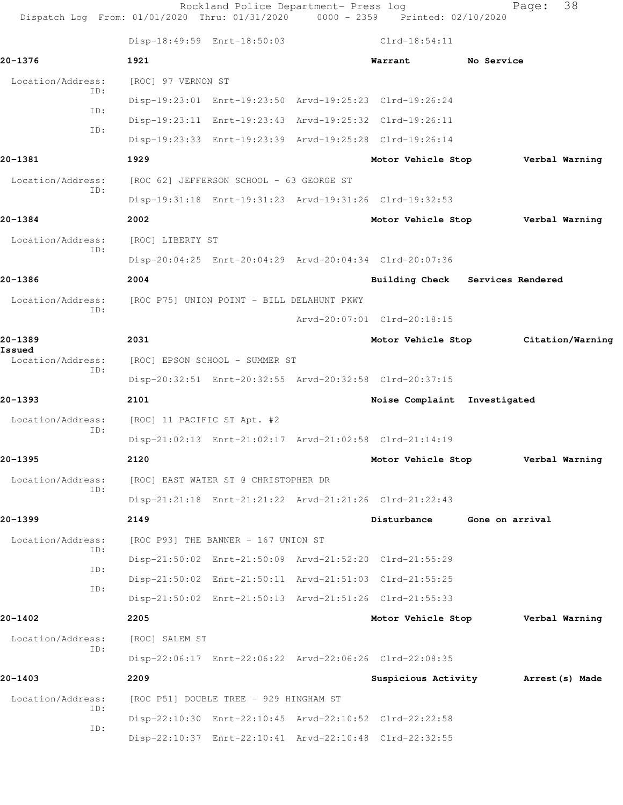| Dispatch Log From: 01/01/2020 Thru: 01/31/2020 0000 - 2359 Printed: 02/10/2020 |                                            | Rockland Police Department- Press log    |                                                         |                 | Page: 38 |                |
|--------------------------------------------------------------------------------|--------------------------------------------|------------------------------------------|---------------------------------------------------------|-----------------|----------|----------------|
|                                                                                |                                            | Disp-18:49:59 Enrt-18:50:03              | Clrd-18:54:11                                           |                 |          |                |
| $20 - 1376$                                                                    | 1921                                       |                                          | Warrant                                                 | No Service      |          |                |
| Location/Address:                                                              | [ROC] 97 VERNON ST                         |                                          |                                                         |                 |          |                |
| ID:<br>ID:                                                                     |                                            |                                          | Disp-19:23:01 Enrt-19:23:50 Arvd-19:25:23 Clrd-19:26:24 |                 |          |                |
| ID:                                                                            |                                            |                                          | Disp-19:23:11 Enrt-19:23:43 Arvd-19:25:32 Clrd-19:26:11 |                 |          |                |
|                                                                                |                                            |                                          | Disp-19:23:33 Enrt-19:23:39 Arvd-19:25:28 Clrd-19:26:14 |                 |          |                |
| 20-1381                                                                        | 1929                                       |                                          | Motor Vehicle Stop Verbal Warning                       |                 |          |                |
| Location/Address:                                                              |                                            | [ROC 62] JEFFERSON SCHOOL - 63 GEORGE ST |                                                         |                 |          |                |
| TD:                                                                            |                                            |                                          | Disp-19:31:18 Enrt-19:31:23 Arvd-19:31:26 Clrd-19:32:53 |                 |          |                |
| 20-1384                                                                        | 2002                                       |                                          | Motor Vehicle Stop Verbal Warning                       |                 |          |                |
| Location/Address:                                                              | [ROC] LIBERTY ST                           |                                          |                                                         |                 |          |                |
| TD:                                                                            |                                            |                                          | Disp-20:04:25 Enrt-20:04:29 Arvd-20:04:34 Clrd-20:07:36 |                 |          |                |
| 20-1386                                                                        | 2004                                       |                                          | Building Check Services Rendered                        |                 |          |                |
| Location/Address:                                                              | [ROC P75] UNION POINT - BILL DELAHUNT PKWY |                                          |                                                         |                 |          |                |
| TD:                                                                            |                                            |                                          | Arvd-20:07:01 Clrd-20:18:15                             |                 |          |                |
| 20-1389                                                                        | 2031                                       |                                          | Motor Vehicle Stop Citation/Warning                     |                 |          |                |
| Issued<br>Location/Address:                                                    |                                            | [ROC] EPSON SCHOOL - SUMMER ST           |                                                         |                 |          |                |
| ID:                                                                            |                                            |                                          | Disp-20:32:51 Enrt-20:32:55 Arvd-20:32:58 Clrd-20:37:15 |                 |          |                |
| $20 - 1393$                                                                    | 2101                                       |                                          | Noise Complaint Investigated                            |                 |          |                |
| Location/Address:                                                              | [ROC] 11 PACIFIC ST Apt. #2                |                                          |                                                         |                 |          |                |
| ID:                                                                            |                                            |                                          | Disp-21:02:13 Enrt-21:02:17 Arvd-21:02:58 Clrd-21:14:19 |                 |          |                |
| 20–1395                                                                        | 2120                                       |                                          | Motor Vehicle Stop                                      |                 |          | Verbal Warning |
| Location/Address:                                                              |                                            | [ROC] EAST WATER ST @ CHRISTOPHER DR     |                                                         |                 |          |                |
| ID:                                                                            |                                            |                                          | Disp-21:21:18 Enrt-21:21:22 Arvd-21:21:26 Clrd-21:22:43 |                 |          |                |
| 20-1399                                                                        | 2149                                       |                                          | Disturbance                                             | Gone on arrival |          |                |
| Location/Address:                                                              |                                            | [ROC P93] THE BANNER - 167 UNION ST      |                                                         |                 |          |                |
| ID:                                                                            |                                            |                                          | Disp-21:50:02 Enrt-21:50:09 Arvd-21:52:20 Clrd-21:55:29 |                 |          |                |
| ID:                                                                            |                                            |                                          | Disp-21:50:02 Enrt-21:50:11 Arvd-21:51:03 Clrd-21:55:25 |                 |          |                |
| ID:                                                                            |                                            |                                          | Disp-21:50:02 Enrt-21:50:13 Arvd-21:51:26 Clrd-21:55:33 |                 |          |                |
| 20-1402                                                                        | 2205                                       |                                          | Motor Vehicle Stop Verbal Warning                       |                 |          |                |
| Location/Address:                                                              | [ROC] SALEM ST                             |                                          |                                                         |                 |          |                |
| ID:                                                                            |                                            |                                          | Disp-22:06:17 Enrt-22:06:22 Arvd-22:06:26 Clrd-22:08:35 |                 |          |                |
| $20 - 1403$                                                                    | 2209                                       |                                          | Suspicious Activity Marrest (s) Made                    |                 |          |                |
| Location/Address:                                                              |                                            | [ROC P51] DOUBLE TREE - 929 HINGHAM ST   |                                                         |                 |          |                |
| ID:                                                                            |                                            |                                          | Disp-22:10:30 Enrt-22:10:45 Arvd-22:10:52 Clrd-22:22:58 |                 |          |                |
| ID:                                                                            |                                            |                                          | Disp-22:10:37 Enrt-22:10:41 Arvd-22:10:48 Clrd-22:32:55 |                 |          |                |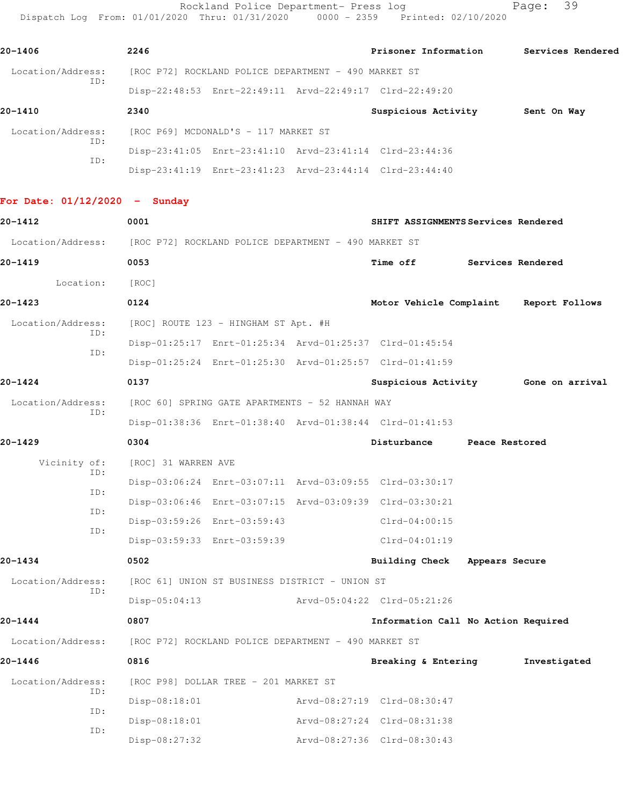Rockland Police Department- Press log entitled Page: 39 Dispatch Log From: 01/01/2020 Thru: 01/31/2020 0000 - 2359 Printed: 02/10/2020

| 20-1406                  | 2246                                                 | Prisoner Information | Services Rendered |
|--------------------------|------------------------------------------------------|----------------------|-------------------|
| Location/Address:<br>ID: | [ROC P72] ROCKLAND POLICE DEPARTMENT - 490 MARKET ST |                      |                   |

Disp-22:48:53 Enrt-22:49:11 Arvd-22:49:17 Clrd-22:49:20

| 20-1410                  | 2340 |                                      |                                                         | Suspicious Activity | Sent On Way |
|--------------------------|------|--------------------------------------|---------------------------------------------------------|---------------------|-------------|
| Location/Address:<br>ID: |      | [ROC P69] MCDONALD'S - 117 MARKET ST |                                                         |                     |             |
|                          |      |                                      | Disp-23:41:05 Enrt-23:41:10 Arvd-23:41:14 Clrd-23:44:36 |                     |             |
| ID:                      |      |                                      | Disp-23:41:19 Enrt-23:41:23 Arvd-23:44:14 Clrd-23:44:40 |                     |             |

**For Date: 01/12/2020 - Sunday**

| $20 - 1412$       |     | 0001                                                                   |                                                 | SHIFT ASSIGNMENTS Services Rendered                     |                |                                        |
|-------------------|-----|------------------------------------------------------------------------|-------------------------------------------------|---------------------------------------------------------|----------------|----------------------------------------|
|                   |     | Location/Address: [ROC P72] ROCKLAND POLICE DEPARTMENT - 490 MARKET ST |                                                 |                                                         |                |                                        |
| $20 - 1419$       |     | 0053                                                                   |                                                 | Time off                                                |                | Services Rendered                      |
| Location:         |     | [ROC]                                                                  |                                                 |                                                         |                |                                        |
| $20 - 1423$       |     | 0124                                                                   |                                                 |                                                         |                | Motor Vehicle Complaint Report Follows |
| Location/Address: |     |                                                                        | [ROC] ROUTE 123 - HINGHAM ST Apt. #H            |                                                         |                |                                        |
|                   | TD: |                                                                        |                                                 | Disp-01:25:17 Enrt-01:25:34 Arvd-01:25:37 Clrd-01:45:54 |                |                                        |
|                   | ID: |                                                                        |                                                 | Disp-01:25:24 Enrt-01:25:30 Arvd-01:25:57 Clrd-01:41:59 |                |                                        |
| $20 - 1424$       |     | 0137                                                                   |                                                 |                                                         |                | Suspicious Activity 6one on arrival    |
| Location/Address: |     |                                                                        | [ROC 60] SPRING GATE APARTMENTS - 52 HANNAH WAY |                                                         |                |                                        |
|                   | TD: |                                                                        |                                                 | Disp-01:38:36 Enrt-01:38:40 Arvd-01:38:44 Clrd-01:41:53 |                |                                        |
| $20 - 1429$       |     | 0304                                                                   |                                                 | Disturbance                                             | Peace Restored |                                        |
| Vicinity of:      |     | [ROC] 31 WARREN AVE                                                    |                                                 |                                                         |                |                                        |
|                   | TD: |                                                                        |                                                 | Disp-03:06:24 Enrt-03:07:11 Arvd-03:09:55 Clrd-03:30:17 |                |                                        |
|                   | ID: |                                                                        |                                                 | Disp-03:06:46 Enrt-03:07:15 Arvd-03:09:39 Clrd-03:30:21 |                |                                        |
|                   | TD: |                                                                        | Disp-03:59:26 Enrt-03:59:43                     | Clrd-04:00:15                                           |                |                                        |
|                   | ID: |                                                                        | Disp-03:59:33 Enrt-03:59:39                     | $Clrd-04:01:19$                                         |                |                                        |
| $20 - 1434$       |     | 0502                                                                   |                                                 | Building Check Appears Secure                           |                |                                        |
| Location/Address: |     |                                                                        | [ROC 61] UNION ST BUSINESS DISTRICT - UNION ST  |                                                         |                |                                        |
|                   | ID: | Disp-05:04:13                                                          |                                                 | Arvd-05:04:22 Clrd-05:21:26                             |                |                                        |
| $20 - 1444$       |     | 0807                                                                   |                                                 | Information Call No Action Required                     |                |                                        |
|                   |     | Location/Address: [ROC P72] ROCKLAND POLICE DEPARTMENT - 490 MARKET ST |                                                 |                                                         |                |                                        |
| $20 - 1446$       |     | 0816                                                                   |                                                 | Breaking & Entering                                     |                | Investigated                           |
| Location/Address: |     |                                                                        | [ROC P98] DOLLAR TREE - 201 MARKET ST           |                                                         |                |                                        |
|                   | ID: | $Disp-08:18:01$                                                        |                                                 | Arvd-08:27:19 Clrd-08:30:47                             |                |                                        |
|                   | ID: | $Disp-08:18:01$                                                        |                                                 | Arvd-08:27:24 Clrd-08:31:38                             |                |                                        |
|                   | ID: | $Disp-08:27:32$                                                        |                                                 | Arvd-08:27:36 Clrd-08:30:43                             |                |                                        |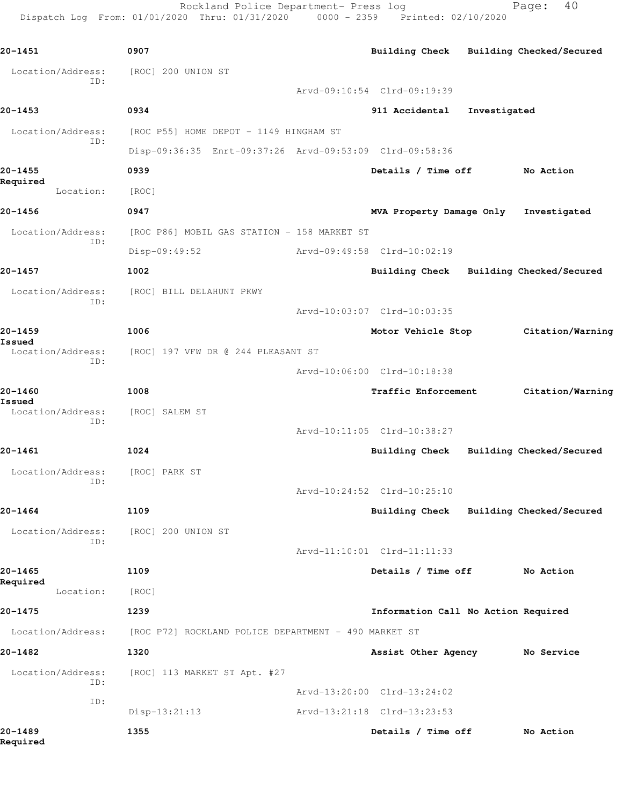Rockland Police Department- Press log Fage: 40 Dispatch Log From: 01/01/2020 Thru: 01/31/2020 0000 - 2359 Printed: 02/10/2020

**20-1451 0907 Building Check Building Checked/Secured** Location/Address: [ROC] 200 UNION ST ID: Arvd-09:10:54 Clrd-09:19:39 **20-1453 0934 911 Accidental Investigated** Location/Address: [ROC P55] HOME DEPOT - 1149 HINGHAM ST ID: Disp-09:36:35 Enrt-09:37:26 Arvd-09:53:09 Clrd-09:58:36 **20-1455 0939 Details / Time off No Action Required**  Location: [ROC] **20-1456 0947 MVA Property Damage Only Investigated** Location/Address: [ROC P86] MOBIL GAS STATION - 158 MARKET ST ID: Disp-09:49:52 Arvd-09:49:58 Clrd-10:02:19 **20-1457 1002 Building Check Building Checked/Secured** Location/Address: [ROC] BILL DELAHUNT PKWY ID: Arvd-10:03:07 Clrd-10:03:35 **20-1459 1006 Motor Vehicle Stop Citation/Warning Issued**  Location/Address: [ROC] 197 VFW DR @ 244 PLEASANT ST ID: Arvd-10:06:00 Clrd-10:18:38 **20-1460 1008 Traffic Enforcement Citation/Warning Issued**  Location/Address: [ROC] SALEM ST ID: Arvd-10:11:05 Clrd-10:38:27 **20-1461 1024 Building Check Building Checked/Secured** Location/Address: [ROC] PARK ST ID: Arvd-10:24:52 Clrd-10:25:10 **20-1464 1109 Building Check Building Checked/Secured** Location/Address: [ROC] 200 UNION ST ID: Arvd-11:10:01 Clrd-11:11:33 **20-1465 1109 Details / Time off No Action Required**  Location: [ROC] **20-1475 1239 Information Call No Action Required** Location/Address: [ROC P72] ROCKLAND POLICE DEPARTMENT - 490 MARKET ST **20-1482 1320 Assist Other Agency No Service** Location/Address: [ROC] 113 MARKET ST Apt. #27 ID: Arvd-13:20:00 Clrd-13:24:02 ID: Disp-13:21:13 Arvd-13:21:18 Clrd-13:23:53 **20-1489 1355 Details / Time off No Action**

**Required**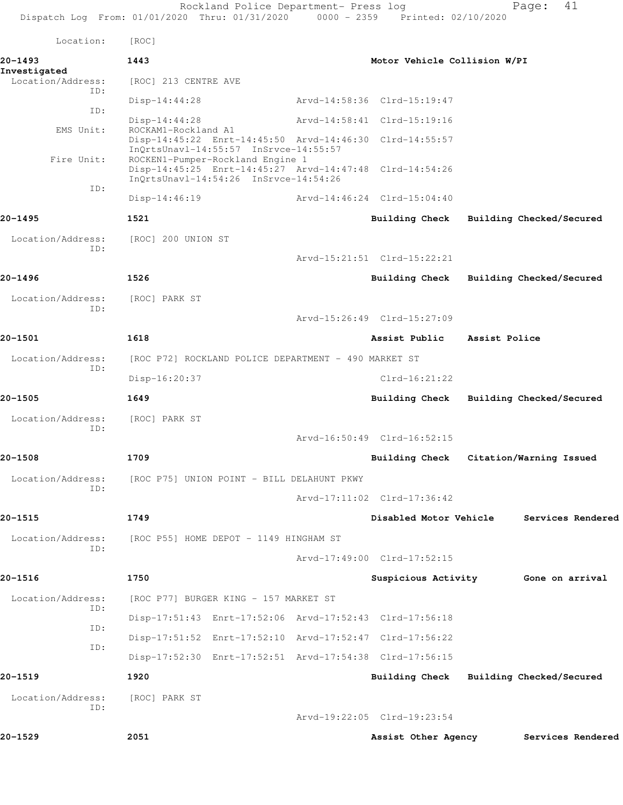|                          | Rockland Police Department- Press log<br>Dispatch Log From: 01/01/2020 Thru: 01/31/2020 0000 - 2359 Printed: 02/10/2020              |                                         |               | 41<br>Page:                             |
|--------------------------|--------------------------------------------------------------------------------------------------------------------------------------|-----------------------------------------|---------------|-----------------------------------------|
| Location:                | [ROC]                                                                                                                                |                                         |               |                                         |
| 20-1493<br>Investigated  | 1443                                                                                                                                 | Motor Vehicle Collision W/PI            |               |                                         |
| Location/Address:<br>ID: | [ROC] 213 CENTRE AVE                                                                                                                 |                                         |               |                                         |
| ID:                      | $Disp-14:44:28$                                                                                                                      | Arvd-14:58:36 Clrd-15:19:47             |               |                                         |
| EMS Unit:                | $Disp-14:44:28$<br>ROCKAM1-Rockland A1                                                                                               | Arvd-14:58:41 Clrd-15:19:16             |               |                                         |
|                          | Disp-14:45:22 Enrt-14:45:50 Arvd-14:46:30 Clrd-14:55:57<br>InQrtsUnavl-14:55:57 InSrvce-14:55:57                                     |                                         |               |                                         |
| Fire Unit:               | ROCKEN1-Pumper-Rockland Engine 1<br>Disp-14:45:25 Enrt-14:45:27 Arvd-14:47:48 Clrd-14:54:26<br>InQrtsUnavl-14:54:26 InSrvce-14:54:26 |                                         |               |                                         |
| ID:                      | Disp-14:46:19                                                                                                                        | Arvd-14:46:24 Clrd-15:04:40             |               |                                         |
| 20-1495                  | 1521                                                                                                                                 | Building Check Building Checked/Secured |               |                                         |
| Location/Address:        | [ROC] 200 UNION ST                                                                                                                   |                                         |               |                                         |
| ID:                      |                                                                                                                                      | Arvd-15:21:51 Clrd-15:22:21             |               |                                         |
| 20-1496                  | 1526                                                                                                                                 | Building Check Building Checked/Secured |               |                                         |
| Location/Address:        | [ROC] PARK ST                                                                                                                        |                                         |               |                                         |
| ID:                      |                                                                                                                                      | Arvd-15:26:49 Clrd-15:27:09             |               |                                         |
| 20-1501                  | 1618                                                                                                                                 | Assist Public                           | Assist Police |                                         |
| Location/Address:        | [ROC P72] ROCKLAND POLICE DEPARTMENT - 490 MARKET ST                                                                                 |                                         |               |                                         |
| ID:                      | Disp-16:20:37                                                                                                                        | $Clrd-16:21:22$                         |               |                                         |
| 20-1505                  | 1649                                                                                                                                 |                                         |               | Building Check Building Checked/Secured |
| Location/Address:        | [ROC] PARK ST                                                                                                                        |                                         |               |                                         |
| ID:                      |                                                                                                                                      | Arvd-16:50:49 Clrd-16:52:15             |               |                                         |
| 20-1508                  | 1709                                                                                                                                 | Building Check Citation/Warning Issued  |               |                                         |
| Location/Address:<br>ID: | [ROC P75] UNION POINT - BILL DELAHUNT PKWY                                                                                           |                                         |               |                                         |
|                          |                                                                                                                                      | Arvd-17:11:02 Clrd-17:36:42             |               |                                         |
| 20-1515                  | 1749                                                                                                                                 | Disabled Motor Vehicle                  |               | Services Rendered                       |
| Location/Address:<br>ID: | [ROC P55] HOME DEPOT - 1149 HINGHAM ST                                                                                               |                                         |               |                                         |
|                          |                                                                                                                                      | Arvd-17:49:00 Clrd-17:52:15             |               |                                         |
| 20-1516                  | 1750                                                                                                                                 |                                         |               | Suspicious Activity 6one on arrival     |
| Location/Address:<br>ID: | [ROC P77] BURGER KING - 157 MARKET ST                                                                                                |                                         |               |                                         |
| ID:                      | Disp-17:51:43 Enrt-17:52:06 Arvd-17:52:43 Clrd-17:56:18                                                                              |                                         |               |                                         |
| ID:                      | Disp-17:51:52 Enrt-17:52:10 Arvd-17:52:47 Clrd-17:56:22                                                                              |                                         |               |                                         |
|                          | Disp-17:52:30 Enrt-17:52:51 Arvd-17:54:38 Clrd-17:56:15                                                                              |                                         |               |                                         |
| 20-1519                  | 1920                                                                                                                                 |                                         |               | Building Check Building Checked/Secured |
| Location/Address:<br>ID: | [ROC] PARK ST                                                                                                                        |                                         |               |                                         |
|                          |                                                                                                                                      | Arvd-19:22:05 Clrd-19:23:54             |               |                                         |
| 20-1529                  | 2051                                                                                                                                 | Assist Other Agency                     |               | Services Rendered                       |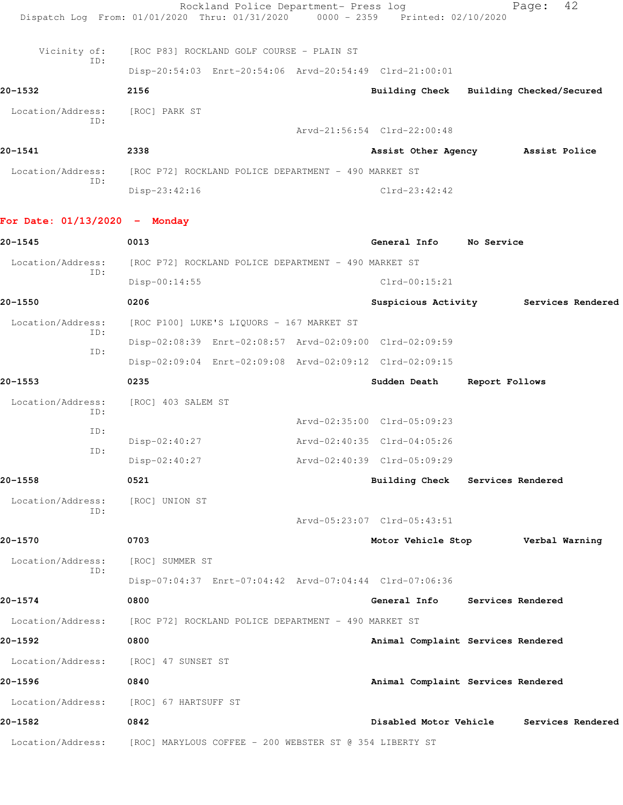Rockland Police Department- Press log Fage: 42 Dispatch Log From: 01/01/2020 Thru: 01/31/2020 0000 - 2359 Printed: 02/10/2020 Vicinity of: [ROC P83] ROCKLAND GOLF COURSE - PLAIN ST ID: Disp-20:54:03 Enrt-20:54:06 Arvd-20:54:49 Clrd-21:00:01 **20-1532 2156 Building Check Building Checked/Secured** Location/Address: [ROC] PARK ST ID: Arvd-21:56:54 Clrd-22:00:48 **20-1541 2338 Assist Other Agency Assist Police** Location/Address: [ROC P72] ROCKLAND POLICE DEPARTMENT - 490 MARKET ST ID: Disp-23:42:16 Clrd-23:42:42 **For Date: 01/13/2020 - Monday 20-1545 0013 General Info No Service** Location/Address: [ROC P72] ROCKLAND POLICE DEPARTMENT - 490 MARKET ST ID: Disp-00:14:55 Clrd-00:15:21 **20-1550 0206 Suspicious Activity Services Rendered** Location/Address: [ROC P100] LUKE'S LIQUORS - 167 MARKET ST ID: Disp-02:08:39 Enrt-02:08:57 Arvd-02:09:00 Clrd-02:09:59 ID: Disp-02:09:04 Enrt-02:09:08 Arvd-02:09:12 Clrd-02:09:15 **20-1553 0235 Sudden Death Report Follows** Location/Address: [ROC] 403 SALEM ST ID: Arvd-02:35:00 Clrd-05:09:23 ID: Disp-02:40:27 Arvd-02:40:35 Clrd-04:05:26 ID: Disp-02:40:27 Arvd-02:40:39 Clrd-05:09:29 **20-1558 0521 Building Check Services Rendered** Location/Address: [ROC] UNION ST ID: Arvd-05:23:07 Clrd-05:43:51 **20-1570 0703 Motor Vehicle Stop Verbal Warning** Location/Address: [ROC] SUMMER ST ID: Disp-07:04:37 Enrt-07:04:42 Arvd-07:04:44 Clrd-07:06:36 **20-1574 0800 General Info Services Rendered** Location/Address: [ROC P72] ROCKLAND POLICE DEPARTMENT - 490 MARKET ST **20-1592 0800 Animal Complaint Services Rendered** Location/Address: [ROC] 47 SUNSET ST **20-1596 0840 Animal Complaint Services Rendered** Location/Address: [ROC] 67 HARTSUFF ST **20-1582 0842 Disabled Motor Vehicle Services Rendered** Location/Address: [ROC] MARYLOUS COFFEE - 200 WEBSTER ST @ 354 LIBERTY ST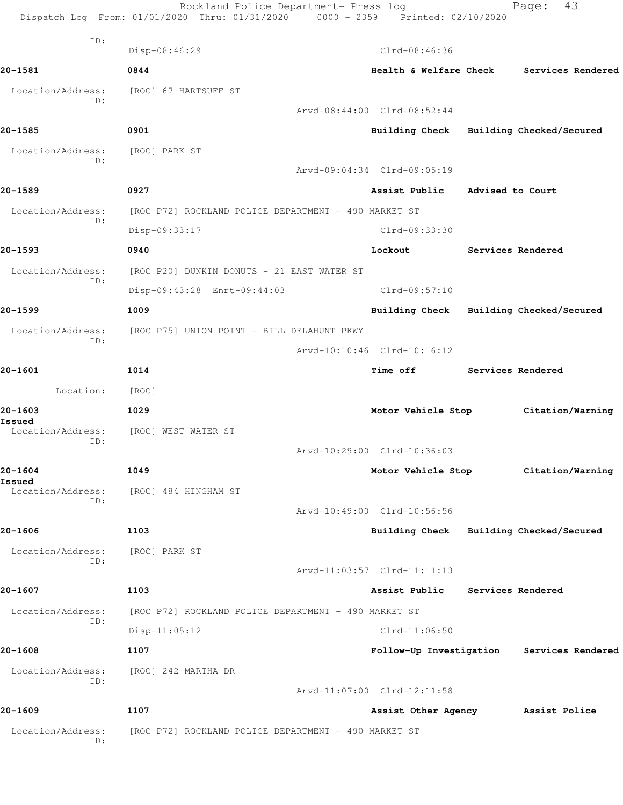|                             | Rockland Police Department- Press log<br>Dispatch Log From: 01/01/2020 Thru: 01/31/2020 0000 - 2359 Printed: 02/10/2020 |                                           | 43<br>Page:              |
|-----------------------------|-------------------------------------------------------------------------------------------------------------------------|-------------------------------------------|--------------------------|
| ID:                         | Disp-08:46:29                                                                                                           | Clrd-08:46:36                             |                          |
| 20-1581                     | 0844                                                                                                                    | Health & Welfare Check                    | Services Rendered        |
| Location/Address:           | [ROC] 67 HARTSUFF ST                                                                                                    |                                           |                          |
| ID:                         |                                                                                                                         | Arvd-08:44:00 Clrd-08:52:44               |                          |
| 20-1585                     | 0901                                                                                                                    | Building Check                            | Building Checked/Secured |
| Location/Address:           | [ROC] PARK ST                                                                                                           |                                           |                          |
| ID:                         |                                                                                                                         | Arvd-09:04:34 Clrd-09:05:19               |                          |
| 20-1589                     | 0927                                                                                                                    | Assist Public                             | Advised to Court         |
|                             |                                                                                                                         |                                           |                          |
| Location/Address:<br>ID:    | [ROC P72] ROCKLAND POLICE DEPARTMENT - 490 MARKET ST                                                                    |                                           |                          |
|                             | Disp-09:33:17                                                                                                           | Clrd-09:33:30                             |                          |
| 20-1593                     | 0940                                                                                                                    | Lockout                                   | Services Rendered        |
| Location/Address:<br>ID:    | [ROC P20] DUNKIN DONUTS - 21 EAST WATER ST                                                                              |                                           |                          |
|                             | Disp-09:43:28 Enrt-09:44:03                                                                                             | $Clrd-09:57:10$                           |                          |
| 20-1599                     | 1009                                                                                                                    | Building Check                            | Building Checked/Secured |
| Location/Address:<br>ID:    | [ROC P75] UNION POINT - BILL DELAHUNT PKWY                                                                              |                                           |                          |
|                             |                                                                                                                         | Arvd-10:10:46 Clrd-10:16:12               |                          |
| 20-1601                     | 1014                                                                                                                    | Time off                                  | Services Rendered        |
| Location:                   | [ROC]                                                                                                                   |                                           |                          |
| 20-1603<br>Issued           | 1029                                                                                                                    | Motor Vehicle Stop                        | Citation/Warning         |
| Location/Address:<br>ID:    | [ROC] WEST WATER ST                                                                                                     |                                           |                          |
|                             |                                                                                                                         | Arvd-10:29:00 Clrd-10:36:03               |                          |
| 20-1604                     | 1049                                                                                                                    | Motor Vehicle Stop Citation/Warning       |                          |
| Issued<br>Location/Address: | [ROC] 484 HINGHAM ST                                                                                                    |                                           |                          |
| ID:                         |                                                                                                                         | Arvd-10:49:00 Clrd-10:56:56               |                          |
| 20-1606                     | 1103                                                                                                                    | Building Check                            | Building Checked/Secured |
| Location/Address:           | [ROC] PARK ST                                                                                                           |                                           |                          |
| ID:                         |                                                                                                                         | Arvd-11:03:57 Clrd-11:11:13               |                          |
| 20-1607                     | 1103                                                                                                                    | Assist Public                             | Services Rendered        |
| Location/Address:           | [ROC P72] ROCKLAND POLICE DEPARTMENT - 490 MARKET ST                                                                    |                                           |                          |
| ID:                         | $Disp-11:05:12$                                                                                                         | $Clrd-11:06:50$                           |                          |
| 20-1608                     | 1107                                                                                                                    | Follow-Up Investigation Services Rendered |                          |
| Location/Address:           | [ROC] 242 MARTHA DR                                                                                                     |                                           |                          |
| ID:                         |                                                                                                                         | Arvd-11:07:00 Clrd-12:11:58               |                          |
| 20-1609                     | 1107                                                                                                                    | Assist Other Agency Massist Police        |                          |
| Location/Address:           | [ROC P72] ROCKLAND POLICE DEPARTMENT - 490 MARKET ST                                                                    |                                           |                          |
| ID:                         |                                                                                                                         |                                           |                          |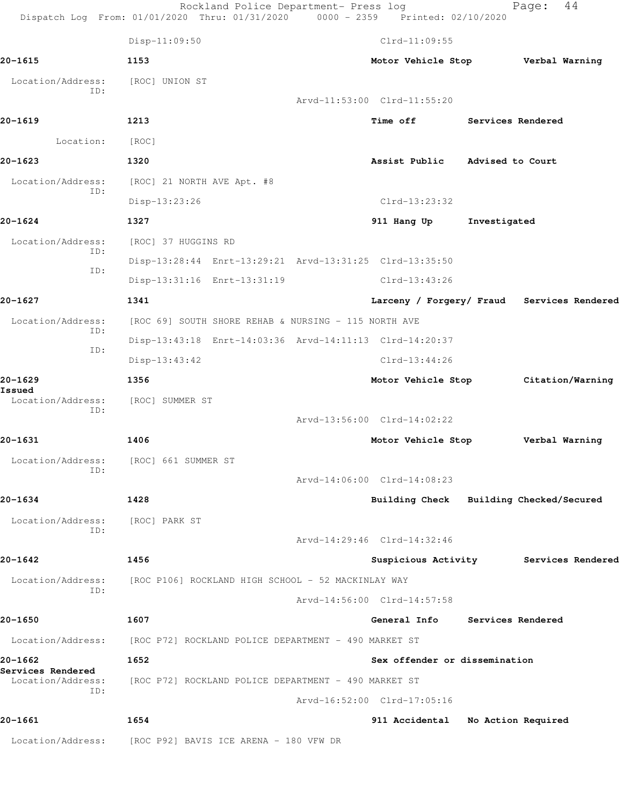|                                        | Rockland Police Department- Press log<br>Dispatch Log From: 01/01/2020 Thru: 01/31/2020 0000 - 2359 Printed: 02/10/2020 |                                            |                          | 44<br>Page: |  |
|----------------------------------------|-------------------------------------------------------------------------------------------------------------------------|--------------------------------------------|--------------------------|-------------|--|
|                                        | $Disp-11:09:50$                                                                                                         | $Clrd-11:09:55$                            |                          |             |  |
| 20-1615                                | 1153                                                                                                                    | Motor Vehicle Stop Verbal Warning          |                          |             |  |
| Location/Address:                      | [ROC] UNION ST                                                                                                          |                                            |                          |             |  |
| ID:                                    |                                                                                                                         | Arvd-11:53:00 Clrd-11:55:20                |                          |             |  |
| 20-1619                                | 1213                                                                                                                    | Time off                                   | Services Rendered        |             |  |
| Location:                              | [ROC]                                                                                                                   |                                            |                          |             |  |
| 20-1623                                | 1320                                                                                                                    | Assist Public Advised to Court             |                          |             |  |
| Location/Address:                      | [ROC] 21 NORTH AVE Apt. #8                                                                                              |                                            |                          |             |  |
| ID:                                    | Disp-13:23:26                                                                                                           | Clrd-13:23:32                              |                          |             |  |
| 20-1624                                | 1327                                                                                                                    | 911 Hang Up                                | Investigated             |             |  |
| Location/Address:                      | [ROC] 37 HUGGINS RD                                                                                                     |                                            |                          |             |  |
| ID:                                    | Disp-13:28:44 Enrt-13:29:21 Arvd-13:31:25 Clrd-13:35:50                                                                 |                                            |                          |             |  |
| ID:                                    | Disp-13:31:16 Enrt-13:31:19                                                                                             | Clrd-13:43:26                              |                          |             |  |
| 20-1627                                | 1341                                                                                                                    | Larceny / Forgery/ Fraud Services Rendered |                          |             |  |
| Location/Address:                      | [ROC 69] SOUTH SHORE REHAB & NURSING - 115 NORTH AVE                                                                    |                                            |                          |             |  |
| ID:                                    | Disp-13:43:18 Enrt-14:03:36 Arvd-14:11:13 Clrd-14:20:37                                                                 |                                            |                          |             |  |
| ID:                                    | Disp-13:43:42                                                                                                           | $Clrd-13:44:26$                            |                          |             |  |
| 20-1629                                | 1356                                                                                                                    | Motor Vehicle Stop Citation/Warning        |                          |             |  |
| Issued<br>Location/Address:            | [ROC] SUMMER ST                                                                                                         |                                            |                          |             |  |
| ID:                                    |                                                                                                                         | Arvd-13:56:00 Clrd-14:02:22                |                          |             |  |
| 20-1631                                | 1406                                                                                                                    | Motor Vehicle Stop Verbal Warning          |                          |             |  |
| Location/Address:                      | [ROC] 661 SUMMER ST                                                                                                     |                                            |                          |             |  |
| ID:                                    |                                                                                                                         | Arvd-14:06:00 Clrd-14:08:23                |                          |             |  |
| 20-1634                                | 1428                                                                                                                    | Building Check Building Checked/Secured    |                          |             |  |
| Location/Address:                      | [ROC] PARK ST                                                                                                           |                                            |                          |             |  |
| ID:                                    |                                                                                                                         | Arvd-14:29:46 Clrd-14:32:46                |                          |             |  |
| 20-1642                                | 1456                                                                                                                    | Suspicious Activity Services Rendered      |                          |             |  |
| Location/Address:                      | [ROC P106] ROCKLAND HIGH SCHOOL - 52 MACKINLAY WAY                                                                      |                                            |                          |             |  |
| ID:                                    |                                                                                                                         | Arvd-14:56:00 Clrd-14:57:58                |                          |             |  |
| 20-1650                                | 1607                                                                                                                    | General Info                               | <b>Services Rendered</b> |             |  |
| Location/Address:                      | [ROC P72] ROCKLAND POLICE DEPARTMENT - 490 MARKET ST                                                                    |                                            |                          |             |  |
| 20-1662                                | 1652                                                                                                                    | Sex offender or dissemination              |                          |             |  |
| Services Rendered<br>Location/Address: | [ROC P72] ROCKLAND POLICE DEPARTMENT - 490 MARKET ST                                                                    |                                            |                          |             |  |
| ID:                                    |                                                                                                                         | Arvd-16:52:00 Clrd-17:05:16                |                          |             |  |
| 20-1661                                | 1654                                                                                                                    | 911 Accidental                             | No Action Required       |             |  |
| Location/Address:                      | [ROC P92] BAVIS ICE ARENA - 180 VFW DR                                                                                  |                                            |                          |             |  |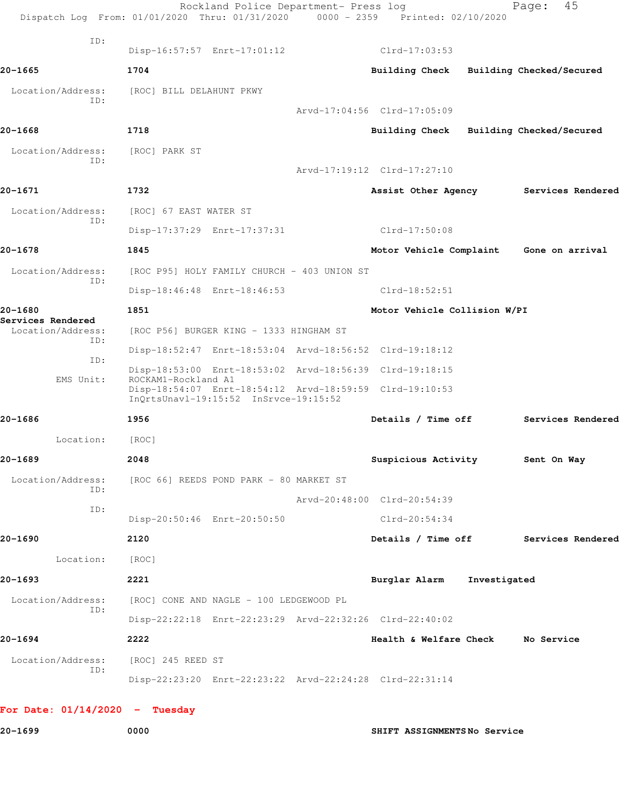| ID:                                    | Disp-16:57:57 Enrt-17:01:12                                                                                             | $Clrd-17:03:53$                   |                          |
|----------------------------------------|-------------------------------------------------------------------------------------------------------------------------|-----------------------------------|--------------------------|
| 20-1665                                | 1704                                                                                                                    | <b>Building Check</b>             | Building Checked/Secured |
| Location/Address:                      | [ROC] BILL DELAHUNT PKWY                                                                                                |                                   |                          |
| TD:                                    |                                                                                                                         | Arvd-17:04:56 Clrd-17:05:09       |                          |
| 20-1668                                | 1718                                                                                                                    | Building Check                    | Building Checked/Secured |
| Location/Address:                      | [ROC] PARK ST                                                                                                           |                                   |                          |
| ID:                                    |                                                                                                                         | Arvd-17:19:12 Clrd-17:27:10       |                          |
| 20-1671                                | 1732                                                                                                                    | Assist Other Agency               | Services Rendered        |
| Location/Address:                      | [ROC] 67 EAST WATER ST                                                                                                  |                                   |                          |
| ID:                                    | Disp-17:37:29 Enrt-17:37:31                                                                                             | Clrd-17:50:08                     |                          |
| 20-1678                                | 1845                                                                                                                    | Motor Vehicle Complaint           | Gone on arrival          |
| Location/Address:                      | [ROC P95] HOLY FAMILY CHURCH - 403 UNION ST                                                                             |                                   |                          |
| ID:                                    | Disp-18:46:48 Enrt-18:46:53                                                                                             | $Clrd-18:52:51$                   |                          |
| 20-1680                                | 1851                                                                                                                    | Motor Vehicle Collision W/PI      |                          |
| Services Rendered<br>Location/Address: | [ROC P56] BURGER KING - 1333 HINGHAM ST                                                                                 |                                   |                          |
| ID:                                    | Disp-18:52:47 Enrt-18:53:04 Arvd-18:56:52 Clrd-19:18:12                                                                 |                                   |                          |
| ID:                                    | Disp-18:53:00 Enrt-18:53:02 Arvd-18:56:39 Clrd-19:18:15                                                                 |                                   |                          |
| EMS Unit:                              | ROCKAM1-Rockland A1<br>Disp-18:54:07 Enrt-18:54:12 Arvd-18:59:59 Clrd-19:10:53<br>InQrtsUnavl-19:15:52 InSrvce-19:15:52 |                                   |                          |
| 20-1686                                | 1956                                                                                                                    | Details / Time off                | Services Rendered        |
| Location:                              | [ROC]                                                                                                                   |                                   |                          |
| 20-1689                                | 2048                                                                                                                    | Suspicious Activity               | Sent On Way              |
| Location/Address:                      | [ROC 66] REEDS POND PARK - 80 MARKET ST                                                                                 |                                   |                          |
| ID:                                    |                                                                                                                         | Arvd-20:48:00 Clrd-20:54:39       |                          |
| ID:                                    | Disp-20:50:46 Enrt-20:50:50                                                                                             | Clrd-20:54:34                     |                          |
| 20-1690                                | 2120                                                                                                                    | Details / Time off                | Services Rendered        |
| Location:                              | [ ROC ]                                                                                                                 |                                   |                          |
| 20-1693                                | 2221                                                                                                                    | Burglar Alarm Investigated        |                          |
| Location/Address:                      | [ROC] CONE AND NAGLE - 100 LEDGEWOOD PL                                                                                 |                                   |                          |
| ID:                                    | Disp-22:22:18 Enrt-22:23:29 Arvd-22:32:26 Clrd-22:40:02                                                                 |                                   |                          |
| 20-1694                                | 2222                                                                                                                    | Health & Welfare Check No Service |                          |
| Location/Address:                      | [ROC] 245 REED ST                                                                                                       |                                   |                          |
| ID:                                    | Disp-22:23:20 Enrt-22:23:22 Arvd-22:24:28 Clrd-22:31:14                                                                 |                                   |                          |

**20-1699 0000 SHIFT ASSIGNMENTS No Service**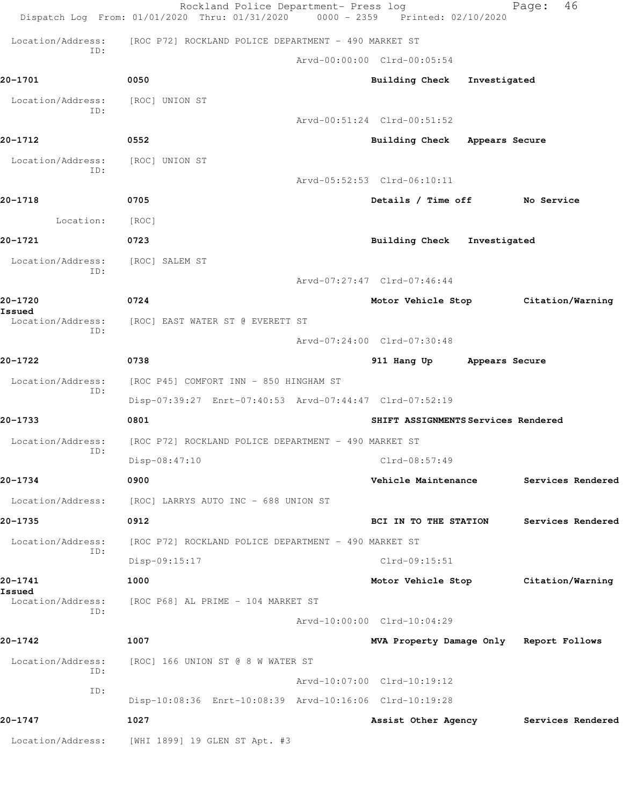|                          | Rockland Police Department- Press log<br>Dispatch Log From: 01/01/2020 Thru: 01/31/2020 | 0000 - 2359 Printed: 02/10/2020         |              | 46<br>Page:       |
|--------------------------|-----------------------------------------------------------------------------------------|-----------------------------------------|--------------|-------------------|
| Location/Address:        | [ROC P72] ROCKLAND POLICE DEPARTMENT - 490 MARKET ST                                    |                                         |              |                   |
| ID:                      |                                                                                         | Arvd-00:00:00 Clrd-00:05:54             |              |                   |
| 20-1701                  | 0050                                                                                    | <b>Building Check</b>                   | Investigated |                   |
| Location/Address:        | [ROC] UNION ST                                                                          |                                         |              |                   |
| ID:                      |                                                                                         | Arvd-00:51:24 Clrd-00:51:52             |              |                   |
| 20-1712                  | 0552                                                                                    | Building Check Appears Secure           |              |                   |
| Location/Address:        | [ROC] UNION ST                                                                          |                                         |              |                   |
| ID:                      |                                                                                         | Arvd-05:52:53 Clrd-06:10:11             |              |                   |
| 20-1718                  | 0705                                                                                    | Details / Time off No Service           |              |                   |
| Location:                | [ROC]                                                                                   |                                         |              |                   |
| 20-1721                  | 0723                                                                                    | Building Check Investigated             |              |                   |
| Location/Address:        | [ROC] SALEM ST                                                                          |                                         |              |                   |
| ID:                      |                                                                                         | Arvd-07:27:47 Clrd-07:46:44             |              |                   |
| 20-1720<br>Issued        | 0724                                                                                    | Motor Vehicle Stop                      |              | Citation/Warning  |
| Location/Address:<br>ID: | [ROC] EAST WATER ST @ EVERETT ST                                                        |                                         |              |                   |
|                          |                                                                                         | Arvd-07:24:00 Clrd-07:30:48             |              |                   |
| 20-1722                  | 0738                                                                                    | 911 Hang Up Appears Secure              |              |                   |
| Location/Address:<br>ID: | [ROC P45] COMFORT INN - 850 HINGHAM ST                                                  |                                         |              |                   |
|                          | Disp-07:39:27 Enrt-07:40:53 Arvd-07:44:47 Clrd-07:52:19                                 |                                         |              |                   |
| 20-1733                  | 0801                                                                                    | SHIFT ASSIGNMENTS Services Rendered     |              |                   |
| Location/Address:<br>ID: | [ROC P72] ROCKLAND POLICE DEPARTMENT - 490 MARKET ST                                    |                                         |              |                   |
|                          | Disp-08:47:10                                                                           | Clrd-08:57:49                           |              |                   |
| 20-1734                  | 0900                                                                                    | Vehicle Maintenance                     |              | Services Rendered |
| Location/Address:        | [ROC] LARRYS AUTO INC - 688 UNION ST                                                    |                                         |              |                   |
| 20-1735                  | 0912                                                                                    | BCI IN TO THE STATION                   |              | Services Rendered |
| Location/Address:<br>ID: | [ROC P72] ROCKLAND POLICE DEPARTMENT - 490 MARKET ST                                    |                                         |              |                   |
|                          | Disp-09:15:17                                                                           | $Clrd-09:15:51$                         |              |                   |
| 20-1741<br>Issued        | 1000                                                                                    | Motor Vehicle Stop                      |              | Citation/Warning  |
| Location/Address:<br>ID: | [ROC P68] AL PRIME - 104 MARKET ST                                                      |                                         |              |                   |
|                          |                                                                                         | Arvd-10:00:00 Clrd-10:04:29             |              |                   |
| 20-1742                  | 1007                                                                                    | MVA Property Damage Only Report Follows |              |                   |
| Location/Address:<br>ID: | [ROC] 166 UNION ST @ 8 W WATER ST                                                       |                                         |              |                   |
| ID:                      |                                                                                         | Arvd-10:07:00 Clrd-10:19:12             |              |                   |
|                          | Disp-10:08:36 Enrt-10:08:39 Arvd-10:16:06 Clrd-10:19:28                                 |                                         |              |                   |
| 20-1747                  | 1027                                                                                    | Assist Other Agency                     |              | Services Rendered |
| Location/Address:        | [WHI 1899] 19 GLEN ST Apt. #3                                                           |                                         |              |                   |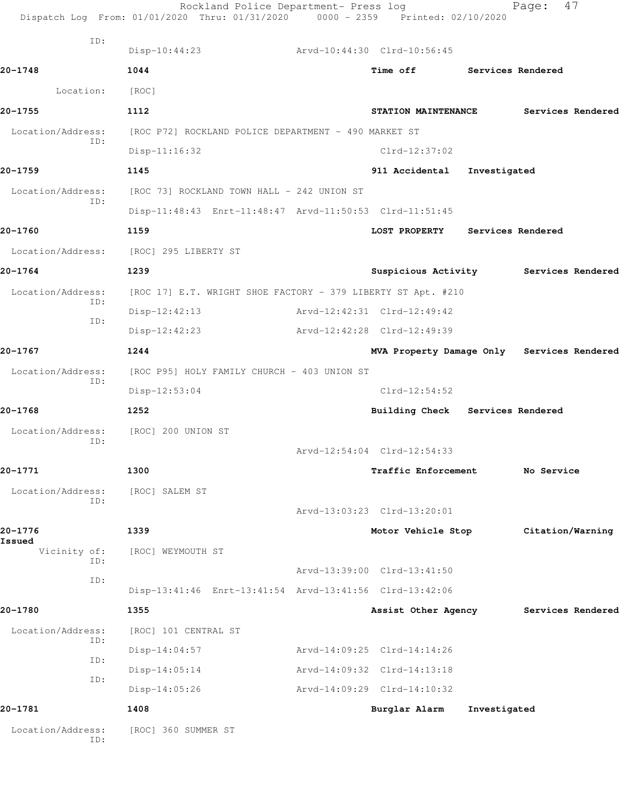|                          | Dispatch Log From: 01/01/2020 Thru: 01/31/2020 0000 - 2359 Printed: 02/10/2020 | Rockland Police Department- Press log |                                            |                   | Page:            | 47                |
|--------------------------|--------------------------------------------------------------------------------|---------------------------------------|--------------------------------------------|-------------------|------------------|-------------------|
| ID:                      | Disp-10:44:23                                                                  |                                       | Arvd-10:44:30 Clrd-10:56:45                |                   |                  |                   |
| 20-1748                  | 1044                                                                           |                                       | Time off Services Rendered                 |                   |                  |                   |
| Location:                | [ROC]                                                                          |                                       |                                            |                   |                  |                   |
| 20-1755                  | 1112                                                                           |                                       | STATION MAINTENANCE                        |                   |                  | Services Rendered |
| Location/Address:        | [ROC P72] ROCKLAND POLICE DEPARTMENT - 490 MARKET ST                           |                                       |                                            |                   |                  |                   |
| ID:                      | $Disp-11:16:32$                                                                |                                       | Clrd-12:37:02                              |                   |                  |                   |
| 20-1759                  | 1145                                                                           |                                       | 911 Accidental Investigated                |                   |                  |                   |
| Location/Address:        | [ROC 73] ROCKLAND TOWN HALL - 242 UNION ST                                     |                                       |                                            |                   |                  |                   |
| ID:                      | Disp-11:48:43 Enrt-11:48:47 Arvd-11:50:53 Clrd-11:51:45                        |                                       |                                            |                   |                  |                   |
| 20-1760                  | 1159                                                                           |                                       | <b>LOST PROPERTY</b>                       | Services Rendered |                  |                   |
| Location/Address:        | [ROC] 295 LIBERTY ST                                                           |                                       |                                            |                   |                  |                   |
| 20-1764                  | 1239                                                                           |                                       | Suspicious Activity Services Rendered      |                   |                  |                   |
| Location/Address:        | [ROC 17] E.T. WRIGHT SHOE FACTORY - 379 LIBERTY ST Apt. #210                   |                                       |                                            |                   |                  |                   |
| ID:                      | $Disp-12:42:13$                                                                |                                       | Arvd-12:42:31 Clrd-12:49:42                |                   |                  |                   |
| ID:                      | $Disp-12:42:23$                                                                |                                       | Arvd-12:42:28 Clrd-12:49:39                |                   |                  |                   |
| 20-1767                  | 1244                                                                           |                                       | MVA Property Damage Only Services Rendered |                   |                  |                   |
| Location/Address:        | [ROC P95] HOLY FAMILY CHURCH - 403 UNION ST                                    |                                       |                                            |                   |                  |                   |
| ID:                      | Disp-12:53:04                                                                  |                                       | $Clrd-12:54:52$                            |                   |                  |                   |
| 20-1768                  | 1252                                                                           |                                       | Building Check Services Rendered           |                   |                  |                   |
| Location/Address:        | [ROC] 200 UNION ST                                                             |                                       |                                            |                   |                  |                   |
| ID:                      |                                                                                |                                       | Arvd-12:54:04 Clrd-12:54:33                |                   |                  |                   |
| 20-1771                  | 1300                                                                           |                                       | Traffic Enforcement                        |                   | No Service       |                   |
| Location/Address:        | [ROC] SALEM ST                                                                 |                                       |                                            |                   |                  |                   |
| ID:                      |                                                                                |                                       | Arvd-13:03:23 Clrd-13:20:01                |                   |                  |                   |
| 20-1776                  | 1339                                                                           |                                       | Motor Vehicle Stop                         |                   | Citation/Warning |                   |
| Issued<br>Vicinity of:   | [ROC] WEYMOUTH ST                                                              |                                       |                                            |                   |                  |                   |
| ID:                      |                                                                                |                                       | Arvd-13:39:00 Clrd-13:41:50                |                   |                  |                   |
| ID:                      | Disp-13:41:46 Enrt-13:41:54 Arvd-13:41:56 Clrd-13:42:06                        |                                       |                                            |                   |                  |                   |
| 20-1780                  | 1355                                                                           |                                       | Assist Other Agency                        |                   |                  | Services Rendered |
| Location/Address:        | [ROC] 101 CENTRAL ST                                                           |                                       |                                            |                   |                  |                   |
| ID:                      | $Disp-14:04:57$                                                                |                                       | Arvd-14:09:25 Clrd-14:14:26                |                   |                  |                   |
| ID:                      | Disp-14:05:14                                                                  |                                       | Arvd-14:09:32 Clrd-14:13:18                |                   |                  |                   |
| ID:                      | $Disp-14:05:26$                                                                |                                       | Arvd-14:09:29 Clrd-14:10:32                |                   |                  |                   |
| 20-1781                  | 1408                                                                           |                                       | Burglar Alarm                              | Investigated      |                  |                   |
| Location/Address:<br>ID: | [ROC] 360 SUMMER ST                                                            |                                       |                                            |                   |                  |                   |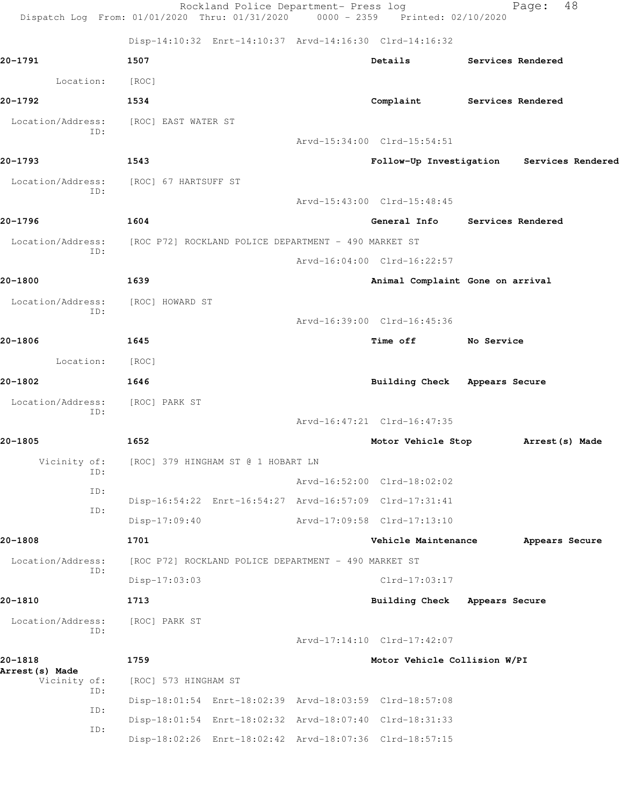|                            | Rockland Police Department- Press log<br>Dispatch Log From: 01/01/2020 Thru: 01/31/2020 0000 - 2359 Printed: 02/10/2020 |                                    |                | 48<br>Page:                               |
|----------------------------|-------------------------------------------------------------------------------------------------------------------------|------------------------------------|----------------|-------------------------------------------|
|                            | Disp-14:10:32 Enrt-14:10:37 Arvd-14:16:30 Clrd-14:16:32                                                                 |                                    |                |                                           |
| 20-1791                    | 1507                                                                                                                    | Details                            |                | Services Rendered                         |
| Location:                  | [ROC]                                                                                                                   |                                    |                |                                           |
| 20-1792                    | 1534                                                                                                                    | Complaint Services Rendered        |                |                                           |
| Location/Address:<br>ID:   | [ROC] EAST WATER ST                                                                                                     |                                    |                |                                           |
|                            |                                                                                                                         | Arvd-15:34:00 Clrd-15:54:51        |                |                                           |
| 20-1793                    | 1543                                                                                                                    |                                    |                | Follow-Up Investigation Services Rendered |
| Location/Address:<br>ID:   | [ROC] 67 HARTSUFF ST                                                                                                    |                                    |                |                                           |
|                            |                                                                                                                         | Arvd-15:43:00 Clrd-15:48:45        |                |                                           |
| 20-1796                    | 1604                                                                                                                    | General Info Services Rendered     |                |                                           |
| Location/Address:<br>ID:   | [ROC P72] ROCKLAND POLICE DEPARTMENT - 490 MARKET ST                                                                    |                                    |                |                                           |
|                            |                                                                                                                         | Arvd-16:04:00 Clrd-16:22:57        |                |                                           |
| 20-1800                    | 1639                                                                                                                    | Animal Complaint Gone on arrival   |                |                                           |
| Location/Address:<br>ID:   | [ROC] HOWARD ST                                                                                                         |                                    |                |                                           |
|                            |                                                                                                                         | Arvd-16:39:00 Clrd-16:45:36        |                |                                           |
| 20-1806                    | 1645                                                                                                                    | <b>Time off</b>                    | No Service     |                                           |
| Location:                  | [ROC]                                                                                                                   |                                    |                |                                           |
| 20-1802                    | 1646                                                                                                                    | Building Check Appears Secure      |                |                                           |
| Location/Address:<br>ID:   | [ROC] PARK ST                                                                                                           |                                    |                |                                           |
|                            |                                                                                                                         | Arvd-16:47:21 Clrd-16:47:35        |                |                                           |
| 20-1805                    | 1652                                                                                                                    | Motor Vehicle Stop Arrest (s) Made |                |                                           |
| Vicinity of:<br>ID:        | [ROC] 379 HINGHAM ST @ 1 HOBART LN                                                                                      |                                    |                |                                           |
| ID:                        |                                                                                                                         | Arvd-16:52:00 Clrd-18:02:02        |                |                                           |
| ID:                        | Disp-16:54:22 Enrt-16:54:27 Arvd-16:57:09 Clrd-17:31:41                                                                 |                                    |                |                                           |
|                            | $Disp-17:09:40$                                                                                                         | Arvd-17:09:58 Clrd-17:13:10        |                |                                           |
| 20-1808                    | 1701                                                                                                                    | Vehicle Maintenance                |                | Appears Secure                            |
| Location/Address:<br>ID:   | [ROC P72] ROCKLAND POLICE DEPARTMENT - 490 MARKET ST                                                                    |                                    |                |                                           |
|                            | $Disp-17:03:03$                                                                                                         | $Clrd-17:03:17$                    |                |                                           |
| 20-1810                    | 1713                                                                                                                    | <b>Building Check</b>              | Appears Secure |                                           |
| Location/Address:<br>ID:   | [ROC] PARK ST                                                                                                           |                                    |                |                                           |
|                            |                                                                                                                         | Arvd-17:14:10 Clrd-17:42:07        |                |                                           |
| 20-1818<br>Arrest (s) Made | 1759                                                                                                                    | Motor Vehicle Collision W/PI       |                |                                           |
| Vicinity of:<br>ID:        | [ROC] 573 HINGHAM ST                                                                                                    |                                    |                |                                           |
| ID:                        | Disp-18:01:54 Enrt-18:02:39 Arvd-18:03:59 Clrd-18:57:08                                                                 |                                    |                |                                           |
| ID:                        | Disp-18:01:54 Enrt-18:02:32 Arvd-18:07:40 Clrd-18:31:33                                                                 |                                    |                |                                           |
|                            | Disp-18:02:26 Enrt-18:02:42 Arvd-18:07:36 Clrd-18:57:15                                                                 |                                    |                |                                           |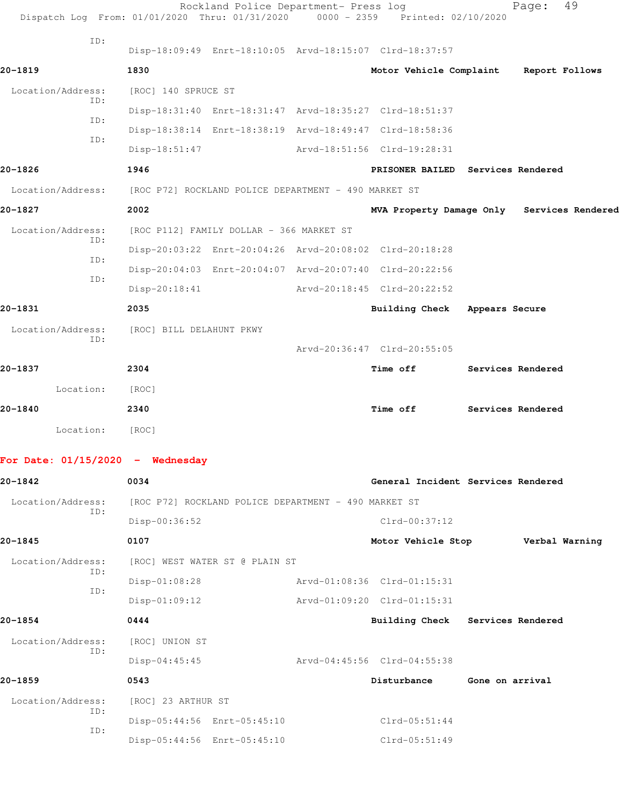|                                    | Rockland Police Department- Press log<br>Dispatch Log From: 01/01/2020 Thru: 01/31/2020 | 0000 - 2359 Printed: 02/10/2020        |                 | 49<br>Page:                                |
|------------------------------------|-----------------------------------------------------------------------------------------|----------------------------------------|-----------------|--------------------------------------------|
| ID:                                | Disp-18:09:49 Enrt-18:10:05 Arvd-18:15:07 Clrd-18:37:57                                 |                                        |                 |                                            |
| 20-1819                            | 1830                                                                                    | Motor Vehicle Complaint Report Follows |                 |                                            |
| Location/Address:                  | [ROC] 140 SPRUCE ST                                                                     |                                        |                 |                                            |
| ID:                                | Disp-18:31:40 Enrt-18:31:47 Arvd-18:35:27 Clrd-18:51:37                                 |                                        |                 |                                            |
| ID:                                | Disp-18:38:14 Enrt-18:38:19 Arvd-18:49:47 Clrd-18:58:36                                 |                                        |                 |                                            |
| TD:                                | $Disp-18:51:47$                                                                         | Arvd-18:51:56 Clrd-19:28:31            |                 |                                            |
| 20-1826                            | 1946                                                                                    | PRISONER BAILED Services Rendered      |                 |                                            |
| Location/Address:                  | [ROC P72] ROCKLAND POLICE DEPARTMENT - 490 MARKET ST                                    |                                        |                 |                                            |
| 20-1827                            | 2002                                                                                    |                                        |                 | MVA Property Damage Only Services Rendered |
| Location/Address:                  | [ROC P112] FAMILY DOLLAR - 366 MARKET ST                                                |                                        |                 |                                            |
| ID:                                | Disp-20:03:22 Enrt-20:04:26 Arvd-20:08:02 Clrd-20:18:28                                 |                                        |                 |                                            |
| ID:                                | Disp-20:04:03 Enrt-20:04:07 Arvd-20:07:40 Clrd-20:22:56                                 |                                        |                 |                                            |
| ID:                                | $Disp-20:18:41$                                                                         | Arvd-20:18:45 Clrd-20:22:52            |                 |                                            |
| 20-1831                            | 2035                                                                                    | <b>Building Check</b>                  | Appears Secure  |                                            |
| Location/Address:                  | [ROC] BILL DELAHUNT PKWY                                                                |                                        |                 |                                            |
| ID:                                |                                                                                         | Arvd-20:36:47 Clrd-20:55:05            |                 |                                            |
| 20-1837                            | 2304                                                                                    | <b>Time off</b>                        |                 | Services Rendered                          |
| Location:                          | [ROC]                                                                                   |                                        |                 |                                            |
| 20-1840                            | 2340                                                                                    | Time off                               |                 | Services Rendered                          |
| Location:                          | [ROC]                                                                                   |                                        |                 |                                            |
| For Date: $01/15/2020 -$ Wednesday |                                                                                         |                                        |                 |                                            |
| 20-1842                            | 0034                                                                                    | General Incident Services Rendered     |                 |                                            |
| Location/Address:                  | [ROC P72] ROCKLAND POLICE DEPARTMENT - 490 MARKET ST                                    |                                        |                 |                                            |
| ID:                                | Disp-00:36:52                                                                           | $Clrd-00:37:12$                        |                 |                                            |
| 20-1845                            | 0107                                                                                    | Motor Vehicle Stop                     |                 | Verbal Warning                             |
| Location/Address:                  | [ROC] WEST WATER ST @ PLAIN ST                                                          |                                        |                 |                                            |
| ID:                                | $Disp-01:08:28$                                                                         | Arvd-01:08:36 Clrd-01:15:31            |                 |                                            |
| ID:                                | $Disp-01:09:12$                                                                         | Arvd-01:09:20 Clrd-01:15:31            |                 |                                            |
| 20-1854                            | 0444                                                                                    | Building Check Services Rendered       |                 |                                            |
| Location/Address:                  | [ROC] UNION ST                                                                          |                                        |                 |                                            |
| ID:                                | $Disp-04:45:45$                                                                         | Arvd-04:45:56 Clrd-04:55:38            |                 |                                            |
| 20-1859                            | 0543                                                                                    | Disturbance                            | Gone on arrival |                                            |
| Location/Address:                  | [ROC] 23 ARTHUR ST                                                                      |                                        |                 |                                            |
| ID:                                | Disp-05:44:56 Enrt-05:45:10                                                             | $Clrd-05:51:44$                        |                 |                                            |
| ID:                                | Disp-05:44:56 Enrt-05:45:10                                                             | $Clrd-05:51:49$                        |                 |                                            |
|                                    |                                                                                         |                                        |                 |                                            |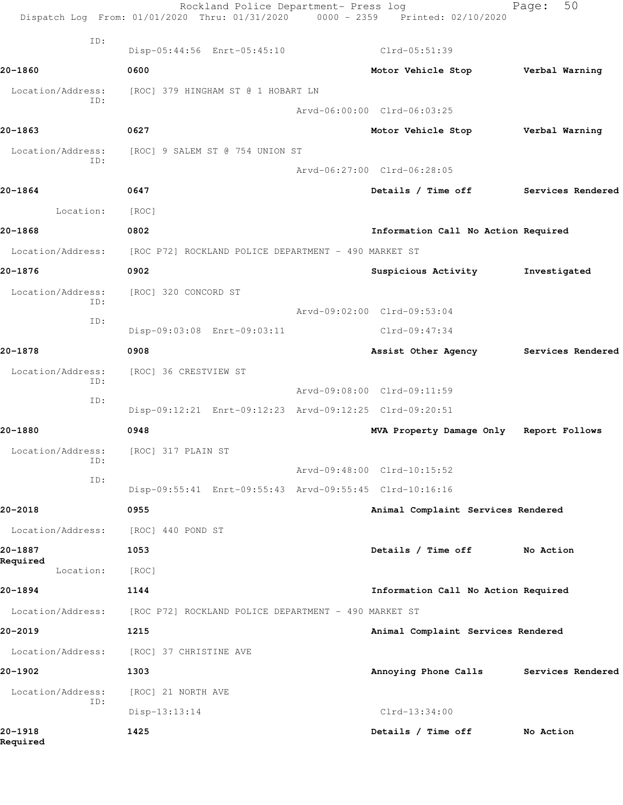|                          | Rockland Police Department- Press log<br>Dispatch Log From: 01/01/2020 Thru: 01/31/2020 0000 - 2359 Printed: 02/10/2020 |                                     | 50<br>Page:       |
|--------------------------|-------------------------------------------------------------------------------------------------------------------------|-------------------------------------|-------------------|
| ID:                      | Disp-05:44:56 Enrt-05:45:10                                                                                             | Clrd-05:51:39                       |                   |
| 20-1860                  | 0600                                                                                                                    | Motor Vehicle Stop                  | Verbal Warning    |
| Location/Address:        | [ROC] 379 HINGHAM ST @ 1 HOBART LN                                                                                      |                                     |                   |
| ID:                      |                                                                                                                         | Arvd-06:00:00 Clrd-06:03:25         |                   |
| 20-1863                  | 0627                                                                                                                    | Motor Vehicle Stop Verbal Warning   |                   |
| Location/Address:        | [ROC] 9 SALEM ST @ 754 UNION ST                                                                                         |                                     |                   |
| ID:                      |                                                                                                                         | Arvd-06:27:00 Clrd-06:28:05         |                   |
| 20-1864                  | 0647                                                                                                                    | Details / Time off                  | Services Rendered |
| Location:                | [ROC]                                                                                                                   |                                     |                   |
| 20-1868                  | 0802                                                                                                                    | Information Call No Action Required |                   |
| Location/Address:        | [ROC P72] ROCKLAND POLICE DEPARTMENT - 490 MARKET ST                                                                    |                                     |                   |
| 20-1876                  | 0902                                                                                                                    | Suspicious Activity                 | Investigated      |
| Location/Address:        | [ROC] 320 CONCORD ST                                                                                                    |                                     |                   |
| ID:                      |                                                                                                                         | Arvd-09:02:00 Clrd-09:53:04         |                   |
| ID:                      | Disp-09:03:08 Enrt-09:03:11                                                                                             | Clrd-09:47:34                       |                   |
| 20-1878                  | 0908                                                                                                                    | Assist Other Agency                 | Services Rendered |
| Location/Address:        | [ROC] 36 CRESTVIEW ST                                                                                                   |                                     |                   |
| ID:<br>ID:               |                                                                                                                         | Arvd-09:08:00 Clrd-09:11:59         |                   |
|                          | Disp-09:12:21 Enrt-09:12:23 Arvd-09:12:25 Clrd-09:20:51                                                                 |                                     |                   |
| 20-1880                  | 0948                                                                                                                    | MVA Property Damage Only            | Report Follows    |
| Location/Address:<br>ID: | [ROC] 317 PLAIN ST                                                                                                      |                                     |                   |
| ID:                      |                                                                                                                         | Arvd-09:48:00 Clrd-10:15:52         |                   |
|                          | Disp-09:55:41 Enrt-09:55:43 Arvd-09:55:45 Clrd-10:16:16                                                                 |                                     |                   |
| 20-2018                  | 0955                                                                                                                    | Animal Complaint Services Rendered  |                   |
| Location/Address:        | [ROC] 440 POND ST                                                                                                       |                                     |                   |
| 20-1887<br>Required      | 1053                                                                                                                    | Details / Time off                  | No Action         |
| Location:                | [ROC]                                                                                                                   |                                     |                   |
| 20-1894                  | 1144                                                                                                                    | Information Call No Action Required |                   |
| Location/Address:        | [ROC P72] ROCKLAND POLICE DEPARTMENT - 490 MARKET ST                                                                    |                                     |                   |
| 20-2019                  | 1215                                                                                                                    | Animal Complaint Services Rendered  |                   |
| Location/Address:        | [ROC] 37 CHRISTINE AVE                                                                                                  |                                     |                   |
| 20-1902                  | 1303                                                                                                                    | Annoying Phone Calls                | Services Rendered |
| Location/Address:<br>ID: | [ROC] 21 NORTH AVE                                                                                                      |                                     |                   |
|                          | Disp-13:13:14                                                                                                           | Clrd-13:34:00                       |                   |
| 20-1918<br>Required      | 1425                                                                                                                    | Details / Time off                  | No Action         |
|                          |                                                                                                                         |                                     |                   |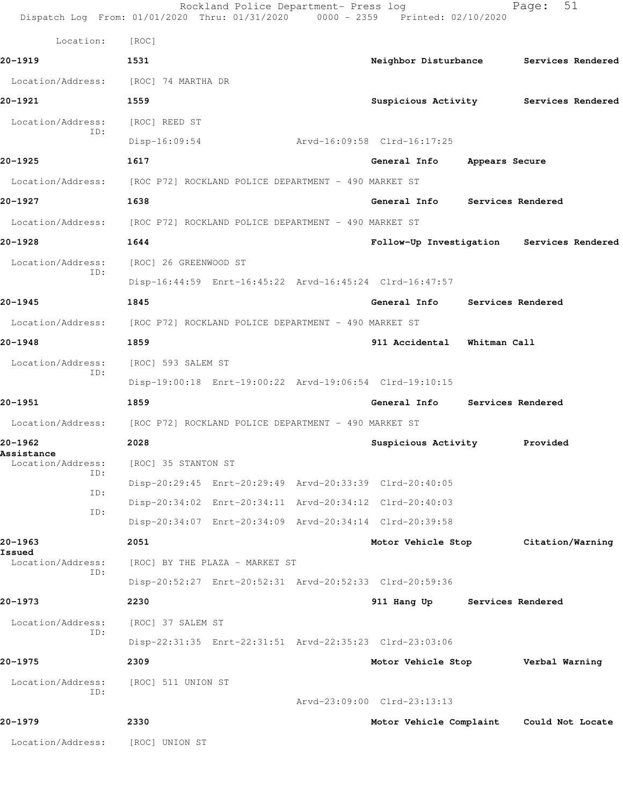|                                        | Rockland Police Department- Press log<br>Dispatch Log From: 01/01/2020 Thru: 01/31/2020 0000 - 2359 Printed: 02/10/2020 |                                           |                | Page:             | 51 |
|----------------------------------------|-------------------------------------------------------------------------------------------------------------------------|-------------------------------------------|----------------|-------------------|----|
| Location:                              | [ROC]                                                                                                                   |                                           |                |                   |    |
| 20-1919                                | 1531                                                                                                                    | Neighbor Disturbance                      |                | Services Rendered |    |
| Location/Address:                      | [ROC] 74 MARTHA DR                                                                                                      |                                           |                |                   |    |
| 20-1921                                | 1559                                                                                                                    | Suspicious Activity Services Rendered     |                |                   |    |
| Location/Address:                      | [ROC] REED ST                                                                                                           |                                           |                |                   |    |
| ID:                                    | $Disp-16:09:54$                                                                                                         | Arvd-16:09:58 Clrd-16:17:25               |                |                   |    |
| 20-1925                                | 1617                                                                                                                    | General Info                              | Appears Secure |                   |    |
|                                        | Location/Address: [ROC P72] ROCKLAND POLICE DEPARTMENT - 490 MARKET ST                                                  |                                           |                |                   |    |
| 20-1927                                | 1638                                                                                                                    | General Info Services Rendered            |                |                   |    |
|                                        | Location/Address: [ROC P72] ROCKLAND POLICE DEPARTMENT - 490 MARKET ST                                                  |                                           |                |                   |    |
| 20-1928                                | 1644                                                                                                                    | Follow-Up Investigation Services Rendered |                |                   |    |
| Location/Address:                      | [ROC] 26 GREENWOOD ST                                                                                                   |                                           |                |                   |    |
| ID:                                    | Disp-16:44:59 Enrt-16:45:22 Arvd-16:45:24 Clrd-16:47:57                                                                 |                                           |                |                   |    |
| 20-1945                                | 1845                                                                                                                    | General Info                              |                | Services Rendered |    |
|                                        | Location/Address: [ROC P72] ROCKLAND POLICE DEPARTMENT - 490 MARKET ST                                                  |                                           |                |                   |    |
| 20-1948                                | 1859                                                                                                                    | 911 Accidental                            | Whitman Call   |                   |    |
| Location/Address:                      | [ROC] 593 SALEM ST                                                                                                      |                                           |                |                   |    |
| ID:                                    | Disp-19:00:18 Enrt-19:00:22 Arvd-19:06:54 Clrd-19:10:15                                                                 |                                           |                |                   |    |
| 20-1951                                | 1859                                                                                                                    | General Info                              |                | Services Rendered |    |
| Location/Address:                      | [ROC P72] ROCKLAND POLICE DEPARTMENT - 490 MARKET ST                                                                    |                                           |                |                   |    |
| 20-1962                                | 2028                                                                                                                    | Suspicious Activity                       |                | Provided          |    |
| <b>Assistance</b><br>Location/Address: | [ROC] 35 STANTON ST                                                                                                     |                                           |                |                   |    |
| ID:                                    | Disp-20:29:45 Enrt-20:29:49 Arvd-20:33:39 Clrd-20:40:05                                                                 |                                           |                |                   |    |
| ID:                                    | Disp-20:34:02 Enrt-20:34:11 Arvd-20:34:12 Clrd-20:40:03                                                                 |                                           |                |                   |    |
| ID:                                    | Disp-20:34:07 Enrt-20:34:09 Arvd-20:34:14 Clrd-20:39:58                                                                 |                                           |                |                   |    |
| 20–1963                                | 2051                                                                                                                    | Motor Vehicle Stop                        |                | Citation/Warning  |    |
| Issued<br>Location/Address:            | [ROC] BY THE PLAZA - MARKET ST                                                                                          |                                           |                |                   |    |
| ID:                                    | Disp-20:52:27 Enrt-20:52:31 Arvd-20:52:33 Clrd-20:59:36                                                                 |                                           |                |                   |    |
| 20-1973                                | 2230                                                                                                                    | 911 Hang Up                               |                | Services Rendered |    |
| Location/Address:                      | [ROC] 37 SALEM ST                                                                                                       |                                           |                |                   |    |
| ID:                                    | Disp-22:31:35 Enrt-22:31:51 Arvd-22:35:23 Clrd-23:03:06                                                                 |                                           |                |                   |    |
| 20-1975                                | 2309                                                                                                                    | Motor Vehicle Stop                        |                | Verbal Warning    |    |
| Location/Address:                      | [ROC] 511 UNION ST                                                                                                      |                                           |                |                   |    |
| ID:                                    |                                                                                                                         | Arvd-23:09:00 Clrd-23:13:13               |                |                   |    |
| 20-1979                                | 2330                                                                                                                    | Motor Vehicle Complaint                   |                | Could Not Locate  |    |
| Location/Address:                      | [ROC] UNION ST                                                                                                          |                                           |                |                   |    |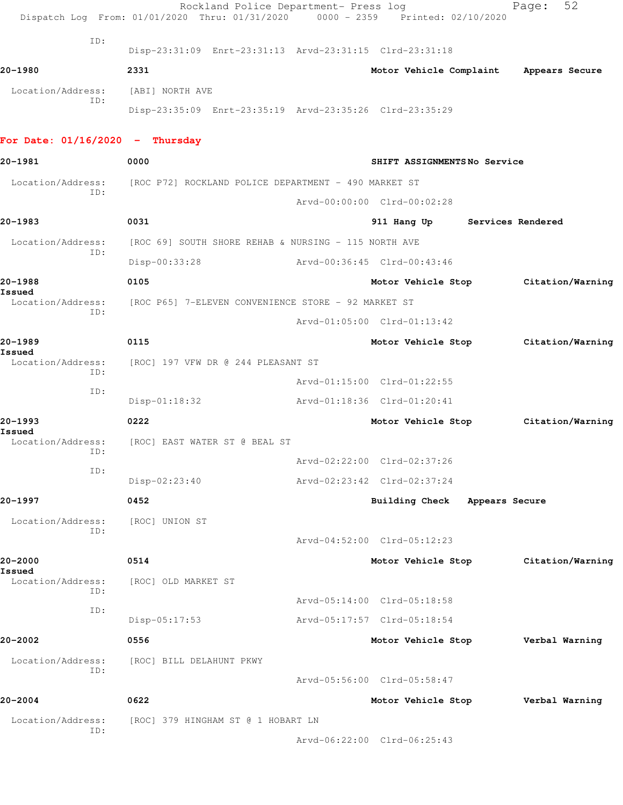|                                   | Rockland Police Department- Press log<br>Dispatch Log From: 01/01/2020 Thru: 01/31/2020 0000 - 2359 Printed: 02/10/2020 |                               |                | Page:            | 52 |
|-----------------------------------|-------------------------------------------------------------------------------------------------------------------------|-------------------------------|----------------|------------------|----|
| ID:                               | Disp-23:31:09 Enrt-23:31:13 Arvd-23:31:15 Clrd-23:31:18                                                                 |                               |                |                  |    |
| 20-1980                           | 2331                                                                                                                    | Motor Vehicle Complaint       |                | Appears Secure   |    |
| Location/Address:                 | [ABI] NORTH AVE                                                                                                         |                               |                |                  |    |
| ID:                               | Disp-23:35:09 Enrt-23:35:19 Arvd-23:35:26 Clrd-23:35:29                                                                 |                               |                |                  |    |
| For Date: $01/16/2020$ - Thursday |                                                                                                                         |                               |                |                  |    |
| 20-1981                           | 0000                                                                                                                    | SHIFT ASSIGNMENTSNo Service   |                |                  |    |
| Location/Address:                 | [ROC P72] ROCKLAND POLICE DEPARTMENT - 490 MARKET ST                                                                    |                               |                |                  |    |
| ID:                               |                                                                                                                         | Arvd-00:00:00 Clrd-00:02:28   |                |                  |    |
| 20-1983                           | 0031                                                                                                                    | 911 Hang Up Services Rendered |                |                  |    |
| Location/Address:                 | [ROC 69] SOUTH SHORE REHAB & NURSING - 115 NORTH AVE                                                                    |                               |                |                  |    |
| ID:                               | Disp-00:33:28                                                                                                           | Arvd-00:36:45 Clrd-00:43:46   |                |                  |    |
| 20-1988                           | 0105                                                                                                                    | Motor Vehicle Stop            |                | Citation/Warning |    |
| Issued<br>Location/Address:       | [ROC P65] 7-ELEVEN CONVENIENCE STORE - 92 MARKET ST                                                                     |                               |                |                  |    |
| ID:                               |                                                                                                                         | Arvd-01:05:00 Clrd-01:13:42   |                |                  |    |
| 20-1989                           | 0115                                                                                                                    | Motor Vehicle Stop            |                | Citation/Warning |    |
| Issued<br>Location/Address:       | [ROC] 197 VFW DR @ 244 PLEASANT ST                                                                                      |                               |                |                  |    |
| ID:                               |                                                                                                                         | Arvd-01:15:00 Clrd-01:22:55   |                |                  |    |
| ID:                               | $Disp-01:18:32$                                                                                                         | Arvd-01:18:36 Clrd-01:20:41   |                |                  |    |
| 20-1993                           | 0222                                                                                                                    | Motor Vehicle Stop            |                | Citation/Warning |    |
| Issued                            | Location/Address: [ROC] EAST WATER ST @ BEAL ST                                                                         |                               |                |                  |    |
| ID:                               |                                                                                                                         | Arvd-02:22:00 Clrd-02:37:26   |                |                  |    |
| ID:                               | Disp-02:23:40                                                                                                           | Arvd-02:23:42 Clrd-02:37:24   |                |                  |    |
| 20–1997                           | 0452                                                                                                                    | <b>Building Check</b>         | Appears Secure |                  |    |
| Location/Address:                 | [ROC] UNION ST                                                                                                          |                               |                |                  |    |
| ID:                               |                                                                                                                         | Arvd-04:52:00 Clrd-05:12:23   |                |                  |    |
| 20-2000                           | 0514                                                                                                                    | Motor Vehicle Stop            |                | Citation/Warning |    |
| Issued<br>Location/Address:       | [ROC] OLD MARKET ST                                                                                                     |                               |                |                  |    |
| ID:                               |                                                                                                                         | Arvd-05:14:00 Clrd-05:18:58   |                |                  |    |
| ID:                               | Disp-05:17:53                                                                                                           | Arvd-05:17:57 Clrd-05:18:54   |                |                  |    |
| 20-2002                           | 0556                                                                                                                    | Motor Vehicle Stop            |                | Verbal Warning   |    |
| Location/Address:                 | [ROC] BILL DELAHUNT PKWY                                                                                                |                               |                |                  |    |
| ID:                               |                                                                                                                         | Arvd-05:56:00 Clrd-05:58:47   |                |                  |    |
| 20-2004                           | 0622                                                                                                                    | Motor Vehicle Stop            |                | Verbal Warning   |    |
| Location/Address:                 | [ROC] 379 HINGHAM ST @ 1 HOBART LN                                                                                      |                               |                |                  |    |
| ID:                               |                                                                                                                         | Arvd-06:22:00 Clrd-06:25:43   |                |                  |    |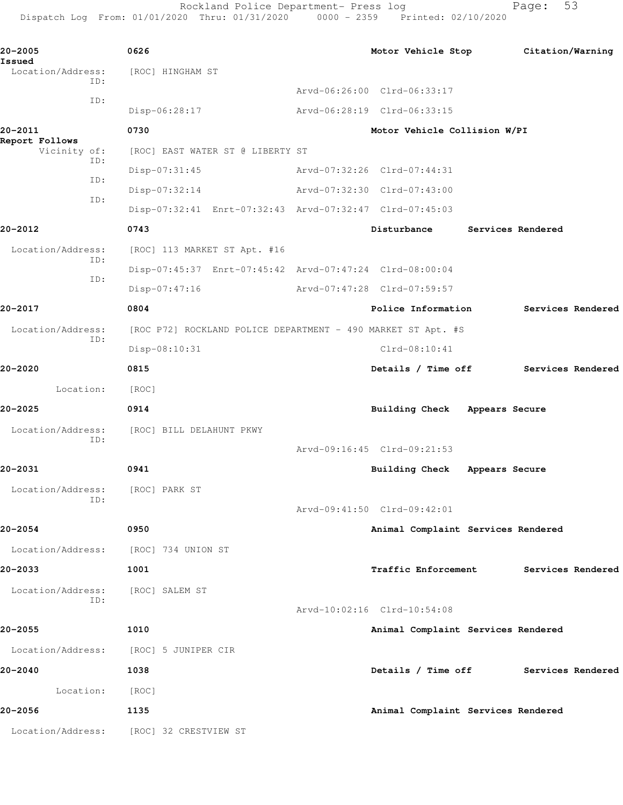Rockland Police Department- Press log entitled and Page: 53

Dispatch Log From: 01/01/2020 Thru: 01/31/2020 0000 - 2359 Printed: 02/10/2020

| 20-2005                         | 0626                                                         | Motor Vehicle Stop Citation/Warning  |                |                   |  |
|---------------------------------|--------------------------------------------------------------|--------------------------------------|----------------|-------------------|--|
| Issued<br>Location/Address:     | [ROC] HINGHAM ST                                             |                                      |                |                   |  |
| ID:                             |                                                              | Arvd-06:26:00 Clrd-06:33:17          |                |                   |  |
| ID:                             | Disp-06:28:17                                                | Arvd-06:28:19 Clrd-06:33:15          |                |                   |  |
| 20-2011                         | 0730                                                         | Motor Vehicle Collision W/PI         |                |                   |  |
| Report Follows<br>Vicinity of:  | [ROC] EAST WATER ST @ LIBERTY ST                             |                                      |                |                   |  |
| ID:                             | Disp-07:31:45                                                | Arvd-07:32:26 Clrd-07:44:31          |                |                   |  |
| ID:                             | Disp-07:32:14                                                | Arvd-07:32:30 Clrd-07:43:00          |                |                   |  |
| ID:                             | Disp-07:32:41 Enrt-07:32:43 Arvd-07:32:47 Clrd-07:45:03      |                                      |                |                   |  |
| 20-2012                         | 0743                                                         | Disturbance                          |                | Services Rendered |  |
| Location/Address:               | [ROC] 113 MARKET ST Apt. #16                                 |                                      |                |                   |  |
| ID:                             | Disp-07:45:37 Enrt-07:45:42 Arvd-07:47:24 Clrd-08:00:04      |                                      |                |                   |  |
| ID:                             | $Disp-07:47:16$                                              | Arvd-07:47:28 Clrd-07:59:57          |                |                   |  |
| 20-2017                         | 0804                                                         | Police Information                   |                | Services Rendered |  |
| Location/Address:               | [ROC P72] ROCKLAND POLICE DEPARTMENT - 490 MARKET ST Apt. #S |                                      |                |                   |  |
| ID:                             | Disp-08:10:31                                                | $Clrd-08:10:41$                      |                |                   |  |
| 20-2020                         | 0815                                                         | Details / Time off Services Rendered |                |                   |  |
| Location:                       | [ROC]                                                        |                                      |                |                   |  |
| 20-2025                         | 0914                                                         | Building Check Appears Secure        |                |                   |  |
| Location/Address:               | [ROC] BILL DELAHUNT PKWY                                     |                                      |                |                   |  |
| ID:                             |                                                              | Arvd-09:16:45 Clrd-09:21:53          |                |                   |  |
| 20-2031                         | 0941                                                         | <b>Building Check</b>                | Appears Secure |                   |  |
| Location/Address: [ROC] PARK ST |                                                              |                                      |                |                   |  |
| ID:                             |                                                              | Arvd-09:41:50 Clrd-09:42:01          |                |                   |  |
| 20-2054                         | 0950                                                         | Animal Complaint Services Rendered   |                |                   |  |
| Location/Address:               | [ROC] 734 UNION ST                                           |                                      |                |                   |  |
| 20-2033                         | 1001                                                         | <b>Traffic Enforcement</b>           |                | Services Rendered |  |
| Location/Address:               | [ROC] SALEM ST                                               |                                      |                |                   |  |
| ID:                             |                                                              | Arvd-10:02:16 Clrd-10:54:08          |                |                   |  |
| 20-2055                         | 1010                                                         | Animal Complaint Services Rendered   |                |                   |  |
|                                 | Location/Address: [ROC] 5 JUNIPER CIR                        |                                      |                |                   |  |
| 20-2040                         | 1038                                                         | Details / Time off Services Rendered |                |                   |  |
| Location:                       | [ROC]                                                        |                                      |                |                   |  |
| 20-2056                         | 1135                                                         | Animal Complaint Services Rendered   |                |                   |  |
|                                 | Location/Address: [ROC] 32 CRESTVIEW ST                      |                                      |                |                   |  |
|                                 |                                                              |                                      |                |                   |  |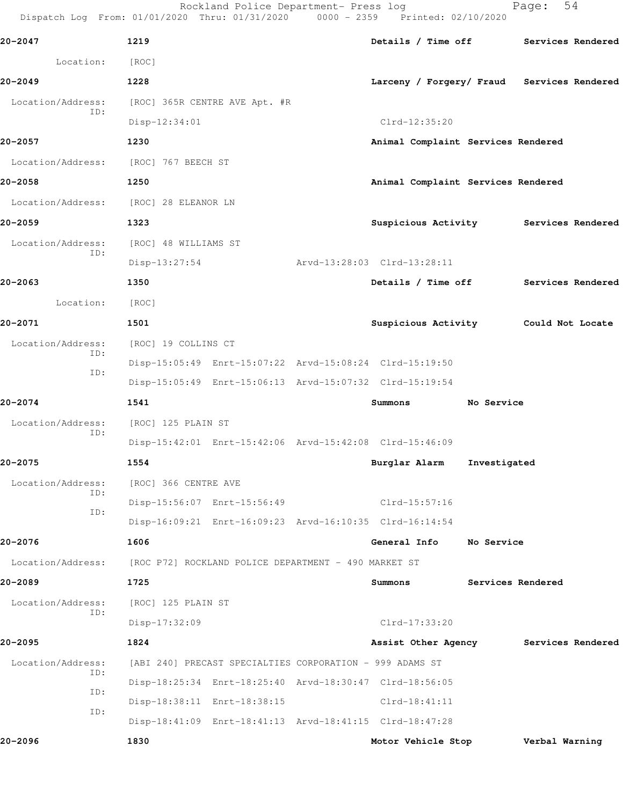|                                                                                  |  |  | Rockland Police Department- Press log |  | Page: 54 |  |
|----------------------------------------------------------------------------------|--|--|---------------------------------------|--|----------|--|
| Dispatch Log From: 01/01/2020 Thru: 01/31/2020  0000 - 2359  Printed: 02/10/2020 |  |  |                                       |  |          |  |

| 20-2047                               | 1219                                                     | Details / Time off Services Rendered       |                   |                |  |
|---------------------------------------|----------------------------------------------------------|--------------------------------------------|-------------------|----------------|--|
| Location:                             | [ROC]                                                    |                                            |                   |                |  |
| 20-2049                               | 1228                                                     | Larceny / Forgery/ Fraud Services Rendered |                   |                |  |
| Location/Address:                     | [ROC] 365R CENTRE AVE Apt. #R                            |                                            |                   |                |  |
| ID:                                   | Disp-12:34:01                                            | $Clrd-12:35:20$                            |                   |                |  |
| 20-2057                               | 1230                                                     | Animal Complaint Services Rendered         |                   |                |  |
| Location/Address: [ROC] 767 BEECH ST  |                                                          |                                            |                   |                |  |
| 20-2058                               | 1250                                                     | Animal Complaint Services Rendered         |                   |                |  |
| Location/Address: [ROC] 28 ELEANOR LN |                                                          |                                            |                   |                |  |
| 20-2059                               | 1323                                                     | Suspicious Activity Services Rendered      |                   |                |  |
| Location/Address:                     | [ROC] 48 WILLIAMS ST                                     |                                            |                   |                |  |
| ID:                                   | $Disp-13:27:54$                                          | Arvd-13:28:03 Clrd-13:28:11                |                   |                |  |
| 20-2063                               | 1350                                                     | Details / Time off Services Rendered       |                   |                |  |
| Location:                             | [ROC]                                                    |                                            |                   |                |  |
| 20-2071                               | 1501                                                     | Suspicious Activity Could Not Locate       |                   |                |  |
| Location/Address:                     | [ROC] 19 COLLINS CT                                      |                                            |                   |                |  |
| ID:                                   | Disp-15:05:49 Enrt-15:07:22 Arvd-15:08:24 Clrd-15:19:50  |                                            |                   |                |  |
| ID:                                   | Disp-15:05:49 Enrt-15:06:13 Arvd-15:07:32 Clrd-15:19:54  |                                            |                   |                |  |
| 20-2074                               | 1541                                                     | Summons                                    | No Service        |                |  |
| Location/Address:                     | [ROC] 125 PLAIN ST                                       |                                            |                   |                |  |
| ID:                                   | Disp-15:42:01 Enrt-15:42:06 Arvd-15:42:08 Clrd-15:46:09  |                                            |                   |                |  |
| 20-2075                               | 1554                                                     | Burglar Alarm                              | Investigated      |                |  |
|                                       | Location/Address: [ROC] 366 CENTRE AVE                   |                                            |                   |                |  |
| ID:<br>ID:                            | Disp-15:56:07 Enrt-15:56:49                              | $Clrd-15:57:16$                            |                   |                |  |
|                                       | Disp-16:09:21 Enrt-16:09:23 Arvd-16:10:35 Clrd-16:14:54  |                                            |                   |                |  |
| 20-2076                               | 1606                                                     | General Info                               | No Service        |                |  |
| Location/Address:                     | [ROC P72] ROCKLAND POLICE DEPARTMENT - 490 MARKET ST     |                                            |                   |                |  |
| 20-2089                               | 1725                                                     | Summons                                    | Services Rendered |                |  |
| Location/Address:                     | [ROC] 125 PLAIN ST                                       |                                            |                   |                |  |
| ID:                                   | Disp-17:32:09                                            | $Clrd-17:33:20$                            |                   |                |  |
| 20-2095                               | 1824                                                     | Assist Other Agency Services Rendered      |                   |                |  |
| Location/Address:                     | [ABI 240] PRECAST SPECIALTIES CORPORATION - 999 ADAMS ST |                                            |                   |                |  |
| ID:<br>ID:                            | Disp-18:25:34 Enrt-18:25:40 Arvd-18:30:47 Clrd-18:56:05  |                                            |                   |                |  |
| ID:                                   | Disp-18:38:11 Enrt-18:38:15                              | $Clrd-18:41:11$                            |                   |                |  |
|                                       | Disp-18:41:09 Enrt-18:41:13 Arvd-18:41:15 Clrd-18:47:28  |                                            |                   |                |  |
| 20-2096                               | 1830                                                     | Motor Vehicle Stop                         |                   | Verbal Warning |  |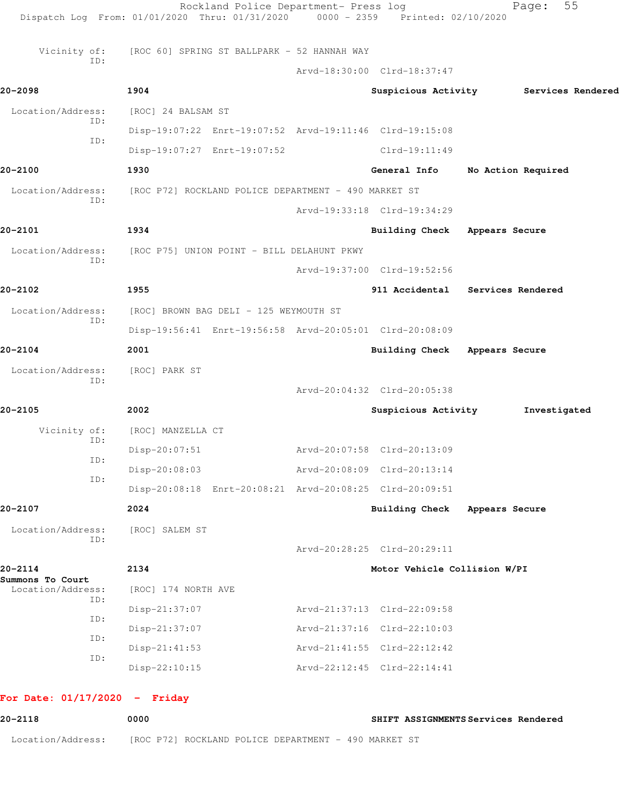| Vicinity of:                          | [ROC 60] SPRING ST BALLPARK - 52 HANNAH WAY             |                                  |                    |                                       |
|---------------------------------------|---------------------------------------------------------|----------------------------------|--------------------|---------------------------------------|
| ID:                                   |                                                         | Arvd-18:30:00 Clrd-18:37:47      |                    |                                       |
| 20-2098                               | 1904                                                    |                                  |                    | Suspicious Activity Services Rendered |
| Location/Address:                     | [ROC] 24 BALSAM ST                                      |                                  |                    |                                       |
| ID:                                   | Disp-19:07:22 Enrt-19:07:52 Arvd-19:11:46 Clrd-19:15:08 |                                  |                    |                                       |
| ID:                                   | Disp-19:07:27 Enrt-19:07:52                             | $Clrd-19:11:49$                  |                    |                                       |
| 20-2100                               | 1930                                                    | General Info                     | No Action Required |                                       |
| Location/Address:                     | [ROC P72] ROCKLAND POLICE DEPARTMENT - 490 MARKET ST    |                                  |                    |                                       |
| ID:                                   |                                                         | Arvd-19:33:18 Clrd-19:34:29      |                    |                                       |
| 20-2101                               | 1934                                                    | Building Check Appears Secure    |                    |                                       |
| Location/Address:                     | [ROC P75] UNION POINT - BILL DELAHUNT PKWY              |                                  |                    |                                       |
| ID:                                   |                                                         | Arvd-19:37:00 Clrd-19:52:56      |                    |                                       |
| 20-2102                               | 1955                                                    | 911 Accidental Services Rendered |                    |                                       |
| Location/Address:                     | [ROC] BROWN BAG DELI - 125 WEYMOUTH ST                  |                                  |                    |                                       |
| ID:                                   | Disp-19:56:41 Enrt-19:56:58 Arvd-20:05:01 Clrd-20:08:09 |                                  |                    |                                       |
| 20-2104                               | 2001                                                    | Building Check Appears Secure    |                    |                                       |
| Location/Address:                     | [ROC] PARK ST                                           |                                  |                    |                                       |
| ID:                                   |                                                         | Arvd-20:04:32 Clrd-20:05:38      |                    |                                       |
| 20-2105                               | 2002                                                    | Suspicious Activity              |                    | Investigated                          |
| Vicinity of:                          | [ROC] MANZELLA CT                                       |                                  |                    |                                       |
| ID:                                   | Disp-20:07:51                                           | Arvd-20:07:58 Clrd-20:13:09      |                    |                                       |
| ID:                                   | Disp-20:08:03                                           | Arvd-20:08:09 Clrd-20:13:14      |                    |                                       |
| ID:                                   | Disp-20:08:18 Enrt-20:08:21 Arvd-20:08:25 Clrd-20:09:51 |                                  |                    |                                       |
| 20-2107                               | 2024                                                    | <b>Building Check</b>            | Appears Secure     |                                       |
| Location/Address:                     | [ROC] SALEM ST                                          |                                  |                    |                                       |
| ID:                                   |                                                         | Arvd-20:28:25 Clrd-20:29:11      |                    |                                       |
| 20-2114                               | 2134                                                    | Motor Vehicle Collision W/PI     |                    |                                       |
| Summons To Court<br>Location/Address: | [ROC] 174 NORTH AVE                                     |                                  |                    |                                       |
| ID:<br>ID:                            | Disp-21:37:07                                           | Arvd-21:37:13 Clrd-22:09:58      |                    |                                       |
|                                       | Disp-21:37:07                                           | Arvd-21:37:16 Clrd-22:10:03      |                    |                                       |
| ID:<br>ID:                            | $Disp-21:41:53$                                         | Arvd-21:41:55 Clrd-22:12:42      |                    |                                       |
|                                       | Disp-22:10:15                                           | Arvd-22:12:45 Clrd-22:14:41      |                    |                                       |

**20-2118 0000 SHIFT ASSIGNMENTS Services Rendered** Location/Address: [ROC P72] ROCKLAND POLICE DEPARTMENT - 490 MARKET ST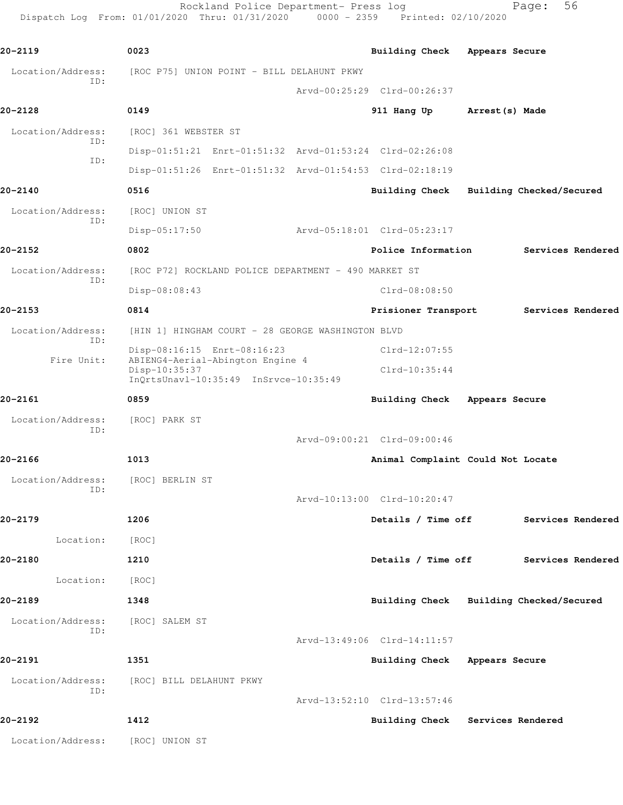Rockland Police Department- Press log Fage: 56 Dispatch Log From: 01/01/2020 Thru: 01/31/2020 0000 - 2359 Printed: 02/10/2020

**20-2119 0023 Building Check Appears Secure** Location/Address: [ROC P75] UNION POINT - BILL DELAHUNT PKWY ID: Arvd-00:25:29 Clrd-00:26:37 **20-2128 0149 911 Hang Up Arrest(s) Made** Location/Address: [ROC] 361 WEBSTER ST ID: Disp-01:51:21 Enrt-01:51:32 Arvd-01:53:24 Clrd-02:26:08 ID: Disp-01:51:26 Enrt-01:51:32 Arvd-01:54:53 Clrd-02:18:19 **20-2140 0516 Building Check Building Checked/Secured** Location/Address: [ROC] UNION ST ID: Disp-05:17:50 Arvd-05:18:01 Clrd-05:23:17 **20-2152 0802 Police Information Services Rendered** Location/Address: [ROC P72] ROCKLAND POLICE DEPARTMENT - 490 MARKET ST ID: Disp-08:08:43 Clrd-08:08:50 **20-2153 0814 Prisioner Transport Services Rendered** Location/Address: [HIN 1] HINGHAM COURT - 28 GEORGE WASHINGTON BLVD ID: Disp-08:16:15 Enrt-08:16:23 Clrd-12:07:55 Fire Unit: ABIENG4-Aerial-Abington Engine 4 Disp-10:35:37 Clrd-10:35:44 InQrtsUnavl-10:35:49 InSrvce-10:35:49 **20-2161 0859 Building Check Appears Secure** Location/Address: [ROC] PARK ST ID: Arvd-09:00:21 Clrd-09:00:46 **20-2166 1013 Animal Complaint Could Not Locate** Location/Address: [ROC] BERLIN ST ID: Arvd-10:13:00 Clrd-10:20:47 **20-2179 1206 Details / Time off Services Rendered** Location: [ROC] **20-2180 1210 Details / Time off Services Rendered** Location: [ROC] **20-2189 1348 Building Check Building Checked/Secured** Location/Address: [ROC] SALEM ST ID: Arvd-13:49:06 Clrd-14:11:57 **20-2191 1351 Building Check Appears Secure** Location/Address: [ROC] BILL DELAHUNT PKWY ID: Arvd-13:52:10 Clrd-13:57:46 **20-2192 1412 Building Check Services Rendered** Location/Address: [ROC] UNION ST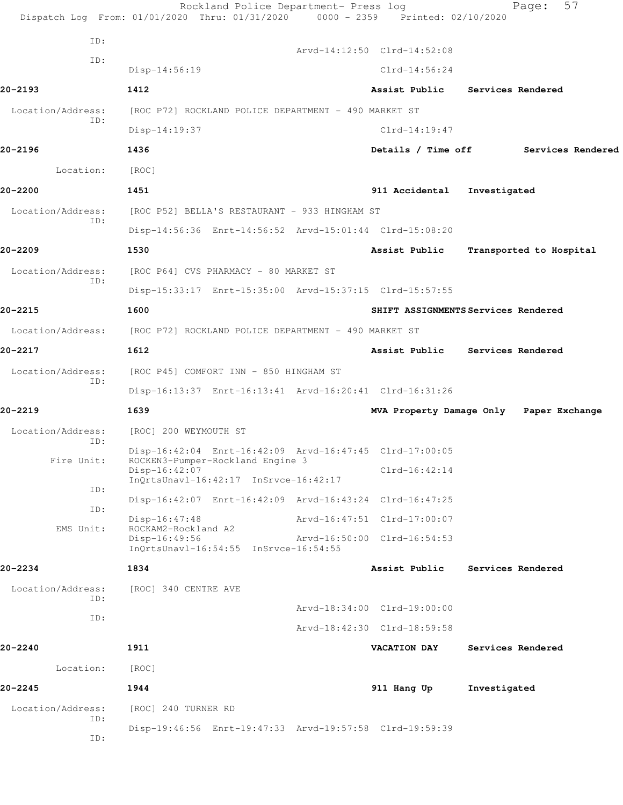|                          | Rockland Police Department- Press log<br>Dispatch Log From: 01/01/2020 Thru: 01/31/2020 | 0000 - 2359 Printed: 02/10/2020 | 57<br>Page:                             |
|--------------------------|-----------------------------------------------------------------------------------------|---------------------------------|-----------------------------------------|
| ID:                      |                                                                                         |                                 |                                         |
| ID:                      |                                                                                         | Arvd-14:12:50 Clrd-14:52:08     |                                         |
|                          | Disp-14:56:19                                                                           | $Clrd-14:56:24$                 |                                         |
| 20-2193                  | 1412                                                                                    |                                 | Assist Public Services Rendered         |
| Location/Address:<br>ID: | [ROC P72] ROCKLAND POLICE DEPARTMENT - 490 MARKET ST                                    |                                 |                                         |
|                          | $Disp-14:19:37$                                                                         | $Clrd-14:19:47$                 |                                         |
| 20-2196                  | 1436                                                                                    | Details / Time off              | Services Rendered                       |
| Location:                | [ROC]                                                                                   |                                 |                                         |
| 20-2200                  | 1451                                                                                    | 911 Accidental                  | Investigated                            |
| Location/Address:<br>ID: | [ROC P52] BELLA'S RESTAURANT - 933 HINGHAM ST                                           |                                 |                                         |
|                          | Disp-14:56:36 Enrt-14:56:52 Arvd-15:01:44 Clrd-15:08:20                                 |                                 |                                         |
| 20-2209                  | 1530                                                                                    | Assist Public                   | Transported to Hospital                 |
| Location/Address:        | [ROC P64] CVS PHARMACY - 80 MARKET ST                                                   |                                 |                                         |
| ID:                      | Disp-15:33:17 Enrt-15:35:00 Arvd-15:37:15 Clrd-15:57:55                                 |                                 |                                         |
| 20-2215                  | 1600                                                                                    |                                 | SHIFT ASSIGNMENTS Services Rendered     |
|                          | Location/Address: [ROC P72] ROCKLAND POLICE DEPARTMENT - 490 MARKET ST                  |                                 |                                         |
| 20-2217                  | 1612                                                                                    |                                 | Assist Public Services Rendered         |
| Location/Address:        | [ROC P45] COMFORT INN - 850 HINGHAM ST                                                  |                                 |                                         |
| ID:                      | Disp-16:13:37 Enrt-16:13:41 Arvd-16:20:41 Clrd-16:31:26                                 |                                 |                                         |
| 20-2219                  | 1639                                                                                    |                                 | MVA Property Damage Only Paper Exchange |
| Location/Address:        | [ROC] 200 WEYMOUTH ST                                                                   |                                 |                                         |
| ID:                      | Disp-16:42:04 Enrt-16:42:09 Arvd-16:47:45 Clrd-17:00:05                                 |                                 |                                         |
| Fire Unit:               | ROCKEN3-Pumper-Rockland Engine 3<br>Disp-16:42:07                                       | $Clrd-16:42:14$                 |                                         |
| ID:                      | InQrtsUnavl-16:42:17 InSrvce-16:42:17                                                   |                                 |                                         |
| ID:                      | Disp-16:42:07 Enrt-16:42:09 Arvd-16:43:24 Clrd-16:47:25                                 |                                 |                                         |
| EMS Unit:                | Disp-16:47:48<br>ROCKAM2-Rockland A2                                                    | Arvd-16:47:51 Clrd-17:00:07     |                                         |
|                          | Disp-16:49:56<br>InQrtsUnavl-16:54:55 InSrvce-16:54:55                                  | Arvd-16:50:00 Clrd-16:54:53     |                                         |
| 20-2234                  | 1834                                                                                    | Assist Public                   | Services Rendered                       |
| Location/Address:        | [ROC] 340 CENTRE AVE                                                                    |                                 |                                         |
| ID:                      |                                                                                         | Arvd-18:34:00 Clrd-19:00:00     |                                         |
| ID:                      |                                                                                         | Arvd-18:42:30 Clrd-18:59:58     |                                         |
| 20-2240                  | 1911                                                                                    | <b>VACATION DAY</b>             | Services Rendered                       |
| Location:                | [ROC]                                                                                   |                                 |                                         |
| $20 - 2245$              | 1944                                                                                    | 911 Hang Up                     | Investigated                            |
| Location/Address:        | [ROC] 240 TURNER RD                                                                     |                                 |                                         |
| ID:                      | Disp-19:46:56 Enrt-19:47:33 Arvd-19:57:58 Clrd-19:59:39                                 |                                 |                                         |
| ID:                      |                                                                                         |                                 |                                         |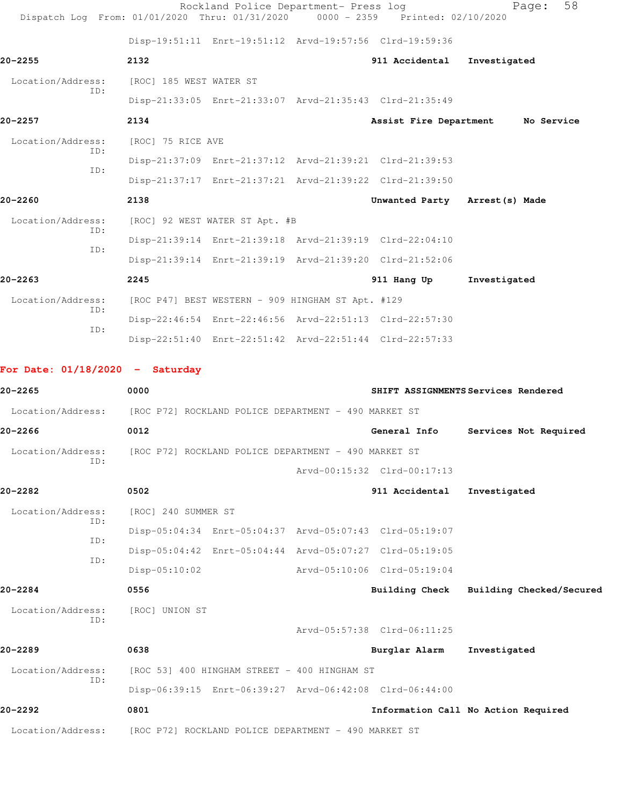| Dispatch Log From: 01/01/2020 Thru: 01/31/2020 0000 - 2359 Printed: 02/10/2020 |                                | Rockland Police Department- Press log                   |                                | 58<br>Page:                         |
|--------------------------------------------------------------------------------|--------------------------------|---------------------------------------------------------|--------------------------------|-------------------------------------|
|                                                                                |                                | Disp-19:51:11 Enrt-19:51:12 Arvd-19:57:56 Clrd-19:59:36 |                                |                                     |
| $20 - 2255$                                                                    | 2132                           |                                                         | 911 Accidental                 | Investigated                        |
| Location/Address:                                                              | [ROC] 185 WEST WATER ST        |                                                         |                                |                                     |
| ID:                                                                            |                                | Disp-21:33:05 Enrt-21:33:07 Arvd-21:35:43 Clrd-21:35:49 |                                |                                     |
| $20 - 2257$                                                                    | 2134                           |                                                         |                                | Assist Fire Department No Service   |
| Location/Address:                                                              | [ROC] 75 RICE AVE              |                                                         |                                |                                     |
| ID:                                                                            |                                | Disp-21:37:09 Enrt-21:37:12 Arvd-21:39:21 Clrd-21:39:53 |                                |                                     |
| TD:                                                                            |                                | Disp-21:37:17 Enrt-21:37:21 Arvd-21:39:22 Clrd-21:39:50 |                                |                                     |
| $20 - 2260$                                                                    | 2138                           |                                                         | Unwanted Party Arrest (s) Made |                                     |
| Location/Address:                                                              | [ROC] 92 WEST WATER ST Apt. #B |                                                         |                                |                                     |
| ID:<br>TD:                                                                     |                                | Disp-21:39:14 Enrt-21:39:18 Arvd-21:39:19 Clrd-22:04:10 |                                |                                     |
|                                                                                |                                | Disp-21:39:14 Enrt-21:39:19 Arvd-21:39:20 Clrd-21:52:06 |                                |                                     |
| $20 - 2263$                                                                    | 2245                           |                                                         | 911 Hang Up                    | Investigated                        |
| Location/Address:<br>ID:                                                       |                                | [ROC P47] BEST WESTERN - 909 HINGHAM ST Apt. #129       |                                |                                     |
| ID:                                                                            |                                | Disp-22:46:54 Enrt-22:46:56 Arvd-22:51:13 Clrd-22:57:30 |                                |                                     |
|                                                                                |                                | Disp-22:51:40 Enrt-22:51:42 Arvd-22:51:44 Clrd-22:57:33 |                                |                                     |
| For Date: $01/18/2020 -$ Saturday                                              |                                |                                                         |                                |                                     |
| $20 - 2265$                                                                    | 0000                           |                                                         |                                | SHIFT ASSIGNMENTS Services Rendered |

|                          | Location/Address: [ROC P72] ROCKLAND POLICE DEPARTMENT - 490 MARKET ST |                                                         |                                         |
|--------------------------|------------------------------------------------------------------------|---------------------------------------------------------|-----------------------------------------|
| $20 - 2266$              | 0012                                                                   | General Info                                            | Services Not Required                   |
| Location/Address:<br>TD: | [ROC P72] ROCKLAND POLICE DEPARTMENT - 490 MARKET ST                   |                                                         |                                         |
|                          |                                                                        | Arvd-00:15:32 Clrd-00:17:13                             |                                         |
| $20 - 2282$              | 0502                                                                   | 911 Accidental                                          | Investigated                            |
| Location/Address:        | [ROC] 240 SUMMER ST                                                    |                                                         |                                         |
| ID:<br>TD:               |                                                                        | Disp-05:04:34 Enrt-05:04:37 Arvd-05:07:43 Clrd-05:19:07 |                                         |
| ID:                      |                                                                        | Disp-05:04:42 Enrt-05:04:44 Arvd-05:07:27 Clrd-05:19:05 |                                         |
|                          | Disp-05:10:02                                                          | Arvd-05:10:06 Clrd-05:19:04                             |                                         |
| $20 - 2284$              | 0556                                                                   |                                                         | Building Check Building Checked/Secured |
| Location/Address:<br>ID: | [ROC] UNION ST                                                         |                                                         |                                         |
|                          |                                                                        | Arvd-05:57:38 Clrd-06:11:25                             |                                         |
| 20-2289                  | 0638                                                                   | Burglar Alarm                                           | Investigated                            |
| Location/Address:<br>ID: | [ROC 53] 400 HINGHAM STREET - 400 HINGHAM ST                           |                                                         |                                         |
|                          |                                                                        | Disp-06:39:15 Enrt-06:39:27 Arvd-06:42:08 Clrd-06:44:00 |                                         |
| $20 - 2292$              | 0801                                                                   |                                                         | Information Call No Action Required     |
|                          | Location/Address: [ROC P72] ROCKLAND POLICE DEPARTMENT - 490 MARKET ST |                                                         |                                         |
|                          |                                                                        |                                                         |                                         |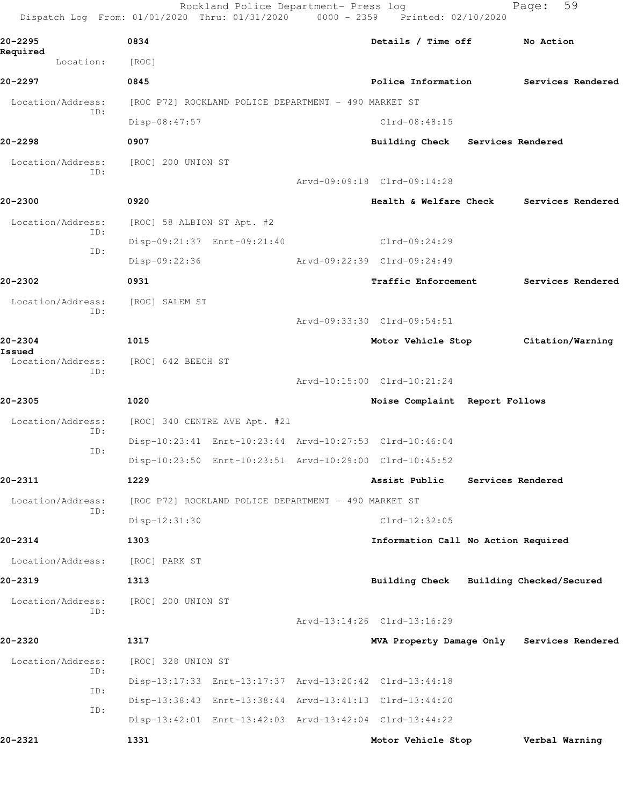|                          | Rockland Police Department- Press log<br>Dispatch Log From: 01/01/2020 Thru: 01/31/2020 0000 - 2359 Printed: 02/10/2020 |                                            |                   | 59<br>Page:       |  |
|--------------------------|-------------------------------------------------------------------------------------------------------------------------|--------------------------------------------|-------------------|-------------------|--|
| 20–2295                  | 0834                                                                                                                    | Details / Time off                         |                   | No Action         |  |
| Required<br>Location:    | [ROC]                                                                                                                   |                                            |                   |                   |  |
| 20–2297                  | 0845                                                                                                                    | Police Information                         |                   | Services Rendered |  |
| Location/Address:        | [ROC P72] ROCKLAND POLICE DEPARTMENT - 490 MARKET ST                                                                    |                                            |                   |                   |  |
| ID:                      | Disp-08:47:57                                                                                                           | Clrd-08:48:15                              |                   |                   |  |
| 20-2298                  | 0907                                                                                                                    | Building Check Services Rendered           |                   |                   |  |
| Location/Address:<br>ID: | [ROC] 200 UNION ST                                                                                                      |                                            |                   |                   |  |
|                          |                                                                                                                         | Arvd-09:09:18 Clrd-09:14:28                |                   |                   |  |
| 20-2300                  | 0920                                                                                                                    | <b>Health &amp; Welfare Check</b>          |                   | Services Rendered |  |
| Location/Address:        | [ROC] 58 ALBION ST Apt. #2                                                                                              |                                            |                   |                   |  |
| ID:<br>ID:               | Disp-09:21:37 Enrt-09:21:40                                                                                             | Clrd-09:24:29                              |                   |                   |  |
|                          | Disp-09:22:36                                                                                                           | Arvd-09:22:39 Clrd-09:24:49                |                   |                   |  |
| 20-2302                  | 0931                                                                                                                    | <b>Traffic Enforcement</b>                 |                   | Services Rendered |  |
| Location/Address:<br>ID: | [ROC] SALEM ST                                                                                                          |                                            |                   |                   |  |
|                          |                                                                                                                         | Arvd-09:33:30 Clrd-09:54:51                |                   |                   |  |
| 20-2304<br>Issued        | 1015                                                                                                                    | Motor Vehicle Stop Citation/Warning        |                   |                   |  |
| Location/Address:<br>ID: | [ROC] 642 BEECH ST                                                                                                      |                                            |                   |                   |  |
|                          |                                                                                                                         | Arvd-10:15:00 Clrd-10:21:24                |                   |                   |  |
| 20-2305                  | 1020                                                                                                                    | Noise Complaint Report Follows             |                   |                   |  |
| Location/Address:<br>ID: | [ROC] 340 CENTRE AVE Apt. #21                                                                                           |                                            |                   |                   |  |
| ID:                      | Disp-10:23:41 Enrt-10:23:44 Arvd-10:27:53 Clrd-10:46:04                                                                 |                                            |                   |                   |  |
|                          | Disp-10:23:50 Enrt-10:23:51 Arvd-10:29:00 Clrd-10:45:52                                                                 |                                            |                   |                   |  |
| 20-2311                  | 1229                                                                                                                    | Assist Public                              | Services Rendered |                   |  |
| Location/Address:<br>ID: | [ROC P72] ROCKLAND POLICE DEPARTMENT - 490 MARKET ST                                                                    |                                            |                   |                   |  |
|                          | Disp-12:31:30                                                                                                           | $Clrd-12:32:05$                            |                   |                   |  |
| 20-2314                  | 1303                                                                                                                    | Information Call No Action Required        |                   |                   |  |
| Location/Address:        | [ROC] PARK ST                                                                                                           |                                            |                   |                   |  |
| 20-2319                  | 1313                                                                                                                    | Building Check Building Checked/Secured    |                   |                   |  |
| Location/Address:<br>ID: | [ROC] 200 UNION ST                                                                                                      |                                            |                   |                   |  |
|                          |                                                                                                                         | Arvd-13:14:26 Clrd-13:16:29                |                   |                   |  |
| 20-2320                  | 1317                                                                                                                    | MVA Property Damage Only Services Rendered |                   |                   |  |
| Location/Address:<br>ID: | [ROC] 328 UNION ST                                                                                                      |                                            |                   |                   |  |
| ID:                      | Disp-13:17:33 Enrt-13:17:37 Arvd-13:20:42 Clrd-13:44:18                                                                 |                                            |                   |                   |  |
| ID:                      | Disp-13:38:43 Enrt-13:38:44 Arvd-13:41:13 Clrd-13:44:20                                                                 |                                            |                   |                   |  |
|                          | Disp-13:42:01 Enrt-13:42:03 Arvd-13:42:04 Clrd-13:44:22                                                                 |                                            |                   |                   |  |
| 20-2321                  | 1331                                                                                                                    | Motor Vehicle Stop                         |                   | Verbal Warning    |  |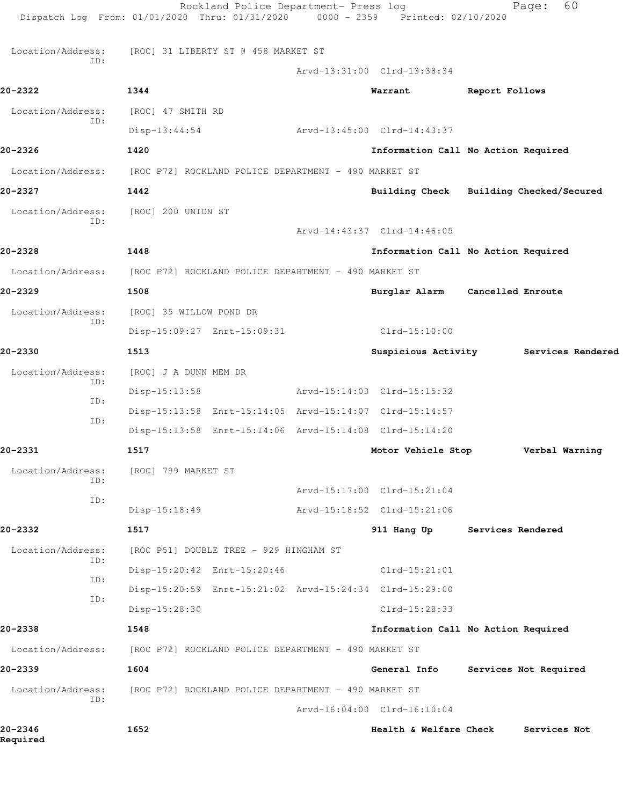|                          | Rockland Police Department- Press log<br>Dispatch Log From: 01/01/2020 Thru: 01/31/2020 | $0000 - 2359$ | Printed: 02/10/2020                     | Page:                 | 60             |
|--------------------------|-----------------------------------------------------------------------------------------|---------------|-----------------------------------------|-----------------------|----------------|
| Location/Address:        | [ROC] 31 LIBERTY ST @ 458 MARKET ST                                                     |               |                                         |                       |                |
| TD:                      |                                                                                         |               | Arvd-13:31:00 Clrd-13:38:34             |                       |                |
| 20-2322                  | 1344                                                                                    |               | Warrant                                 | Report Follows        |                |
| Location/Address:        | [ROC] 47 SMITH RD                                                                       |               |                                         |                       |                |
| ID:                      | $Disp-13:44:54$                                                                         |               | Arvd-13:45:00 Clrd-14:43:37             |                       |                |
| 20-2326                  | 1420                                                                                    |               | Information Call No Action Required     |                       |                |
| Location/Address:        | [ROC P72] ROCKLAND POLICE DEPARTMENT - 490 MARKET ST                                    |               |                                         |                       |                |
| $20 - 2327$              | 1442                                                                                    |               | Building Check Building Checked/Secured |                       |                |
| Location/Address:        | [ROC] 200 UNION ST                                                                      |               |                                         |                       |                |
| ID:                      |                                                                                         |               | Arvd-14:43:37 Clrd-14:46:05             |                       |                |
| 20-2328                  | 1448                                                                                    |               | Information Call No Action Required     |                       |                |
| Location/Address:        | [ROC P72] ROCKLAND POLICE DEPARTMENT - 490 MARKET ST                                    |               |                                         |                       |                |
| 20-2329                  | 1508                                                                                    |               | Burglar Alarm Cancelled Enroute         |                       |                |
| Location/Address:        | [ROC] 35 WILLOW POND DR                                                                 |               |                                         |                       |                |
| ID:                      | Disp-15:09:27 Enrt-15:09:31                                                             |               | $Clrd-15:10:00$                         |                       |                |
| 20-2330                  | 1513                                                                                    |               | Suspicious Activity Services Rendered   |                       |                |
| Location/Address:        | [ROC] J A DUNN MEM DR                                                                   |               |                                         |                       |                |
| ID:                      | $Disp-15:13:58$                                                                         |               | Arvd-15:14:03 Clrd-15:15:32             |                       |                |
| ID:<br>ID:               | Disp-15:13:58 Enrt-15:14:05 Arvd-15:14:07 Clrd-15:14:57                                 |               |                                         |                       |                |
|                          | Disp-15:13:58 Enrt-15:14:06 Arvd-15:14:08 Clrd-15:14:20                                 |               |                                         |                       |                |
| 20-2331                  | 1517                                                                                    |               | Motor Vehicle Stop                      |                       | Verbal Warning |
| Location/Address:<br>ID: | [ROC] 799 MARKET ST                                                                     |               |                                         |                       |                |
| ID:                      |                                                                                         |               | Arvd-15:17:00 Clrd-15:21:04             |                       |                |
|                          | Disp-15:18:49                                                                           |               | Arvd-15:18:52 Clrd-15:21:06             |                       |                |
| 20-2332                  | 1517                                                                                    |               | 911 Hang Up Services Rendered           |                       |                |
| Location/Address:<br>ID: | [ROC P51] DOUBLE TREE - 929 HINGHAM ST                                                  |               |                                         |                       |                |
| ID:                      | Disp-15:20:42 Enrt-15:20:46                                                             |               | $Clrd-15:21:01$                         |                       |                |
| ID:                      | Disp-15:20:59 Enrt-15:21:02 Arvd-15:24:34 Clrd-15:29:00                                 |               |                                         |                       |                |
|                          | Disp-15:28:30                                                                           |               | Clrd-15:28:33                           |                       |                |
| 20-2338                  | 1548                                                                                    |               | Information Call No Action Required     |                       |                |
| Location/Address:        | [ROC P72] ROCKLAND POLICE DEPARTMENT - 490 MARKET ST                                    |               |                                         |                       |                |
| 20-2339                  | 1604                                                                                    |               | General Info                            | Services Not Required |                |
| Location/Address:<br>ID: | [ROC P72] ROCKLAND POLICE DEPARTMENT - 490 MARKET ST                                    |               |                                         |                       |                |
|                          |                                                                                         |               | Arvd-16:04:00 Clrd-16:10:04             |                       |                |
| 20-2346<br>Required      | 1652                                                                                    |               | Health & Welfare Check                  |                       | Services Not   |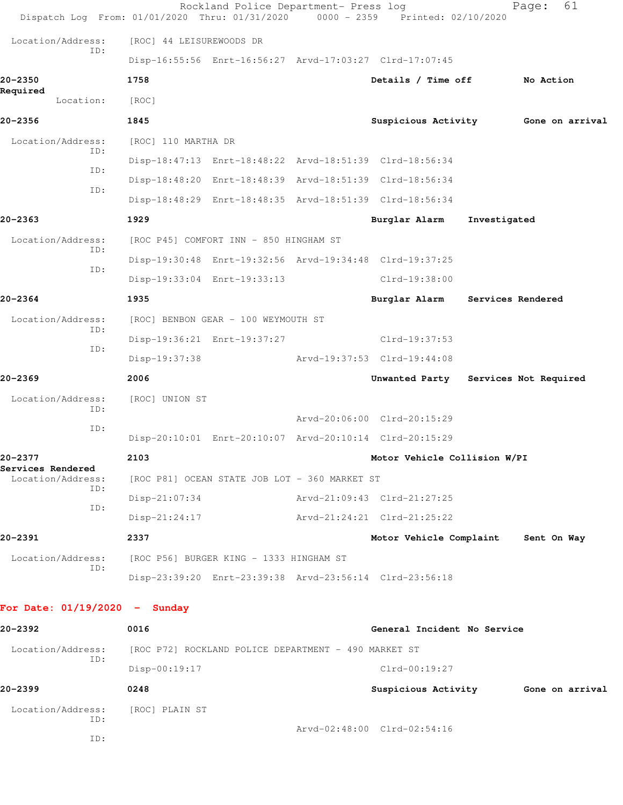| Dispatch Log From: 01/01/2020 Thru: 01/31/2020 0000 - 2359 Printed: 02/10/2020 |                                                      | Rockland Police Department- Press log |  |                                                         |                   | 61<br>Page:                         |
|--------------------------------------------------------------------------------|------------------------------------------------------|---------------------------------------|--|---------------------------------------------------------|-------------------|-------------------------------------|
| Location/Address:                                                              | [ROC] 44 LEISUREWOODS DR                             |                                       |  |                                                         |                   |                                     |
| ID:                                                                            |                                                      |                                       |  | Disp-16:55:56 Enrt-16:56:27 Arvd-17:03:27 Clrd-17:07:45 |                   |                                     |
| $20 - 2350$                                                                    | 1758                                                 |                                       |  | Details / Time off                                      |                   | No Action                           |
| Required<br>Location:                                                          | [ROC]                                                |                                       |  |                                                         |                   |                                     |
| $20 - 2356$                                                                    | 1845                                                 |                                       |  |                                                         |                   | Suspicious Activity 6one on arrival |
| Location/Address:                                                              | [ROC] 110 MARTHA DR                                  |                                       |  |                                                         |                   |                                     |
| ID:                                                                            |                                                      |                                       |  | Disp-18:47:13 Enrt-18:48:22 Arvd-18:51:39 Clrd-18:56:34 |                   |                                     |
| ID:                                                                            |                                                      |                                       |  | Disp-18:48:20 Enrt-18:48:39 Arvd-18:51:39 Clrd-18:56:34 |                   |                                     |
| ID:                                                                            |                                                      |                                       |  | Disp-18:48:29 Enrt-18:48:35 Arvd-18:51:39 Clrd-18:56:34 |                   |                                     |
| 20-2363                                                                        | 1929                                                 |                                       |  | Burglar Alarm                                           | Investigated      |                                     |
| Location/Address:                                                              | [ROC P45] COMFORT INN - 850 HINGHAM ST               |                                       |  |                                                         |                   |                                     |
| ID:                                                                            |                                                      |                                       |  | Disp-19:30:48 Enrt-19:32:56 Arvd-19:34:48 Clrd-19:37:25 |                   |                                     |
| ID:                                                                            | Disp-19:33:04 Enrt-19:33:13                          |                                       |  | Clrd-19:38:00                                           |                   |                                     |
| $20 - 2364$                                                                    | 1935                                                 |                                       |  | Burglar Alarm                                           | Services Rendered |                                     |
| Location/Address:                                                              | [ROC] BENBON GEAR - 100 WEYMOUTH ST                  |                                       |  |                                                         |                   |                                     |
| ID:                                                                            | Disp-19:36:21 Enrt-19:37:27                          |                                       |  | Clrd-19:37:53                                           |                   |                                     |
| ID:                                                                            | Disp-19:37:38                                        |                                       |  | Arvd-19:37:53 Clrd-19:44:08                             |                   |                                     |
| 20-2369                                                                        | 2006                                                 |                                       |  | Unwanted Party Services Not Required                    |                   |                                     |
| Location/Address:                                                              | [ROC] UNION ST                                       |                                       |  |                                                         |                   |                                     |
| ID:                                                                            |                                                      |                                       |  | Arvd-20:06:00 Clrd-20:15:29                             |                   |                                     |
| ID:                                                                            |                                                      |                                       |  | Disp-20:10:01 Enrt-20:10:07 Arvd-20:10:14 Clrd-20:15:29 |                   |                                     |
| 20-2377                                                                        | 2103                                                 |                                       |  | Motor Vehicle Collision W/PI                            |                   |                                     |
| Services Rendered<br>Location/Address:                                         | [ROC P81] OCEAN STATE JOB LOT - 360 MARKET ST        |                                       |  |                                                         |                   |                                     |
| ID:                                                                            | Disp-21:07:34                                        |                                       |  | Arvd-21:09:43 Clrd-21:27:25                             |                   |                                     |
| ID:                                                                            | $Disp-21:24:17$                                      |                                       |  | Arvd-21:24:21 Clrd-21:25:22                             |                   |                                     |
| 20-2391                                                                        | 2337                                                 |                                       |  | Motor Vehicle Complaint                                 |                   | Sent On Way                         |
| Location/Address:                                                              | [ROC P56] BURGER KING - 1333 HINGHAM ST              |                                       |  |                                                         |                   |                                     |
| ID:                                                                            |                                                      |                                       |  | Disp-23:39:20 Enrt-23:39:38 Arvd-23:56:14 Clrd-23:56:18 |                   |                                     |
| For Date: $01/19/2020 -$ Sunday                                                |                                                      |                                       |  |                                                         |                   |                                     |
| 20-2392                                                                        | 0016                                                 |                                       |  | General Incident No Service                             |                   |                                     |
| Location/Address:                                                              | [ROC P72] ROCKLAND POLICE DEPARTMENT - 490 MARKET ST |                                       |  |                                                         |                   |                                     |
| ID:                                                                            | Disp-00:19:17                                        |                                       |  | $Clrd-00:19:27$                                         |                   |                                     |
| 20-2399                                                                        | 0248                                                 |                                       |  |                                                         |                   | Suspicious Activity 6one on arrival |
| Location/Address:                                                              | [ROC] PLAIN ST                                       |                                       |  |                                                         |                   |                                     |
| ID:                                                                            |                                                      |                                       |  | Arvd-02:48:00 Clrd-02:54:16                             |                   |                                     |

ID: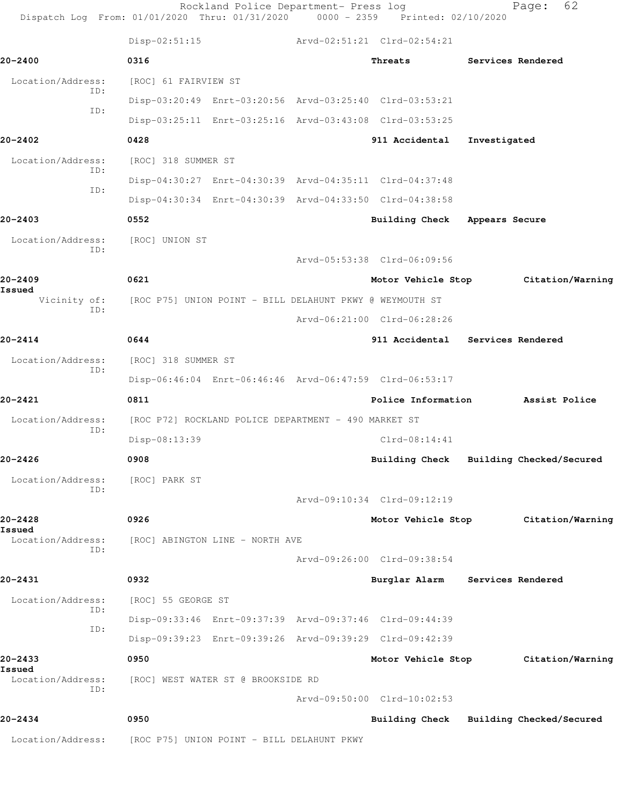| Dispatch Log From: 01/01/2020 Thru: 01/31/2020 0000 - 2359 Printed: 02/10/2020 |                                                          | Rockland Police Department- Press log |                                                         |                   | 62<br>Page:                         |
|--------------------------------------------------------------------------------|----------------------------------------------------------|---------------------------------------|---------------------------------------------------------|-------------------|-------------------------------------|
|                                                                                | $Disp-02:51:15$                                          |                                       | Arvd-02:51:21 Clrd-02:54:21                             |                   |                                     |
| 20-2400                                                                        | 0316                                                     |                                       | Threats                                                 |                   | Services Rendered                   |
| Location/Address:                                                              | [ROC] 61 FAIRVIEW ST                                     |                                       |                                                         |                   |                                     |
| ID:<br>TD:                                                                     | Disp-03:20:49 Enrt-03:20:56 Arvd-03:25:40 Clrd-03:53:21  |                                       |                                                         |                   |                                     |
|                                                                                |                                                          |                                       | Disp-03:25:11 Enrt-03:25:16 Arvd-03:43:08 Clrd-03:53:25 |                   |                                     |
| 20-2402                                                                        | 0428                                                     |                                       | 911 Accidental                                          | Investigated      |                                     |
| Location/Address:                                                              | [ROC] 318 SUMMER ST                                      |                                       |                                                         |                   |                                     |
| ID:                                                                            |                                                          |                                       | Disp-04:30:27 Enrt-04:30:39 Arvd-04:35:11 Clrd-04:37:48 |                   |                                     |
| ID:                                                                            |                                                          |                                       | Disp-04:30:34 Enrt-04:30:39 Arvd-04:33:50 Clrd-04:38:58 |                   |                                     |
| $20 - 2403$                                                                    | 0552                                                     |                                       | Building Check Appears Secure                           |                   |                                     |
| Location/Address:                                                              | [ROC] UNION ST                                           |                                       |                                                         |                   |                                     |
| ID:                                                                            |                                                          |                                       | Arvd-05:53:38 Clrd-06:09:56                             |                   |                                     |
| 20-2409                                                                        | 0621                                                     |                                       |                                                         |                   | Motor Vehicle Stop Citation/Warning |
| Issued<br>Vicinity of:                                                         | [ROC P75] UNION POINT - BILL DELAHUNT PKWY @ WEYMOUTH ST |                                       |                                                         |                   |                                     |
| TD:                                                                            |                                                          |                                       | Arvd-06:21:00 Clrd-06:28:26                             |                   |                                     |
| $20 - 2414$                                                                    | 0644                                                     |                                       | 911 Accidental Services Rendered                        |                   |                                     |
| Location/Address:                                                              | [ROC] 318 SUMMER ST                                      |                                       |                                                         |                   |                                     |
| ID:                                                                            |                                                          |                                       | Disp-06:46:04 Enrt-06:46:46 Arvd-06:47:59 Clrd-06:53:17 |                   |                                     |
| 20-2421                                                                        | 0811                                                     |                                       | Police Information                                      |                   | Assist Police                       |
| Location/Address:                                                              | [ROC P72] ROCKLAND POLICE DEPARTMENT - 490 MARKET ST     |                                       |                                                         |                   |                                     |
| ID:                                                                            | Disp-08:13:39                                            |                                       | $Clrd-08:14:41$                                         |                   |                                     |
| $20 - 2426$                                                                    | 0908                                                     |                                       | Building Check Building Checked/Secured                 |                   |                                     |
| Location/Address:                                                              | [ROC] PARK ST                                            |                                       |                                                         |                   |                                     |
| ID:                                                                            |                                                          |                                       | Arvd-09:10:34 Clrd-09:12:19                             |                   |                                     |
| 20-2428                                                                        | 0926                                                     |                                       | Motor Vehicle Stop                                      |                   | Citation/Warning                    |
| Issued<br>Location/Address:                                                    | [ROC] ABINGTON LINE - NORTH AVE                          |                                       |                                                         |                   |                                     |
| ID:                                                                            |                                                          |                                       | Arvd-09:26:00 Clrd-09:38:54                             |                   |                                     |
| 20-2431                                                                        | 0932                                                     |                                       | Burglar Alarm                                           | Services Rendered |                                     |
| Location/Address:                                                              | [ROC] 55 GEORGE ST                                       |                                       |                                                         |                   |                                     |
| ID:                                                                            | Disp-09:33:46 Enrt-09:37:39 Arvd-09:37:46 Clrd-09:44:39  |                                       |                                                         |                   |                                     |
| ID:                                                                            |                                                          |                                       | Disp-09:39:23 Enrt-09:39:26 Arvd-09:39:29 Clrd-09:42:39 |                   |                                     |
| 20-2433                                                                        | 0950                                                     |                                       | Motor Vehicle Stop                                      |                   | Citation/Warning                    |
| Issued<br>Location/Address:                                                    | [ROC] WEST WATER ST @ BROOKSIDE RD                       |                                       |                                                         |                   |                                     |
| ID:                                                                            |                                                          |                                       | Arvd-09:50:00 Clrd-10:02:53                             |                   |                                     |
|                                                                                |                                                          |                                       |                                                         |                   |                                     |
| 20-2434                                                                        | 0950                                                     |                                       | Building Check Building Checked/Secured                 |                   |                                     |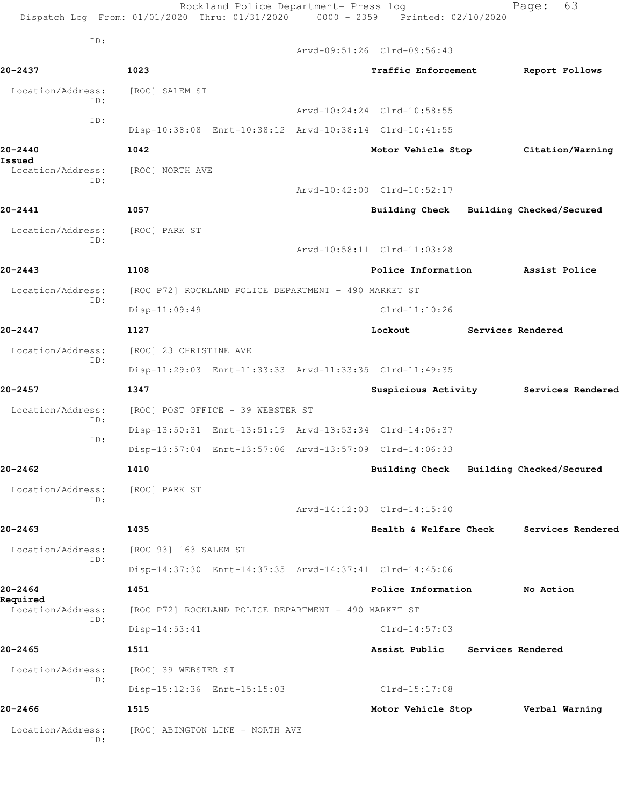Rockland Police Department- Press log Fage: 63 Dispatch Log From: 01/01/2020 Thru: 01/31/2020 0000 - 2359 Printed: 02/10/2020 ID: Arvd-09:51:26 Clrd-09:56:43 **20-2437 1023 Traffic Enforcement Report Follows** Location/Address: [ROC] SALEM ST ID: Arvd-10:24:24 Clrd-10:58:55 ID: Disp-10:38:08 Enrt-10:38:12 Arvd-10:38:14 Clrd-10:41:55 **20-2440 1042 Motor Vehicle Stop Citation/Warning Issued**  Location/Address: [ROC] NORTH AVE ID: Arvd-10:42:00 Clrd-10:52:17 **20-2441 1057 Building Check Building Checked/Secured** Location/Address: [ROC] PARK ST ID: Arvd-10:58:11 Clrd-11:03:28 **20-2443 1108 Police Information Assist Police** Location/Address: [ROC P72] ROCKLAND POLICE DEPARTMENT - 490 MARKET ST ID: Disp-11:09:49 Clrd-11:10:26 **20-2447 1127 Lockout Services Rendered** Location/Address: [ROC] 23 CHRISTINE AVE ID: Disp-11:29:03 Enrt-11:33:33 Arvd-11:33:35 Clrd-11:49:35 **20-2457 1347 Suspicious Activity Services Rendered** Location/Address: [ROC] POST OFFICE - 39 WEBSTER ST ID: Disp-13:50:31 Enrt-13:51:19 Arvd-13:53:34 Clrd-14:06:37 ID: Disp-13:57:04 Enrt-13:57:06 Arvd-13:57:09 Clrd-14:06:33 **20-2462 1410 Building Check Building Checked/Secured** Location/Address: [ROC] PARK ST ID: Arvd-14:12:03 Clrd-14:15:20 **20-2463 1435 Health & Welfare Check Services Rendered** Location/Address: [ROC 93] 163 SALEM ST ID: Disp-14:37:30 Enrt-14:37:35 Arvd-14:37:41 Clrd-14:45:06 **20-2464 1451 Police Information No Action Required**  Location/Address: [ROC P72] ROCKLAND POLICE DEPARTMENT - 490 MARKET ST ID: Disp-14:53:41 Clrd-14:57:03 **20-2465 1511 Assist Public Services Rendered** Location/Address: [ROC] 39 WEBSTER ST ID: Disp-15:12:36 Enrt-15:15:03 Clrd-15:17:08 **20-2466 1515 Motor Vehicle Stop Verbal Warning** Location/Address: [ROC] ABINGTON LINE - NORTH AVE ID: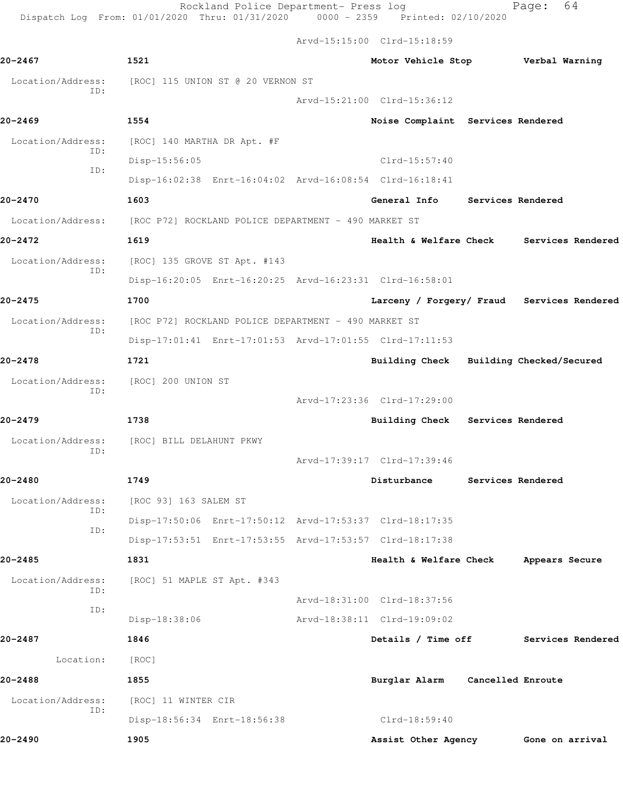Arvd-15:15:00 Clrd-15:18:59

| 20-2467                  | 1521                                                                   | Motor Vehicle Stop Verbal Warning       |                   |                                            |
|--------------------------|------------------------------------------------------------------------|-----------------------------------------|-------------------|--------------------------------------------|
| Location/Address:<br>ID: | [ROC] 115 UNION ST @ 20 VERNON ST                                      |                                         |                   |                                            |
|                          |                                                                        | Arvd-15:21:00 Clrd-15:36:12             |                   |                                            |
| 20-2469                  | 1554                                                                   | Noise Complaint Services Rendered       |                   |                                            |
| Location/Address:<br>ID: | [ROC] 140 MARTHA DR Apt. #F                                            |                                         |                   |                                            |
| ID:                      | Disp-15:56:05                                                          | Clrd-15:57:40                           |                   |                                            |
|                          | Disp-16:02:38 Enrt-16:04:02 Arvd-16:08:54 Clrd-16:18:41                |                                         |                   |                                            |
| 20-2470                  | 1603                                                                   | General Info Services Rendered          |                   |                                            |
|                          | Location/Address: [ROC P72] ROCKLAND POLICE DEPARTMENT - 490 MARKET ST |                                         |                   |                                            |
| 20-2472                  | 1619                                                                   |                                         |                   | Health & Welfare Check Services Rendered   |
| Location/Address:        | [ROC] 135 GROVE ST Apt. #143                                           |                                         |                   |                                            |
| ID:                      | Disp-16:20:05 Enrt-16:20:25 Arvd-16:23:31 Clrd-16:58:01                |                                         |                   |                                            |
| 20-2475                  | 1700                                                                   |                                         |                   | Larceny / Forgery/ Fraud Services Rendered |
| Location/Address:        | [ROC P72] ROCKLAND POLICE DEPARTMENT - 490 MARKET ST                   |                                         |                   |                                            |
| ID:                      | Disp-17:01:41 Enrt-17:01:53 Arvd-17:01:55 Clrd-17:11:53                |                                         |                   |                                            |
| 20-2478                  | 1721                                                                   | Building Check Building Checked/Secured |                   |                                            |
| Location/Address:        | [ROC] 200 UNION ST                                                     |                                         |                   |                                            |
| TD:                      |                                                                        | Arvd-17:23:36 Clrd-17:29:00             |                   |                                            |
| 20-2479                  | 1738                                                                   | Building Check Services Rendered        |                   |                                            |
| Location/Address:        | [ROC] BILL DELAHUNT PKWY                                               |                                         |                   |                                            |
| ID:                      |                                                                        | Arvd-17:39:17 Clrd-17:39:46             |                   |                                            |
| 20-2480                  | 1749                                                                   | Disturbance                             | Services Rendered |                                            |
|                          | Location/Address: [ROC 93] 163 SALEM ST                                |                                         |                   |                                            |
| ID:                      | Disp-17:50:06 Enrt-17:50:12 Arvd-17:53:37 Clrd-18:17:35                |                                         |                   |                                            |
| ID:                      | Disp-17:53:51 Enrt-17:53:55 Arvd-17:53:57 Clrd-18:17:38                |                                         |                   |                                            |
| 20-2485                  | 1831                                                                   | Health & Welfare Check                  |                   | Appears Secure                             |
| Location/Address:        | [ROC] 51 MAPLE ST Apt. #343                                            |                                         |                   |                                            |
| ID:                      |                                                                        | Arvd-18:31:00 Clrd-18:37:56             |                   |                                            |
| ID:                      | Disp-18:38:06                                                          | Arvd-18:38:11 Clrd-19:09:02             |                   |                                            |
| 20-2487                  | 1846                                                                   | Details / Time off                      |                   | Services Rendered                          |
| Location:                | [ROC]                                                                  |                                         |                   |                                            |
| 20-2488                  | 1855                                                                   | Burglar Alarm                           | Cancelled Enroute |                                            |
| Location/Address:        | [ROC] 11 WINTER CIR                                                    |                                         |                   |                                            |
| ID:                      | Disp-18:56:34 Enrt-18:56:38                                            | Clrd-18:59:40                           |                   |                                            |
| 20-2490                  | 1905                                                                   | Assist Other Agency                     |                   | Gone on arrival                            |
|                          |                                                                        |                                         |                   |                                            |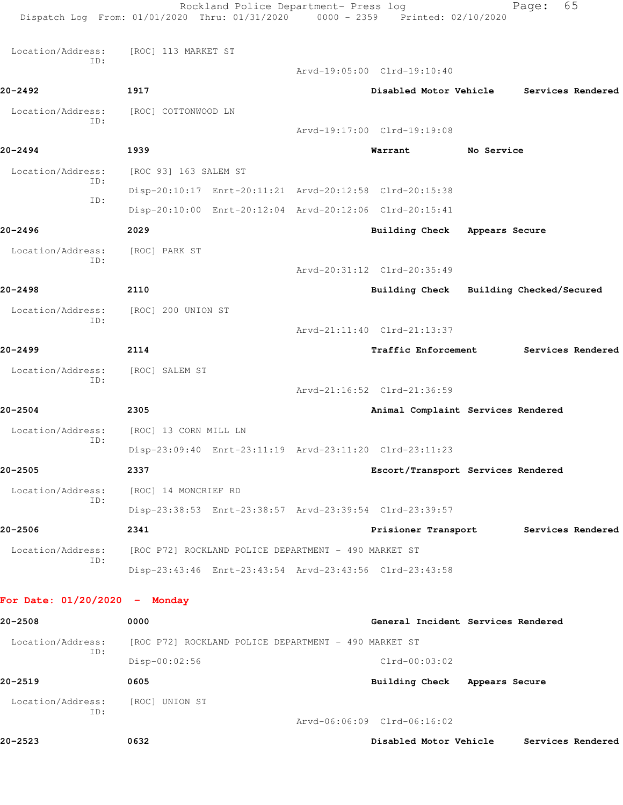|                                 | Rockland Police Department- Press log<br>Dispatch Log From: 01/01/2020 Thru: 01/31/2020 0000 - 2359 Printed: 02/10/2020 |                                    |                | 65<br>Page:              |  |
|---------------------------------|-------------------------------------------------------------------------------------------------------------------------|------------------------------------|----------------|--------------------------|--|
| Location/Address:               | [ROC] 113 MARKET ST                                                                                                     |                                    |                |                          |  |
| ID:                             |                                                                                                                         | Arvd-19:05:00 Clrd-19:10:40        |                |                          |  |
| 20-2492                         | 1917                                                                                                                    | Disabled Motor Vehicle             |                | Services Rendered        |  |
| Location/Address:               | [ROC] COTTONWOOD LN                                                                                                     |                                    |                |                          |  |
| ID:                             |                                                                                                                         | Arvd-19:17:00 Clrd-19:19:08        |                |                          |  |
| 20-2494                         | 1939                                                                                                                    | Warrant                            | No Service     |                          |  |
| Location/Address:               | [ROC 93] 163 SALEM ST                                                                                                   |                                    |                |                          |  |
| ID:                             | Disp-20:10:17 Enrt-20:11:21 Arvd-20:12:58 Clrd-20:15:38                                                                 |                                    |                |                          |  |
| ID:                             | Disp-20:10:00 Enrt-20:12:04 Arvd-20:12:06 Clrd-20:15:41                                                                 |                                    |                |                          |  |
| 20-2496                         | 2029                                                                                                                    | Building Check                     | Appears Secure |                          |  |
| Location/Address:               | [ROC] PARK ST                                                                                                           |                                    |                |                          |  |
| TD:                             |                                                                                                                         | Arvd-20:31:12 Clrd-20:35:49        |                |                          |  |
| 20-2498                         | 2110                                                                                                                    | Building Check                     |                | Building Checked/Secured |  |
| Location/Address:               | [ROC] 200 UNION ST                                                                                                      |                                    |                |                          |  |
| ID:                             |                                                                                                                         | Arvd-21:11:40 Clrd-21:13:37        |                |                          |  |
| 20-2499                         | 2114                                                                                                                    | Traffic Enforcement                |                | Services Rendered        |  |
| Location/Address:               | [ROC] SALEM ST                                                                                                          |                                    |                |                          |  |
| ID:                             |                                                                                                                         | Arvd-21:16:52 Clrd-21:36:59        |                |                          |  |
| 20-2504                         | 2305                                                                                                                    | Animal Complaint Services Rendered |                |                          |  |
| Location/Address:<br>ID:        | [ROC] 13 CORN MILL LN                                                                                                   |                                    |                |                          |  |
|                                 | Disp-23:09:40 Enrt-23:11:19 Arvd-23:11:20 Clrd-23:11:23                                                                 |                                    |                |                          |  |
| 20-2505                         | 2337                                                                                                                    | Escort/Transport Services Rendered |                |                          |  |
| Location/Address:<br>ID:        | [ROC] 14 MONCRIEF RD                                                                                                    |                                    |                |                          |  |
|                                 | Disp-23:38:53 Enrt-23:38:57 Arvd-23:39:54 Clrd-23:39:57                                                                 |                                    |                |                          |  |
| 20-2506                         | 2341                                                                                                                    | Prisioner Transport                |                | Services Rendered        |  |
| Location/Address:<br>ID:        | [ROC P72] ROCKLAND POLICE DEPARTMENT - 490 MARKET ST                                                                    |                                    |                |                          |  |
|                                 | Disp-23:43:46 Enrt-23:43:54 Arvd-23:43:56 Clrd-23:43:58                                                                 |                                    |                |                          |  |
| For Date: $01/20/2020 -$ Monday |                                                                                                                         |                                    |                |                          |  |
| 20-2508                         | 0000                                                                                                                    | General Incident Services Rendered |                |                          |  |
| Location/Address:               | [ROC P72] ROCKLAND POLICE DEPARTMENT - 490 MARKET ST                                                                    |                                    |                |                          |  |
| ID:                             | Disp-00:02:56                                                                                                           | $Clrd-00:03:02$                    |                |                          |  |
| 20-2519                         | 0605                                                                                                                    | Building Check Appears Secure      |                |                          |  |
| Location/Address:<br>ID:        | [ROC] UNION ST                                                                                                          |                                    |                |                          |  |
|                                 |                                                                                                                         | Arvd-06:06:09 Clrd-06:16:02        |                |                          |  |

**20-2523 0632 Disabled Motor Vehicle Services Rendered**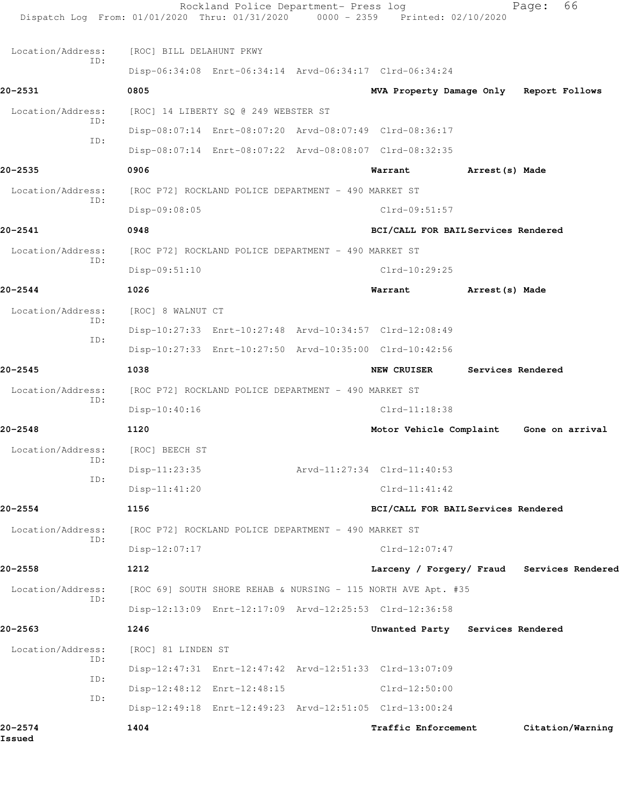|                   | Dispatch Log From: 01/01/2020 Thru: 01/31/2020 0000 - 2359 Printed: 02/10/2020 | Rockland Police Department- Press log |                                            |                 | Page:             | 66               |
|-------------------|--------------------------------------------------------------------------------|---------------------------------------|--------------------------------------------|-----------------|-------------------|------------------|
| Location/Address: | [ROC] BILL DELAHUNT PKWY                                                       |                                       |                                            |                 |                   |                  |
| ID:               | Disp-06:34:08 Enrt-06:34:14 Arvd-06:34:17 Clrd-06:34:24                        |                                       |                                            |                 |                   |                  |
| 20-2531           | 0805                                                                           |                                       | MVA Property Damage Only Report Follows    |                 |                   |                  |
| Location/Address: | [ROC] 14 LIBERTY SQ @ 249 WEBSTER ST                                           |                                       |                                            |                 |                   |                  |
| ID:               | Disp-08:07:14 Enrt-08:07:20 Arvd-08:07:49 Clrd-08:36:17                        |                                       |                                            |                 |                   |                  |
| ID:               | Disp-08:07:14 Enrt-08:07:22 Arvd-08:08:07 Clrd-08:32:35                        |                                       |                                            |                 |                   |                  |
| $20 - 2535$       | 0906                                                                           |                                       | Warrant                                    | Arrest (s) Made |                   |                  |
| Location/Address: | [ROC P72] ROCKLAND POLICE DEPARTMENT - 490 MARKET ST                           |                                       |                                            |                 |                   |                  |
| TD:               | Disp-09:08:05                                                                  |                                       | $Clrd-09:51:57$                            |                 |                   |                  |
| $20 - 2541$       | 0948                                                                           |                                       | BCI/CALL FOR BAIL Services Rendered        |                 |                   |                  |
| Location/Address: | [ROC P72] ROCKLAND POLICE DEPARTMENT - 490 MARKET ST                           |                                       |                                            |                 |                   |                  |
| ID:               | $Disp-09:51:10$                                                                |                                       | $Clrd-10:29:25$                            |                 |                   |                  |
| $20 - 2544$       | 1026                                                                           |                                       | Warrant                                    | Arrest(s) Made  |                   |                  |
| Location/Address: | [ROC] 8 WALNUT CT                                                              |                                       |                                            |                 |                   |                  |
| ID:               | Disp-10:27:33 Enrt-10:27:48 Arvd-10:34:57 Clrd-12:08:49                        |                                       |                                            |                 |                   |                  |
| ID:               | Disp-10:27:33 Enrt-10:27:50 Arvd-10:35:00 Clrd-10:42:56                        |                                       |                                            |                 |                   |                  |
| $20 - 2545$       | 1038                                                                           |                                       | <b>NEW CRUISER</b>                         |                 | Services Rendered |                  |
| Location/Address: | [ROC P72] ROCKLAND POLICE DEPARTMENT - 490 MARKET ST                           |                                       |                                            |                 |                   |                  |
| ID:               | Disp-10:40:16                                                                  |                                       | $Clrd-11:18:38$                            |                 |                   |                  |
| $20 - 2548$       | 1120                                                                           |                                       | Motor Vehicle Complaint Gone on arrival    |                 |                   |                  |
| Location/Address: | [ROC] BEECH ST                                                                 |                                       |                                            |                 |                   |                  |
| ID:               | $Disp-11:23:35$                                                                |                                       | Arvd-11:27:34 Clrd-11:40:53                |                 |                   |                  |
| ID:               | Disp-11:41:20                                                                  |                                       | $Clrd-11:41:42$                            |                 |                   |                  |
| $20 - 2554$       | 1156                                                                           |                                       | BCI/CALL FOR BAIL Services Rendered        |                 |                   |                  |
| Location/Address: | [ROC P72] ROCKLAND POLICE DEPARTMENT - 490 MARKET ST                           |                                       |                                            |                 |                   |                  |
| ID:               | Disp-12:07:17                                                                  |                                       | $Clrd-12:07:47$                            |                 |                   |                  |
| 20-2558           | 1212                                                                           |                                       | Larceny / Forgery/ Fraud Services Rendered |                 |                   |                  |
| Location/Address: | [ROC 69] SOUTH SHORE REHAB & NURSING - 115 NORTH AVE Apt. #35                  |                                       |                                            |                 |                   |                  |
| ID:               | Disp-12:13:09 Enrt-12:17:09 Arvd-12:25:53 Clrd-12:36:58                        |                                       |                                            |                 |                   |                  |
| $20 - 2563$       | 1246                                                                           |                                       | Unwanted Party Services Rendered           |                 |                   |                  |
| Location/Address: | [ROC] 81 LINDEN ST                                                             |                                       |                                            |                 |                   |                  |
| ID:               | Disp-12:47:31 Enrt-12:47:42 Arvd-12:51:33 Clrd-13:07:09                        |                                       |                                            |                 |                   |                  |
| ID:               | Disp-12:48:12 Enrt-12:48:15                                                    |                                       | $Clrd-12:50:00$                            |                 |                   |                  |
| ID:               | Disp-12:49:18 Enrt-12:49:23 Arvd-12:51:05 Clrd-13:00:24                        |                                       |                                            |                 |                   |                  |
| 20-2574<br>Issued | 1404                                                                           |                                       | Traffic Enforcement                        |                 |                   | Citation/Warning |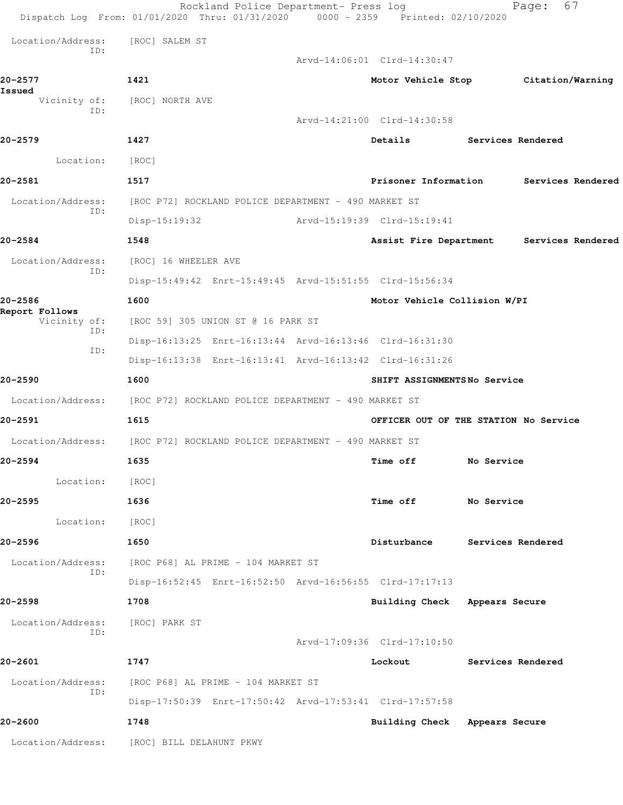|                                       | Rockland Police Department- Press log<br>Dispatch Log From: 01/01/2020 Thru: 01/31/2020 0000 - 2359 Printed: 02/10/2020 |                                          |                          | Page:             | 67 |
|---------------------------------------|-------------------------------------------------------------------------------------------------------------------------|------------------------------------------|--------------------------|-------------------|----|
| Location/Address:                     | [ROC] SALEM ST                                                                                                          |                                          |                          |                   |    |
| ID:                                   |                                                                                                                         | Arvd-14:06:01 Clrd-14:30:47              |                          |                   |    |
| 20-2577                               | 1421                                                                                                                    | Motor Vehicle Stop Citation/Warning      |                          |                   |    |
| Issued                                | Vicinity of: [ROC] NORTH AVE                                                                                            |                                          |                          |                   |    |
| ID:                                   |                                                                                                                         | Arvd-14:21:00 Clrd-14:30:58              |                          |                   |    |
| 20-2579                               | 1427                                                                                                                    | Details                                  | <b>Services Rendered</b> |                   |    |
| Location:                             | [ROC]                                                                                                                   |                                          |                          |                   |    |
| 20-2581                               | 1517                                                                                                                    | Prisoner Information                     |                          | Services Rendered |    |
| Location/Address:<br>ID:              | [ROC P72] ROCKLAND POLICE DEPARTMENT - 490 MARKET ST                                                                    |                                          |                          |                   |    |
|                                       | $Disp-15:19:32$                                                                                                         | Arvd-15:19:39 Clrd-15:19:41              |                          |                   |    |
| 20-2584                               | 1548                                                                                                                    | Assist Fire Department Services Rendered |                          |                   |    |
| Location/Address:<br>ID:              | [ROC] 16 WHEELER AVE                                                                                                    |                                          |                          |                   |    |
|                                       | Disp-15:49:42 Enrt-15:49:45 Arvd-15:51:55 Clrd-15:56:34                                                                 |                                          |                          |                   |    |
| 20-2586                               | 1600                                                                                                                    | Motor Vehicle Collision W/PI             |                          |                   |    |
| Report Follows<br>Vicinity of:<br>ID: | [ROC 59] 305 UNION ST @ 16 PARK ST                                                                                      |                                          |                          |                   |    |
| ID:                                   | Disp-16:13:25 Enrt-16:13:44 Arvd-16:13:46 Clrd-16:31:30                                                                 |                                          |                          |                   |    |
|                                       | Disp-16:13:38 Enrt-16:13:41 Arvd-16:13:42 Clrd-16:31:26                                                                 |                                          |                          |                   |    |
| 20-2590                               | 1600                                                                                                                    | SHIFT ASSIGNMENTSNo Service              |                          |                   |    |
|                                       | Location/Address: [ROC P72] ROCKLAND POLICE DEPARTMENT - 490 MARKET ST                                                  |                                          |                          |                   |    |
| 20-2591                               | 1615                                                                                                                    | OFFICER OUT OF THE STATION No Service    |                          |                   |    |
| Location/Address:                     | [ROC P72] ROCKLAND POLICE DEPARTMENT - 490 MARKET ST                                                                    |                                          |                          |                   |    |
| 20-2594                               | 1635                                                                                                                    | Time off                                 | No Service               |                   |    |
| Location:                             | [ROC]                                                                                                                   |                                          |                          |                   |    |
| 20–2595                               | 1636                                                                                                                    | Time off                                 | No Service               |                   |    |
| Location:                             | [ROC]                                                                                                                   |                                          |                          |                   |    |
| 20-2596                               | 1650                                                                                                                    | Disturbance                              | Services Rendered        |                   |    |
| Location/Address:<br>ID:              | [ROC P68] AL PRIME - 104 MARKET ST                                                                                      |                                          |                          |                   |    |
|                                       | Disp-16:52:45 Enrt-16:52:50 Arvd-16:56:55 Clrd-17:17:13                                                                 |                                          |                          |                   |    |
| 20-2598                               | 1708                                                                                                                    | Building Check Appears Secure            |                          |                   |    |
| Location/Address:<br>ID:              | [ROC] PARK ST                                                                                                           |                                          |                          |                   |    |
|                                       |                                                                                                                         | Arvd-17:09:36 Clrd-17:10:50              |                          |                   |    |
| 20-2601                               | 1747                                                                                                                    | Lockout                                  | Services Rendered        |                   |    |
| Location/Address:<br>ID:              | [ROC P68] AL PRIME - 104 MARKET ST                                                                                      |                                          |                          |                   |    |
|                                       | Disp-17:50:39 Enrt-17:50:42 Arvd-17:53:41 Clrd-17:57:58                                                                 |                                          |                          |                   |    |
| 20-2600                               | 1748                                                                                                                    | Building Check Appears Secure            |                          |                   |    |
| Location/Address:                     | [ROC] BILL DELAHUNT PKWY                                                                                                |                                          |                          |                   |    |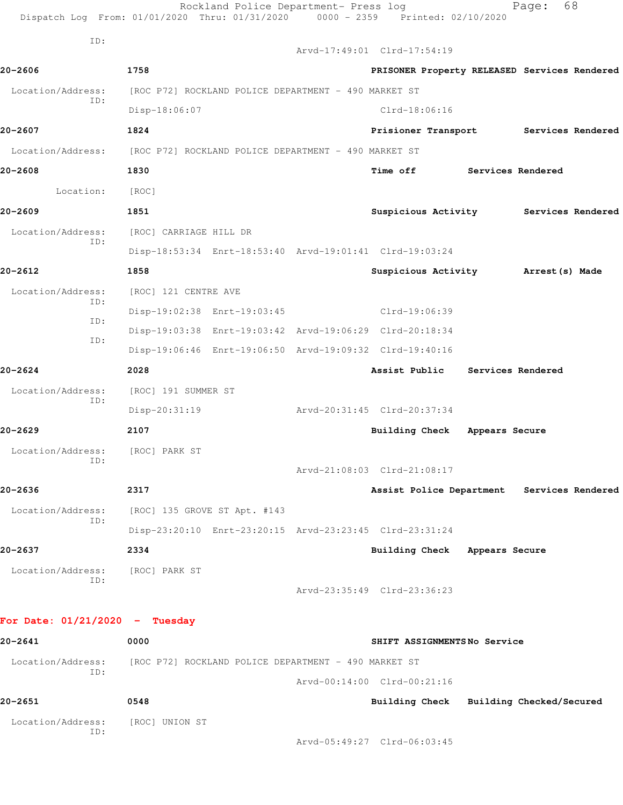|                                  | Rockland Police Department- Press log<br>Dispatch Log From: 01/01/2020 Thru: 01/31/2020 0000 - 2359 Printed: 02/10/2020 |                                              |                   | Page:             | 68 |
|----------------------------------|-------------------------------------------------------------------------------------------------------------------------|----------------------------------------------|-------------------|-------------------|----|
| ID:                              |                                                                                                                         | Arvd-17:49:01 Clrd-17:54:19                  |                   |                   |    |
| 20-2606                          | 1758                                                                                                                    | PRISONER Property RELEASED Services Rendered |                   |                   |    |
| Location/Address:                | [ROC P72] ROCKLAND POLICE DEPARTMENT - 490 MARKET ST                                                                    |                                              |                   |                   |    |
| ID:                              | Disp-18:06:07                                                                                                           | $Clrd-18:06:16$                              |                   |                   |    |
| 20-2607                          | 1824                                                                                                                    | Prisioner Transport Services Rendered        |                   |                   |    |
| Location/Address:                | [ROC P72] ROCKLAND POLICE DEPARTMENT - 490 MARKET ST                                                                    |                                              |                   |                   |    |
| 20-2608                          | 1830                                                                                                                    | <b>Time off</b>                              | Services Rendered |                   |    |
| Location:                        | [ROC]                                                                                                                   |                                              |                   |                   |    |
| 20-2609                          | 1851                                                                                                                    | Suspicious Activity Services Rendered        |                   |                   |    |
| Location/Address:                | [ROC] CARRIAGE HILL DR                                                                                                  |                                              |                   |                   |    |
| ID:                              | Disp-18:53:34 Enrt-18:53:40 Arvd-19:01:41 Clrd-19:03:24                                                                 |                                              |                   |                   |    |
| 20-2612                          | 1858                                                                                                                    | Suspicious Activity Marrest (s) Made         |                   |                   |    |
| Location/Address:<br>ID:         | [ROC] 121 CENTRE AVE                                                                                                    |                                              |                   |                   |    |
| ID:                              | Disp-19:02:38 Enrt-19:03:45                                                                                             | $Clrd-19:06:39$                              |                   |                   |    |
| ID:                              | Disp-19:03:38 Enrt-19:03:42 Arvd-19:06:29 Clrd-20:18:34                                                                 |                                              |                   |                   |    |
|                                  | Disp-19:06:46 Enrt-19:06:50 Arvd-19:09:32 Clrd-19:40:16                                                                 |                                              |                   |                   |    |
| 20-2624                          | 2028                                                                                                                    | Assist Public                                |                   | Services Rendered |    |
| Location/Address:<br>ID:         | [ROC] 191 SUMMER ST                                                                                                     |                                              |                   |                   |    |
|                                  | $Disp-20:31:19$                                                                                                         | Arvd-20:31:45 Clrd-20:37:34                  |                   |                   |    |
| 20-2629                          | 2107                                                                                                                    | Building Check Appears Secure                |                   |                   |    |
| Location/Address:<br>ID:         | [ROC] PARK ST                                                                                                           |                                              |                   |                   |    |
|                                  |                                                                                                                         | Arvd-21:08:03 Clrd-21:08:17                  |                   |                   |    |
| 20-2636                          | 2317                                                                                                                    | Assist Police Department Services Rendered   |                   |                   |    |
| Location/Address:<br>ID:         | [ROC] 135 GROVE ST Apt. #143                                                                                            |                                              |                   |                   |    |
|                                  | Disp-23:20:10 Enrt-23:20:15 Arvd-23:23:45 Clrd-23:31:24                                                                 |                                              |                   |                   |    |
| 20-2637                          | 2334                                                                                                                    | Building Check Appears Secure                |                   |                   |    |
| Location/Address:<br>ID:         | [ROC] PARK ST                                                                                                           |                                              |                   |                   |    |
|                                  |                                                                                                                         | Arvd-23:35:49 Clrd-23:36:23                  |                   |                   |    |
| For Date: $01/21/2020 -$ Tuesday |                                                                                                                         |                                              |                   |                   |    |
| 20-2641                          | 0000                                                                                                                    | SHIFT ASSIGNMENTSNo Service                  |                   |                   |    |
| Location/Address:                | [ROC P72] ROCKLAND POLICE DEPARTMENT - 490 MARKET ST                                                                    |                                              |                   |                   |    |
| ID:                              |                                                                                                                         | Arvd-00:14:00 Clrd-00:21:16                  |                   |                   |    |
| 20-2651                          | 0548                                                                                                                    | Building Check Building Checked/Secured      |                   |                   |    |
| Location/Address:                | [ROC] UNION ST                                                                                                          |                                              |                   |                   |    |
| ID:                              |                                                                                                                         | Arvd-05:49:27 Clrd-06:03:45                  |                   |                   |    |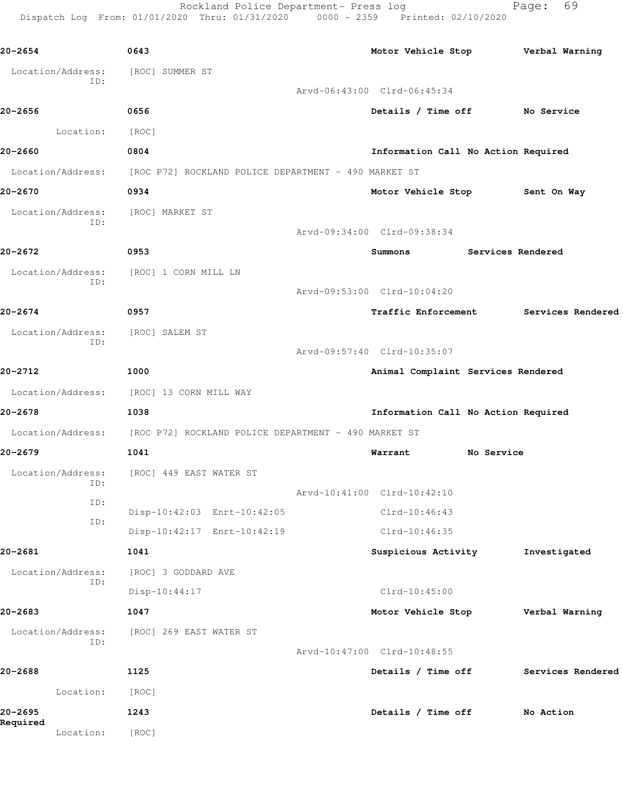Rockland Police Department- Press log Fage: 69 Dispatch Log From: 01/01/2020 Thru: 01/31/2020 0000 - 2359 Printed: 02/10/2020

**20-2654 0643 Motor Vehicle Stop Verbal Warning** Location/Address: [ROC] SUMMER ST ID: Arvd-06:43:00 Clrd-06:45:34 **20-2656 0656 Details / Time off No Service** Location: [ROC] **20-2660 0804 Information Call No Action Required** Location/Address: [ROC P72] ROCKLAND POLICE DEPARTMENT - 490 MARKET ST **20-2670 0934 Motor Vehicle Stop Sent On Way** Location/Address: [ROC] MARKET ST ID: Arvd-09:34:00 Clrd-09:38:34 **20-2672 0953 Summons Services Rendered** Location/Address: [ROC] 1 CORN MILL LN ID: Arvd-09:53:00 Clrd-10:04:20 **20-2674 0957 Traffic Enforcement Services Rendered** Location/Address: [ROC] SALEM ST ID: Arvd-09:57:40 Clrd-10:35:07 **20-2712 1000 Animal Complaint Services Rendered** Location/Address: [ROC] 13 CORN MILL WAY **20-2678 1038 Information Call No Action Required** Location/Address: [ROC P72] ROCKLAND POLICE DEPARTMENT - 490 MARKET ST **20-2679 1041 Warrant No Service** Location/Address: [ROC] 449 EAST WATER ST ID: Arvd-10:41:00 Clrd-10:42:10 ID: Disp-10:42:03 Enrt-10:42:05 Clrd-10:46:43 ID: Disp-10:42:17 Enrt-10:42:19 Clrd-10:46:35 **20-2681 1041 Suspicious Activity Investigated** Location/Address: [ROC] 3 GODDARD AVE ID: Disp-10:44:17 Clrd-10:45:00 **20-2683 1047 Motor Vehicle Stop Verbal Warning** Location/Address: [ROC] 269 EAST WATER ST ID: Arvd-10:47:00 Clrd-10:48:55 **20-2688 1125 Details / Time off Services Rendered** Location: [ROC] **20-2695 1243 Details / Time off No Action Required**  Location: [ROC]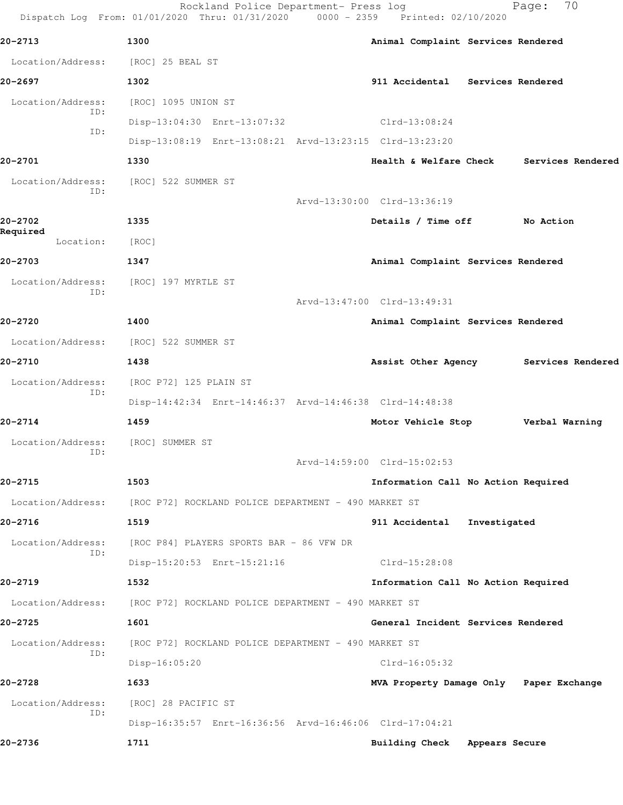|                          | Rockland Police Department- Press log<br>Dispatch Log From: 01/01/2020 Thru: 01/31/2020 0000 - 2359 Printed: 02/10/2020 | 70<br>Page:                                 |
|--------------------------|-------------------------------------------------------------------------------------------------------------------------|---------------------------------------------|
| 20-2713                  | 1300                                                                                                                    | Animal Complaint Services Rendered          |
| Location/Address:        | [ROC] 25 BEAL ST                                                                                                        |                                             |
| 20–2697                  | 1302                                                                                                                    | 911 Accidental Services Rendered            |
| Location/Address:        | [ROC] 1095 UNION ST                                                                                                     |                                             |
| ID:                      | Disp-13:04:30 Enrt-13:07:32                                                                                             | $Clrd-13:08:24$                             |
| ID:                      | Disp-13:08:19 Enrt-13:08:21 Arvd-13:23:15 Clrd-13:23:20                                                                 |                                             |
| 20-2701                  | 1330                                                                                                                    | Services Rendered<br>Health & Welfare Check |
| Location/Address:<br>ID: | [ROC] 522 SUMMER ST                                                                                                     |                                             |
|                          |                                                                                                                         | Arvd-13:30:00 Clrd-13:36:19                 |
| 20-2702                  | 1335                                                                                                                    | Details / Time off<br>No Action             |
| Required<br>Location:    | [ROC]                                                                                                                   |                                             |
| 20-2703                  | 1347                                                                                                                    | Animal Complaint Services Rendered          |
| Location/Address:        | [ROC] 197 MYRTLE ST                                                                                                     |                                             |
| ID:                      |                                                                                                                         | Arvd-13:47:00 Clrd-13:49:31                 |
| 20-2720                  | 1400                                                                                                                    | Animal Complaint Services Rendered          |
| Location/Address:        | [ROC] 522 SUMMER ST                                                                                                     |                                             |
| 20-2710                  | 1438                                                                                                                    | Assist Other Agency<br>Services Rendered    |
| Location/Address:        | [ROC P72] 125 PLAIN ST                                                                                                  |                                             |
| ID:                      | Disp-14:42:34 Enrt-14:46:37 Arvd-14:46:38 Clrd-14:48:38                                                                 |                                             |
| 20-2714                  | 1459                                                                                                                    | Motor Vehicle Stop<br>Verbal Warning        |
| Location/Address:        | [ROC] SUMMER ST                                                                                                         |                                             |
| ID:                      |                                                                                                                         | Arvd-14:59:00 Clrd-15:02:53                 |
| 20-2715                  | 1503                                                                                                                    | Information Call No Action Required         |
| Location/Address:        | [ROC P72] ROCKLAND POLICE DEPARTMENT - 490 MARKET ST                                                                    |                                             |
| 20-2716                  | 1519                                                                                                                    | 911 Accidental<br>Investigated              |
| Location/Address:        | [ROC P84] PLAYERS SPORTS BAR - 86 VFW DR                                                                                |                                             |
| ID:                      | Disp-15:20:53 Enrt-15:21:16                                                                                             | Clrd-15:28:08                               |
| 20-2719                  | 1532                                                                                                                    | Information Call No Action Required         |
| Location/Address:        | [ROC P72] ROCKLAND POLICE DEPARTMENT - 490 MARKET ST                                                                    |                                             |
| 20-2725                  | 1601                                                                                                                    | General Incident Services Rendered          |
| Location/Address:        | [ROC P72] ROCKLAND POLICE DEPARTMENT - 490 MARKET ST                                                                    |                                             |
| ID:                      | Disp-16:05:20                                                                                                           | $Clrd-16:05:32$                             |
| 20-2728                  | 1633                                                                                                                    | MVA Property Damage Only Paper Exchange     |
| Location/Address:        | [ROC] 28 PACIFIC ST                                                                                                     |                                             |
| ID:                      | Disp-16:35:57 Enrt-16:36:56 Arvd-16:46:06 Clrd-17:04:21                                                                 |                                             |
| 20-2736                  | 1711                                                                                                                    | Building Check Appears Secure               |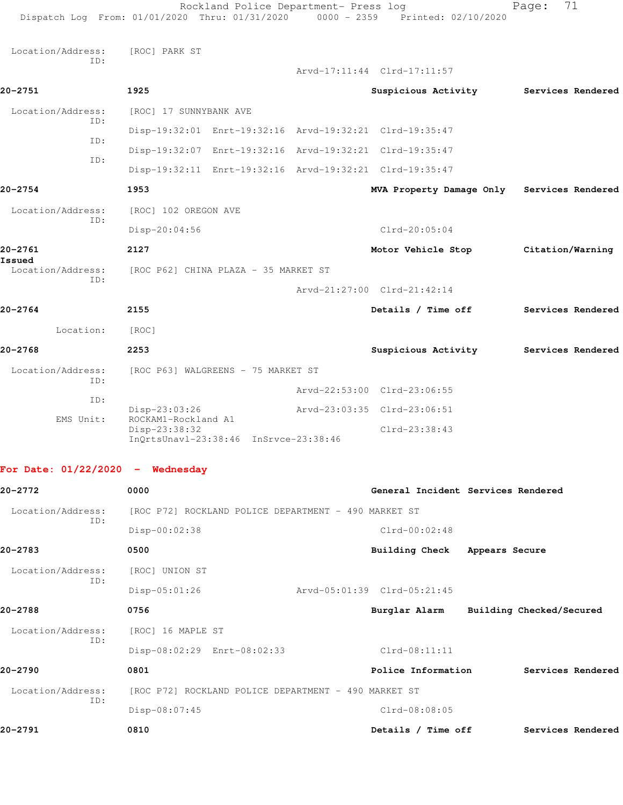|                                    | Rockland Police Department- Press log<br>Dispatch Log From: 01/01/2020 Thru: 01/31/2020 0000 - 2359 Printed: 02/10/2020 |                                            | 71<br>Page:       |
|------------------------------------|-------------------------------------------------------------------------------------------------------------------------|--------------------------------------------|-------------------|
| Location/Address:<br>ID:           | [ROC] PARK ST                                                                                                           | Arvd-17:11:44 Clrd-17:11:57                |                   |
| 20-2751                            | 1925                                                                                                                    | Suspicious Activity                        | Services Rendered |
| Location/Address:                  | [ROC] 17 SUNNYBANK AVE                                                                                                  |                                            |                   |
| ID:                                | Disp-19:32:01 Enrt-19:32:16 Arvd-19:32:21 Clrd-19:35:47                                                                 |                                            |                   |
| ID:                                | Disp-19:32:07 Enrt-19:32:16 Arvd-19:32:21 Clrd-19:35:47                                                                 |                                            |                   |
| ID:                                | Disp-19:32:11 Enrt-19:32:16 Arvd-19:32:21 Clrd-19:35:47                                                                 |                                            |                   |
| 20-2754                            | 1953                                                                                                                    | MVA Property Damage Only Services Rendered |                   |
| Location/Address:                  | [ROC] 102 OREGON AVE                                                                                                    |                                            |                   |
| ID:                                | $Disp-20:04:56$                                                                                                         | $Clrd-20:05:04$                            |                   |
| 20-2761                            | 2127                                                                                                                    | Motor Vehicle Stop Citation/Warning        |                   |
| Issued<br>Location/Address:        | [ROC P62] CHINA PLAZA - 35 MARKET ST                                                                                    |                                            |                   |
| ID:                                |                                                                                                                         | Arvd-21:27:00 Clrd-21:42:14                |                   |
| 20-2764                            | 2155                                                                                                                    | Details / Time off                         | Services Rendered |
| Location:                          | [ROC]                                                                                                                   |                                            |                   |
| 20-2768                            | 2253                                                                                                                    | Suspicious Activity                        | Services Rendered |
| Location/Address:                  | [ROC P63] WALGREENS - 75 MARKET ST                                                                                      |                                            |                   |
| ID:                                |                                                                                                                         | Arvd-22:53:00 Clrd-23:06:55                |                   |
| ID:                                | Disp-23:03:26                                                                                                           | Arvd-23:03:35 Clrd-23:06:51                |                   |
| EMS Unit:                          | ROCKAM1-Rockland A1<br>Disp-23:38:32<br>InQrtsUnavl-23:38:46 InSrvce-23:38:46                                           | $Clrd-23:38:43$                            |                   |
| For Date: $01/22/2020 -$ Wednesday |                                                                                                                         |                                            |                   |
| 20-2772                            | 0000                                                                                                                    | General Incident Services Rendered         |                   |
| Location/Address:<br>ID:           | [ROC P72] ROCKLAND POLICE DEPARTMENT - 490 MARKET ST                                                                    |                                            |                   |
|                                    | Disp-00:02:38                                                                                                           | $Clrd-00:02:48$                            |                   |
| 20-2783                            | 0500                                                                                                                    | Building Check<br>Appears Secure           |                   |
| Location/Address:<br>ID:           | [ROC] UNION ST                                                                                                          |                                            |                   |

Disp-05:01:26 Arvd-05:01:39 Clrd-05:21:45

**20-2788 0756 Burglar Alarm Building Checked/Secured** Location/Address: [ROC] 16 MAPLE ST ID: Disp-08:02:29 Enrt-08:02:33 Clrd-08:11:11 **20-2790 0801 Police Information Services Rendered** Location/Address: [ROC P72] ROCKLAND POLICE DEPARTMENT - 490 MARKET ST

 ID: Disp-08:07:45 Clrd-08:08:05 **20-2791 0810 Details / Time off Services Rendered**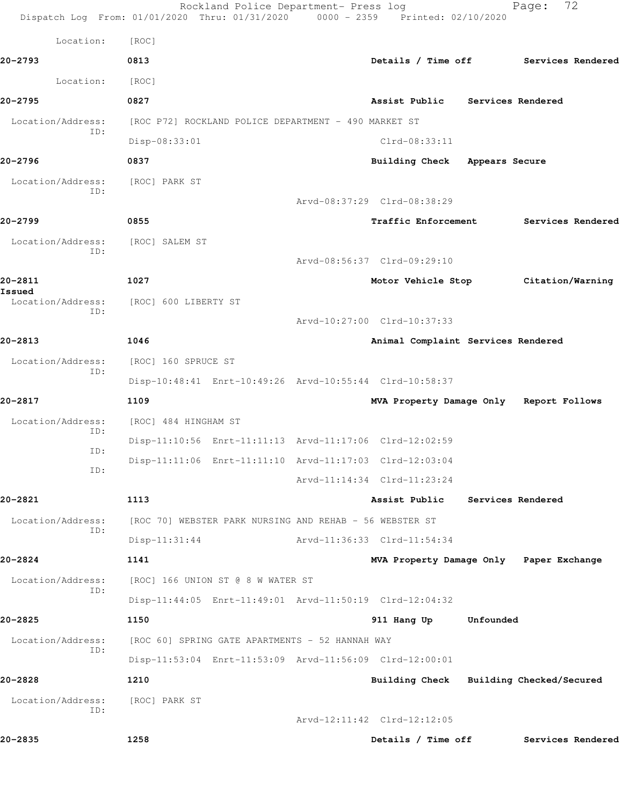|                          | Rockland Police Department- Press log<br>Dispatch Log From: 01/01/2020 Thru: 01/31/2020 0000 - 2359 Printed: 02/10/2020 |                                         |                   | 72<br>Page:                          |
|--------------------------|-------------------------------------------------------------------------------------------------------------------------|-----------------------------------------|-------------------|--------------------------------------|
| Location:                | [ROC]                                                                                                                   |                                         |                   |                                      |
| 20-2793                  | 0813                                                                                                                    |                                         |                   | Details / Time off Services Rendered |
| Location:                | [ROC]                                                                                                                   |                                         |                   |                                      |
| 20-2795                  | 0827                                                                                                                    | Assist Public Services Rendered         |                   |                                      |
| Location/Address:        | [ROC P72] ROCKLAND POLICE DEPARTMENT - 490 MARKET ST                                                                    |                                         |                   |                                      |
| ID:                      | Disp-08:33:01                                                                                                           | Clrd-08:33:11                           |                   |                                      |
| 20-2796                  | 0837                                                                                                                    | Building Check Appears Secure           |                   |                                      |
| Location/Address:<br>ID: | [ROC] PARK ST                                                                                                           |                                         |                   |                                      |
|                          |                                                                                                                         | Arvd-08:37:29 Clrd-08:38:29             |                   |                                      |
| 20-2799                  | 0855                                                                                                                    | <b>Traffic Enforcement</b>              |                   | Services Rendered                    |
| Location/Address:<br>ID: | [ROC] SALEM ST                                                                                                          |                                         |                   |                                      |
|                          |                                                                                                                         | Arvd-08:56:37 Clrd-09:29:10             |                   |                                      |
| 20-2811<br>Issued        | 1027                                                                                                                    |                                         |                   | Motor Vehicle Stop Citation/Warning  |
| Location/Address:<br>ID: | [ROC] 600 LIBERTY ST                                                                                                    |                                         |                   |                                      |
|                          |                                                                                                                         | Arvd-10:27:00 Clrd-10:37:33             |                   |                                      |
| 20-2813                  | 1046                                                                                                                    | Animal Complaint Services Rendered      |                   |                                      |
| Location/Address:<br>ID: | [ROC] 160 SPRUCE ST                                                                                                     |                                         |                   |                                      |
|                          | Disp-10:48:41 Enrt-10:49:26 Arvd-10:55:44 Clrd-10:58:37                                                                 |                                         |                   |                                      |
| 20-2817                  | 1109                                                                                                                    | MVA Property Damage Only Report Follows |                   |                                      |
| Location/Address:<br>ID: | [ROC] 484 HINGHAM ST                                                                                                    |                                         |                   |                                      |
| ID:                      | Disp-11:10:56 Enrt-11:11:13 Arvd-11:17:06 Clrd-12:02:59                                                                 |                                         |                   |                                      |
| ID:                      | Disp-11:11:06 Enrt-11:11:10 Arvd-11:17:03 Clrd-12:03:04                                                                 |                                         |                   |                                      |
|                          |                                                                                                                         | Arvd-11:14:34 Clrd-11:23:24             |                   |                                      |
| 20-2821                  | 1113                                                                                                                    | Assist Public                           | Services Rendered |                                      |
| Location/Address:<br>ID: | [ROC 70] WEBSTER PARK NURSING AND REHAB - 56 WEBSTER ST                                                                 |                                         |                   |                                      |
|                          | $Disp-11:31:44$                                                                                                         | Arvd-11:36:33 Clrd-11:54:34             |                   |                                      |
| 20-2824                  | 1141                                                                                                                    | MVA Property Damage Only Paper Exchange |                   |                                      |
| Location/Address:<br>ID: | [ROC] 166 UNION ST @ 8 W WATER ST                                                                                       |                                         |                   |                                      |
|                          | Disp-11:44:05 Enrt-11:49:01 Arvd-11:50:19 Clrd-12:04:32                                                                 |                                         |                   |                                      |
| 20-2825                  | 1150                                                                                                                    | 911 Hang Up                             | Unfounded         |                                      |
| Location/Address:<br>ID: | [ROC 60] SPRING GATE APARTMENTS - 52 HANNAH WAY                                                                         |                                         |                   |                                      |
| 20-2828                  | Disp-11:53:04 Enrt-11:53:09 Arvd-11:56:09 Clrd-12:00:01<br>1210                                                         |                                         |                   |                                      |
| Location/Address:        | [ROC] PARK ST                                                                                                           | Building Check Building Checked/Secured |                   |                                      |
| ID:                      |                                                                                                                         | Arvd-12:11:42 Clrd-12:12:05             |                   |                                      |
| 20-2835                  | 1258                                                                                                                    | Details / Time off                      |                   | Services Rendered                    |
|                          |                                                                                                                         |                                         |                   |                                      |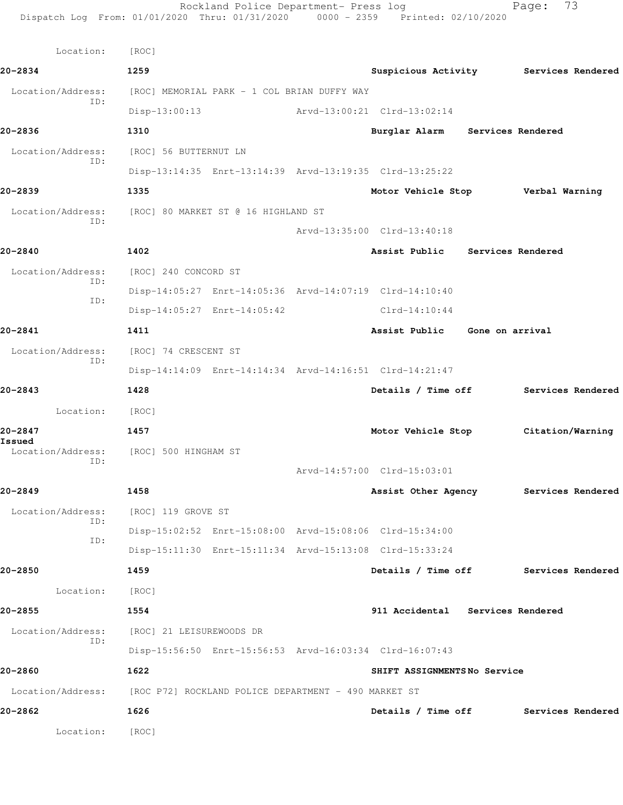Rockland Police Department- Press log Fage: 73 Dispatch Log From: 01/01/2020 Thru: 01/31/2020 0000 - 2359 Printed: 02/10/2020 Location: [ROC] **20-2834 1259 Suspicious Activity Services Rendered** Location/Address: [ROC] MEMORIAL PARK - 1 COL BRIAN DUFFY WAY ID: Disp-13:00:13 Arvd-13:00:21 Clrd-13:02:14 **20-2836 1310 Burglar Alarm Services Rendered** Location/Address: [ROC] 56 BUTTERNUT LN ID: Disp-13:14:35 Enrt-13:14:39 Arvd-13:19:35 Clrd-13:25:22 **20-2839 1335 Motor Vehicle Stop Verbal Warning** Location/Address: [ROC] 80 MARKET ST @ 16 HIGHLAND ST ID: Arvd-13:35:00 Clrd-13:40:18 **20-2840 1402 Assist Public Services Rendered** Location/Address: [ROC] 240 CONCORD ST ID: Disp-14:05:27 Enrt-14:05:36 Arvd-14:07:19 Clrd-14:10:40 ID: Disp-14:05:27 Enrt-14:05:42 Clrd-14:10:44 **20-2841 1411 Assist Public Gone on arrival** Location/Address: [ROC] 74 CRESCENT ST ID: Disp-14:14:09 Enrt-14:14:34 Arvd-14:16:51 Clrd-14:21:47 **20-2843 1428 Details / Time off Services Rendered** Location: [ROC] **20-2847 1457 Motor Vehicle Stop Citation/Warning Issued**  [ROC] 500 HINGHAM ST ID: Arvd-14:57:00 Clrd-15:03:01 **20-2849 1458 Assist Other Agency Services Rendered** Location/Address: [ROC] 119 GROVE ST ID: Disp-15:02:52 Enrt-15:08:00 Arvd-15:08:06 Clrd-15:34:00 ID: Disp-15:11:30 Enrt-15:11:34 Arvd-15:13:08 Clrd-15:33:24 **20-2850 1459 Details / Time off Services Rendered** Location: [ROC] **20-2855 1554 911 Accidental Services Rendered** Location/Address: [ROC] 21 LEISUREWOODS DR ID: Disp-15:56:50 Enrt-15:56:53 Arvd-16:03:34 Clrd-16:07:43 **20-2860 1622 SHIFT ASSIGNMENTS No Service** Location/Address: [ROC P72] ROCKLAND POLICE DEPARTMENT - 490 MARKET ST **20-2862 1626 Details / Time off Services Rendered** Location: [ROC]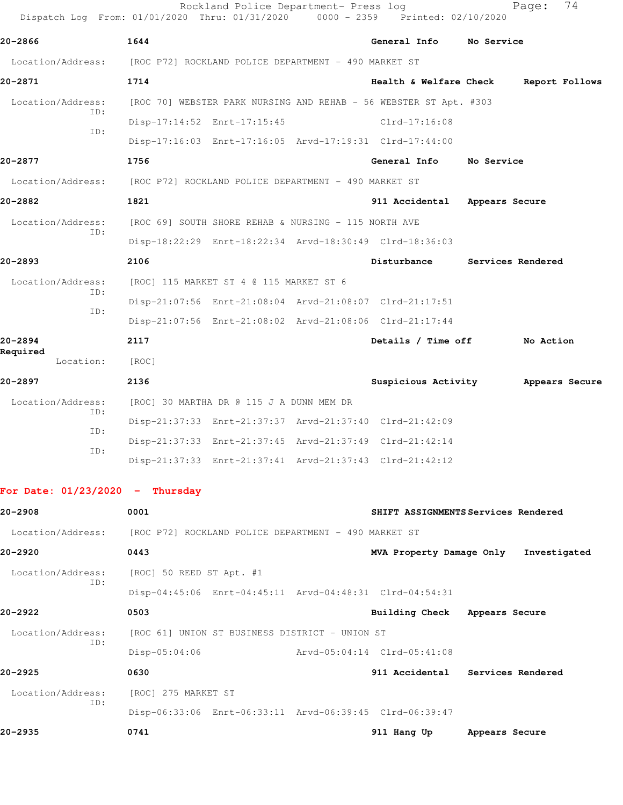|                                   | Rockland Police Department- Press log<br>Dispatch Log From: 01/01/2020 Thru: 01/31/2020 0000 - 2359 Printed: 02/10/2020 |                             | 74<br>Page:                           |
|-----------------------------------|-------------------------------------------------------------------------------------------------------------------------|-----------------------------|---------------------------------------|
| 20-2866                           | 1644                                                                                                                    | General Info                | No Service                            |
|                                   | Location/Address: [ROC P72] ROCKLAND POLICE DEPARTMENT - 490 MARKET ST                                                  |                             |                                       |
| 20-2871                           | 1714                                                                                                                    | Health & Welfare Check      | Report Follows                        |
| Location/Address:                 | [ROC 70] WEBSTER PARK NURSING AND REHAB - 56 WEBSTER ST Apt. #303                                                       |                             |                                       |
| ID:                               | Disp-17:14:52 Enrt-17:15:45                                                                                             | $Clrd-17:16:08$             |                                       |
| ID:                               | Disp-17:16:03 Enrt-17:16:05 Arvd-17:19:31 Clrd-17:44:00                                                                 |                             |                                       |
| 20-2877                           | 1756                                                                                                                    | General Info                | No Service                            |
| Location/Address:                 | [ROC P72] ROCKLAND POLICE DEPARTMENT - 490 MARKET ST                                                                    |                             |                                       |
| 20-2882                           | 1821                                                                                                                    | 911 Accidental              | Appears Secure                        |
| Location/Address:                 | [ROC 69] SOUTH SHORE REHAB & NURSING - 115 NORTH AVE                                                                    |                             |                                       |
| ID:                               | Disp-18:22:29 Enrt-18:22:34 Arvd-18:30:49 Clrd-18:36:03                                                                 |                             |                                       |
| $20 - 2893$                       | 2106                                                                                                                    | Disturbance                 | Services Rendered                     |
| Location/Address:                 | [ROC] 115 MARKET ST 4 @ 115 MARKET ST 6                                                                                 |                             |                                       |
| ID:                               | Disp-21:07:56 Enrt-21:08:04 Arvd-21:08:07 Clrd-21:17:51                                                                 |                             |                                       |
| ID:                               | Disp-21:07:56 Enrt-21:08:02 Arvd-21:08:06 Clrd-21:17:44                                                                 |                             |                                       |
| 20-2894                           | 2117                                                                                                                    | Details / Time off          | No Action                             |
| Required<br>Location:             | [ROC]                                                                                                                   |                             |                                       |
| 20-2897                           | 2136                                                                                                                    |                             | Suspicious Activity Appears Secure    |
| Location/Address:                 | [ROC] 30 MARTHA DR @ 115 J A DUNN MEM DR                                                                                |                             |                                       |
| ID:                               | Disp-21:37:33 Enrt-21:37:37 Arvd-21:37:40 Clrd-21:42:09                                                                 |                             |                                       |
| ID:<br>ID:                        | Disp-21:37:33 Enrt-21:37:45 Arvd-21:37:49 Clrd-21:42:14                                                                 |                             |                                       |
|                                   | Disp-21:37:33 Enrt-21:37:41 Arvd-21:37:43 Clrd-21:42:12                                                                 |                             |                                       |
| For Date: $01/23/2020 -$ Thursday |                                                                                                                         |                             |                                       |
| 20-2908                           | 0001                                                                                                                    |                             | SHIFT ASSIGNMENTS Services Rendered   |
|                                   | Location/Address: [ROC P72] ROCKLAND POLICE DEPARTMENT - 490 MARKET ST                                                  |                             |                                       |
| 20-2920                           | 0443                                                                                                                    |                             | MVA Property Damage Only Investigated |
| Location/Address:                 | [ROC] 50 REED ST Apt. #1                                                                                                |                             |                                       |
| ID:                               | Disp-04:45:06 Enrt-04:45:11 Arvd-04:48:31 Clrd-04:54:31                                                                 |                             |                                       |
| 20-2922                           | 0503                                                                                                                    | Building Check              | Appears Secure                        |
| Location/Address:                 | [ROC 61] UNION ST BUSINESS DISTRICT - UNION ST                                                                          |                             |                                       |
| ID:                               | $Disp-05:04:06$                                                                                                         | Arvd-05:04:14 Clrd-05:41:08 |                                       |
| $20 - 2925$                       | 0630                                                                                                                    |                             | 911 Accidental Services Rendered      |
| Location/Address:                 | [ROC] 275 MARKET ST                                                                                                     |                             |                                       |
| ID:                               | Disp-06:33:06 Enrt-06:33:11 Arvd-06:39:45 Clrd-06:39:47                                                                 |                             |                                       |

**20-2935 0741 911 Hang Up Appears Secure**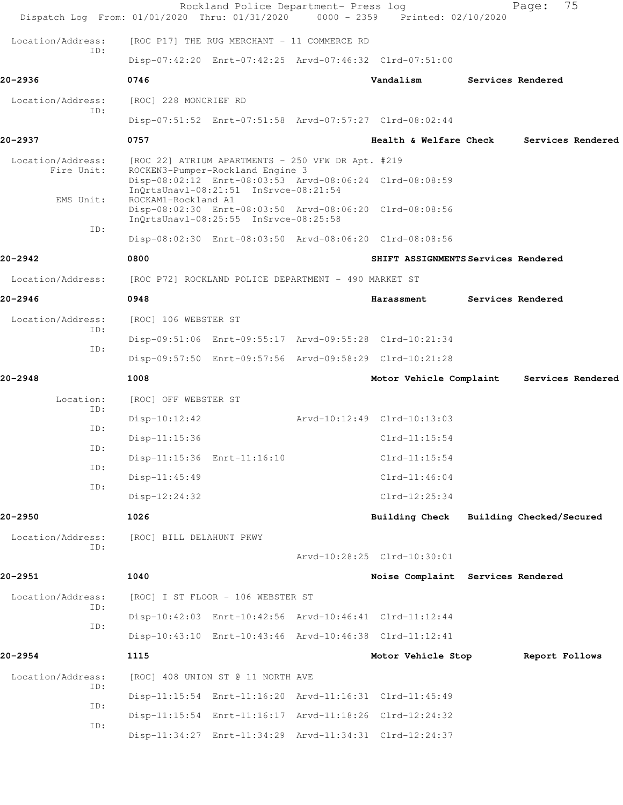| Dispatch Log From: 01/01/2020 Thru: 01/31/2020 |                                                      | Rockland Police Department- Press log                                     | 0000 - 2359 Printed: 02/10/2020                         | Page:                    | 75                |
|------------------------------------------------|------------------------------------------------------|---------------------------------------------------------------------------|---------------------------------------------------------|--------------------------|-------------------|
| Location/Address:                              |                                                      | [ROC P17] THE RUG MERCHANT - 11 COMMERCE RD                               |                                                         |                          |                   |
| TD:                                            |                                                      |                                                                           | Disp-07:42:20 Enrt-07:42:25 Arvd-07:46:32 Clrd-07:51:00 |                          |                   |
| 20-2936                                        | 0746                                                 |                                                                           | Vandalism                                               | Services Rendered        |                   |
| Location/Address:                              | [ROC] 228 MONCRIEF RD                                |                                                                           |                                                         |                          |                   |
| ID:                                            |                                                      |                                                                           | Disp-07:51:52 Enrt-07:51:58 Arvd-07:57:27 Clrd-08:02:44 |                          |                   |
| 20-2937                                        | 0757                                                 |                                                                           | Health & Welfare Check                                  |                          | Services Rendered |
| Location/Address:                              | [ROC 22] ATRIUM APARTMENTS - 250 VFW DR Apt. #219    |                                                                           |                                                         |                          |                   |
| Fire Unit:                                     |                                                      | ROCKEN3-Pumper-Rockland Engine 3<br>InQrtsUnavl-08:21:51 InSrvce-08:21:54 | Disp-08:02:12 Enrt-08:03:53 Arvd-08:06:24 Clrd-08:08:59 |                          |                   |
| EMS Unit:                                      | ROCKAM1-Rockland A1                                  |                                                                           | Disp-08:02:30 Enrt-08:03:50 Arvd-08:06:20 Clrd-08:08:56 |                          |                   |
| ID:                                            |                                                      | InQrtsUnavl-08:25:55 InSrvce-08:25:58                                     |                                                         |                          |                   |
|                                                |                                                      |                                                                           | Disp-08:02:30 Enrt-08:03:50 Arvd-08:06:20 Clrd-08:08:56 |                          |                   |
| 20-2942                                        | 0800                                                 |                                                                           | SHIFT ASSIGNMENTS Services Rendered                     |                          |                   |
| Location/Address:                              | [ROC P72] ROCKLAND POLICE DEPARTMENT - 490 MARKET ST |                                                                           |                                                         |                          |                   |
| 20-2946                                        | 0948                                                 |                                                                           | Harassment                                              | Services Rendered        |                   |
| Location/Address:<br>ID:                       | [ROC] 106 WEBSTER ST                                 |                                                                           |                                                         |                          |                   |
| ID:                                            |                                                      |                                                                           | Disp-09:51:06 Enrt-09:55:17 Arvd-09:55:28 Clrd-10:21:34 |                          |                   |
|                                                |                                                      |                                                                           | Disp-09:57:50 Enrt-09:57:56 Arvd-09:58:29 Clrd-10:21:28 |                          |                   |
| 20-2948                                        | 1008                                                 |                                                                           | Motor Vehicle Complaint                                 |                          | Services Rendered |
| Location:<br>ID:                               | [ROC] OFF WEBSTER ST                                 |                                                                           |                                                         |                          |                   |
| ID:                                            | $Disp-10:12:42$                                      |                                                                           | Arvd-10:12:49 Clrd-10:13:03                             |                          |                   |
| ID:                                            | Disp-11:15:36                                        |                                                                           | $Clrd-11:15:54$                                         |                          |                   |
| ID:                                            | Disp-11:15:36 Enrt-11:16:10                          |                                                                           | $C1rd-11:15:54$                                         |                          |                   |
| ID:                                            | $Disp-11:45:49$                                      |                                                                           | $Clrd-11:46:04$                                         |                          |                   |
|                                                | $Disp-12:24:32$                                      |                                                                           | $Clrd-12:25:34$                                         |                          |                   |
| 20-2950                                        | 1026                                                 |                                                                           | <b>Building Check</b>                                   | Building Checked/Secured |                   |
| Location/Address:<br>ID:                       | [ROC] BILL DELAHUNT PKWY                             |                                                                           |                                                         |                          |                   |
|                                                |                                                      |                                                                           | Arvd-10:28:25 Clrd-10:30:01                             |                          |                   |
| 20-2951                                        | 1040                                                 |                                                                           | Noise Complaint Services Rendered                       |                          |                   |
| Location/Address:<br>ID:                       |                                                      | [ROC] I ST FLOOR - 106 WEBSTER ST                                         |                                                         |                          |                   |
| ID:                                            |                                                      |                                                                           | Disp-10:42:03 Enrt-10:42:56 Arvd-10:46:41 Clrd-11:12:44 |                          |                   |
|                                                |                                                      |                                                                           | Disp-10:43:10 Enrt-10:43:46 Arvd-10:46:38 Clrd-11:12:41 |                          |                   |
| 20–2954                                        | 1115                                                 |                                                                           | Motor Vehicle Stop                                      | Report Follows           |                   |
| Location/Address:<br>ID:                       |                                                      | [ROC] 408 UNION ST @ 11 NORTH AVE                                         |                                                         |                          |                   |
| ID:                                            |                                                      |                                                                           | Disp-11:15:54 Enrt-11:16:20 Arvd-11:16:31 Clrd-11:45:49 |                          |                   |
| ID:                                            |                                                      |                                                                           | Disp-11:15:54 Enrt-11:16:17 Arvd-11:18:26 Clrd-12:24:32 |                          |                   |
|                                                |                                                      |                                                                           | Disp-11:34:27 Enrt-11:34:29 Arvd-11:34:31 Clrd-12:24:37 |                          |                   |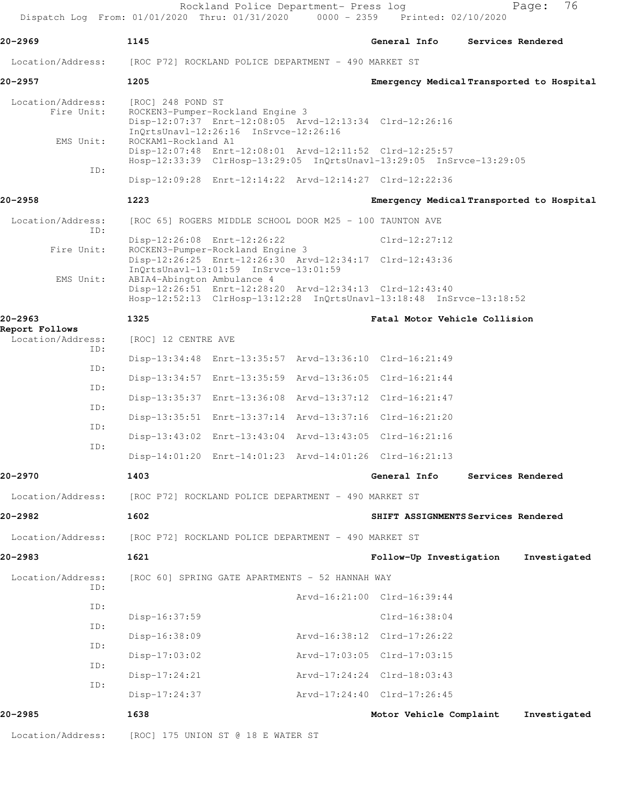| 20–2969                             | 1145                                                 |                                                                           |                                                                                                                                 | General Info                        |                         | Services Rendered                         |
|-------------------------------------|------------------------------------------------------|---------------------------------------------------------------------------|---------------------------------------------------------------------------------------------------------------------------------|-------------------------------------|-------------------------|-------------------------------------------|
| Location/Address:                   |                                                      |                                                                           | [ROC P72] ROCKLAND POLICE DEPARTMENT - 490 MARKET ST                                                                            |                                     |                         |                                           |
| 20-2957                             | 1205                                                 |                                                                           |                                                                                                                                 |                                     |                         | Emergency Medical Transported to Hospital |
| Location/Address:<br>Fire Unit:     | [ROC] 248 POND ST                                    | ROCKEN3-Pumper-Rockland Engine 3<br>InQrtsUnavl-12:26:16 InSrvce-12:26:16 | Disp-12:07:37 Enrt-12:08:05 Arvd-12:13:34 Clrd-12:26:16                                                                         |                                     |                         |                                           |
| EMS Unit:                           | ROCKAM1-Rockland A1                                  |                                                                           | Disp-12:07:48 Enrt-12:08:01 Arvd-12:11:52 Clrd-12:25:57<br>Hosp-12:33:39 ClrHosp-13:29:05 InQrtsUnavl-13:29:05 InSrvce-13:29:05 |                                     |                         |                                           |
| ID:                                 |                                                      |                                                                           | Disp-12:09:28 Enrt-12:14:22 Arvd-12:14:27 Clrd-12:22:36                                                                         |                                     |                         |                                           |
| 20-2958                             | 1223                                                 |                                                                           |                                                                                                                                 |                                     |                         | Emergency Medical Transported to Hospital |
| Location/Address:                   |                                                      |                                                                           | [ROC 65] ROGERS MIDDLE SCHOOL DOOR M25 - 100 TAUNTON AVE                                                                        |                                     |                         |                                           |
| TD:<br>Fire Unit:                   | Disp-12:26:08 Enrt-12:26:22                          |                                                                           |                                                                                                                                 | $Clrd-12:27:12$                     |                         |                                           |
|                                     |                                                      | ROCKEN3-Pumper-Rockland Engine 3<br>InQrtsUnavl-13:01:59 InSrvce-13:01:59 | Disp-12:26:25 Enrt-12:26:30 Arvd-12:34:17 Clrd-12:43:36                                                                         |                                     |                         |                                           |
| EMS Unit:                           | ABIA4-Abington Ambulance 4                           |                                                                           | Disp-12:26:51 Enrt-12:28:20 Arvd-12:34:13 Clrd-12:43:40<br>Hosp-12:52:13 ClrHosp-13:12:28 InQrtsUnavl-13:18:48 InSrvce-13:18:52 |                                     |                         |                                           |
| 20-2963                             | 1325                                                 |                                                                           |                                                                                                                                 | Fatal Motor Vehicle Collision       |                         |                                           |
| Report Follows<br>Location/Address: | [ROC] 12 CENTRE AVE                                  |                                                                           |                                                                                                                                 |                                     |                         |                                           |
| ID:                                 |                                                      |                                                                           | Disp-13:34:48 Enrt-13:35:57 Arvd-13:36:10 Clrd-16:21:49                                                                         |                                     |                         |                                           |
| ID:                                 |                                                      |                                                                           | Disp-13:34:57 Enrt-13:35:59 Arvd-13:36:05 Clrd-16:21:44                                                                         |                                     |                         |                                           |
| ID:                                 |                                                      |                                                                           | Disp-13:35:37 Enrt-13:36:08 Arvd-13:37:12 Clrd-16:21:47                                                                         |                                     |                         |                                           |
| ID:<br>ID:                          |                                                      |                                                                           | Disp-13:35:51 Enrt-13:37:14 Arvd-13:37:16 Clrd-16:21:20                                                                         |                                     |                         |                                           |
| ID:                                 |                                                      |                                                                           | Disp-13:43:02 Enrt-13:43:04 Arvd-13:43:05 Clrd-16:21:16                                                                         |                                     |                         |                                           |
|                                     |                                                      |                                                                           | Disp-14:01:20 Enrt-14:01:23 Arvd-14:01:26 Clrd-16:21:13                                                                         |                                     |                         |                                           |
| 20-2970                             | 1403                                                 |                                                                           |                                                                                                                                 | General Info Services Rendered      |                         |                                           |
| Location/Address:                   | [ROC P72] ROCKLAND POLICE DEPARTMENT - 490 MARKET ST |                                                                           |                                                                                                                                 |                                     |                         |                                           |
| 20-2982                             | 1602                                                 |                                                                           |                                                                                                                                 | SHIFT ASSIGNMENTS Services Rendered |                         |                                           |
| Location/Address:                   | [ROC P72] ROCKLAND POLICE DEPARTMENT - 490 MARKET ST |                                                                           |                                                                                                                                 |                                     |                         |                                           |
| 20-2983                             | 1621                                                 |                                                                           |                                                                                                                                 | Follow-Up Investigation             |                         | Investigated                              |
| Location/Address:                   |                                                      |                                                                           | [ROC 60] SPRING GATE APARTMENTS - 52 HANNAH WAY                                                                                 |                                     |                         |                                           |
| ID:                                 |                                                      |                                                                           | Arvd-16:21:00 Clrd-16:39:44                                                                                                     |                                     |                         |                                           |
| ID:                                 | Disp-16:37:59                                        |                                                                           |                                                                                                                                 | $Clrd-16:38:04$                     |                         |                                           |
| ID:<br>ID:                          | Disp-16:38:09                                        |                                                                           | Arvd-16:38:12 Clrd-17:26:22                                                                                                     |                                     |                         |                                           |
|                                     | $Disp-17:03:02$                                      |                                                                           | Arvd-17:03:05 Clrd-17:03:15                                                                                                     |                                     |                         |                                           |
| ID:<br>ID:                          | $Disp-17:24:21$                                      |                                                                           | Arvd-17:24:24 Clrd-18:03:43                                                                                                     |                                     |                         |                                           |
|                                     | Disp-17:24:37                                        |                                                                           | Arvd-17:24:40 Clrd-17:26:45                                                                                                     |                                     |                         |                                           |
| 20-2985                             | 1638                                                 |                                                                           |                                                                                                                                 |                                     | Motor Vehicle Complaint | Investigated                              |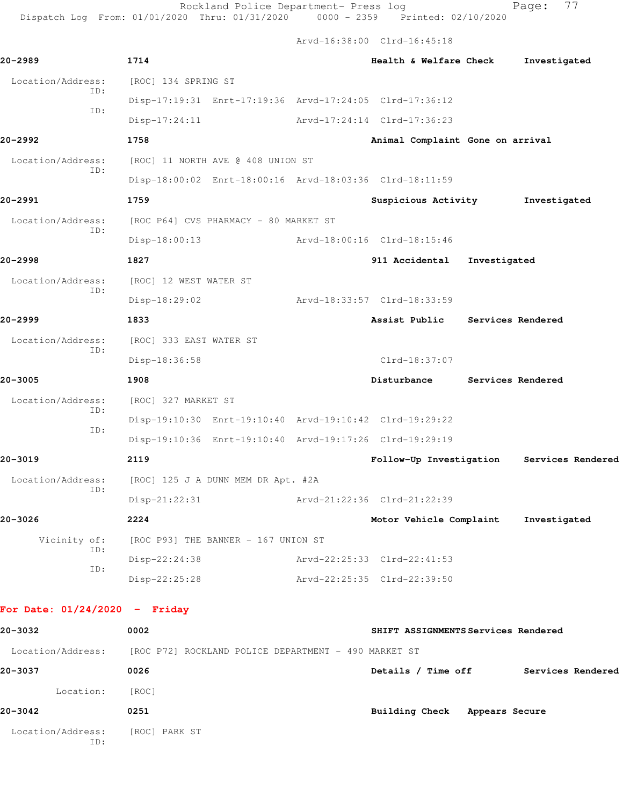Rockland Police Department- Press log Fage: 77

Dispatch Log From: 01/01/2020 Thru: 01/31/2020 0000 - 2359 Printed: 02/10/2020

Arvd-16:38:00 Clrd-16:45:18

| 20-2989                                                                | 1714                                  |                                                         |                             | Health & Welfare Check                    |                   | Investigated |  |
|------------------------------------------------------------------------|---------------------------------------|---------------------------------------------------------|-----------------------------|-------------------------------------------|-------------------|--------------|--|
| Location/Address:                                                      | [ROC] 134 SPRING ST                   |                                                         |                             |                                           |                   |              |  |
| ID:<br>ID:                                                             |                                       | Disp-17:19:31 Enrt-17:19:36 Arvd-17:24:05 Clrd-17:36:12 |                             |                                           |                   |              |  |
|                                                                        | $Disp-17:24:11$                       |                                                         | Arvd-17:24:14 Clrd-17:36:23 |                                           |                   |              |  |
| 20-2992                                                                | 1758                                  |                                                         |                             | Animal Complaint Gone on arrival          |                   |              |  |
| Location/Address:<br>ID:                                               | [ROC] 11 NORTH AVE @ 408 UNION ST     |                                                         |                             |                                           |                   |              |  |
|                                                                        |                                       | Disp-18:00:02 Enrt-18:00:16 Arvd-18:03:36 Clrd-18:11:59 |                             |                                           |                   |              |  |
| 20-2991                                                                | 1759                                  |                                                         |                             | Suspicious Activity                       |                   | Investigated |  |
| Location/Address:<br>ID:                                               | [ROC P64] CVS PHARMACY - 80 MARKET ST |                                                         |                             |                                           |                   |              |  |
|                                                                        | $Disp-18:00:13$                       |                                                         | Arvd-18:00:16 Clrd-18:15:46 |                                           |                   |              |  |
| 20-2998                                                                | 1827                                  |                                                         |                             | 911 Accidental                            | Investigated      |              |  |
| Location/Address:<br>ID:                                               | [ROC] 12 WEST WATER ST                |                                                         |                             |                                           |                   |              |  |
|                                                                        | Disp-18:29:02                         |                                                         | Arvd-18:33:57 Clrd-18:33:59 |                                           |                   |              |  |
| 20-2999                                                                | 1833                                  |                                                         |                             | Assist Public Services Rendered           |                   |              |  |
| Location/Address:<br>ID:                                               | [ROC] 333 EAST WATER ST               |                                                         |                             |                                           |                   |              |  |
|                                                                        | Disp-18:36:58                         |                                                         |                             | Clrd-18:37:07                             |                   |              |  |
| 20-3005                                                                | 1908                                  |                                                         |                             | Disturbance                               | Services Rendered |              |  |
| Location/Address:<br>ID:                                               | [ROC] 327 MARKET ST                   |                                                         |                             |                                           |                   |              |  |
| ID:                                                                    |                                       | Disp-19:10:30 Enrt-19:10:40 Arvd-19:10:42 Clrd-19:29:22 |                             |                                           |                   |              |  |
|                                                                        |                                       | Disp-19:10:36 Enrt-19:10:40 Arvd-19:17:26 Clrd-19:29:19 |                             |                                           |                   |              |  |
| 20-3019                                                                | 2119                                  |                                                         |                             | Follow-Up Investigation Services Rendered |                   |              |  |
| Location/Address:<br>ID:                                               |                                       | [ROC] 125 J A DUNN MEM DR Apt. #2A                      |                             |                                           |                   |              |  |
|                                                                        | $Disp-21:22:31$                       |                                                         | Arvd-21:22:36 Clrd-21:22:39 |                                           |                   |              |  |
| 20-3026                                                                | 2224                                  |                                                         |                             | Motor Vehicle Complaint                   |                   | Investigated |  |
| Vicinity of:<br>ID:                                                    | [ROC P93] THE BANNER - 167 UNION ST   |                                                         |                             |                                           |                   |              |  |
| ID:                                                                    | Disp-22:24:38                         |                                                         | Arvd-22:25:33 Clrd-22:41:53 |                                           |                   |              |  |
|                                                                        | $Disp-22:25:28$                       |                                                         | Arvd-22:25:35 Clrd-22:39:50 |                                           |                   |              |  |
| For Date: $01/24/2020 -$ Friday                                        |                                       |                                                         |                             |                                           |                   |              |  |
| 20-3032                                                                | 0002                                  |                                                         |                             | SHIFT ASSIGNMENTS Services Rendered       |                   |              |  |
| Location/Address: [ROC P72] ROCKLAND POLICE DEPARTMENT - 490 MARKET ST |                                       |                                                         |                             |                                           |                   |              |  |
| 20-3037                                                                | 0026                                  |                                                         |                             | Details / Time off Services Rendered      |                   |              |  |
| Location:                                                              | [ROC]                                 |                                                         |                             |                                           |                   |              |  |
| 20-3042                                                                | 0251                                  |                                                         |                             | Building Check Appears Secure             |                   |              |  |
| Location/Address:<br>ID:                                               | [ROC] PARK ST                         |                                                         |                             |                                           |                   |              |  |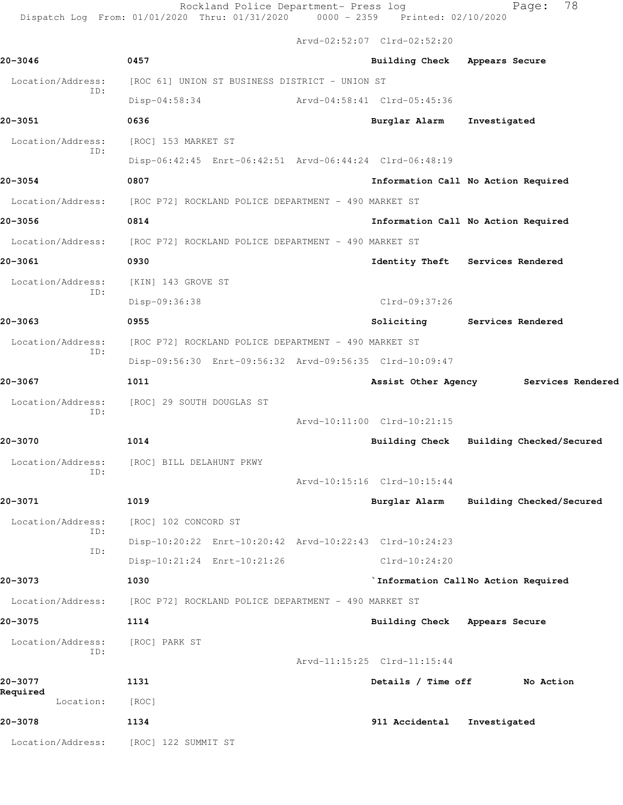Rockland Police Department- Press log entitled and Page: 78

Dispatch Log From: 01/01/2020 Thru: 01/31/2020 0000 - 2359 Printed: 02/10/2020

Arvd-02:52:07 Clrd-02:52:20

| 0457<br>Building Check Appears Secure<br>Location/Address:<br>[ROC 61] UNION ST BUSINESS DISTRICT - UNION ST<br>ID:<br>$Disp-04:58:34$<br>Arvd-04:58:41 Clrd-05:45:36<br>0636<br>Investigated<br>Burglar Alarm<br>Location/Address:<br>[ROC] 153 MARKET ST<br>ID:<br>Disp-06:42:45 Enrt-06:42:51 Arvd-06:44:24 Clrd-06:48:19<br>0807<br>Information Call No Action Required<br>Location/Address: [ROC P72] ROCKLAND POLICE DEPARTMENT - 490 MARKET ST<br>0814<br>Information Call No Action Required<br>Location/Address:<br>[ROC P72] ROCKLAND POLICE DEPARTMENT - 490 MARKET ST<br>0930<br>Identity Theft Services Rendered<br>Location/Address:<br>[KIN] 143 GROVE ST<br>ID:<br>Disp-09:36:38<br>Clrd-09:37:26<br>0955<br>Soliciting Services Rendered<br>Location/Address:<br>[ROC P72] ROCKLAND POLICE DEPARTMENT - 490 MARKET ST<br>ID:<br>Disp-09:56:30 Enrt-09:56:32 Arvd-09:56:35 Clrd-10:09:47<br>1011<br>Assist Other Agency<br>Location/Address:<br>[ROC] 29 SOUTH DOUGLAS ST<br>ID:<br>Arvd-10:11:00 Clrd-10:21:15<br>1014<br>Building Check Building Checked/Secured<br>Location/Address:<br>[ROC] BILL DELAHUNT PKWY<br>ID:<br>Arvd-10:15:16 Clrd-10:15:44<br>1019<br>Burglar Alarm Building Checked/Secured<br>Location/Address:<br>[ROC] 102 CONCORD ST<br>ID:<br>Disp-10:20:22 Enrt-10:20:42 Arvd-10:22:43 Clrd-10:24:23<br>ID:<br>Disp-10:21:24 Enrt-10:21:26<br>Clrd-10:24:20<br>`Information CallNo Action Required<br>1030<br>Location/Address:<br>[ROC P72] ROCKLAND POLICE DEPARTMENT - 490 MARKET ST<br>1114<br>Building Check Appears Secure<br>Location/Address:<br>[ROC] PARK ST<br>ID:<br>Arvd-11:15:25 Clrd-11:15:44<br>1131<br>Details / Time off<br>No Action<br>Location:<br>[ROC]<br>1134<br>911 Accidental<br>Investigated<br>Location/Address:<br>[ROC] 122 SUMMIT ST |             |  |                   |
|-----------------------------------------------------------------------------------------------------------------------------------------------------------------------------------------------------------------------------------------------------------------------------------------------------------------------------------------------------------------------------------------------------------------------------------------------------------------------------------------------------------------------------------------------------------------------------------------------------------------------------------------------------------------------------------------------------------------------------------------------------------------------------------------------------------------------------------------------------------------------------------------------------------------------------------------------------------------------------------------------------------------------------------------------------------------------------------------------------------------------------------------------------------------------------------------------------------------------------------------------------------------------------------------------------------------------------------------------------------------------------------------------------------------------------------------------------------------------------------------------------------------------------------------------------------------------------------------------------------------------------------------------------------------------------------------------------------------------------------------------------------------------------------------------------------|-------------|--|-------------------|
| 20-3071                                                                                                                                                                                                                                                                                                                                                                                                                                                                                                                                                                                                                                                                                                                                                                                                                                                                                                                                                                                                                                                                                                                                                                                                                                                                                                                                                                                                                                                                                                                                                                                                                                                                                                                                                                                                   | $20 - 3046$ |  |                   |
|                                                                                                                                                                                                                                                                                                                                                                                                                                                                                                                                                                                                                                                                                                                                                                                                                                                                                                                                                                                                                                                                                                                                                                                                                                                                                                                                                                                                                                                                                                                                                                                                                                                                                                                                                                                                           |             |  |                   |
|                                                                                                                                                                                                                                                                                                                                                                                                                                                                                                                                                                                                                                                                                                                                                                                                                                                                                                                                                                                                                                                                                                                                                                                                                                                                                                                                                                                                                                                                                                                                                                                                                                                                                                                                                                                                           |             |  |                   |
| $20 - 3054$<br>20-3056<br>20-3061<br>20-3063<br>20-3067<br>20-3070<br>20-3073<br>20-3075<br>20-3077<br>Required<br>20-3078                                                                                                                                                                                                                                                                                                                                                                                                                                                                                                                                                                                                                                                                                                                                                                                                                                                                                                                                                                                                                                                                                                                                                                                                                                                                                                                                                                                                                                                                                                                                                                                                                                                                                | 20-3051     |  |                   |
|                                                                                                                                                                                                                                                                                                                                                                                                                                                                                                                                                                                                                                                                                                                                                                                                                                                                                                                                                                                                                                                                                                                                                                                                                                                                                                                                                                                                                                                                                                                                                                                                                                                                                                                                                                                                           |             |  |                   |
|                                                                                                                                                                                                                                                                                                                                                                                                                                                                                                                                                                                                                                                                                                                                                                                                                                                                                                                                                                                                                                                                                                                                                                                                                                                                                                                                                                                                                                                                                                                                                                                                                                                                                                                                                                                                           |             |  |                   |
|                                                                                                                                                                                                                                                                                                                                                                                                                                                                                                                                                                                                                                                                                                                                                                                                                                                                                                                                                                                                                                                                                                                                                                                                                                                                                                                                                                                                                                                                                                                                                                                                                                                                                                                                                                                                           |             |  |                   |
|                                                                                                                                                                                                                                                                                                                                                                                                                                                                                                                                                                                                                                                                                                                                                                                                                                                                                                                                                                                                                                                                                                                                                                                                                                                                                                                                                                                                                                                                                                                                                                                                                                                                                                                                                                                                           |             |  |                   |
|                                                                                                                                                                                                                                                                                                                                                                                                                                                                                                                                                                                                                                                                                                                                                                                                                                                                                                                                                                                                                                                                                                                                                                                                                                                                                                                                                                                                                                                                                                                                                                                                                                                                                                                                                                                                           |             |  |                   |
|                                                                                                                                                                                                                                                                                                                                                                                                                                                                                                                                                                                                                                                                                                                                                                                                                                                                                                                                                                                                                                                                                                                                                                                                                                                                                                                                                                                                                                                                                                                                                                                                                                                                                                                                                                                                           |             |  |                   |
|                                                                                                                                                                                                                                                                                                                                                                                                                                                                                                                                                                                                                                                                                                                                                                                                                                                                                                                                                                                                                                                                                                                                                                                                                                                                                                                                                                                                                                                                                                                                                                                                                                                                                                                                                                                                           |             |  |                   |
|                                                                                                                                                                                                                                                                                                                                                                                                                                                                                                                                                                                                                                                                                                                                                                                                                                                                                                                                                                                                                                                                                                                                                                                                                                                                                                                                                                                                                                                                                                                                                                                                                                                                                                                                                                                                           |             |  |                   |
|                                                                                                                                                                                                                                                                                                                                                                                                                                                                                                                                                                                                                                                                                                                                                                                                                                                                                                                                                                                                                                                                                                                                                                                                                                                                                                                                                                                                                                                                                                                                                                                                                                                                                                                                                                                                           |             |  |                   |
|                                                                                                                                                                                                                                                                                                                                                                                                                                                                                                                                                                                                                                                                                                                                                                                                                                                                                                                                                                                                                                                                                                                                                                                                                                                                                                                                                                                                                                                                                                                                                                                                                                                                                                                                                                                                           |             |  |                   |
|                                                                                                                                                                                                                                                                                                                                                                                                                                                                                                                                                                                                                                                                                                                                                                                                                                                                                                                                                                                                                                                                                                                                                                                                                                                                                                                                                                                                                                                                                                                                                                                                                                                                                                                                                                                                           |             |  |                   |
|                                                                                                                                                                                                                                                                                                                                                                                                                                                                                                                                                                                                                                                                                                                                                                                                                                                                                                                                                                                                                                                                                                                                                                                                                                                                                                                                                                                                                                                                                                                                                                                                                                                                                                                                                                                                           |             |  |                   |
|                                                                                                                                                                                                                                                                                                                                                                                                                                                                                                                                                                                                                                                                                                                                                                                                                                                                                                                                                                                                                                                                                                                                                                                                                                                                                                                                                                                                                                                                                                                                                                                                                                                                                                                                                                                                           |             |  | Services Rendered |
|                                                                                                                                                                                                                                                                                                                                                                                                                                                                                                                                                                                                                                                                                                                                                                                                                                                                                                                                                                                                                                                                                                                                                                                                                                                                                                                                                                                                                                                                                                                                                                                                                                                                                                                                                                                                           |             |  |                   |
|                                                                                                                                                                                                                                                                                                                                                                                                                                                                                                                                                                                                                                                                                                                                                                                                                                                                                                                                                                                                                                                                                                                                                                                                                                                                                                                                                                                                                                                                                                                                                                                                                                                                                                                                                                                                           |             |  |                   |
|                                                                                                                                                                                                                                                                                                                                                                                                                                                                                                                                                                                                                                                                                                                                                                                                                                                                                                                                                                                                                                                                                                                                                                                                                                                                                                                                                                                                                                                                                                                                                                                                                                                                                                                                                                                                           |             |  |                   |
|                                                                                                                                                                                                                                                                                                                                                                                                                                                                                                                                                                                                                                                                                                                                                                                                                                                                                                                                                                                                                                                                                                                                                                                                                                                                                                                                                                                                                                                                                                                                                                                                                                                                                                                                                                                                           |             |  |                   |
|                                                                                                                                                                                                                                                                                                                                                                                                                                                                                                                                                                                                                                                                                                                                                                                                                                                                                                                                                                                                                                                                                                                                                                                                                                                                                                                                                                                                                                                                                                                                                                                                                                                                                                                                                                                                           |             |  |                   |
|                                                                                                                                                                                                                                                                                                                                                                                                                                                                                                                                                                                                                                                                                                                                                                                                                                                                                                                                                                                                                                                                                                                                                                                                                                                                                                                                                                                                                                                                                                                                                                                                                                                                                                                                                                                                           |             |  |                   |
|                                                                                                                                                                                                                                                                                                                                                                                                                                                                                                                                                                                                                                                                                                                                                                                                                                                                                                                                                                                                                                                                                                                                                                                                                                                                                                                                                                                                                                                                                                                                                                                                                                                                                                                                                                                                           |             |  |                   |
|                                                                                                                                                                                                                                                                                                                                                                                                                                                                                                                                                                                                                                                                                                                                                                                                                                                                                                                                                                                                                                                                                                                                                                                                                                                                                                                                                                                                                                                                                                                                                                                                                                                                                                                                                                                                           |             |  |                   |
|                                                                                                                                                                                                                                                                                                                                                                                                                                                                                                                                                                                                                                                                                                                                                                                                                                                                                                                                                                                                                                                                                                                                                                                                                                                                                                                                                                                                                                                                                                                                                                                                                                                                                                                                                                                                           |             |  |                   |
|                                                                                                                                                                                                                                                                                                                                                                                                                                                                                                                                                                                                                                                                                                                                                                                                                                                                                                                                                                                                                                                                                                                                                                                                                                                                                                                                                                                                                                                                                                                                                                                                                                                                                                                                                                                                           |             |  |                   |
|                                                                                                                                                                                                                                                                                                                                                                                                                                                                                                                                                                                                                                                                                                                                                                                                                                                                                                                                                                                                                                                                                                                                                                                                                                                                                                                                                                                                                                                                                                                                                                                                                                                                                                                                                                                                           |             |  |                   |
|                                                                                                                                                                                                                                                                                                                                                                                                                                                                                                                                                                                                                                                                                                                                                                                                                                                                                                                                                                                                                                                                                                                                                                                                                                                                                                                                                                                                                                                                                                                                                                                                                                                                                                                                                                                                           |             |  |                   |
|                                                                                                                                                                                                                                                                                                                                                                                                                                                                                                                                                                                                                                                                                                                                                                                                                                                                                                                                                                                                                                                                                                                                                                                                                                                                                                                                                                                                                                                                                                                                                                                                                                                                                                                                                                                                           |             |  |                   |
|                                                                                                                                                                                                                                                                                                                                                                                                                                                                                                                                                                                                                                                                                                                                                                                                                                                                                                                                                                                                                                                                                                                                                                                                                                                                                                                                                                                                                                                                                                                                                                                                                                                                                                                                                                                                           |             |  |                   |
|                                                                                                                                                                                                                                                                                                                                                                                                                                                                                                                                                                                                                                                                                                                                                                                                                                                                                                                                                                                                                                                                                                                                                                                                                                                                                                                                                                                                                                                                                                                                                                                                                                                                                                                                                                                                           |             |  |                   |
|                                                                                                                                                                                                                                                                                                                                                                                                                                                                                                                                                                                                                                                                                                                                                                                                                                                                                                                                                                                                                                                                                                                                                                                                                                                                                                                                                                                                                                                                                                                                                                                                                                                                                                                                                                                                           |             |  |                   |
|                                                                                                                                                                                                                                                                                                                                                                                                                                                                                                                                                                                                                                                                                                                                                                                                                                                                                                                                                                                                                                                                                                                                                                                                                                                                                                                                                                                                                                                                                                                                                                                                                                                                                                                                                                                                           |             |  |                   |
|                                                                                                                                                                                                                                                                                                                                                                                                                                                                                                                                                                                                                                                                                                                                                                                                                                                                                                                                                                                                                                                                                                                                                                                                                                                                                                                                                                                                                                                                                                                                                                                                                                                                                                                                                                                                           |             |  |                   |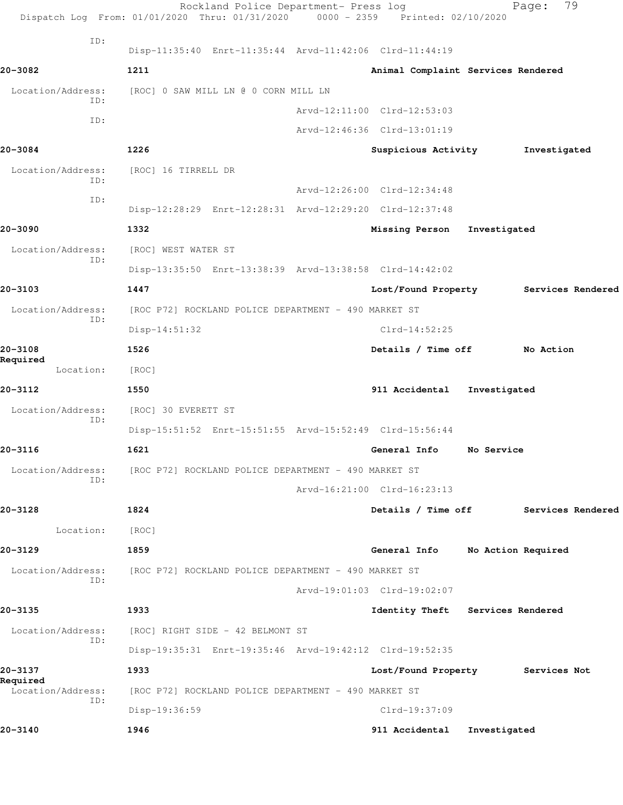|                               | Rockland Police Department- Press log<br>Dispatch Log From: 01/01/2020 Thru: 01/31/2020 0000 - 2359 Printed: 02/10/2020 |                                    |                    | 79<br>Page:       |  |
|-------------------------------|-------------------------------------------------------------------------------------------------------------------------|------------------------------------|--------------------|-------------------|--|
| ID:                           | Disp-11:35:40 Enrt-11:35:44 Arvd-11:42:06 Clrd-11:44:19                                                                 |                                    |                    |                   |  |
| 20-3082                       | 1211                                                                                                                    | Animal Complaint Services Rendered |                    |                   |  |
| Location/Address:             | [ROC] 0 SAW MILL LN @ 0 CORN MILL LN                                                                                    |                                    |                    |                   |  |
| ID:                           |                                                                                                                         | Arvd-12:11:00 Clrd-12:53:03        |                    |                   |  |
| ID:                           |                                                                                                                         | Arvd-12:46:36 Clrd-13:01:19        |                    |                   |  |
| 20-3084                       | 1226                                                                                                                    | Suspicious Activity                |                    | Investigated      |  |
| Location/Address:             | [ROC] 16 TIRRELL DR                                                                                                     |                                    |                    |                   |  |
| ID:                           |                                                                                                                         | Arvd-12:26:00 Clrd-12:34:48        |                    |                   |  |
| ID:                           | Disp-12:28:29 Enrt-12:28:31 Arvd-12:29:20 Clrd-12:37:48                                                                 |                                    |                    |                   |  |
| 20-3090                       | 1332                                                                                                                    | Missing Person                     | Investigated       |                   |  |
| Location/Address:             | [ROC] WEST WATER ST                                                                                                     |                                    |                    |                   |  |
| ID:                           | Disp-13:35:50 Enrt-13:38:39 Arvd-13:38:58 Clrd-14:42:02                                                                 |                                    |                    |                   |  |
| 20-3103                       | 1447                                                                                                                    | Lost/Found Property                |                    | Services Rendered |  |
| Location/Address:             | [ROC P72] ROCKLAND POLICE DEPARTMENT - 490 MARKET ST                                                                    |                                    |                    |                   |  |
| ID:                           | $Disp-14:51:32$                                                                                                         | $Clrd-14:52:25$                    |                    |                   |  |
| 20-3108                       | 1526                                                                                                                    | Details / Time off                 |                    | No Action         |  |
| Required<br>Location:         | [ROC]                                                                                                                   |                                    |                    |                   |  |
| 20-3112                       | 1550                                                                                                                    | 911 Accidental                     | Investigated       |                   |  |
| Location/Address:             | [ROC] 30 EVERETT ST                                                                                                     |                                    |                    |                   |  |
| ID:                           | Disp-15:51:52 Enrt-15:51:55 Arvd-15:52:49 Clrd-15:56:44                                                                 |                                    |                    |                   |  |
| 20-3116                       | 1621                                                                                                                    | General Info                       | No Service         |                   |  |
| Location/Address:             | [ROC P72] ROCKLAND POLICE DEPARTMENT - 490 MARKET ST                                                                    |                                    |                    |                   |  |
| ID:                           |                                                                                                                         | Arvd-16:21:00 Clrd-16:23:13        |                    |                   |  |
| 20-3128                       | 1824                                                                                                                    | Details / Time off                 |                    | Services Rendered |  |
| Location:                     | [ROC]                                                                                                                   |                                    |                    |                   |  |
| 20-3129                       | 1859                                                                                                                    | General Info                       | No Action Required |                   |  |
| Location/Address:             | [ROC P72] ROCKLAND POLICE DEPARTMENT - 490 MARKET ST                                                                    |                                    |                    |                   |  |
| ID:                           |                                                                                                                         | Arvd-19:01:03 Clrd-19:02:07        |                    |                   |  |
| 20-3135                       | 1933                                                                                                                    | Identity Theft Services Rendered   |                    |                   |  |
| Location/Address:             | [ROC] RIGHT SIDE - 42 BELMONT ST                                                                                        |                                    |                    |                   |  |
| ID:                           | Disp-19:35:31 Enrt-19:35:46 Arvd-19:42:12 Clrd-19:52:35                                                                 |                                    |                    |                   |  |
| 20-3137                       | 1933                                                                                                                    | Lost/Found Property                |                    | Services Not      |  |
| Required<br>Location/Address: | [ROC P72] ROCKLAND POLICE DEPARTMENT - 490 MARKET ST                                                                    |                                    |                    |                   |  |
| ID:                           | Disp-19:36:59                                                                                                           | Clrd-19:37:09                      |                    |                   |  |
| 20-3140                       | 1946                                                                                                                    | 911 Accidental                     | Investigated       |                   |  |
|                               |                                                                                                                         |                                    |                    |                   |  |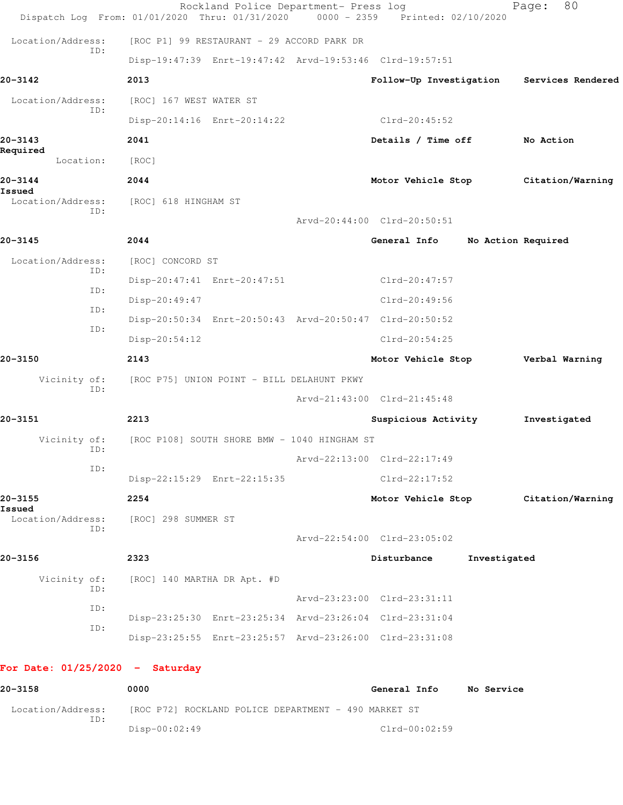|                                   | Rockland Police Department- Press log<br>Dispatch Log From: 01/01/2020 Thru: 01/31/2020 | 0000 - 2359 Printed: 02/10/2020 |                    | 80<br>Page:       |
|-----------------------------------|-----------------------------------------------------------------------------------------|---------------------------------|--------------------|-------------------|
| Location/Address:                 | [ROC P1] 99 RESTAURANT - 29 ACCORD PARK DR                                              |                                 |                    |                   |
| ID:                               | Disp-19:47:39 Enrt-19:47:42 Arvd-19:53:46 Clrd-19:57:51                                 |                                 |                    |                   |
| 20-3142                           | 2013                                                                                    | Follow-Up Investigation         |                    | Services Rendered |
| Location/Address:                 | [ROC] 167 WEST WATER ST                                                                 |                                 |                    |                   |
| ID:                               | Disp-20:14:16 Enrt-20:14:22                                                             | Clrd-20:45:52                   |                    |                   |
| 20-3143                           | 2041                                                                                    | Details / Time off              |                    | No Action         |
| Required<br>Location:             | [ROC]                                                                                   |                                 |                    |                   |
| 20-3144                           | 2044                                                                                    | Motor Vehicle Stop              |                    | Citation/Warning  |
| Issued<br>Location/Address:       | [ROC] 618 HINGHAM ST                                                                    |                                 |                    |                   |
| ID:                               |                                                                                         | Arvd-20:44:00 Clrd-20:50:51     |                    |                   |
| 20-3145                           | 2044                                                                                    | General Info                    | No Action Required |                   |
| Location/Address:                 | [ROC] CONCORD ST                                                                        |                                 |                    |                   |
| ID:                               | Disp-20:47:41 Enrt-20:47:51                                                             | $Clrd-20:47:57$                 |                    |                   |
| ID:                               | Disp-20:49:47                                                                           | $Clrd-20:49:56$                 |                    |                   |
| ID:                               | Disp-20:50:34 Enrt-20:50:43 Arvd-20:50:47 Clrd-20:50:52                                 |                                 |                    |                   |
| ID:                               | $Disp-20:54:12$                                                                         | $Clrd-20:54:25$                 |                    |                   |
| 20-3150                           | 2143                                                                                    | Motor Vehicle Stop              |                    | Verbal Warning    |
| Vicinity of:<br>ID:               | [ROC P75] UNION POINT - BILL DELAHUNT PKWY                                              |                                 |                    |                   |
|                                   |                                                                                         | Arvd-21:43:00 Clrd-21:45:48     |                    |                   |
| 20-3151                           | 2213                                                                                    | Suspicious Activity             |                    | Investigated      |
| Vicinity of:<br>ID:               | [ROC P108] SOUTH SHORE BMW - 1040 HINGHAM ST                                            |                                 |                    |                   |
| ID:                               |                                                                                         | Arvd-22:13:00 Clrd-22:17:49     |                    |                   |
|                                   | Disp-22:15:29 Enrt-22:15:35                                                             | Clrd-22:17:52                   |                    |                   |
| 20-3155<br>Issued                 | 2254                                                                                    | Motor Vehicle Stop              |                    | Citation/Warning  |
| Location/Address:<br>ID:          | [ROC] 298 SUMMER ST                                                                     |                                 |                    |                   |
|                                   |                                                                                         | Arvd-22:54:00 Clrd-23:05:02     |                    |                   |
| 20-3156                           | 2323                                                                                    | Disturbance                     | Investigated       |                   |
| Vicinity of:<br>ID:               | [ROC] 140 MARTHA DR Apt. #D                                                             |                                 |                    |                   |
| ID:                               |                                                                                         | Arvd-23:23:00 Clrd-23:31:11     |                    |                   |
| ID:                               | Disp-23:25:30 Enrt-23:25:34 Arvd-23:26:04 Clrd-23:31:04                                 |                                 |                    |                   |
|                                   | Disp-23:25:55 Enrt-23:25:57 Arvd-23:26:00 Clrd-23:31:08                                 |                                 |                    |                   |
| For Date: $01/25/2020 -$ Saturday |                                                                                         |                                 |                    |                   |
| 20-3158                           | 0000                                                                                    | General Info                    | No Service         |                   |
| Location/Address:<br>ID:          | [ROC P72] ROCKLAND POLICE DEPARTMENT - 490 MARKET ST                                    |                                 |                    |                   |
|                                   | Disp-00:02:49                                                                           | Clrd-00:02:59                   |                    |                   |
|                                   |                                                                                         |                                 |                    |                   |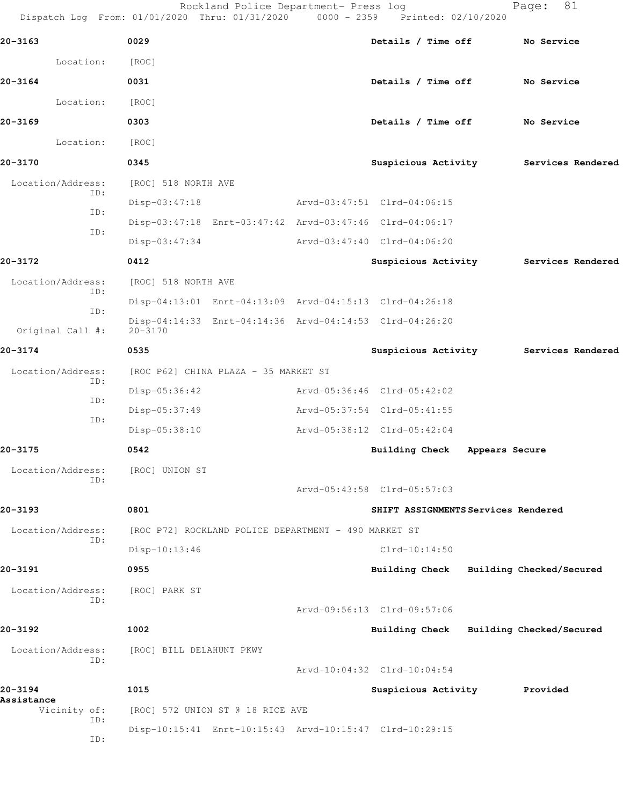Rockland Police Department- Press log entitled Page: 81

Dispatch Log From: 01/01/2020 Thru: 01/31/2020 0000 - 2359 Printed: 02/10/2020

| 20-3163               |     | 0029                                                                   | Details / Time off                  | No Service                            |
|-----------------------|-----|------------------------------------------------------------------------|-------------------------------------|---------------------------------------|
| Location:             |     | [ROC]                                                                  |                                     |                                       |
| $20 - 3164$           |     | 0031                                                                   | Details / Time off                  | No Service                            |
| Location:             |     | [ROC]                                                                  |                                     |                                       |
| 20-3169               |     | 0303                                                                   | Details / Time off No Service       |                                       |
| Location:             |     | [ROC]                                                                  |                                     |                                       |
| 20-3170               |     | 0345                                                                   |                                     | Suspicious Activity Services Rendered |
| Location/Address:     | ID: | [ROC] 518 NORTH AVE                                                    |                                     |                                       |
|                       | ID: | Disp-03:47:18                                                          | Arvd-03:47:51 Clrd-04:06:15         |                                       |
|                       |     | Disp-03:47:18 Enrt-03:47:42 Arvd-03:47:46 Clrd-04:06:17                |                                     |                                       |
|                       | ID: | $Disp-03:47:34$                                                        | Arvd-03:47:40 Clrd-04:06:20         |                                       |
| 20-3172               |     | 0412                                                                   | Suspicious Activity                 | Services Rendered                     |
| Location/Address:     |     | [ROC] 518 NORTH AVE                                                    |                                     |                                       |
|                       | ID: | Disp-04:13:01 Enrt-04:13:09 Arvd-04:15:13 Clrd-04:26:18                |                                     |                                       |
| Original Call #:      | ID: | Disp-04:14:33 Enrt-04:14:36 Arvd-04:14:53 Clrd-04:26:20<br>$20 - 3170$ |                                     |                                       |
| 20-3174               |     | 0535                                                                   | Suspicious Activity                 | Services Rendered                     |
| Location/Address:     | ID: | [ROC P62] CHINA PLAZA - 35 MARKET ST                                   |                                     |                                       |
|                       | ID: | Disp-05:36:42                                                          | Arvd-05:36:46 Clrd-05:42:02         |                                       |
|                       | ID: | Disp-05:37:49                                                          | Arvd-05:37:54 Clrd-05:41:55         |                                       |
|                       |     | Disp-05:38:10                                                          | Arvd-05:38:12 Clrd-05:42:04         |                                       |
| 20-3175               |     | 0542                                                                   | Building Check Appears Secure       |                                       |
| Location/Address:     |     | [ROC] UNION ST                                                         |                                     |                                       |
|                       |     |                                                                        | Arvd-05:43:58 Clrd-05:57:03         |                                       |
| 20-3193               |     | 0801                                                                   | SHIFT ASSIGNMENTS Services Rendered |                                       |
| Location/Address:     | ID: | [ROC P72] ROCKLAND POLICE DEPARTMENT - 490 MARKET ST                   |                                     |                                       |
|                       |     | Disp-10:13:46                                                          | $Clrd-10:14:50$                     |                                       |
| 20-3191               |     | 0955                                                                   | Building Check                      | Building Checked/Secured              |
| Location/Address:     | ID: | [ROC] PARK ST                                                          |                                     |                                       |
|                       |     |                                                                        | Arvd-09:56:13 Clrd-09:57:06         |                                       |
| 20-3192               |     | 1002                                                                   | <b>Building Check</b>               | Building Checked/Secured              |
| Location/Address:     | ID: | [ROC] BILL DELAHUNT PKWY                                               |                                     |                                       |
|                       |     |                                                                        | Arvd-10:04:32 Clrd-10:04:54         |                                       |
| 20-3194<br>Assistance |     | 1015                                                                   | Suspicious Activity                 | Provided                              |
| Vicinity of:          | ID: | [ROC] 572 UNION ST @ 18 RICE AVE                                       |                                     |                                       |
|                       | ID: | Disp-10:15:41 Enrt-10:15:43 Arvd-10:15:47 Clrd-10:29:15                |                                     |                                       |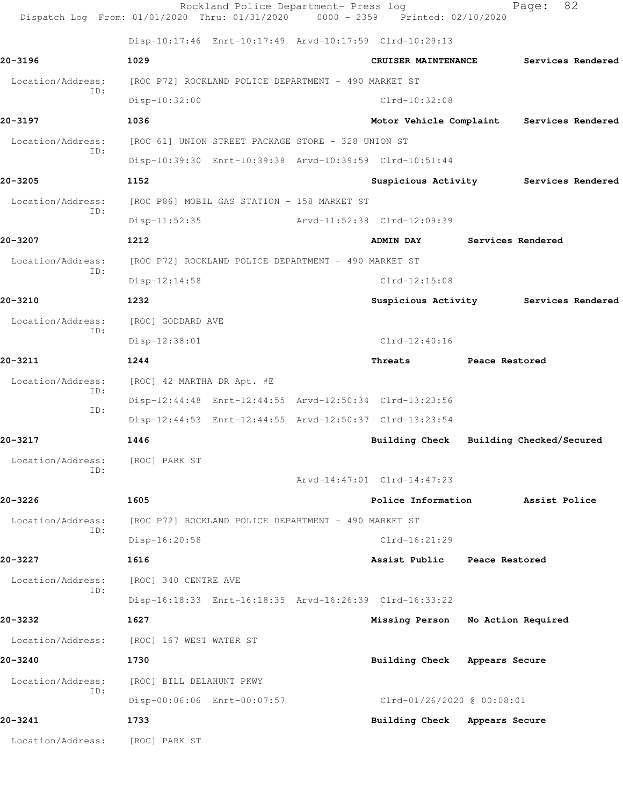|                          | Rockland Police Department- Press log<br>Dispatch Log From: 01/01/2020 Thru: 01/31/2020 0000 - 2359 Printed: 02/10/2020 |                               | 82<br>Page:                               |
|--------------------------|-------------------------------------------------------------------------------------------------------------------------|-------------------------------|-------------------------------------------|
|                          | Disp-10:17:46 Enrt-10:17:49 Arvd-10:17:59 Clrd-10:29:13                                                                 |                               |                                           |
| 20-3196                  | 1029                                                                                                                    | CRUISER MAINTENANCE           | Services Rendered                         |
| Location/Address:        | [ROC P72] ROCKLAND POLICE DEPARTMENT - 490 MARKET ST                                                                    |                               |                                           |
| ID:                      | $Disp-10:32:00$                                                                                                         | Clrd-10:32:08                 |                                           |
| 20-3197                  | 1036                                                                                                                    |                               | Motor Vehicle Complaint Services Rendered |
| Location/Address:        | [ROC 61] UNION STREET PACKAGE STORE - 328 UNION ST                                                                      |                               |                                           |
| TD:                      | Disp-10:39:30 Enrt-10:39:38 Arvd-10:39:59 Clrd-10:51:44                                                                 |                               |                                           |
| 20-3205                  | 1152                                                                                                                    |                               | Suspicious Activity Services Rendered     |
| Location/Address:        | [ROC P86] MOBIL GAS STATION - 158 MARKET ST                                                                             |                               |                                           |
| ID:                      | $Disp-11:52:35$                                                                                                         | Arvd-11:52:38 Clrd-12:09:39   |                                           |
| 20-3207                  | 1212                                                                                                                    | <b>ADMIN DAY</b>              | <b>Services Rendered</b>                  |
| Location/Address:        | [ROC P72] ROCKLAND POLICE DEPARTMENT - 490 MARKET ST                                                                    |                               |                                           |
| ID:                      | Disp-12:14:58                                                                                                           | $Clrd-12:15:08$               |                                           |
| 20-3210                  | 1232                                                                                                                    |                               | Suspicious Activity Services Rendered     |
| Location/Address:        | [ROC] GODDARD AVE                                                                                                       |                               |                                           |
| ID:                      | Disp-12:38:01                                                                                                           | $Clrd-12:40:16$               |                                           |
| 20-3211                  | 1244                                                                                                                    | Threats                       | Peace Restored                            |
| Location/Address:        | [ROC] 42 MARTHA DR Apt. #E                                                                                              |                               |                                           |
| ID:<br>ID:               | Disp-12:44:48 Enrt-12:44:55 Arvd-12:50:34 Clrd-13:23:56                                                                 |                               |                                           |
|                          | Disp-12:44:53 Enrt-12:44:55 Arvd-12:50:37 Clrd-13:23:54                                                                 |                               |                                           |
| 20-3217                  | 1446                                                                                                                    |                               | Building Check Building Checked/Secured   |
| Location/Address:<br>ID: | [ROC] PARK ST                                                                                                           |                               |                                           |
|                          |                                                                                                                         | Arvd-14:47:01 Clrd-14:47:23   |                                           |
| 20-3226                  | 1605                                                                                                                    | Police Information            | Assist Police                             |
| Location/Address:<br>ID: | [ROC P72] ROCKLAND POLICE DEPARTMENT - 490 MARKET ST                                                                    |                               |                                           |
|                          | Disp-16:20:58                                                                                                           | $Clrd-16:21:29$               |                                           |
| 20-3227                  | 1616                                                                                                                    | Assist Public Peace Restored  |                                           |
| Location/Address:<br>ID: | [ROC] 340 CENTRE AVE                                                                                                    |                               |                                           |
|                          | Disp-16:18:33 Enrt-16:18:35 Arvd-16:26:39 Clrd-16:33:22                                                                 |                               |                                           |
| 20-3232                  | 1627                                                                                                                    | Missing Person                | No Action Required                        |
| Location/Address:        | [ROC] 167 WEST WATER ST                                                                                                 |                               |                                           |
| 20-3240                  | 1730                                                                                                                    | <b>Building Check</b>         | Appears Secure                            |
| Location/Address:        | [ROC] BILL DELAHUNT PKWY                                                                                                |                               |                                           |
| ID:                      | Disp-00:06:06 Enrt-00:07:57                                                                                             | Clrd-01/26/2020 @ 00:08:01    |                                           |
| 20-3241                  | 1733                                                                                                                    | Building Check Appears Secure |                                           |
| Location/Address:        | [ROC] PARK ST                                                                                                           |                               |                                           |
|                          |                                                                                                                         |                               |                                           |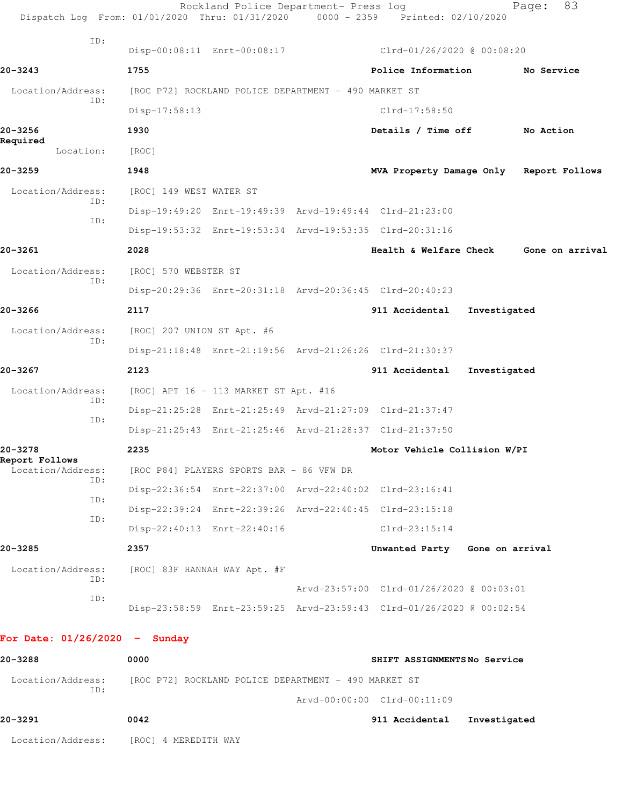| 20-3288                                                                        | 0000                       |                                                      | SHIFT ASSIGNMENTSNo Service                                          |                 |             |
|--------------------------------------------------------------------------------|----------------------------|------------------------------------------------------|----------------------------------------------------------------------|-----------------|-------------|
| For Date: $01/26/2020 -$ Sunday                                                |                            |                                                      |                                                                      |                 |             |
|                                                                                |                            |                                                      | Disp-23:58:59 Enrt-23:59:25 Arvd-23:59:43 Clrd-01/26/2020 @ 00:02:54 |                 |             |
| ID:                                                                            |                            |                                                      | Arvd-23:57:00 Clrd-01/26/2020 @ 00:03:01                             |                 |             |
| Location/Address:<br>ID:                                                       |                            | [ROC] 83F HANNAH WAY Apt. #F                         |                                                                      |                 |             |
| 20-3285                                                                        | 2357                       |                                                      | Unwanted Party                                                       | Gone on arrival |             |
| ID:                                                                            |                            | Disp-22:40:13 Enrt-22:40:16                          | $Clrd-23:15:14$                                                      |                 |             |
| ID:                                                                            |                            |                                                      | Disp-22:39:24 Enrt-22:39:26 Arvd-22:40:45 Clrd-23:15:18              |                 |             |
| ID:                                                                            |                            |                                                      | Disp-22:36:54 Enrt-22:37:00 Arvd-22:40:02 Clrd-23:16:41              |                 |             |
| Report Follows<br>Location/Address:                                            |                            | [ROC P84] PLAYERS SPORTS BAR - 86 VFW DR             |                                                                      |                 |             |
| 20-3278                                                                        | 2235                       |                                                      | Motor Vehicle Collision W/PI                                         |                 |             |
| ID:                                                                            |                            |                                                      | Disp-21:25:43 Enrt-21:25:46 Arvd-21:28:37 Clrd-21:37:50              |                 |             |
| ID:                                                                            |                            |                                                      | Disp-21:25:28 Enrt-21:25:49 Arvd-21:27:09 Clrd-21:37:47              |                 |             |
| Location/Address:                                                              |                            | [ROC] APT 16 - 113 MARKET ST Apt. #16                |                                                                      |                 |             |
| 20-3267                                                                        | 2123                       |                                                      | 911 Accidental                                                       | Investigated    |             |
| ID:                                                                            |                            |                                                      | Disp-21:18:48 Enrt-21:19:56 Arvd-21:26:26 Clrd-21:30:37              |                 |             |
| Location/Address:                                                              | [ROC] 207 UNION ST Apt. #6 |                                                      |                                                                      |                 |             |
| 20-3266                                                                        | 2117                       |                                                      | 911 Accidental                                                       | Investigated    |             |
| ID:                                                                            |                            |                                                      | Disp-20:29:36 Enrt-20:31:18 Arvd-20:36:45 Clrd-20:40:23              |                 |             |
| Location/Address:                                                              | [ROC] 570 WEBSTER ST       |                                                      |                                                                      |                 |             |
| 20-3261                                                                        | 2028                       |                                                      | Health & Welfare Check Gone on arrival                               |                 |             |
| ID:                                                                            |                            |                                                      | Disp-19:53:32 Enrt-19:53:34 Arvd-19:53:35 Clrd-20:31:16              |                 |             |
| Location/Address:<br>ID:                                                       | [ROC] 149 WEST WATER ST    |                                                      | Disp-19:49:20 Enrt-19:49:39 Arvd-19:49:44 Clrd-21:23:00              |                 |             |
| 20-3259                                                                        | 1948                       |                                                      | MVA Property Damage Only Report Follows                              |                 |             |
| Location:                                                                      | [ROC]                      |                                                      |                                                                      |                 |             |
| 20-3256<br>Required                                                            | 1930                       |                                                      | Details / Time off                                                   |                 | No Action   |
|                                                                                | $Disp-17:58:13$            |                                                      | $Clrd-17:58:50$                                                      |                 |             |
| Location/Address:<br>TD:                                                       |                            | [ROC P72] ROCKLAND POLICE DEPARTMENT - 490 MARKET ST |                                                                      |                 |             |
| $20 - 3243$                                                                    | 1755                       |                                                      | Police Information                                                   |                 | No Service  |
| ID:                                                                            |                            |                                                      | Disp-00:08:11 Enrt-00:08:17 Clrd-01/26/2020 @ 00:08:20               |                 |             |
| Dispatch Log From: 01/01/2020 Thru: 01/31/2020 0000 - 2359 Printed: 02/10/2020 |                            |                                                      |                                                                      |                 |             |
|                                                                                |                            | Rockland Police Department- Press log                |                                                                      |                 | 83<br>Page: |

Location/Address: [ROC P72] ROCKLAND POLICE DEPARTMENT - 490 MARKET ST ID: Arvd-00:00:00 Clrd-00:11:09

| 20-3291           | 0042                 | 911 Accidental | Investigated |
|-------------------|----------------------|----------------|--------------|
| Location/Address: | [ROC] 4 MEREDITH WAY |                |              |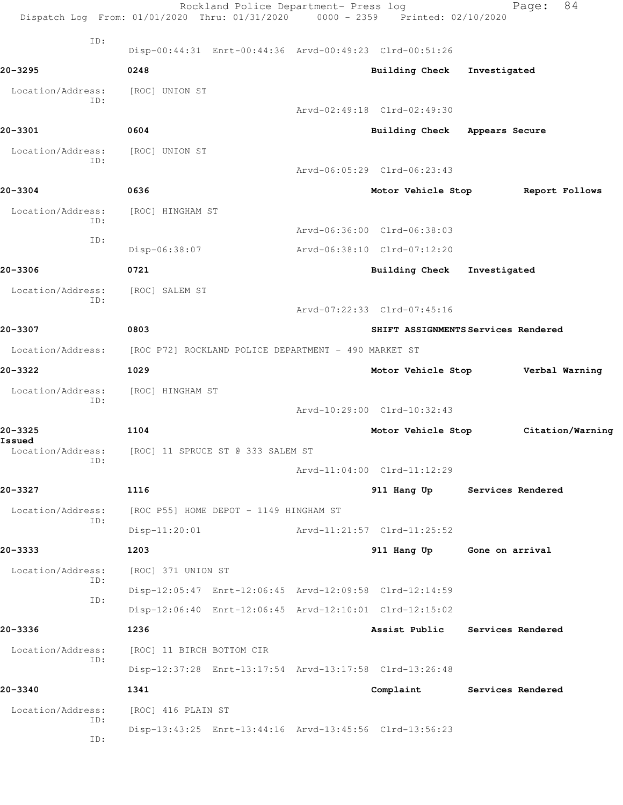|                             | Rockland Police Department- Press log<br>Dispatch Log From: 01/01/2020 Thru: 01/31/2020 0000 - 2359 Printed: 02/10/2020 |                               | 84<br>Page:                         |
|-----------------------------|-------------------------------------------------------------------------------------------------------------------------|-------------------------------|-------------------------------------|
| ID:                         | Disp-00:44:31 Enrt-00:44:36 Arvd-00:49:23 Clrd-00:51:26                                                                 |                               |                                     |
| 20-3295                     | 0248                                                                                                                    | <b>Building Check</b>         | Investigated                        |
| Location/Address:           | [ROC] UNION ST                                                                                                          |                               |                                     |
| TD:                         |                                                                                                                         | Arvd-02:49:18 Clrd-02:49:30   |                                     |
| 20-3301                     | 0604                                                                                                                    | Building Check Appears Secure |                                     |
| Location/Address:           | [ROC] UNION ST                                                                                                          |                               |                                     |
| TD:                         |                                                                                                                         | Arvd-06:05:29 Clrd-06:23:43   |                                     |
| 20-3304                     | 0636                                                                                                                    | Motor Vehicle Stop            | Report Follows                      |
| Location/Address:           | [ROC] HINGHAM ST                                                                                                        |                               |                                     |
| ID:                         |                                                                                                                         | Arvd-06:36:00 Clrd-06:38:03   |                                     |
| ID:                         | Disp-06:38:07                                                                                                           | Arvd-06:38:10 Clrd-07:12:20   |                                     |
| 20-3306                     | 0721                                                                                                                    | <b>Building Check</b>         | Investigated                        |
| Location/Address:           | [ROC] SALEM ST                                                                                                          |                               |                                     |
| ID:                         |                                                                                                                         | Arvd-07:22:33 Clrd-07:45:16   |                                     |
| 20-3307                     | 0803                                                                                                                    |                               | SHIFT ASSIGNMENTS Services Rendered |
| Location/Address:           | [ROC P72] ROCKLAND POLICE DEPARTMENT - 490 MARKET ST                                                                    |                               |                                     |
| 20-3322                     | 1029                                                                                                                    | Motor Vehicle Stop            | Verbal Warning                      |
| Location/Address:           | [ROC] HINGHAM ST                                                                                                        |                               |                                     |
| ID:                         |                                                                                                                         | Arvd-10:29:00 Clrd-10:32:43   |                                     |
| 20-3325                     | 1104                                                                                                                    | Motor Vehicle Stop            | Citation/Warning                    |
| Issued<br>Location/Address: | [ROC] 11 SPRUCE ST @ 333 SALEM ST                                                                                       |                               |                                     |
| ID:                         |                                                                                                                         | Arvd-11:04:00 Clrd-11:12:29   |                                     |
| 20-3327                     | 1116                                                                                                                    |                               | 911 Hang Up Services Rendered       |
| Location/Address:           | [ROC P55] HOME DEPOT - 1149 HINGHAM ST                                                                                  |                               |                                     |
| ID:                         | $Disp-11:20:01$                                                                                                         | Arvd-11:21:57 Clrd-11:25:52   |                                     |
| 20-3333                     | 1203                                                                                                                    |                               | 911 Hang Up Gone on arrival         |
| Location/Address:           | [ROC] 371 UNION ST                                                                                                      |                               |                                     |
| ID:                         | Disp-12:05:47 Enrt-12:06:45 Arvd-12:09:58 Clrd-12:14:59                                                                 |                               |                                     |
| ID:                         | Disp-12:06:40 Enrt-12:06:45 Arvd-12:10:01 Clrd-12:15:02                                                                 |                               |                                     |
| 20-3336                     | 1236                                                                                                                    |                               | Assist Public Services Rendered     |
| Location/Address:           | [ROC] 11 BIRCH BOTTOM CIR                                                                                               |                               |                                     |
| ID:                         | Disp-12:37:28 Enrt-13:17:54 Arvd-13:17:58 Clrd-13:26:48                                                                 |                               |                                     |
| 20-3340                     | 1341                                                                                                                    |                               | Complaint Services Rendered         |
| Location/Address:           | [ROC] 416 PLAIN ST                                                                                                      |                               |                                     |
| ID:<br>ID:                  | Disp-13:43:25 Enrt-13:44:16 Arvd-13:45:56 Clrd-13:56:23                                                                 |                               |                                     |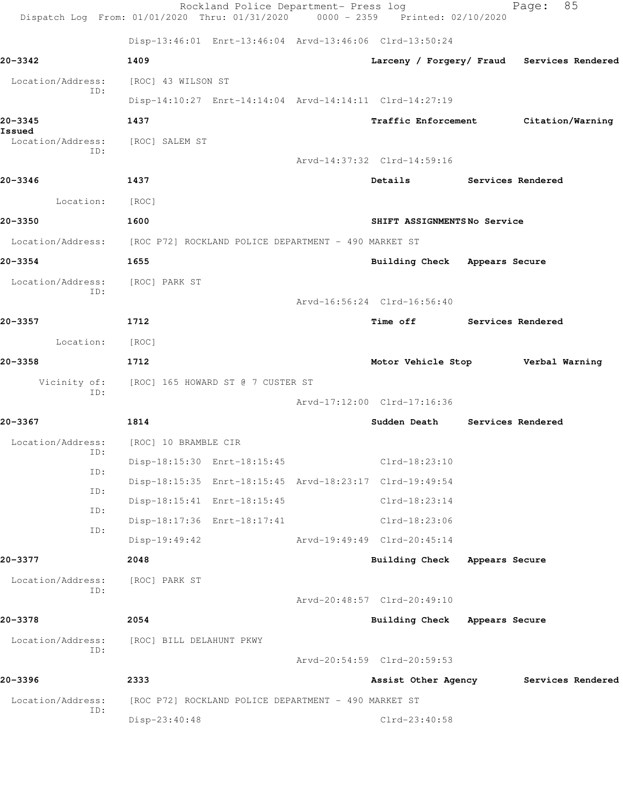|                             | Rockland Police Department- Press log<br>Dispatch Log From: 01/01/2020 Thru: 01/31/2020 0000 - 2359 Printed: 02/10/2020 |                                                                                                                                                                                                                                 |                   | 85<br>Page:                                |
|-----------------------------|-------------------------------------------------------------------------------------------------------------------------|---------------------------------------------------------------------------------------------------------------------------------------------------------------------------------------------------------------------------------|-------------------|--------------------------------------------|
|                             | Disp-13:46:01 Enrt-13:46:04 Arvd-13:46:06 Clrd-13:50:24                                                                 |                                                                                                                                                                                                                                 |                   |                                            |
| 20-3342                     | 1409                                                                                                                    |                                                                                                                                                                                                                                 |                   | Larceny / Forgery/ Fraud Services Rendered |
| Location/Address:           | [ROC] 43 WILSON ST                                                                                                      |                                                                                                                                                                                                                                 |                   |                                            |
| ID:                         | Disp-14:10:27 Enrt-14:14:04 Arvd-14:14:11 Clrd-14:27:19                                                                 |                                                                                                                                                                                                                                 |                   |                                            |
| 20-3345                     | 1437                                                                                                                    |                                                                                                                                                                                                                                 |                   | Traffic Enforcement Citation/Warning       |
| Issued<br>Location/Address: | [ROC] SALEM ST                                                                                                          |                                                                                                                                                                                                                                 |                   |                                            |
| ID:                         |                                                                                                                         | Arvd-14:37:32 Clrd-14:59:16                                                                                                                                                                                                     |                   |                                            |
| 20-3346                     | 1437                                                                                                                    | Details and the set of the set of the set of the set of the set of the set of the set of the set of the set of the set of the set of the set of the set of the set of the set of the set of the set of the set of the set of th | Services Rendered |                                            |
| Location:                   | [ROC]                                                                                                                   |                                                                                                                                                                                                                                 |                   |                                            |
| 20-3350                     | 1600                                                                                                                    | SHIFT ASSIGNMENTS No Service                                                                                                                                                                                                    |                   |                                            |
|                             | Location/Address: [ROC P72] ROCKLAND POLICE DEPARTMENT - 490 MARKET ST                                                  |                                                                                                                                                                                                                                 |                   |                                            |
| 20-3354                     | 1655                                                                                                                    | Building Check Appears Secure                                                                                                                                                                                                   |                   |                                            |
| Location/Address:           | [ROC] PARK ST                                                                                                           |                                                                                                                                                                                                                                 |                   |                                            |
| ID:                         |                                                                                                                         | Arvd-16:56:24 Clrd-16:56:40                                                                                                                                                                                                     |                   |                                            |
| 20-3357                     | 1712                                                                                                                    | Time off Services Rendered                                                                                                                                                                                                      |                   |                                            |
| Location:                   | [ROC]                                                                                                                   |                                                                                                                                                                                                                                 |                   |                                            |
| 20-3358                     | 1712                                                                                                                    | Motor Vehicle Stop Verbal Warning                                                                                                                                                                                               |                   |                                            |
| Vicinity of:                | [ROC] 165 HOWARD ST @ 7 CUSTER ST                                                                                       |                                                                                                                                                                                                                                 |                   |                                            |
| ID:                         |                                                                                                                         | Arvd-17:12:00 Clrd-17:16:36                                                                                                                                                                                                     |                   |                                            |
| 20-3367                     | 1814                                                                                                                    | Sudden Death                                                                                                                                                                                                                    | Services Rendered |                                            |
| Location/Address:           | [ROC] 10 BRAMBLE CIR                                                                                                    |                                                                                                                                                                                                                                 |                   |                                            |
| ID:                         | Disp-18:15:30 Enrt-18:15:45                                                                                             | $Clrd-18:23:10$                                                                                                                                                                                                                 |                   |                                            |
| ID:                         | Disp-18:15:35 Enrt-18:15:45 Arvd-18:23:17 Clrd-19:49:54                                                                 |                                                                                                                                                                                                                                 |                   |                                            |
| ID:<br>ID:                  | Disp-18:15:41 Enrt-18:15:45                                                                                             | $Clrd-18:23:14$                                                                                                                                                                                                                 |                   |                                            |
| ID:                         | Disp-18:17:36 Enrt-18:17:41                                                                                             | Clrd-18:23:06                                                                                                                                                                                                                   |                   |                                            |
|                             | $Disp-19:49:42$                                                                                                         | Arvd-19:49:49 Clrd-20:45:14                                                                                                                                                                                                     |                   |                                            |
| 20-3377                     | 2048                                                                                                                    | <b>Building Check</b>                                                                                                                                                                                                           | Appears Secure    |                                            |
| Location/Address:<br>ID:    | [ROC] PARK ST                                                                                                           |                                                                                                                                                                                                                                 |                   |                                            |
|                             |                                                                                                                         | Arvd-20:48:57 Clrd-20:49:10                                                                                                                                                                                                     |                   |                                            |
| 20-3378                     | 2054                                                                                                                    | Building Check Appears Secure                                                                                                                                                                                                   |                   |                                            |
| Location/Address:<br>ID:    | [ROC] BILL DELAHUNT PKWY                                                                                                |                                                                                                                                                                                                                                 |                   |                                            |
|                             |                                                                                                                         | Arvd-20:54:59 Clrd-20:59:53                                                                                                                                                                                                     |                   |                                            |
| 20-3396                     | 2333                                                                                                                    | Assist Other Agency                                                                                                                                                                                                             |                   | Services Rendered                          |
| Location/Address:<br>ID:    | [ROC P72] ROCKLAND POLICE DEPARTMENT - 490 MARKET ST                                                                    |                                                                                                                                                                                                                                 |                   |                                            |
|                             | Disp-23:40:48                                                                                                           | Clrd-23:40:58                                                                                                                                                                                                                   |                   |                                            |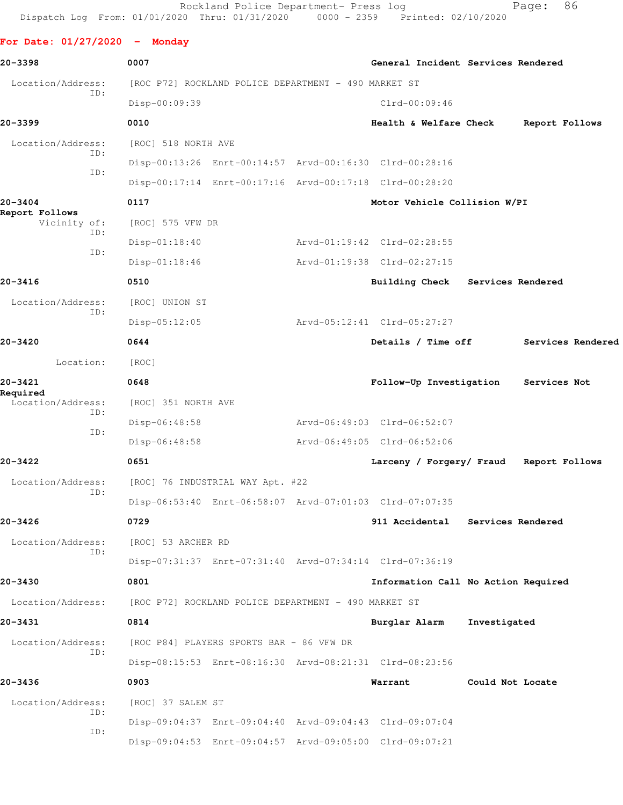Rockland Police Department- Press log Fage: 86 Dispatch Log From: 01/01/2020 Thru: 01/31/2020 0000 - 2359 Printed: 02/10/2020

**For Date: 01/27/2020 - Monday 20-3398 0007 General Incident Services Rendered** Location/Address: [ROC P72] ROCKLAND POLICE DEPARTMENT - 490 MARKET ST ID: Disp-00:09:39 Clrd-00:09:46 **20-3399 0010 Health & Welfare Check Report Follows** Location/Address: [ROC] 518 NORTH AVE ID: Disp-00:13:26 Enrt-00:14:57 Arvd-00:16:30 Clrd-00:28:16 ID: Disp-00:17:14 Enrt-00:17:16 Arvd-00:17:18 Clrd-00:28:20 **20-3404 0117 Motor Vehicle Collision W/PI Report Follows**  Vicinity of: [ROC] 575 VFW DR ID: Disp-01:18:40 Arvd-01:19:42 Clrd-02:28:55 ID: Disp-01:18:46 Arvd-01:19:38 Clrd-02:27:15 **20-3416 0510 Building Check Services Rendered** Location/Address: [ROC] UNION ST ID: Disp-05:12:05 Arvd-05:12:41 Clrd-05:27:27 **20-3420 0644 Details / Time off Services Rendered** Location: [ROC] **20-3421 0648 Follow-Up Investigation Services Not Required**  Location/Address: [ROC] 351 NORTH AVE ID: Disp-06:48:58 Arvd-06:49:03 Clrd-06:52:07 ID: Disp-06:48:58 Arvd-06:49:05 Clrd-06:52:06 **20-3422 0651 Larceny / Forgery/ Fraud Report Follows** Location/Address: [ROC] 76 INDUSTRIAL WAY Apt. #22 ID: Disp-06:53:40 Enrt-06:58:07 Arvd-07:01:03 Clrd-07:07:35 **20-3426 0729 911 Accidental Services Rendered** Location/Address: [ROC] 53 ARCHER RD ID: Disp-07:31:37 Enrt-07:31:40 Arvd-07:34:14 Clrd-07:36:19 **20-3430 0801 Information Call No Action Required** Location/Address: [ROC P72] ROCKLAND POLICE DEPARTMENT - 490 MARKET ST **20-3431 0814 Burglar Alarm Investigated** Location/Address: [ROC P84] PLAYERS SPORTS BAR - 86 VFW DR ID: Disp-08:15:53 Enrt-08:16:30 Arvd-08:21:31 Clrd-08:23:56 **20-3436 0903 Warrant Could Not Locate** Location/Address: [ROC] 37 SALEM ST ID: Disp-09:04:37 Enrt-09:04:40 Arvd-09:04:43 Clrd-09:07:04 ID:

Disp-09:04:53 Enrt-09:04:57 Arvd-09:05:00 Clrd-09:07:21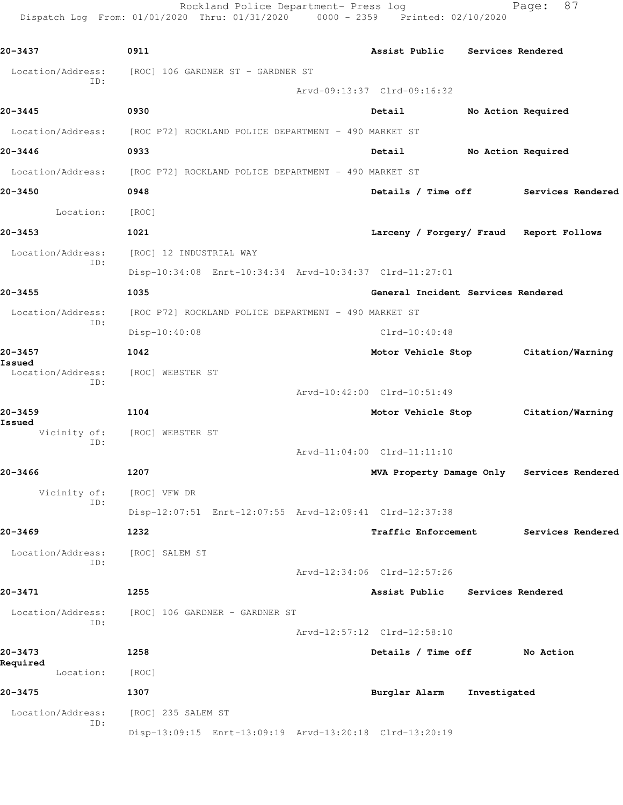Dispatch Log From: 01/01/2020 Thru: 01/31/2020 0000 - 2359 Printed: 02/10/2020 **20-3437 0911 Assist Public Services Rendered** Location/Address: [ROC] 106 GARDNER ST - GARDNER ST ID: Arvd-09:13:37 Clrd-09:16:32 **20-3445 0930 Detail No Action Required** Location/Address: [ROC P72] ROCKLAND POLICE DEPARTMENT - 490 MARKET ST **20-3446 0933 Detail No Action Required** Location/Address: [ROC P72] ROCKLAND POLICE DEPARTMENT - 490 MARKET ST **20-3450 0948 Details / Time off Services Rendered** Location: [ROC] **20-3453 1021 Larceny / Forgery/ Fraud Report Follows** Location/Address: [ROC] 12 INDUSTRIAL WAY ID: Disp-10:34:08 Enrt-10:34:34 Arvd-10:34:37 Clrd-11:27:01 **20-3455 1035 General Incident Services Rendered** Location/Address: [ROC P72] ROCKLAND POLICE DEPARTMENT - 490 MARKET ST ID: Disp-10:40:08 Clrd-10:40:48 **20-3457 1042 Motor Vehicle Stop Citation/Warning Issued**  Location/Address: [ROC] WEBSTER ST ID: Arvd-10:42:00 Clrd-10:51:49 **20-3459 1104 Motor Vehicle Stop Citation/Warning Issued**  Vicinity of: [ROC] WEBSTER ST ID: Arvd-11:04:00 Clrd-11:11:10 **20-3466 1207 MVA Property Damage Only Services Rendered** Vicinity of: [ROC] VFW DR ID: Disp-12:07:51 Enrt-12:07:55 Arvd-12:09:41 Clrd-12:37:38 **20-3469 1232 Traffic Enforcement Services Rendered** Location/Address: [ROC] SALEM ST ID: Arvd-12:34:06 Clrd-12:57:26 **20-3471 1255 Assist Public Services Rendered** Location/Address: [ROC] 106 GARDNER - GARDNER ST ID: Arvd-12:57:12 Clrd-12:58:10 **20-3473 1258 Details / Time off No Action Required**  Location: [ROC] **20-3475 1307 Burglar Alarm Investigated** Location/Address: [ROC] 235 SALEM ST

Disp-13:09:15 Enrt-13:09:19 Arvd-13:20:18 Clrd-13:20:19

ID:

Rockland Police Department- Press log Page: 87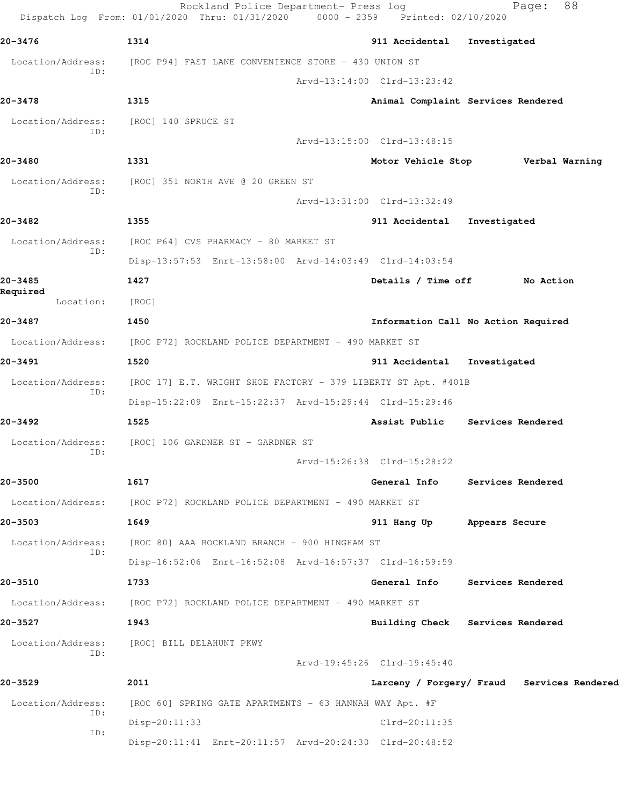|                          | Rockland Police Department- Press log<br>Dispatch Log From: 01/01/2020 Thru: 01/31/2020 0000 - 2359 Printed: 02/10/2020 |                             | 88<br>Page:                                |
|--------------------------|-------------------------------------------------------------------------------------------------------------------------|-----------------------------|--------------------------------------------|
| 20-3476                  | 1314                                                                                                                    | 911 Accidental              | Investigated                               |
| Location/Address:        | [ROC P94] FAST LANE CONVENIENCE STORE - 430 UNION ST                                                                    |                             |                                            |
| ID:                      |                                                                                                                         | Arvd-13:14:00 Clrd-13:23:42 |                                            |
| 20-3478                  | 1315                                                                                                                    |                             | Animal Complaint Services Rendered         |
| Location/Address:<br>ID: | [ROC] 140 SPRUCE ST                                                                                                     |                             |                                            |
|                          |                                                                                                                         | Arvd-13:15:00 Clrd-13:48:15 |                                            |
| 20-3480                  | 1331                                                                                                                    |                             | Motor Vehicle Stop Verbal Warning          |
| Location/Address:<br>ID: | [ROC] 351 NORTH AVE @ 20 GREEN ST                                                                                       |                             |                                            |
|                          |                                                                                                                         | Arvd-13:31:00 Clrd-13:32:49 |                                            |
| 20-3482                  | 1355                                                                                                                    | 911 Accidental              | Investigated                               |
| Location/Address:<br>ID: | [ROC P64] CVS PHARMACY - 80 MARKET ST                                                                                   |                             |                                            |
|                          | Disp-13:57:53 Enrt-13:58:00 Arvd-14:03:49 Clrd-14:03:54                                                                 |                             |                                            |
| 20-3485<br>Required      | 1427                                                                                                                    | Details / Time off          | No Action                                  |
| Location:                | [ROC]                                                                                                                   |                             |                                            |
| 20-3487                  | 1450                                                                                                                    |                             | Information Call No Action Required        |
|                          | Location/Address: [ROC P72] ROCKLAND POLICE DEPARTMENT - 490 MARKET ST                                                  |                             |                                            |
| 20-3491                  | 1520                                                                                                                    | 911 Accidental              | Investigated                               |
| Location/Address:<br>ID: | [ROC 17] E.T. WRIGHT SHOE FACTORY - 379 LIBERTY ST Apt. #401B                                                           |                             |                                            |
|                          | Disp-15:22:09 Enrt-15:22:37 Arvd-15:29:44 Clrd-15:29:46                                                                 |                             |                                            |
| 20-3492                  | 1525                                                                                                                    |                             | Assist Public Services Rendered            |
| Location/Address:<br>ID: | [ROC] 106 GARDNER ST - GARDNER ST                                                                                       |                             |                                            |
|                          |                                                                                                                         | Arvd-15:26:38 Clrd-15:28:22 |                                            |
| 20-3500                  | 1617                                                                                                                    | General Info                | Services Rendered                          |
| Location/Address:        | [ROC P72] ROCKLAND POLICE DEPARTMENT - 490 MARKET ST                                                                    |                             |                                            |
| 20-3503                  | 1649                                                                                                                    | 911 Hang Up                 | Appears Secure                             |
| Location/Address:<br>ID: | [ROC 80] AAA ROCKLAND BRANCH - 900 HINGHAM ST                                                                           |                             |                                            |
|                          | Disp-16:52:06 Enrt-16:52:08 Arvd-16:57:37 Clrd-16:59:59                                                                 |                             |                                            |
| 20-3510                  | 1733                                                                                                                    | General Info                | Services Rendered                          |
|                          | Location/Address: [ROC P72] ROCKLAND POLICE DEPARTMENT - 490 MARKET ST                                                  |                             |                                            |
| 20–3527                  | 1943                                                                                                                    |                             | Building Check Services Rendered           |
| Location/Address:<br>ID: | [ROC] BILL DELAHUNT PKWY                                                                                                |                             |                                            |
|                          |                                                                                                                         | Arvd-19:45:26 Clrd-19:45:40 |                                            |
| 20-3529                  | 2011                                                                                                                    |                             | Larceny / Forgery/ Fraud Services Rendered |
| Location/Address:<br>ID: | [ROC 60] SPRING GATE APARTMENTS - 63 HANNAH WAY Apt. #F                                                                 |                             |                                            |
| ID:                      | Disp-20:11:33                                                                                                           | Clrd-20:11:35               |                                            |
|                          | Disp-20:11:41 Enrt-20:11:57 Arvd-20:24:30 Clrd-20:48:52                                                                 |                             |                                            |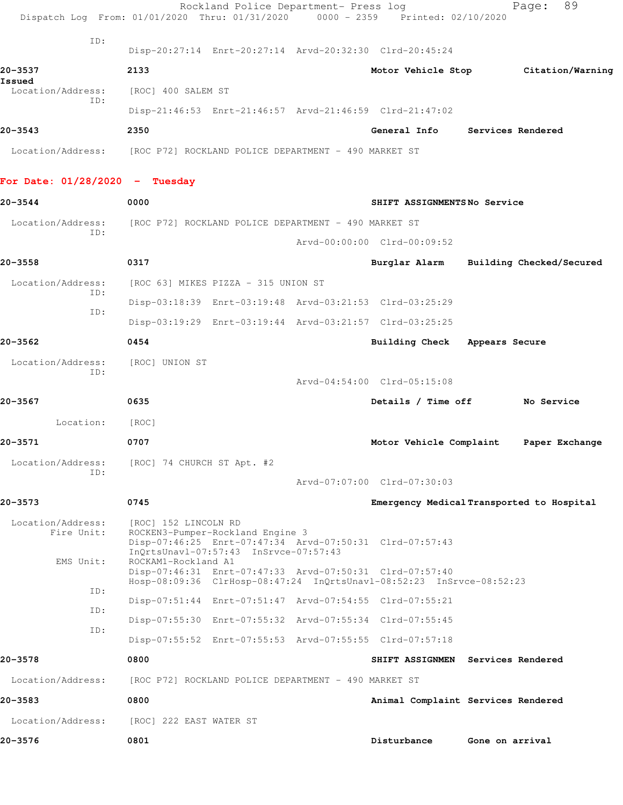|                                              | Dispatch Log From: 01/01/2020 Thru: 01/31/2020 0000 - 2359 Printed: 02/10/2020                                                                                                      | Rockland Police Department- Press log |                               | 89<br>Page:                               |
|----------------------------------------------|-------------------------------------------------------------------------------------------------------------------------------------------------------------------------------------|---------------------------------------|-------------------------------|-------------------------------------------|
| ID:                                          | Disp-20:27:14 Enrt-20:27:14 Arvd-20:32:30 Clrd-20:45:24                                                                                                                             |                                       |                               |                                           |
| 20-3537                                      | 2133                                                                                                                                                                                |                                       |                               | Motor Vehicle Stop Citation/Warning       |
| Issued<br>Location/Address:                  | [ROC] 400 SALEM ST                                                                                                                                                                  |                                       |                               |                                           |
| TD:                                          | Disp-21:46:53 Enrt-21:46:57 Arvd-21:46:59 Clrd-21:47:02                                                                                                                             |                                       |                               |                                           |
| 20-3543                                      | 2350                                                                                                                                                                                |                                       | General Info                  | Services Rendered                         |
| Location/Address:                            | [ROC P72] ROCKLAND POLICE DEPARTMENT - 490 MARKET ST                                                                                                                                |                                       |                               |                                           |
| For Date: $01/28/2020 - Tuesday$             |                                                                                                                                                                                     |                                       |                               |                                           |
| $20 - 3544$                                  | 0000                                                                                                                                                                                |                                       | SHIFT ASSIGNMENTSNo Service   |                                           |
| Location/Address:                            | [ROC P72] ROCKLAND POLICE DEPARTMENT - 490 MARKET ST                                                                                                                                |                                       |                               |                                           |
| TD:                                          |                                                                                                                                                                                     |                                       | Arvd-00:00:00 Clrd-00:09:52   |                                           |
| 20-3558                                      | 0317                                                                                                                                                                                |                                       |                               | Burglar Alarm Building Checked/Secured    |
| Location/Address:                            | [ROC 63] MIKES PIZZA - 315 UNION ST                                                                                                                                                 |                                       |                               |                                           |
| ID:                                          | Disp-03:18:39 Enrt-03:19:48 Arvd-03:21:53 Clrd-03:25:29                                                                                                                             |                                       |                               |                                           |
| ID:                                          | Disp-03:19:29 Enrt-03:19:44 Arvd-03:21:57 Clrd-03:25:25                                                                                                                             |                                       |                               |                                           |
| 20-3562                                      | 0454                                                                                                                                                                                |                                       | Building Check Appears Secure |                                           |
| Location/Address:                            | [ROC] UNION ST                                                                                                                                                                      |                                       |                               |                                           |
| ID:                                          |                                                                                                                                                                                     |                                       | Arvd-04:54:00 Clrd-05:15:08   |                                           |
| 20-3567                                      | 0635                                                                                                                                                                                |                                       | Details / Time off            | No Service                                |
| Location:                                    | [ROC]                                                                                                                                                                               |                                       |                               |                                           |
| 20-3571                                      | 0707                                                                                                                                                                                |                                       | Motor Vehicle Complaint       | Paper Exchange                            |
| Location/Address:                            | [ROC] 74 CHURCH ST Apt. #2                                                                                                                                                          |                                       |                               |                                           |
| TD:                                          |                                                                                                                                                                                     |                                       | Arvd-07:07:00 Clrd-07:30:03   |                                           |
| 20-3573                                      | 0745                                                                                                                                                                                |                                       |                               | Emergency Medical Transported to Hospital |
| Location/Address:<br>Fire Unit:<br>EMS Unit: | [ROC] 152 LINCOLN RD<br>ROCKEN3-Pumper-Rockland Engine 3<br>Disp-07:46:25 Enrt-07:47:34 Arvd-07:50:31 Clrd-07:57:43<br>InQrtsUnavl-07:57:43 InSrvce-07:57:43<br>ROCKAM1-Rockland A1 |                                       |                               |                                           |
| ID:                                          | Disp-07:46:31 Enrt-07:47:33 Arvd-07:50:31 Clrd-07:57:40<br>Hosp-08:09:36 ClrHosp-08:47:24 InQrtsUnavl-08:52:23 InSrvce-08:52:23                                                     |                                       |                               |                                           |
| ID:                                          | Disp-07:51:44 Enrt-07:51:47 Arvd-07:54:55 Clrd-07:55:21                                                                                                                             |                                       |                               |                                           |
| ID:                                          | Disp-07:55:30 Enrt-07:55:32 Arvd-07:55:34 Clrd-07:55:45                                                                                                                             |                                       |                               |                                           |
|                                              | Disp-07:55:52 Enrt-07:55:53 Arvd-07:55:55 Clrd-07:57:18                                                                                                                             |                                       |                               |                                           |
| 20-3578                                      | 0800                                                                                                                                                                                |                                       |                               | SHIFT ASSIGNMEN Services Rendered         |
| Location/Address:                            | [ROC P72] ROCKLAND POLICE DEPARTMENT - 490 MARKET ST                                                                                                                                |                                       |                               |                                           |
| 20-3583                                      | 0800                                                                                                                                                                                |                                       |                               | Animal Complaint Services Rendered        |
| Location/Address:                            | [ROC] 222 EAST WATER ST                                                                                                                                                             |                                       |                               |                                           |
| 20-3576                                      | 0801                                                                                                                                                                                |                                       | Disturbance                   | Gone on arrival                           |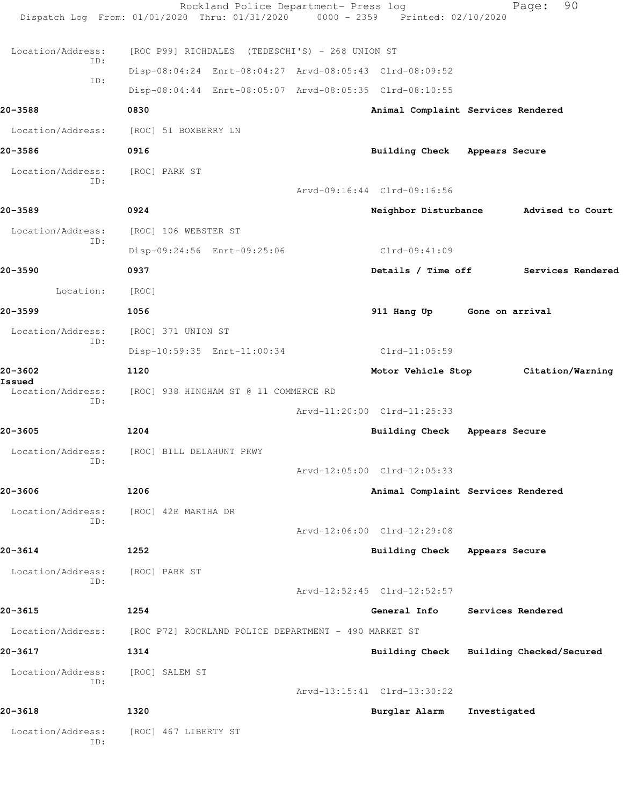|                             | Rockland Police Department- Press log<br>Dispatch Log From: 01/01/2020 Thru: 01/31/2020 | 0000 - 2359 Printed: 02/10/2020         |                   | 90<br>Page:       |
|-----------------------------|-----------------------------------------------------------------------------------------|-----------------------------------------|-------------------|-------------------|
| Location/Address:           | [ROC P99] RICHDALES (TEDESCHI'S) - 268 UNION ST                                         |                                         |                   |                   |
| ID:                         | Disp-08:04:24 Enrt-08:04:27 Arvd-08:05:43 Clrd-08:09:52                                 |                                         |                   |                   |
| ID:                         | Disp-08:04:44 Enrt-08:05:07 Arvd-08:05:35 Clrd-08:10:55                                 |                                         |                   |                   |
| 20-3588                     | 0830                                                                                    | Animal Complaint Services Rendered      |                   |                   |
| Location/Address:           | [ROC] 51 BOXBERRY LN                                                                    |                                         |                   |                   |
| 20-3586                     | 0916                                                                                    | Building Check Appears Secure           |                   |                   |
| Location/Address:           | [ROC] PARK ST                                                                           |                                         |                   |                   |
| ID:                         |                                                                                         | Arvd-09:16:44 Clrd-09:16:56             |                   |                   |
| 20-3589                     | 0924                                                                                    | Neighbor Disturbance Advised to Court   |                   |                   |
| Location/Address:           | [ROC] 106 WEBSTER ST                                                                    |                                         |                   |                   |
| ID:                         | Disp-09:24:56 Enrt-09:25:06                                                             | Clrd-09:41:09                           |                   |                   |
| 20-3590                     | 0937                                                                                    | Details / Time off                      |                   | Services Rendered |
| Location:                   | [ROC]                                                                                   |                                         |                   |                   |
| 20-3599                     | 1056                                                                                    | 911 Hang Up Gone on arrival             |                   |                   |
| Location/Address:           | [ROC] 371 UNION ST                                                                      |                                         |                   |                   |
| ID:                         | Disp-10:59:35 Enrt-11:00:34                                                             | Clrd-11:05:59                           |                   |                   |
| 20-3602                     | 1120                                                                                    | Motor Vehicle Stop Citation/Warning     |                   |                   |
| Issued<br>Location/Address: | [ROC] 938 HINGHAM ST @ 11 COMMERCE RD                                                   |                                         |                   |                   |
| ID:                         |                                                                                         | Arvd-11:20:00 Clrd-11:25:33             |                   |                   |
| 20-3605                     | 1204                                                                                    | Building Check Appears Secure           |                   |                   |
|                             | Location/Address: [ROC] BILL DELAHUNT PKWY                                              |                                         |                   |                   |
| ID:                         |                                                                                         | Arvd-12:05:00 Clrd-12:05:33             |                   |                   |
| 20-3606                     | 1206                                                                                    | Animal Complaint Services Rendered      |                   |                   |
| Location/Address:           | [ROC] 42E MARTHA DR                                                                     |                                         |                   |                   |
| ID:                         |                                                                                         | Arvd-12:06:00 Clrd-12:29:08             |                   |                   |
| 20-3614                     | 1252                                                                                    | Building Check Appears Secure           |                   |                   |
| Location/Address:<br>ID:    | [ROC] PARK ST                                                                           |                                         |                   |                   |
|                             |                                                                                         | Arvd-12:52:45 Clrd-12:52:57             |                   |                   |
| 20-3615                     | 1254                                                                                    | General Info                            | Services Rendered |                   |
| Location/Address:           | [ROC P72] ROCKLAND POLICE DEPARTMENT - 490 MARKET ST                                    |                                         |                   |                   |
| 20-3617                     | 1314                                                                                    | Building Check Building Checked/Secured |                   |                   |
| Location/Address:<br>ID:    | [ROC] SALEM ST                                                                          |                                         |                   |                   |
|                             |                                                                                         | Arvd-13:15:41 Clrd-13:30:22             |                   |                   |
| 20-3618                     | 1320                                                                                    | Burglar Alarm                           | Investigated      |                   |
| Location/Address:<br>ID:    | [ROC] 467 LIBERTY ST                                                                    |                                         |                   |                   |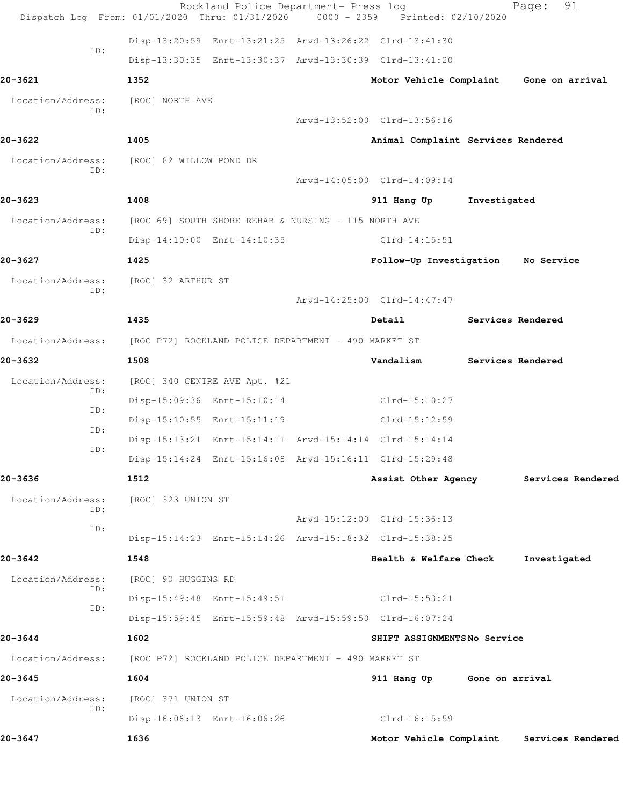|                          | Rockland Police Department- Press log<br>Dispatch Log From: 01/01/2020 Thru: 01/31/2020 | 0000 - 2359 Printed: 02/10/2020    |                   | 91<br>Page:       |  |
|--------------------------|-----------------------------------------------------------------------------------------|------------------------------------|-------------------|-------------------|--|
|                          | Disp-13:20:59 Enrt-13:21:25 Arvd-13:26:22 Clrd-13:41:30                                 |                                    |                   |                   |  |
| ID:                      | Disp-13:30:35 Enrt-13:30:37 Arvd-13:30:39 Clrd-13:41:20                                 |                                    |                   |                   |  |
| 20-3621                  | 1352                                                                                    | Motor Vehicle Complaint            |                   | Gone on arrival   |  |
|                          |                                                                                         |                                    |                   |                   |  |
| Location/Address:<br>ID: | [ROC] NORTH AVE                                                                         |                                    |                   |                   |  |
|                          |                                                                                         | Arvd-13:52:00 Clrd-13:56:16        |                   |                   |  |
| 20-3622                  | 1405                                                                                    | Animal Complaint Services Rendered |                   |                   |  |
| Location/Address:<br>ID: | [ROC] 82 WILLOW POND DR                                                                 |                                    |                   |                   |  |
|                          |                                                                                         | Arvd-14:05:00 Clrd-14:09:14        |                   |                   |  |
| 20-3623                  | 1408                                                                                    | 911 Hang Up                        | Investigated      |                   |  |
| Location/Address:<br>ID: | [ROC 69] SOUTH SHORE REHAB & NURSING - 115 NORTH AVE                                    |                                    |                   |                   |  |
|                          | Disp-14:10:00 Enrt-14:10:35                                                             | $Clrd-14:15:51$                    |                   |                   |  |
| 20-3627                  | 1425                                                                                    | Follow-Up Investigation No Service |                   |                   |  |
| Location/Address:<br>ID: | [ROC] 32 ARTHUR ST                                                                      |                                    |                   |                   |  |
|                          |                                                                                         | Arvd-14:25:00 Clrd-14:47:47        |                   |                   |  |
| 20-3629                  | 1435                                                                                    | Detail                             | Services Rendered |                   |  |
| Location/Address:        | [ROC P72] ROCKLAND POLICE DEPARTMENT - 490 MARKET ST                                    |                                    |                   |                   |  |
| 20-3632                  | 1508                                                                                    | Vandalism                          |                   | Services Rendered |  |
| Location/Address:        | [ROC] 340 CENTRE AVE Apt. #21                                                           |                                    |                   |                   |  |
| ID:                      | Disp-15:09:36 Enrt-15:10:14                                                             | $Clrd-15:10:27$                    |                   |                   |  |
| ID:                      | Disp-15:10:55 Enrt-15:11:19                                                             | $Clrd-15:12:59$                    |                   |                   |  |
| ID:<br>ID:               | Disp-15:13:21 Enrt-15:14:11 Arvd-15:14:14 Clrd-15:14:14                                 |                                    |                   |                   |  |
|                          | Disp-15:14:24 Enrt-15:16:08 Arvd-15:16:11 Clrd-15:29:48                                 |                                    |                   |                   |  |
| 20-3636                  | 1512                                                                                    | Assist Other Agency                |                   | Services Rendered |  |
| Location/Address:        | [ROC] 323 UNION ST                                                                      |                                    |                   |                   |  |
| ID:                      |                                                                                         | Arvd-15:12:00 Clrd-15:36:13        |                   |                   |  |
| ID:                      | Disp-15:14:23 Enrt-15:14:26 Arvd-15:18:32 Clrd-15:38:35                                 |                                    |                   |                   |  |
| 20-3642                  | 1548                                                                                    | Health & Welfare Check             |                   | Investigated      |  |
| Location/Address:        | [ROC] 90 HUGGINS RD                                                                     |                                    |                   |                   |  |
| ID:                      | Disp-15:49:48 Enrt-15:49:51                                                             | Clrd-15:53:21                      |                   |                   |  |
| ID:                      | Disp-15:59:45 Enrt-15:59:48 Arvd-15:59:50 Clrd-16:07:24                                 |                                    |                   |                   |  |
| 20-3644                  | 1602                                                                                    | SHIFT ASSIGNMENTSNo Service        |                   |                   |  |
| Location/Address:        | [ROC P72] ROCKLAND POLICE DEPARTMENT - 490 MARKET ST                                    |                                    |                   |                   |  |
| 20-3645                  | 1604                                                                                    | 911 Hang Up Gone on arrival        |                   |                   |  |
| Location/Address:        | [ROC] 371 UNION ST                                                                      |                                    |                   |                   |  |
| ID:                      | Disp-16:06:13 Enrt-16:06:26                                                             | Clrd-16:15:59                      |                   |                   |  |
| 20-3647                  | 1636                                                                                    | Motor Vehicle Complaint            |                   | Services Rendered |  |
|                          |                                                                                         |                                    |                   |                   |  |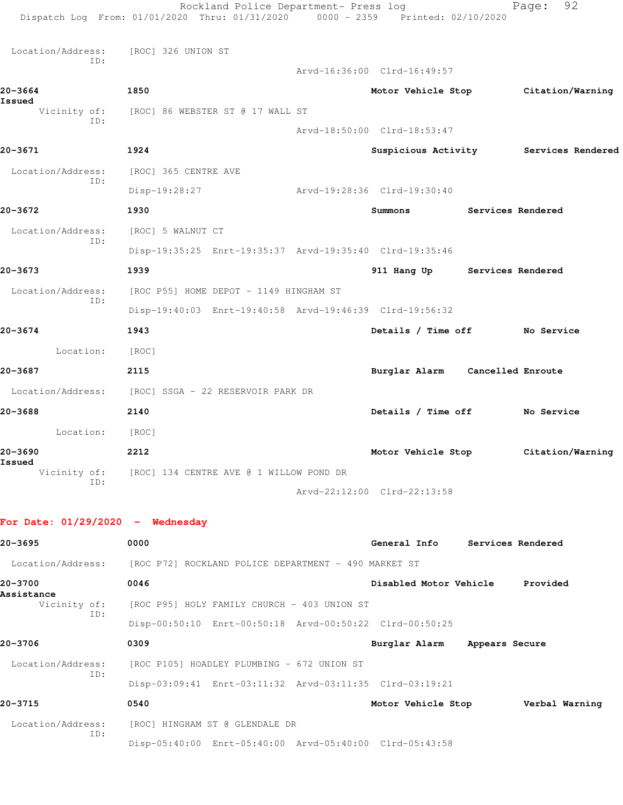|                                    | Rockland Police Department- Press log<br>Dispatch Log From: 01/01/2020 Thru: 01/31/2020 0000 - 2359 Printed: 02/10/2020 |                                 |                          | 92<br>Page:                           |
|------------------------------------|-------------------------------------------------------------------------------------------------------------------------|---------------------------------|--------------------------|---------------------------------------|
| Location/Address:<br>ID:           | [ROC] 326 UNION ST                                                                                                      |                                 |                          |                                       |
|                                    |                                                                                                                         | Arvd-16:36:00 Clrd-16:49:57     |                          |                                       |
| 20-3664                            | 1850                                                                                                                    | Motor Vehicle Stop              |                          | Citation/Warning                      |
| Issued<br>Vicinity of:             | [ROC] 86 WEBSTER ST @ 17 WALL ST                                                                                        |                                 |                          |                                       |
| ID:                                |                                                                                                                         | Arvd-18:50:00 Clrd-18:53:47     |                          |                                       |
| 20-3671                            | 1924                                                                                                                    |                                 |                          | Suspicious Activity Services Rendered |
| Location/Address:                  | [ROC] 365 CENTRE AVE                                                                                                    |                                 |                          |                                       |
| ID:                                | Disp-19:28:27                                                                                                           | Arvd-19:28:36 Clrd-19:30:40     |                          |                                       |
| 20-3672                            | 1930                                                                                                                    | Summons                         | <b>Services Rendered</b> |                                       |
| Location/Address:                  | [ROC] 5 WALNUT CT                                                                                                       |                                 |                          |                                       |
| ID:                                | Disp-19:35:25 Enrt-19:35:37 Arvd-19:35:40 Clrd-19:35:46                                                                 |                                 |                          |                                       |
| 20-3673                            | 1939                                                                                                                    | 911 Hang Up Services Rendered   |                          |                                       |
| Location/Address:                  | [ROC P55] HOME DEPOT - 1149 HINGHAM ST                                                                                  |                                 |                          |                                       |
| ID:                                | Disp-19:40:03 Enrt-19:40:58 Arvd-19:46:39 Clrd-19:56:32                                                                 |                                 |                          |                                       |
| 20-3674                            | 1943                                                                                                                    | Details / Time off No Service   |                          |                                       |
| Location:                          | [ROC]                                                                                                                   |                                 |                          |                                       |
| 20-3687                            | 2115                                                                                                                    | Burglar Alarm Cancelled Enroute |                          |                                       |
| Location/Address:                  | [ROC] SSGA - 22 RESERVOIR PARK DR                                                                                       |                                 |                          |                                       |
| 20-3688                            | 2140                                                                                                                    | Details / Time off No Service   |                          |                                       |
| Location:                          | [ROC]                                                                                                                   |                                 |                          |                                       |
| 20-3690                            | 2212                                                                                                                    | Motor Vehicle Stop              |                          | Citation/Warning                      |
| Issued<br>Vicinity of:             | [ROC] 134 CENTRE AVE @ 1 WILLOW POND DR                                                                                 |                                 |                          |                                       |
| ID:                                |                                                                                                                         | Arvd-22:12:00 Clrd-22:13:58     |                          |                                       |
| For Date: $01/29/2020$ - Wednesday |                                                                                                                         |                                 |                          |                                       |
| 20-3695                            | 0000                                                                                                                    | General Info Services Rendered  |                          |                                       |
|                                    | Location/Address: [ROC P72] ROCKLAND POLICE DEPARTMENT - 490 MARKET ST                                                  |                                 |                          |                                       |
| 20-3700                            | 0046                                                                                                                    | Disabled Motor Vehicle          |                          | Provided                              |
| Assistance<br>Vicinity of:<br>ID:  | [ROC P95] HOLY FAMILY CHURCH - 403 UNION ST                                                                             |                                 |                          |                                       |

Disp-00:50:10 Enrt-00:50:18 Arvd-00:50:22 Clrd-00:50:25

**20-3706 0309 Burglar Alarm Appears Secure** Location/Address: [ROC P105] HOADLEY PLUMBING - 672 UNION ST ID: Disp-03:09:41 Enrt-03:11:32 Arvd-03:11:35 Clrd-03:19:21 **20-3715 0540 Motor Vehicle Stop Verbal Warning**

 Location/Address: [ROC] HINGHAM ST @ GLENDALE DR ID: Disp-05:40:00 Enrt-05:40:00 Arvd-05:40:00 Clrd-05:43:58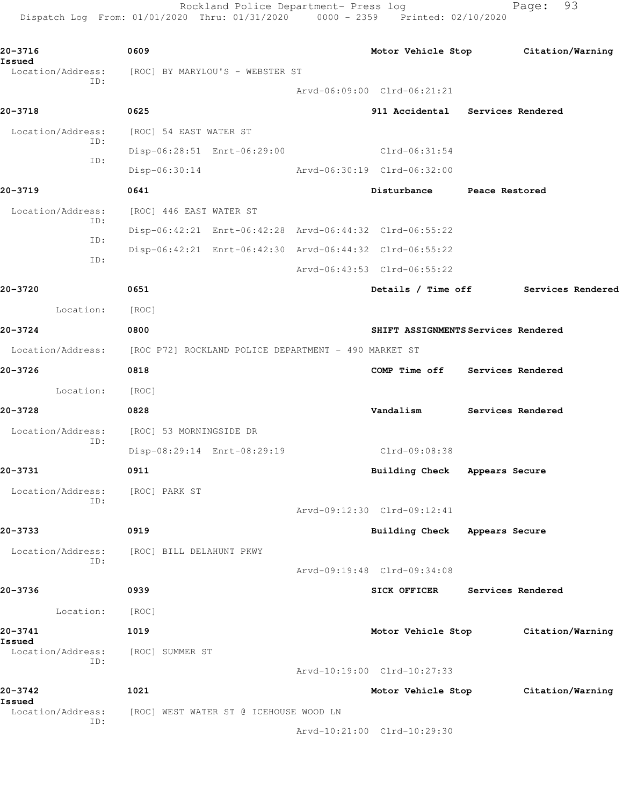Rockland Police Department- Press log entitled and Page: 93 Dispatch Log From: 01/01/2020 Thru: 01/31/2020 0000 - 2359 Printed: 02/10/2020

| 20-3716<br>$\sim$ 0609<br>Issued |                                                                        |                                     |                   | Motor Vehicle Stop Citation/Warning  |
|----------------------------------|------------------------------------------------------------------------|-------------------------------------|-------------------|--------------------------------------|
| ID:                              | Location/Address: [ROC] BY MARYLOU'S - WEBSTER ST                      |                                     |                   |                                      |
|                                  |                                                                        | Arvd-06:09:00 Clrd-06:21:21         |                   |                                      |
| 20-3718                          | 0625                                                                   | 911 Accidental Services Rendered    |                   |                                      |
| Location/Address:<br>ID:         | [ROC] 54 EAST WATER ST                                                 |                                     |                   |                                      |
| ID:                              | Disp-06:28:51 Enrt-06:29:00 Clrd-06:31:54                              |                                     |                   |                                      |
|                                  | Disp-06:30:14 Arvd-06:30:19 Clrd-06:32:00                              |                                     |                   |                                      |
| 20-3719                          | 0641                                                                   | Disturbance Peace Restored          |                   |                                      |
| Location/Address:                | [ROC] 446 EAST WATER ST                                                |                                     |                   |                                      |
| ID:                              | Disp-06:42:21 Enrt-06:42:28 Arvd-06:44:32 Clrd-06:55:22                |                                     |                   |                                      |
| ID:                              | Disp-06:42:21 Enrt-06:42:30 Arvd-06:44:32 Clrd-06:55:22                |                                     |                   |                                      |
| ID:                              |                                                                        | Arvd-06:43:53 Clrd-06:55:22         |                   |                                      |
| 20-3720                          | 0651                                                                   |                                     |                   | Details / Time off Services Rendered |
| Location: [ROC]                  |                                                                        |                                     |                   |                                      |
| 20-3724                          | 0800                                                                   | SHIFT ASSIGNMENTS Services Rendered |                   |                                      |
|                                  | Location/Address: [ROC P72] ROCKLAND POLICE DEPARTMENT - 490 MARKET ST |                                     |                   |                                      |
| 20-3726                          | 0818                                                                   | COMP Time off Services Rendered     |                   |                                      |
| Location:                        | [ROC]                                                                  |                                     |                   |                                      |
| 20-3728                          | 0828                                                                   | Vandalism Services Rendered         |                   |                                      |
| Location/Address:<br>ID:         | [ROC] 53 MORNINGSIDE DR                                                |                                     |                   |                                      |
|                                  | Disp-08:29:14 Enrt-08:29:19                                            | Clrd-09:08:38                       |                   |                                      |
| 20-3731                          | 0911                                                                   | Building Check Appears Secure       |                   |                                      |
| Location/Address:                | [ROC] PARK ST                                                          |                                     |                   |                                      |
| ID:                              |                                                                        | Arvd-09:12:30 Clrd-09:12:41         |                   |                                      |
| 20-3733                          | 0919                                                                   | Building Check Appears Secure       |                   |                                      |
| Location/Address:                | [ROC] BILL DELAHUNT PKWY                                               |                                     |                   |                                      |
| ID:                              |                                                                        | Arvd-09:19:48 Clrd-09:34:08         |                   |                                      |
| 20-3736                          | 0939                                                                   | <b>SICK OFFICER</b>                 | Services Rendered |                                      |
| Location:                        | [ROC]                                                                  |                                     |                   |                                      |
| 20-3741                          | 1019                                                                   | Motor Vehicle Stop                  |                   | Citation/Warning                     |
| Issued<br>Location/Address:      | [ROC] SUMMER ST                                                        |                                     |                   |                                      |
| ID:                              |                                                                        | Arvd-10:19:00 Clrd-10:27:33         |                   |                                      |
| 20-3742                          | 1021                                                                   | Motor Vehicle Stop                  |                   | Citation/Warning                     |
| Issued<br>Location/Address:      | [ROC] WEST WATER ST @ ICEHOUSE WOOD LN                                 |                                     |                   |                                      |
| ID:                              |                                                                        | Arvd-10:21:00 Clrd-10:29:30         |                   |                                      |
|                                  |                                                                        |                                     |                   |                                      |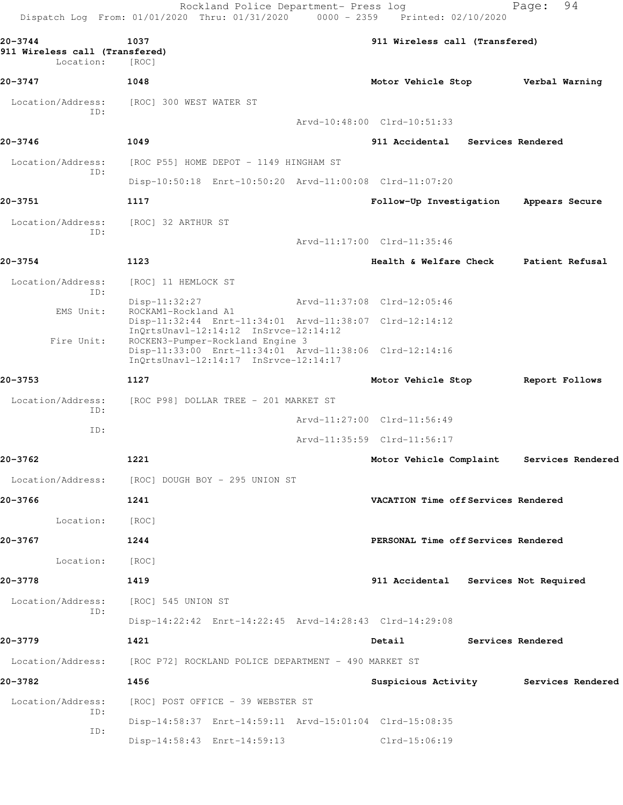Dispatch Log From: 01/01/2020 Thru: 01/31/2020 0000 - 2359 Printed: 02/10/2020 **20-3744 1037 911 Wireless call (Transfered) 911 Wireless call (Transfered)**  Location: [ROC] **20-3747 1048 Motor Vehicle Stop Verbal Warning** Location/Address: [ROC] 300 WEST WATER ST ID: Arvd-10:48:00 Clrd-10:51:33 **20-3746 1049 911 Accidental Services Rendered** Location/Address: [ROC P55] HOME DEPOT - 1149 HINGHAM ST ID: Disp-10:50:18 Enrt-10:50:20 Arvd-11:00:08 Clrd-11:07:20 **20-3751 1117 Follow-Up Investigation Appears Secure** Location/Address: [ROC] 32 ARTHUR ST ID: Arvd-11:17:00 Clrd-11:35:46 **20-3754 1123 Health & Welfare Check Patient Refusal** Location/Address: [ROC] 11 HEMLOCK ST ID: Disp-11:32:27 Arvd-11:37:08 Clrd-12:05:46 EMS Unit: ROCKAM1-Rockland A1 Disp-11:32:44 Enrt-11:34:01 Arvd-11:38:07 Clrd-12:14:12 InQrtsUnavl-12:14:12 InSrvce-12:14:12 Fire Unit: ROCKEN3-Pumper-Rockland Engine 3 Disp-11:33:00 Enrt-11:34:01 Arvd-11:38:06 Clrd-12:14:16 InQrtsUnavl-12:14:17 InSrvce-12:14:17 **20-3753 1127 Motor Vehicle Stop Report Follows** Location/Address: [ROC P98] DOLLAR TREE - 201 MARKET ST ID: Arvd-11:27:00 Clrd-11:56:49 ID: Arvd-11:35:59 Clrd-11:56:17 **20-3762 1221 Motor Vehicle Complaint Services Rendered** Location/Address: [ROC] DOUGH BOY - 295 UNION ST **20-3766 1241 VACATION Time off Services Rendered** Location: [ROC] **20-3767 1244 PERSONAL Time off Services Rendered** Location: [ROC] **20-3778 1419 911 Accidental Services Not Required** Location/Address: [ROC] 545 UNION ST ID: Disp-14:22:42 Enrt-14:22:45 Arvd-14:28:43 Clrd-14:29:08 **20-3779 1421 Detail Services Rendered** Location/Address: [ROC P72] ROCKLAND POLICE DEPARTMENT - 490 MARKET ST **20-3782 1456 Suspicious Activity Services Rendered** Location/Address: [ROC] POST OFFICE - 39 WEBSTER ST ID: Disp-14:58:37 Enrt-14:59:11 Arvd-15:01:04 Clrd-15:08:35 ID: Disp-14:58:43 Enrt-14:59:13 Clrd-15:06:19

Rockland Police Department- Press log Fage: 94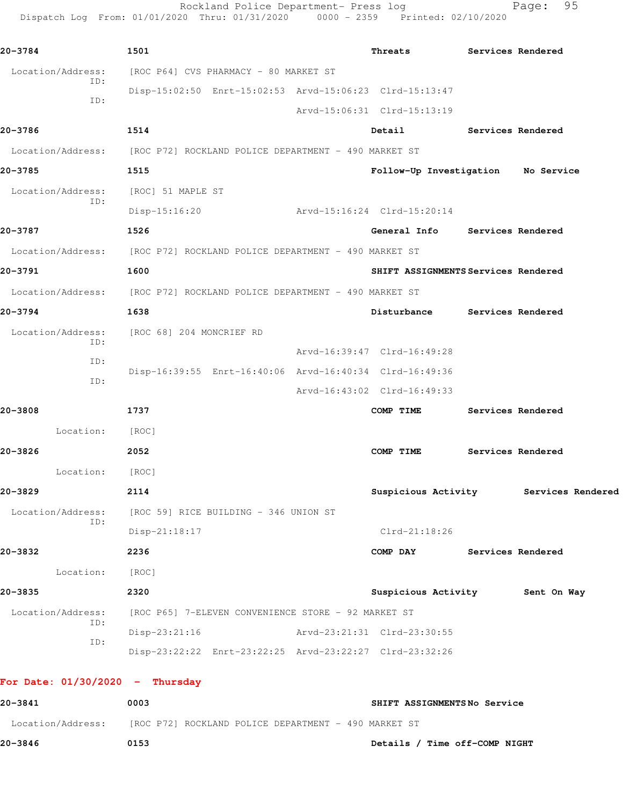Rockland Police Department- Press log Page: 95 Dispatch Log From: 01/01/2020 Thru: 01/31/2020 0000 - 2359 Printed: 02/10/2020

| 20-3784                           | 1501                                                                   | Threats                             | Services Rendered                     |
|-----------------------------------|------------------------------------------------------------------------|-------------------------------------|---------------------------------------|
| Location/Address:<br>ID:          | [ROC P64] CVS PHARMACY - 80 MARKET ST                                  |                                     |                                       |
| ID:                               | Disp-15:02:50 Enrt-15:02:53 Arvd-15:06:23 Clrd-15:13:47                |                                     |                                       |
|                                   |                                                                        | Arvd-15:06:31 Clrd-15:13:19         |                                       |
| 20-3786                           | 1514                                                                   | Detail                              | Services Rendered                     |
|                                   | Location/Address: [ROC P72] ROCKLAND POLICE DEPARTMENT - 490 MARKET ST |                                     |                                       |
| 20-3785                           | 1515                                                                   | Follow-Up Investigation No Service  |                                       |
| Location/Address:<br>ID:          | [ROC] 51 MAPLE ST                                                      |                                     |                                       |
|                                   | Disp-15:16:20                                                          | Arvd-15:16:24 Clrd-15:20:14         |                                       |
| 20-3787                           | 1526                                                                   | General Info Services Rendered      |                                       |
|                                   | Location/Address: [ROC P72] ROCKLAND POLICE DEPARTMENT - 490 MARKET ST |                                     |                                       |
| 20-3791                           | 1600                                                                   | SHIFT ASSIGNMENTS Services Rendered |                                       |
|                                   | Location/Address: [ROC P72] ROCKLAND POLICE DEPARTMENT - 490 MARKET ST |                                     |                                       |
| 20-3794                           | 1638                                                                   | Disturbance Services Rendered       |                                       |
| Location/Address:<br>ID:          | [ROC 68] 204 MONCRIEF RD                                               |                                     |                                       |
| ID:                               |                                                                        | Arvd-16:39:47 Clrd-16:49:28         |                                       |
| ID:                               | Disp-16:39:55 Enrt-16:40:06 Arvd-16:40:34 Clrd-16:49:36                |                                     |                                       |
|                                   |                                                                        | Arvd-16:43:02 Clrd-16:49:33         |                                       |
| 20-3808                           | 1737                                                                   | COMP TIME                           | Services Rendered                     |
| Location: [ROC]                   |                                                                        |                                     |                                       |
| 20-3826                           | 2052                                                                   | COMP TIME                           | Services Rendered                     |
| Location:                         | [ROC]                                                                  |                                     |                                       |
| 20-3829                           | 2114                                                                   |                                     | Suspicious Activity Services Rendered |
| ID:                               | Location/Address: [ROC 59] RICE BUILDING - 346 UNION ST                |                                     |                                       |
|                                   | $Disp-21:18:17$                                                        | $Clrd-21:18:26$                     |                                       |
| 20-3832                           | 2236                                                                   | COMP DAY Services Rendered          |                                       |
| Location: [ROC]                   |                                                                        |                                     |                                       |
| 20-3835                           | 2320                                                                   | Suspicious Activity 5ent On Way     |                                       |
| Location/Address:<br>ID:          | [ROC P65] 7-ELEVEN CONVENIENCE STORE - 92 MARKET ST                    |                                     |                                       |
| ID:                               | $Disp-23:21:16$                                                        | Arvd-23:21:31 Clrd-23:30:55         |                                       |
|                                   | Disp-23:22:22 Enrt-23:22:25 Arvd-23:22:27 Clrd-23:32:26                |                                     |                                       |
| For Date: $01/30/2020 -$ Thursday |                                                                        |                                     |                                       |
| 20-3841                           | 0003                                                                   | SHIFT ASSIGNMENTSNo Service         |                                       |
|                                   | Location/Address: [ROC P72] ROCKLAND POLICE DEPARTMENT - 490 MARKET ST |                                     |                                       |

**20-3846 0153 Details / Time off-COMP NIGHT**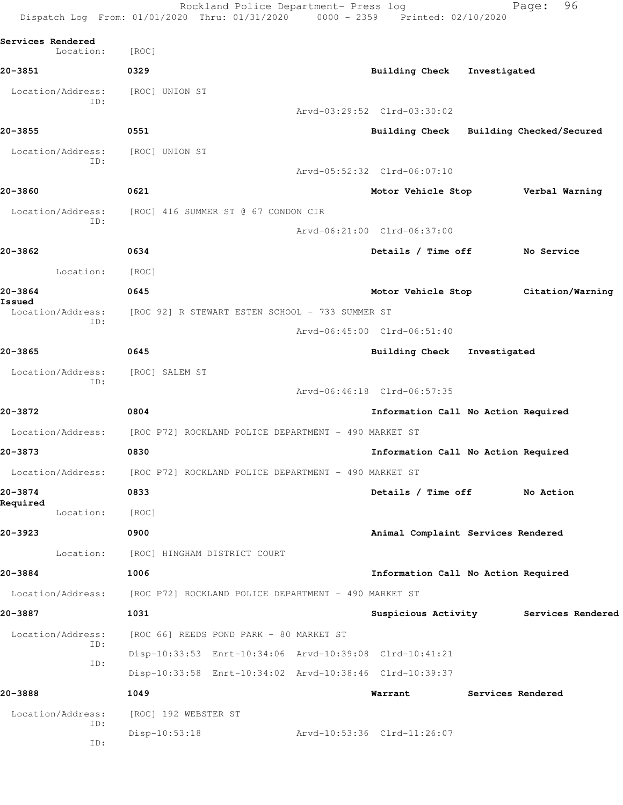|                                | Dispatch Log From: 01/01/2020 Thru: 01/31/2020                         | 0000 - 2359 Printed: 02/10/2020         |                   |                                       |
|--------------------------------|------------------------------------------------------------------------|-----------------------------------------|-------------------|---------------------------------------|
| Services Rendered<br>Location: | [ROC]                                                                  |                                         |                   |                                       |
| 20-3851                        | 0329                                                                   | Building Check                          | Investigated      |                                       |
| Location/Address:              | [ROC] UNION ST                                                         |                                         |                   |                                       |
| ID:                            |                                                                        | Arvd-03:29:52 Clrd-03:30:02             |                   |                                       |
| 20-3855                        | 0551                                                                   | Building Check Building Checked/Secured |                   |                                       |
| Location/Address:              | [ROC] UNION ST                                                         |                                         |                   |                                       |
| ID:                            |                                                                        | Arvd-05:52:32 Clrd-06:07:10             |                   |                                       |
| 20-3860                        | 0621                                                                   | Motor Vehicle Stop                      |                   | Verbal Warning                        |
| Location/Address:              | [ROC] 416 SUMMER ST @ 67 CONDON CIR                                    |                                         |                   |                                       |
| ID:                            |                                                                        | Arvd-06:21:00 Clrd-06:37:00             |                   |                                       |
| 20-3862                        | 0634                                                                   | Details / Time off                      |                   | No Service                            |
| Location:                      | [ROC]                                                                  |                                         |                   |                                       |
| 20-3864                        | 0645                                                                   | Motor Vehicle Stop                      |                   | Citation/Warning                      |
| Issued<br>Location/Address:    | [ROC 92] R STEWART ESTEN SCHOOL - 733 SUMMER ST                        |                                         |                   |                                       |
| ID:                            |                                                                        | Arvd-06:45:00 Clrd-06:51:40             |                   |                                       |
| 20-3865                        | 0645                                                                   | <b>Building Check</b>                   | Investigated      |                                       |
| Location/Address:              | [ROC] SALEM ST                                                         |                                         |                   |                                       |
| ID:                            |                                                                        | Arvd-06:46:18 Clrd-06:57:35             |                   |                                       |
| 20-3872                        | 0804                                                                   | Information Call No Action Required     |                   |                                       |
| Location/Address:              | [ROC P72] ROCKLAND POLICE DEPARTMENT - 490 MARKET ST                   |                                         |                   |                                       |
| 20-3873                        | 0830                                                                   | Information Call No Action Required     |                   |                                       |
| Location/Address:              | [ROC P72] ROCKLAND POLICE DEPARTMENT - 490 MARKET ST                   |                                         |                   |                                       |
| 20-3874                        | 0833                                                                   | Details / Time off No Action            |                   |                                       |
| Required<br>Location:          | [ROC]                                                                  |                                         |                   |                                       |
| 20-3923                        | 0900                                                                   | Animal Complaint Services Rendered      |                   |                                       |
| Location:                      | [ROC] HINGHAM DISTRICT COURT                                           |                                         |                   |                                       |
| 20-3884                        | 1006                                                                   | Information Call No Action Required     |                   |                                       |
|                                | Location/Address: [ROC P72] ROCKLAND POLICE DEPARTMENT - 490 MARKET ST |                                         |                   |                                       |
| 20-3887                        | 1031                                                                   |                                         |                   | Suspicious Activity Services Rendered |
| Location/Address:              | [ROC 66] REEDS POND PARK - 80 MARKET ST                                |                                         |                   |                                       |
| ID:                            | Disp-10:33:53 Enrt-10:34:06 Arvd-10:39:08 Clrd-10:41:21                |                                         |                   |                                       |
| ID:                            | Disp-10:33:58 Enrt-10:34:02 Arvd-10:38:46 Clrd-10:39:37                |                                         |                   |                                       |
| 20-3888                        | 1049                                                                   | Warrant                                 | Services Rendered |                                       |
| Location/Address:              | [ROC] 192 WEBSTER ST                                                   |                                         |                   |                                       |
| ID:                            | Disp-10:53:18                                                          | Arvd-10:53:36 Clrd-11:26:07             |                   |                                       |
| ID:                            |                                                                        |                                         |                   |                                       |

Rockland Police Department- Press log Page: 96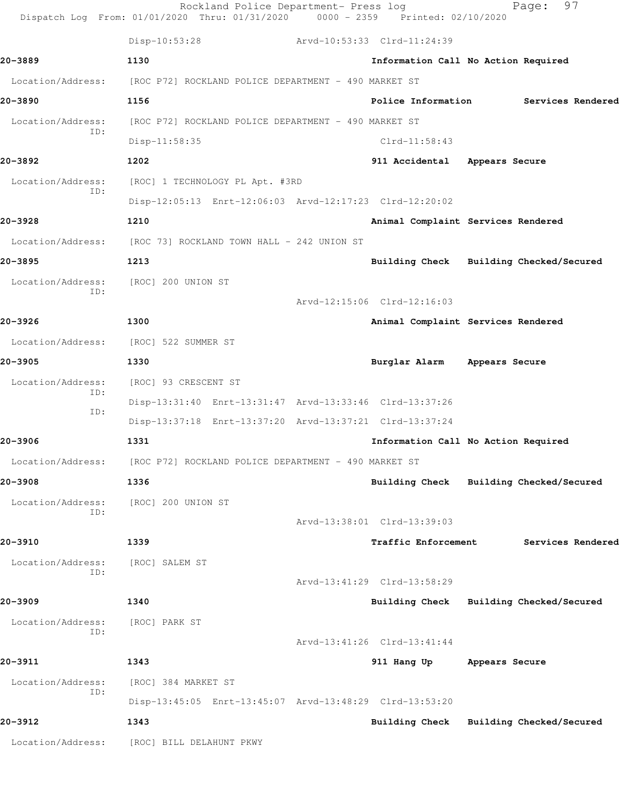|                          | Rockland Police Department- Press log<br>Dispatch Log From: 01/01/2020 Thru: 01/31/2020 | 0000 - 2359 Printed: 02/10/2020 | 97<br>Page:                             |
|--------------------------|-----------------------------------------------------------------------------------------|---------------------------------|-----------------------------------------|
|                          | Disp-10:53:28                                                                           | Arvd-10:53:33 Clrd-11:24:39     |                                         |
| 20-3889                  | 1130                                                                                    |                                 | Information Call No Action Required     |
| Location/Address:        | [ROC P72] ROCKLAND POLICE DEPARTMENT - 490 MARKET ST                                    |                                 |                                         |
| 20-3890                  | 1156                                                                                    | Police Information              | Services Rendered                       |
| Location/Address:<br>ID: | [ROC P72] ROCKLAND POLICE DEPARTMENT - 490 MARKET ST                                    |                                 |                                         |
|                          | Disp-11:58:35                                                                           | $Clrd-11:58:43$                 |                                         |
| 20-3892                  | 1202                                                                                    | 911 Accidental                  | Appears Secure                          |
| Location/Address:<br>ID: | [ROC] 1 TECHNOLOGY PL Apt. #3RD                                                         |                                 |                                         |
|                          | Disp-12:05:13 Enrt-12:06:03 Arvd-12:17:23 Clrd-12:20:02                                 |                                 |                                         |
| 20-3928                  | 1210                                                                                    |                                 | Animal Complaint Services Rendered      |
|                          | Location/Address: [ROC 73] ROCKLAND TOWN HALL - 242 UNION ST                            |                                 |                                         |
| 20-3895                  | 1213                                                                                    |                                 | Building Check Building Checked/Secured |
| Location/Address:        | [ROC] 200 UNION ST                                                                      |                                 |                                         |
| ID:                      |                                                                                         | Arvd-12:15:06 Clrd-12:16:03     |                                         |
| 20-3926                  | 1300                                                                                    |                                 | Animal Complaint Services Rendered      |
| Location/Address:        | [ROC] 522 SUMMER ST                                                                     |                                 |                                         |
| 20-3905                  | 1330                                                                                    | Burglar Alarm                   | Appears Secure                          |
| Location/Address:        | [ROC] 93 CRESCENT ST                                                                    |                                 |                                         |
| ID:                      | Disp-13:31:40 Enrt-13:31:47 Arvd-13:33:46 Clrd-13:37:26                                 |                                 |                                         |
| ID:                      | Disp-13:37:18 Enrt-13:37:20 Arvd-13:37:21 Clrd-13:37:24                                 |                                 |                                         |
| 20-3906                  | 1331                                                                                    |                                 | Information Call No Action Required     |
| Location/Address:        | [ROC P72] ROCKLAND POLICE DEPARTMENT - 490 MARKET ST                                    |                                 |                                         |
| 20-3908                  | 1336                                                                                    |                                 | Building Check Building Checked/Secured |
| Location/Address:        | [ROC] 200 UNION ST                                                                      |                                 |                                         |
| ID:                      |                                                                                         | Arvd-13:38:01 Clrd-13:39:03     |                                         |
| 20-3910                  | 1339                                                                                    | <b>Traffic Enforcement</b>      | Services Rendered                       |
| Location/Address:        | [ROC] SALEM ST                                                                          |                                 |                                         |
| ID:                      |                                                                                         | Arvd-13:41:29 Clrd-13:58:29     |                                         |
| 20-3909                  | 1340                                                                                    |                                 | Building Check Building Checked/Secured |
| Location/Address:        | [ROC] PARK ST                                                                           |                                 |                                         |
| ID:                      |                                                                                         | Arvd-13:41:26 Clrd-13:41:44     |                                         |
| 20-3911                  | 1343                                                                                    | 911 Hang Up Appears Secure      |                                         |
| Location/Address:        | [ROC] 384 MARKET ST                                                                     |                                 |                                         |
| ID:                      | Disp-13:45:05 Enrt-13:45:07 Arvd-13:48:29 Clrd-13:53:20                                 |                                 |                                         |
| 20-3912                  | 1343                                                                                    |                                 | Building Check Building Checked/Secured |
| Location/Address:        | [ROC] BILL DELAHUNT PKWY                                                                |                                 |                                         |
|                          |                                                                                         |                                 |                                         |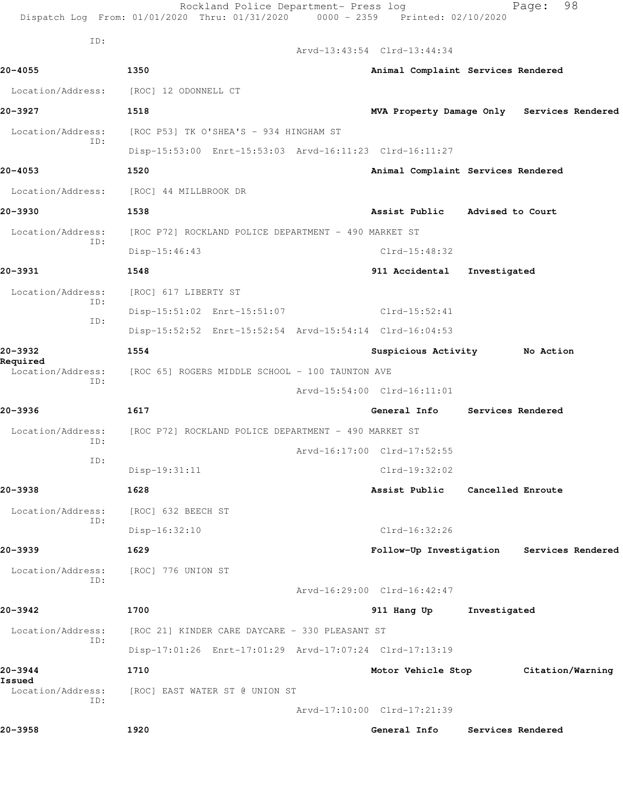| ID:                           |                                                         | Arvd-13:43:54 Clrd-13:44:34        |                   |                                            |
|-------------------------------|---------------------------------------------------------|------------------------------------|-------------------|--------------------------------------------|
| 20-4055                       | 1350                                                    | Animal Complaint Services Rendered |                   |                                            |
| Location/Address:             | [ROC] 12 ODONNELL CT                                    |                                    |                   |                                            |
| 20-3927                       | 1518                                                    |                                    |                   | MVA Property Damage Only Services Rendered |
| Location/Address:             | [ROC P53] TK O'SHEA'S - 934 HINGHAM ST                  |                                    |                   |                                            |
| ID:                           | Disp-15:53:00 Enrt-15:53:03 Arvd-16:11:23 Clrd-16:11:27 |                                    |                   |                                            |
| 20-4053                       | 1520                                                    | Animal Complaint Services Rendered |                   |                                            |
| Location/Address:             | [ROC] 44 MILLBROOK DR                                   |                                    |                   |                                            |
| 20-3930                       | 1538                                                    | Assist Public Advised to Court     |                   |                                            |
| Location/Address:             | [ROC P72] ROCKLAND POLICE DEPARTMENT - 490 MARKET ST    |                                    |                   |                                            |
| ID:                           | Disp-15:46:43                                           | $Clrd-15:48:32$                    |                   |                                            |
| 20-3931                       | 1548                                                    | 911 Accidental                     | Investigated      |                                            |
| Location/Address:             | [ROC] 617 LIBERTY ST                                    |                                    |                   |                                            |
| ID:                           | Disp-15:51:02 Enrt-15:51:07                             | Clrd-15:52:41                      |                   |                                            |
| ID:                           | Disp-15:52:52 Enrt-15:52:54 Arvd-15:54:14 Clrd-16:04:53 |                                    |                   |                                            |
| 20-3932                       | 1554                                                    | Suspicious Activity No Action      |                   |                                            |
| Required<br>Location/Address: | [ROC 65] ROGERS MIDDLE SCHOOL - 100 TAUNTON AVE         |                                    |                   |                                            |
| ID:                           |                                                         | Arvd-15:54:00 Clrd-16:11:01        |                   |                                            |
| 20-3936                       | 1617                                                    | General Info                       | Services Rendered |                                            |
| Location/Address:             | [ROC P72] ROCKLAND POLICE DEPARTMENT - 490 MARKET ST    |                                    |                   |                                            |
| ID:<br>ID:                    |                                                         | Arvd-16:17:00 Clrd-17:52:55        |                   |                                            |
|                               | Disp-19:31:11                                           | $Clrd-19:32:02$                    |                   |                                            |
| 20-3938                       | 1628                                                    | Assist Public                      | Cancelled Enroute |                                            |
| Location/Address:<br>ID:      | [ROC] 632 BEECH ST                                      |                                    |                   |                                            |
|                               | Disp-16:32:10                                           | $Clrd-16:32:26$                    |                   |                                            |
| 20-3939                       | 1629                                                    |                                    |                   | Follow-Up Investigation Services Rendered  |
| Location/Address:<br>ID:      | [ROC] 776 UNION ST                                      |                                    |                   |                                            |
|                               |                                                         | Arvd-16:29:00 Clrd-16:42:47        |                   |                                            |
| 20-3942                       | 1700                                                    | 911 Hang Up                        | Investigated      |                                            |
| Location/Address:<br>ID:      | [ROC 21] KINDER CARE DAYCARE - 330 PLEASANT ST          |                                    |                   |                                            |
|                               | Disp-17:01:26 Enrt-17:01:29 Arvd-17:07:24 Clrd-17:13:19 |                                    |                   |                                            |
| 20-3944<br>Issued             | 1710                                                    | Motor Vehicle Stop                 |                   | Citation/Warning                           |
| Location/Address:<br>ID:      | [ROC] EAST WATER ST @ UNION ST                          |                                    |                   |                                            |
|                               |                                                         | Arvd-17:10:00 Clrd-17:21:39        |                   |                                            |
| 20-3958                       | 1920                                                    | General Info                       | Services Rendered |                                            |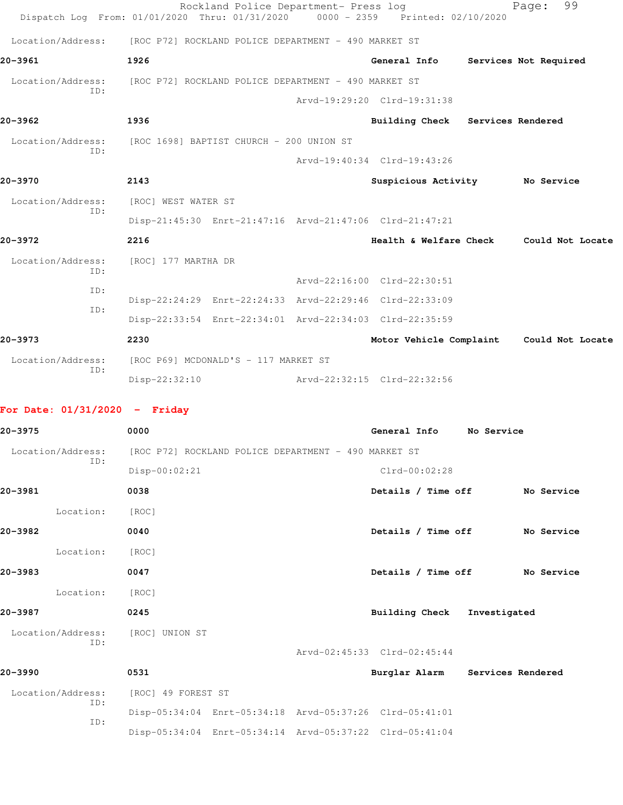|                                              |               | Rockland Police Department- Press log                                          |                                  | 99<br>Page:                              |
|----------------------------------------------|---------------|--------------------------------------------------------------------------------|----------------------------------|------------------------------------------|
|                                              |               | Dispatch Log From: 01/01/2020 Thru: 01/31/2020 0000 - 2359 Printed: 02/10/2020 |                                  |                                          |
|                                              |               | Location/Address: [ROC P72] ROCKLAND POLICE DEPARTMENT - 490 MARKET ST         |                                  |                                          |
| 20-3961                                      | 1926          |                                                                                | General Info                     | Services Not Required                    |
|                                              |               | Location/Address: [ROC P72] ROCKLAND POLICE DEPARTMENT - 490 MARKET ST         |                                  |                                          |
| TD:                                          |               |                                                                                | Arvd-19:29:20 Clrd-19:31:38      |                                          |
| 20-3962                                      | 1936          |                                                                                | Building Check Services Rendered |                                          |
| Location/Address:<br>TD:                     |               | [ROC 1698] BAPTIST CHURCH - 200 UNION ST                                       |                                  |                                          |
|                                              |               |                                                                                | Arvd-19:40:34 Clrd-19:43:26      |                                          |
| 20-3970                                      | 2143          |                                                                                | Suspicious Activity No Service   |                                          |
| Location/Address: [ROC] WEST WATER ST<br>TD: |               |                                                                                |                                  |                                          |
|                                              |               | Disp-21:45:30 Enrt-21:47:16 Arvd-21:47:06 Clrd-21:47:21                        |                                  |                                          |
| $20 - 3972$                                  | 2216          |                                                                                |                                  | Health & Welfare Check Could Not Locate  |
| Location/Address:<br>TD:                     |               | [ROC] 177 MARTHA DR                                                            |                                  |                                          |
| TD:                                          |               |                                                                                | Arvd-22:16:00 Clrd-22:30:51      |                                          |
| TD:                                          |               | Disp-22:24:29 Enrt-22:24:33 Arvd-22:29:46 Clrd-22:33:09                        |                                  |                                          |
|                                              |               | Disp-22:33:54 Enrt-22:34:01 Arvd-22:34:03 Clrd-22:35:59                        |                                  |                                          |
| 20-3973                                      | 2230          |                                                                                |                                  | Motor Vehicle Complaint Could Not Locate |
| Location/Address:<br>TD:                     |               | [ROC P69] MCDONALD'S - 117 MARKET ST                                           |                                  |                                          |
|                                              | Disp-22:32:10 |                                                                                | Arvd-22:32:15 Clrd-22:32:56      |                                          |

## **For Date: 01/31/2020 - Friday**

| 20-3975                  | 0000                                                 |  |                                                         | General Info          |  | No Service                      |            |
|--------------------------|------------------------------------------------------|--|---------------------------------------------------------|-----------------------|--|---------------------------------|------------|
| Location/Address:        | [ROC P72] ROCKLAND POLICE DEPARTMENT - 490 MARKET ST |  |                                                         |                       |  |                                 |            |
| ID:                      | Disp-00:02:21                                        |  |                                                         | $Clrd-00:02:28$       |  |                                 |            |
| 20-3981                  | 0038                                                 |  |                                                         | Details / Time off    |  |                                 | No Service |
| Location:                | [ROC]                                                |  |                                                         |                       |  |                                 |            |
| 20-3982                  | 0040                                                 |  |                                                         |                       |  | Details / Time off              | No Service |
| Location:                | [ROC]                                                |  |                                                         |                       |  |                                 |            |
| 20-3983                  | 0047                                                 |  |                                                         |                       |  | Details / Time off              | No Service |
| Location:                | [ROC]                                                |  |                                                         |                       |  |                                 |            |
| 20-3987                  | 0245                                                 |  |                                                         | <b>Building Check</b> |  | Investigated                    |            |
| Location/Address:<br>ID: | [ROC] UNION ST                                       |  |                                                         |                       |  |                                 |            |
|                          |                                                      |  | Arvd-02:45:33 Clrd-02:45:44                             |                       |  |                                 |            |
| 20-3990                  | 0531                                                 |  |                                                         |                       |  | Burglar Alarm Services Rendered |            |
| Location/Address:<br>ID: | [ROC] 49 FOREST ST                                   |  |                                                         |                       |  |                                 |            |
| ID:                      |                                                      |  | Disp-05:34:04 Enrt-05:34:18 Arvd-05:37:26 Clrd-05:41:01 |                       |  |                                 |            |
|                          |                                                      |  | Disp-05:34:04 Enrt-05:34:14 Arvd-05:37:22 Clrd-05:41:04 |                       |  |                                 |            |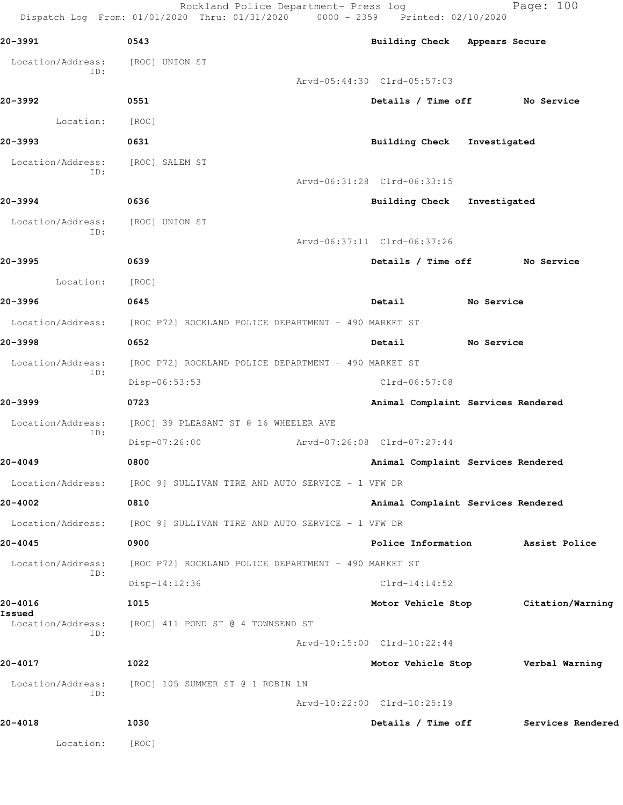Rockland Police Department- Press log entitled Page: 100 Dispatch Log From: 01/01/2020 Thru: 01/31/2020 0000 - 2359 Printed: 02/10/2020

| 20-3991                  | 0543                                                                   | Building Check Appears Secure       |                   |
|--------------------------|------------------------------------------------------------------------|-------------------------------------|-------------------|
| Location/Address:        | [ROC] UNION ST                                                         |                                     |                   |
| ID:                      |                                                                        | Arvd-05:44:30 Clrd-05:57:03         |                   |
| 20-3992                  | 0551                                                                   | Details / Time off No Service       |                   |
| Location: [ROC]          |                                                                        |                                     |                   |
| 20-3993                  | 0631                                                                   | Building Check Investigated         |                   |
| Location/Address:<br>ID: | [ROC] SALEM ST                                                         |                                     |                   |
|                          |                                                                        | Arvd-06:31:28 Clrd-06:33:15         |                   |
| 20-3994                  | 0636                                                                   | Building Check Investigated         |                   |
| Location/Address:<br>ID: | [ROC] UNION ST                                                         |                                     |                   |
|                          |                                                                        | Arvd-06:37:11 Clrd-06:37:26         |                   |
| 20-3995                  | 0639                                                                   | Details / Time off No Service       |                   |
| Location:                | [ROC]                                                                  |                                     |                   |
| 20-3996                  | 0645                                                                   | Detail No Service                   |                   |
|                          | Location/Address: [ROC P72] ROCKLAND POLICE DEPARTMENT - 490 MARKET ST |                                     |                   |
| 20-3998                  | 0652                                                                   | Detail<br><b>No Service</b>         |                   |
| Location/Address:<br>ID: | [ROC P72] ROCKLAND POLICE DEPARTMENT - 490 MARKET ST                   |                                     |                   |
|                          | Disp-06:53:53                                                          | $Clrd-06:57:08$                     |                   |
| 20-3999                  | 0723                                                                   | Animal Complaint Services Rendered  |                   |
| Location/Address:<br>ID: | [ROC] 39 PLEASANT ST @ 16 WHEELER AVE                                  |                                     |                   |
|                          | Disp-07:26:00 Arvd-07:26:08 Clrd-07:27:44                              |                                     |                   |
| 20-4049                  | 0800                                                                   | Animal Complaint Services Rendered  |                   |
|                          | Location/Address: [ROC 9] SULLIVAN TIRE AND AUTO SERVICE - 1 VFW DR    |                                     |                   |
| 20-4002                  | 0810                                                                   | Animal Complaint Services Rendered  |                   |
|                          | Location/Address: [ROC 9] SULLIVAN TIRE AND AUTO SERVICE - 1 VFW DR    |                                     |                   |
| 20-4045                  | 0900                                                                   | Police Information Assist Police    |                   |
| Location/Address:<br>ID: | [ROC P72] ROCKLAND POLICE DEPARTMENT - 490 MARKET ST                   |                                     |                   |
|                          | $Disp-14:12:36$                                                        | $Clrd-14:14:52$                     |                   |
| 20-4016<br>Issued        | 1015                                                                   | Motor Vehicle Stop Citation/Warning |                   |
| ID:                      | Location/Address: [ROC] 411 POND ST @ 4 TOWNSEND ST                    |                                     |                   |
|                          |                                                                        | Arvd-10:15:00 Clrd-10:22:44         |                   |
| 20-4017                  | 1022                                                                   | Motor Vehicle Stop                  | Verbal Warning    |
| ID:                      | Location/Address: [ROC] 105 SUMMER ST @ 1 ROBIN LN                     |                                     |                   |
|                          |                                                                        | Arvd-10:22:00 Clrd-10:25:19         |                   |
| 20-4018                  | 1030                                                                   | Details / Time off                  | Services Rendered |
| Location:                | [ROC]                                                                  |                                     |                   |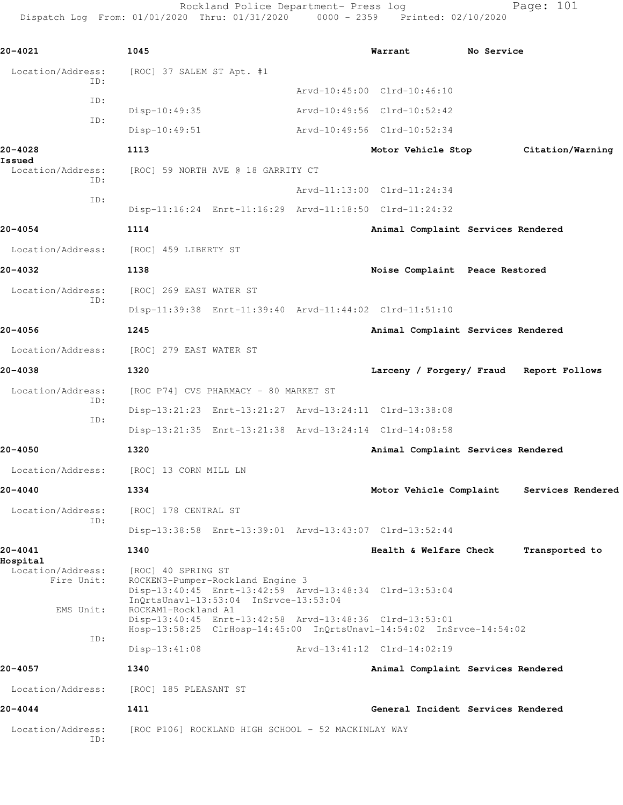Rockland Police Department- Press log Fage: 101 Dispatch Log From: 01/01/2020 Thru: 01/31/2020 0000 - 2359 Printed: 02/10/2020

**20-4021 1045 Warrant No Service** Location/Address: [ROC] 37 SALEM ST Apt. #1 ID: Arvd-10:45:00 Clrd-10:46:10 ID: Disp-10:49:35 Arvd-10:49:56 Clrd-10:52:42 ID: Disp-10:49:51 Arvd-10:49:56 Clrd-10:52:34 **20-4028 1113 Motor Vehicle Stop Citation/Warning Issued**  Location/Address: [ROC] 59 NORTH AVE @ 18 GARRITY CT ID: Arvd-11:13:00 Clrd-11:24:34 ID: Disp-11:16:24 Enrt-11:16:29 Arvd-11:18:50 Clrd-11:24:32 **20-4054 1114 Animal Complaint Services Rendered** Location/Address: [ROC] 459 LIBERTY ST **20-4032 1138 Noise Complaint Peace Restored** Location/Address: [ROC] 269 EAST WATER ST ID: Disp-11:39:38 Enrt-11:39:40 Arvd-11:44:02 Clrd-11:51:10 **20-4056 1245 Animal Complaint Services Rendered** Location/Address: [ROC] 279 EAST WATER ST **20-4038 1320 Larceny / Forgery/ Fraud Report Follows** Location/Address: [ROC P74] CVS PHARMACY - 80 MARKET ST ID: Disp-13:21:23 Enrt-13:21:27 Arvd-13:24:11 Clrd-13:38:08 ID: Disp-13:21:35 Enrt-13:21:38 Arvd-13:24:14 Clrd-14:08:58 **20-4050 1320 Animal Complaint Services Rendered** Location/Address: [ROC] 13 CORN MILL LN **20-4040 1334 Motor Vehicle Complaint Services Rendered** Location/Address: [ROC] 178 CENTRAL ST ID: Disp-13:38:58 Enrt-13:39:01 Arvd-13:43:07 Clrd-13:52:44 **20-4041 1340 Health & Welfare Check Transported to Hospital**  Location/Address: [ROC] 40 SPRING ST<br>Fire Unit: ROCKEN3-Pumper-Roc ROCKEN3-Pumper-Rockland Engine 3 Disp-13:40:45 Enrt-13:42:59 Arvd-13:48:34 Clrd-13:53:04 InQrtsUnavl-13:53:04 InSrvce-13:53:04 EMS Unit: ROCKAM1-Rockland A1 Disp-13:40:45 Enrt-13:42:58 Arvd-13:48:36 Clrd-13:53:01 Hosp-13:58:25 ClrHosp-14:45:00 InQrtsUnavl-14:54:02 InSrvce-14:54:02 ID: Disp-13:41:08 Arvd-13:41:12 Clrd-14:02:19 **20-4057 1340 Animal Complaint Services Rendered** Location/Address: [ROC] 185 PLEASANT ST **20-4044 1411 General Incident Services Rendered** Location/Address: [ROC P106] ROCKLAND HIGH SCHOOL - 52 MACKINLAY WAY ID: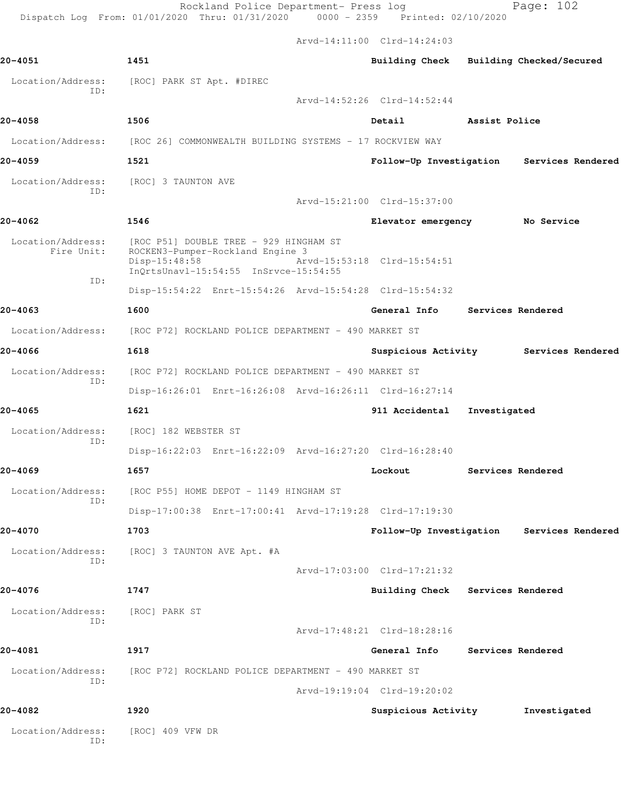Rockland Police Department- Press log Page: 102

Dispatch Log From: 01/01/2020 Thru: 01/31/2020 0000 - 2359 Printed: 02/10/2020

Arvd-14:11:00 Clrd-14:24:03

| 20-4051                         | 1451                                                                                                                                   |  | Building Check Building Checked/Secured |               |                                       |  |
|---------------------------------|----------------------------------------------------------------------------------------------------------------------------------------|--|-----------------------------------------|---------------|---------------------------------------|--|
| Location/Address:<br>ID:        | [ROC] PARK ST Apt. #DIREC                                                                                                              |  |                                         |               |                                       |  |
|                                 |                                                                                                                                        |  | Arvd-14:52:26 Clrd-14:52:44             |               |                                       |  |
| 20-4058                         | 1506                                                                                                                                   |  | Detail                                  | Assist Police |                                       |  |
|                                 | Location/Address: [ROC 26] COMMONWEALTH BUILDING SYSTEMS - 17 ROCKVIEW WAY                                                             |  |                                         |               |                                       |  |
| 20-4059                         | 1521                                                                                                                                   |  | Follow-Up Investigation                 |               | Services Rendered                     |  |
| Location/Address:               | [ROC] 3 TAUNTON AVE                                                                                                                    |  |                                         |               |                                       |  |
| ID:                             |                                                                                                                                        |  | Arvd-15:21:00 Clrd-15:37:00             |               |                                       |  |
| 20-4062                         | 1546                                                                                                                                   |  | Elevator emergency                      |               | No Service                            |  |
| Location/Address:<br>Fire Unit: | [ROC P51] DOUBLE TREE - 929 HINGHAM ST<br>ROCKEN3-Pumper-Rockland Engine 3<br>$Disp-15:48:58$<br>InQrtsUnavl-15:54:55 InSrvce-15:54:55 |  | Arvd-15:53:18 Clrd-15:54:51             |               |                                       |  |
| ID:                             | Disp-15:54:22 Enrt-15:54:26 Arvd-15:54:28 Clrd-15:54:32                                                                                |  |                                         |               |                                       |  |
| 20-4063                         | 1600                                                                                                                                   |  | General Info                            |               | Services Rendered                     |  |
| Location/Address:               | [ROC P72] ROCKLAND POLICE DEPARTMENT - 490 MARKET ST                                                                                   |  |                                         |               |                                       |  |
| 20-4066                         | 1618                                                                                                                                   |  |                                         |               | Suspicious Activity Services Rendered |  |
| Location/Address:               | [ROC P72] ROCKLAND POLICE DEPARTMENT - 490 MARKET ST                                                                                   |  |                                         |               |                                       |  |
| ID:                             | Disp-16:26:01 Enrt-16:26:08 Arvd-16:26:11 Clrd-16:27:14                                                                                |  |                                         |               |                                       |  |
| 20-4065                         | 1621                                                                                                                                   |  | 911 Accidental                          | Investigated  |                                       |  |
| Location/Address:               | [ROC] 182 WEBSTER ST                                                                                                                   |  |                                         |               |                                       |  |
| ID:                             | Disp-16:22:03 Enrt-16:22:09 Arvd-16:27:20 Clrd-16:28:40                                                                                |  |                                         |               |                                       |  |
| 20-4069                         | 1657                                                                                                                                   |  | Lockout                                 |               | Services Rendered                     |  |
| Location/Address:               | [ROC P55] HOME DEPOT - 1149 HINGHAM ST                                                                                                 |  |                                         |               |                                       |  |
| ID:                             | Disp-17:00:38 Enrt-17:00:41 Arvd-17:19:28 Clrd-17:19:30                                                                                |  |                                         |               |                                       |  |
| 20-4070                         | 1703                                                                                                                                   |  | Follow-Up Investigation                 |               | Services Rendered                     |  |
| Location/Address:               | [ROC] 3 TAUNTON AVE Apt. #A                                                                                                            |  |                                         |               |                                       |  |
| ID:                             |                                                                                                                                        |  | Arvd-17:03:00 Clrd-17:21:32             |               |                                       |  |
| 20-4076                         | 1747                                                                                                                                   |  | Building Check Services Rendered        |               |                                       |  |
| Location/Address:               | [ROC] PARK ST                                                                                                                          |  |                                         |               |                                       |  |
| ID:                             |                                                                                                                                        |  | Arvd-17:48:21 Clrd-18:28:16             |               |                                       |  |
| 20-4081                         | 1917                                                                                                                                   |  | General Info                            |               | Services Rendered                     |  |
| Location/Address:               | [ROC P72] ROCKLAND POLICE DEPARTMENT - 490 MARKET ST                                                                                   |  |                                         |               |                                       |  |
| ID:                             | Arvd-19:19:04 Clrd-19:20:02                                                                                                            |  |                                         |               |                                       |  |
| 20-4082                         | 1920                                                                                                                                   |  | Suspicious Activity                     |               | Investigated                          |  |
| Location/Address:<br>ID:        | [ROC] 409 VFW DR                                                                                                                       |  |                                         |               |                                       |  |